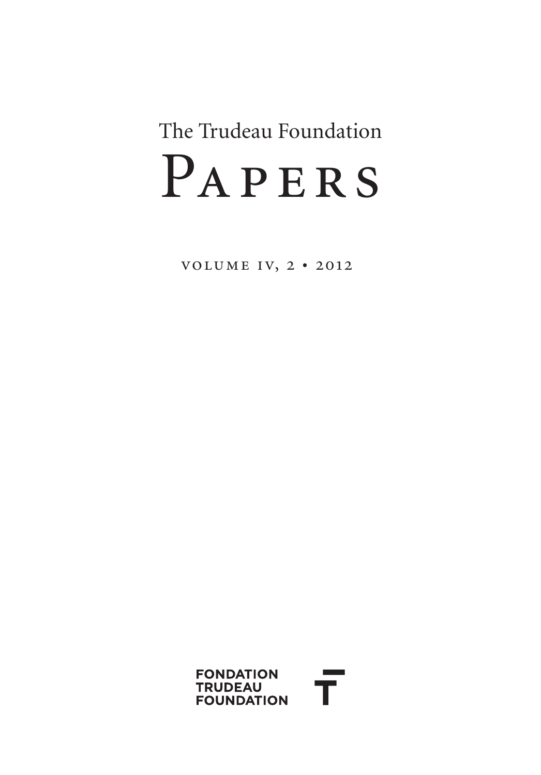# PAPERS The Trudeau Foundation

volume iv, 2 • 2012

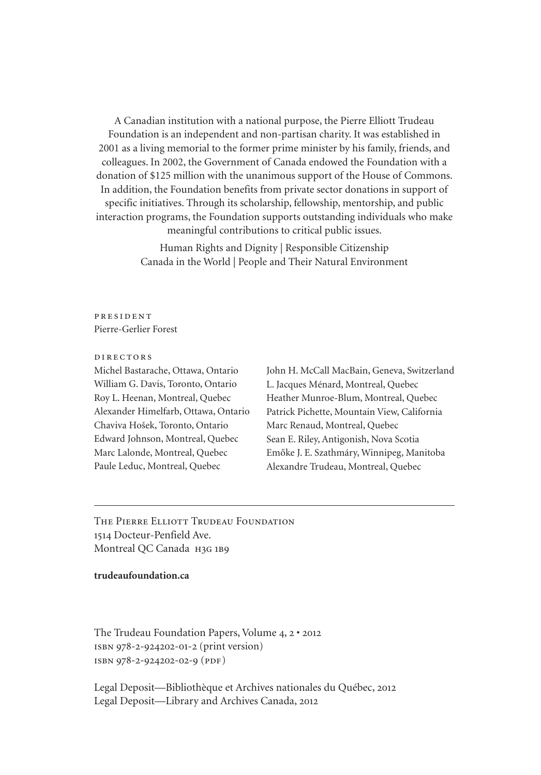A Canadian institution with a national purpose, the Pierre Elliott Trudeau Foundation is an independent and non-partisan charity. It was established in 2001 as a living memorial to the former prime minister by his family, friends, and colleagues. In 2002, the Government of Canada endowed the Foundation with a donation of \$125 million with the unanimous support of the House of Commons. In addition, the Foundation benefits from private sector donations in support of specific initiatives. Through its scholarship, fellowship, mentorship, and public interaction programs, the Foundation supports outstanding individuals who make meaningful contributions to critical public issues.

> Human Rights and Dignity | Responsible Citizenship Canada in the World | People and Their Natural Environment

#### president Pierre-Gerlier Forest

#### directors

Michel Bastarache, Ottawa, Ontario William G. Davis, Toronto, Ontario Roy L. Heenan, Montreal, Quebec Alexander Himelfarb, Ottawa, Ontario Chaviva Hošek, Toronto, Ontario Edward Johnson, Montreal, Quebec Marc Lalonde, Montreal, Quebec Paule Leduc, Montreal, Quebec

John H. McCall MacBain, Geneva, Switzerland L. Jacques Ménard, Montreal, Quebec Heather Munroe-Blum, Montreal, Quebec Patrick Pichette, Mountain View, California Marc Renaud, Montreal, Quebec Sean E. Riley, Antigonish, Nova Scotia Emőke J. E. Szathmáry, Winnipeg, Manitoba Alexandre Trudeau, Montreal, Quebec

The Pierre Elliott Trudeau Foundation 1514 Docteur-Penfield Ave. Montreal QC Canada H3G 1B9

#### **[trudeaufoundation.ca](http://trudeaufoundation.ca)**

The Trudeau Foundation Papers, Volume 4, 2 • 2012 isbn 978-2-924202-01-2 (print version) isbn 978-2-924202-02-9 (pdf)

Legal Deposit—Bibliothèque et Archives nationales du Québec, 2012 Legal Deposit—Library and Archives Canada, 2012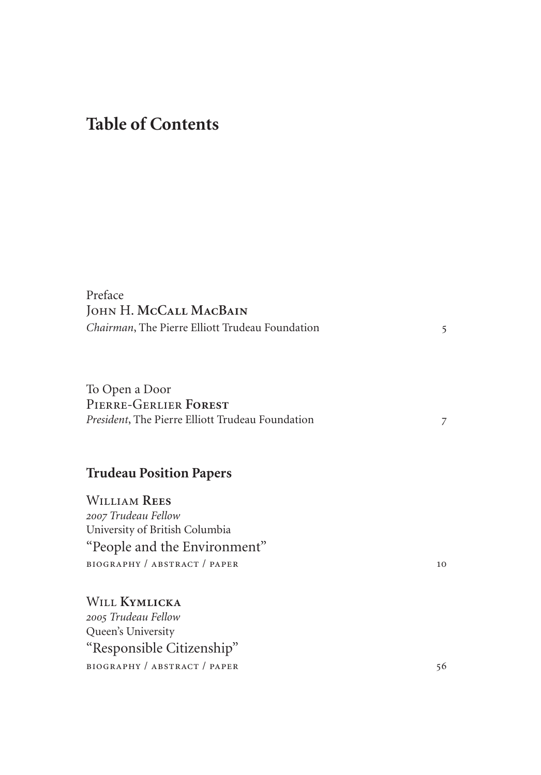## **Table of Contents**

| Preface<br>JOHN H. MCCALL MACBAIN<br>Chairman, The Pierre Elliott Trudeau Foundation                                                                                           | 5  |
|--------------------------------------------------------------------------------------------------------------------------------------------------------------------------------|----|
| To Open a Door<br>PIERRE-GERLIER FOREST<br>President, The Pierre Elliott Trudeau Foundation                                                                                    | 7  |
| <b>Trudeau Position Papers</b><br><b>WILLIAM REES</b><br>2007 Trudeau Fellow<br>University of British Columbia<br>"People and the Environment"<br>BIOGRAPHY / ABSTRACT / PAPER | 10 |
| WILL KYMLICKA<br>2005 Trudeau Fellow<br>Queen's University<br>"Responsible Citizenship"<br>BIOGRAPHY / ABSTRACT / PAPER                                                        | 56 |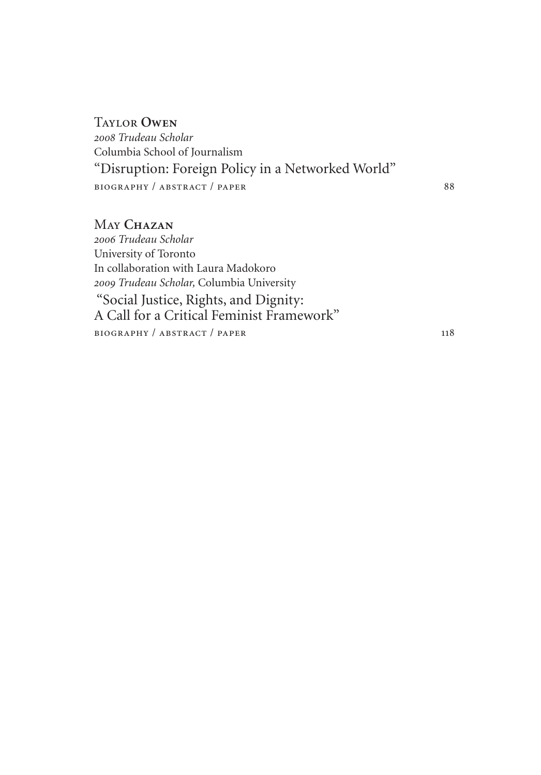[Taylor](#page-88-0) **Owen** *2008 [Trudeau Scholar](#page-88-0)* [Columbia School of Journalism](#page-88-0) ["Disruption: Foreign Policy in a Networked World"](#page-88-0) BIOGRAPHY / ABSTRACT / PAPER 88

May **[Chazan](#page-118-0)** *2006 [Trudeau Scholar](#page-118-0)* [University of Toronto](#page-118-0) [In collaboration with Laura Madokoro](#page-118-0) *2009 Trudeau Scholar,* [Columbia University](#page-118-0)  ["Social Justice, Rights, and Dignity:](#page-118-0)  [A Call for a Critical Feminist Framework"](#page-118-0) [biography / abstract / paper](#page-118-0) 118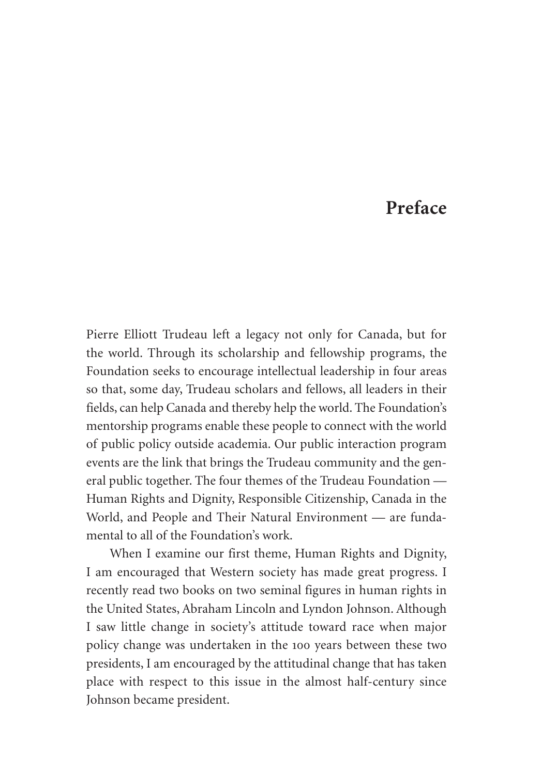### **Preface**

<span id="page-5-0"></span>Pierre Elliott Trudeau left a legacy not only for Canada, but for the world. Through its scholarship and fellowship programs, the Foundation seeks to encourage intellectual leadership in four areas so that, some day, Trudeau scholars and fellows, all leaders in their fields, can help Canada and thereby help the world. The Foundation's mentorship programs enable these people to connect with the world of public policy outside academia. Our public interaction program events are the link that brings the Trudeau community and the general public together. The four themes of the Trudeau Foundation — Human Rights and Dignity, Responsible Citizenship, Canada in the World, and People and Their Natural Environment — are fundamental to all of the Foundation's work.

When I examine our first theme, Human Rights and Dignity, I am encouraged that Western society has made great progress. I recently read two books on two seminal figures in human rights in the United States, Abraham Lincoln and Lyndon Johnson. Although I saw little change in society's attitude toward race when major policy change was undertaken in the 100 years between these two presidents, I am encouraged by the attitudinal change that has taken place with respect to this issue in the almost half-century since Johnson became president.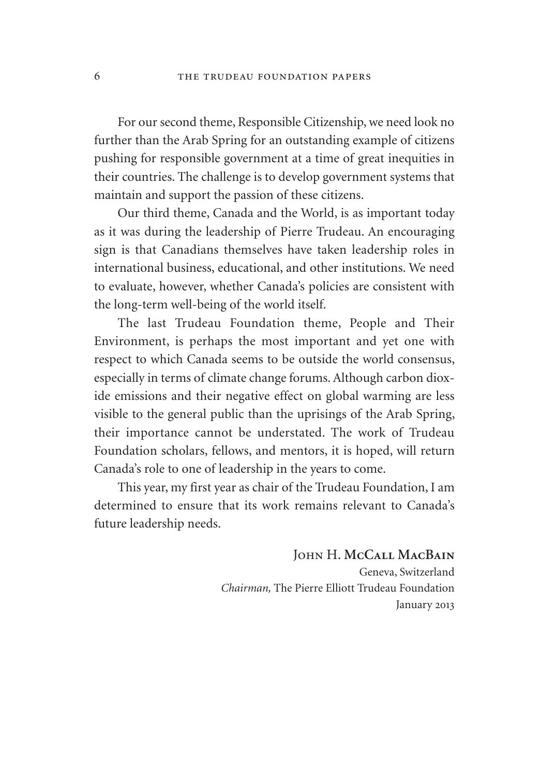For our second theme, Responsible Citizenship, we need look no further than the Arab Spring for an outstanding example of citizens pushing for responsible government at a time of great inequities in their countries. The challenge is to develop government systems that maintain and support the passion of these citizens.

Our third theme, Canada and the World, is as important today as it was during the leadership of Pierre Trudeau. An encouraging sign is that Canadians themselves have taken leadership roles in international business, educational, and other institutions. We need to evaluate, however, whether Canada's policies are consistent with the long-term well-being of the world itself.

The last Trudeau Foundation theme, People and Their Environment, is perhaps the most important and yet one with respect to which Canada seems to be outside the world consensus, especially in terms of climate change forums. Although carbon dioxide emissions and their negative effect on global warming are less visible to the general public than the uprisings of the Arab Spring, their importance cannot be understated. The work of Trudeau Foundation scholars, fellows, and mentors, it is hoped, will return Canada's role to one of leadership in the years to come.

This year, my first year as chair of the Trudeau Foundation, I am determined to ensure that its work remains relevant to Canada's future leadership needs.

> John H. **McCall MacBain** Geneva, Switzerland *Chairman,* The Pierre Elliott Trudeau Foundation January 2013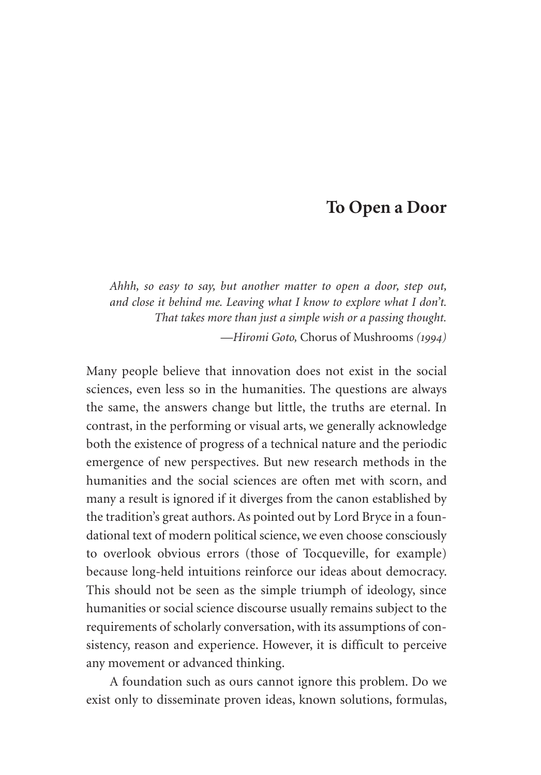#### **To Open a Door**

<span id="page-7-0"></span>*Ahhh, so easy to say, but another matter to open a door, step out, and close it behind me. Leaving what I know to explore what I don't. That takes more than just a simple wish or a passing thought.* —*Hiromi Goto,* Chorus of Mushrooms *(1994)*

Many people believe that innovation does not exist in the social sciences, even less so in the humanities. The questions are always the same, the answers change but little, the truths are eternal. In contrast, in the performing or visual arts, we generally acknowledge both the existence of progress of a technical nature and the periodic emergence of new perspectives. But new research methods in the humanities and the social sciences are often met with scorn, and many a result is ignored if it diverges from the canon established by the tradition's great authors. As pointed out by Lord Bryce in a foundational text of modern political science, we even choose consciously to overlook obvious errors (those of Tocqueville, for example) because long-held intuitions reinforce our ideas about democracy. This should not be seen as the simple triumph of ideology, since humanities or social science discourse usually remains subject to the requirements of scholarly conversation, with its assumptions of consistency, reason and experience. However, it is difficult to perceive any movement or advanced thinking.

A foundation such as ours cannot ignore this problem. Do we exist only to disseminate proven ideas, known solutions, formulas,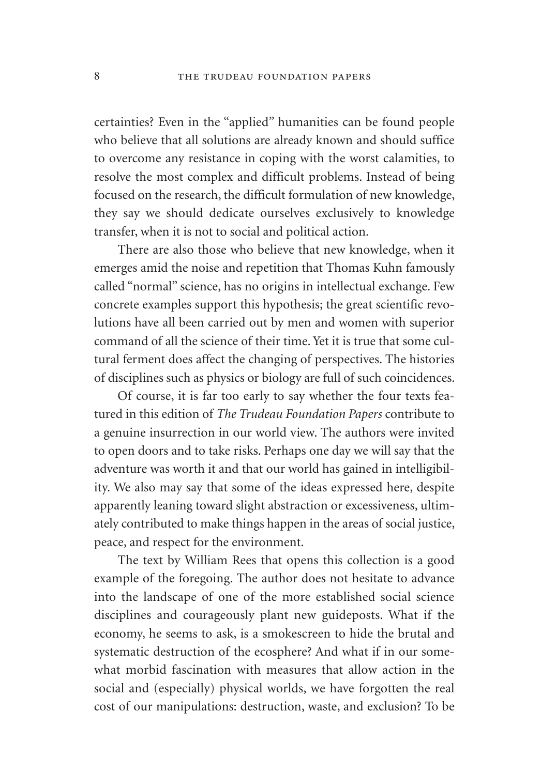certainties? Even in the "applied" humanities can be found people who believe that all solutions are already known and should suffice to overcome any resistance in coping with the worst calamities, to resolve the most complex and difficult problems. Instead of being focused on the research, the difficult formulation of new knowledge, they say we should dedicate ourselves exclusively to knowledge transfer, when it is not to social and political action.

There are also those who believe that new knowledge, when it emerges amid the noise and repetition that Thomas Kuhn famously called "normal" science, has no origins in intellectual exchange. Few concrete examples support this hypothesis; the great scientific revolutions have all been carried out by men and women with superior command of all the science of their time. Yet it is true that some cultural ferment does affect the changing of perspectives. The histories of disciplines such as physics or biology are full of such coincidences.

Of course, it is far too early to say whether the four texts featured in this edition of *The Trudeau Foundation Papers* contribute to a genuine insurrection in our world view. The authors were invited to open doors and to take risks. Perhaps one day we will say that the adventure was worth it and that our world has gained in intelligibility. We also may say that some of the ideas expressed here, despite apparently leaning toward slight abstraction or excessiveness, ultimately contributed to make things happen in the areas of social justice, peace, and respect for the environment.

The text by William Rees that opens this collection is a good example of the foregoing. The author does not hesitate to advance into the landscape of one of the more established social science disciplines and courageously plant new guideposts. What if the economy, he seems to ask, is a smokescreen to hide the brutal and systematic destruction of the ecosphere? And what if in our somewhat morbid fascination with measures that allow action in the social and (especially) physical worlds, we have forgotten the real cost of our manipulations: destruction, waste, and exclusion? To be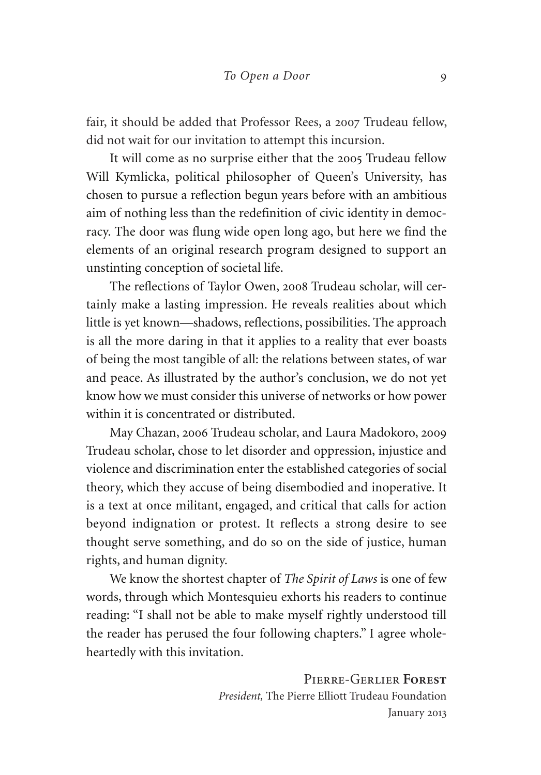fair, it should be added that Professor Rees, a 2007 Trudeau fellow, did not wait for our invitation to attempt this incursion.

It will come as no surprise either that the 2005 Trudeau fellow Will Kymlicka, political philosopher of Queen's University, has chosen to pursue a reflection begun years before with an ambitious aim of nothing less than the redefinition of civic identity in democracy. The door was flung wide open long ago, but here we find the elements of an original research program designed to support an unstinting conception of societal life.

The reflections of Taylor Owen, 2008 Trudeau scholar, will certainly make a lasting impression. He reveals realities about which little is yet known—shadows, reflections, possibilities. The approach is all the more daring in that it applies to a reality that ever boasts of being the most tangible of all: the relations between states, of war and peace. As illustrated by the author's conclusion, we do not yet know how we must consider this universe of networks or how power within it is concentrated or distributed.

May Chazan, 2006 Trudeau scholar, and Laura Madokoro, 2009 Trudeau scholar, chose to let disorder and oppression, injustice and violence and discrimination enter the established categories of social theory, which they accuse of being disembodied and inoperative. It is a text at once militant, engaged, and critical that calls for action beyond indignation or protest. It reflects a strong desire to see thought serve something, and do so on the side of justice, human rights, and human dignity.

We know the shortest chapter of *The Spirit of Laws* is one of few words, through which Montesquieu exhorts his readers to continue reading: "I shall not be able to make myself rightly understood till the reader has perused the four following chapters." I agree wholeheartedly with this invitation.

> Pierre-Gerlier **Forest** *President,* The Pierre Elliott Trudeau Foundation January 2013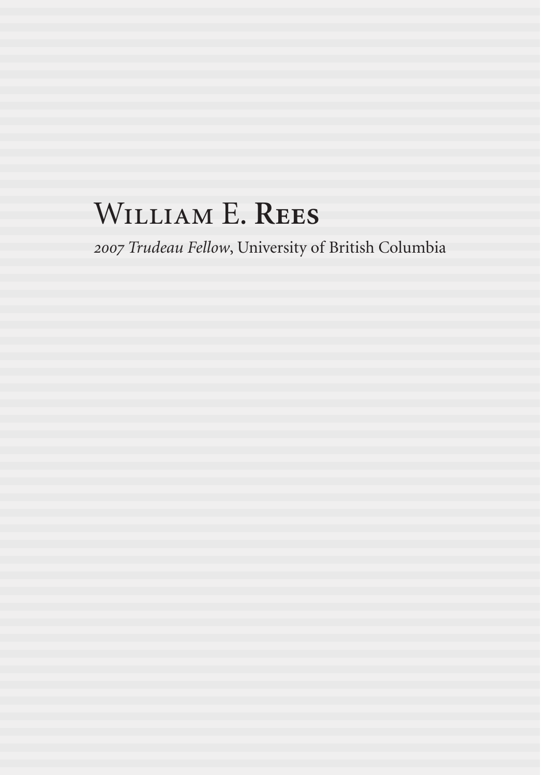## <span id="page-10-0"></span>William E. **Rees**

*2007 Trudeau Fellow*, University of British Columbia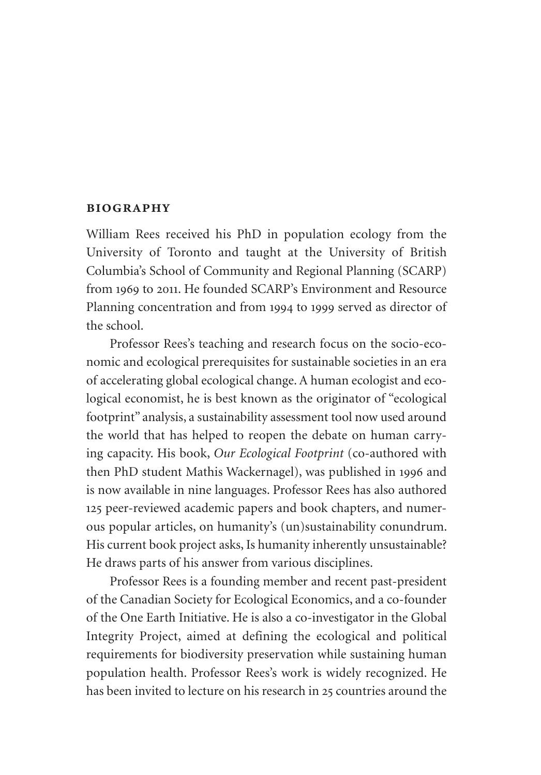#### **biography**

William Rees received his PhD in population ecology from the University of Toronto and taught at the University of British Columbia's School of Community and Regional Planning (SCARP) from 1969 to 2011. He founded SCARP's Environment and Resource Planning concentration and from 1994 to 1999 served as director of the school.

Professor Rees's teaching and research focus on the socio-economic and ecological prerequisites for sustainable societies in an era of accelerating global ecological change. A human ecologist and ecological economist, he is best known as the originator of "ecological footprint" analysis, a sustainability assessment tool now used around the world that has helped to reopen the debate on human carrying capacity. His book, *Our Ecological Footprint* (co-authored with then PhD student Mathis Wackernagel), was published in 1996 and is now available in nine languages. Professor Rees has also authored 125 peer-reviewed academic papers and book chapters, and numerous popular articles, on humanity's (un)sustainability conundrum. His current book project asks, Is humanity inherently unsustainable? He draws parts of his answer from various disciplines.

Professor Rees is a founding member and recent past-president of the Canadian Society for Ecological Economics, and a co-founder of the One Earth Initiative. He is also a co-investigator in the Global Integrity Project, aimed at defining the ecological and political requirements for biodiversity preservation while sustaining human population health. Professor Rees's work is widely recognized. He has been invited to lecture on his research in 25 countries around the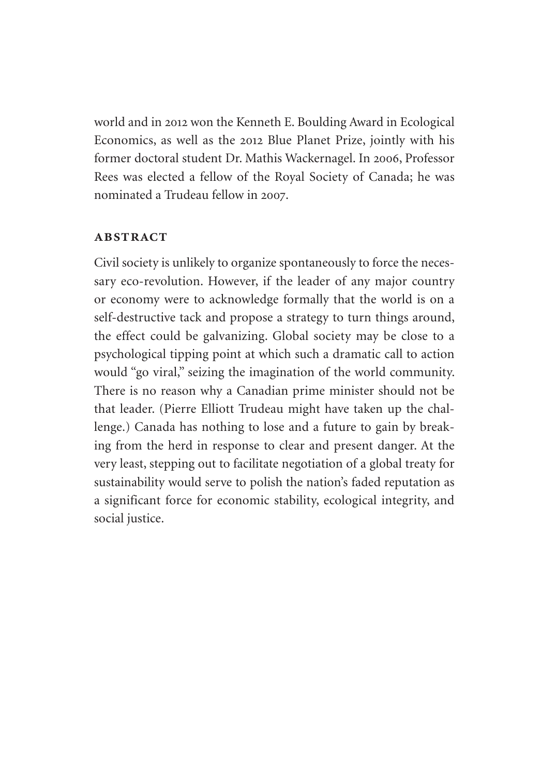world and in 2012 won the Kenneth E. Boulding Award in Ecological Economics, as well as the 2012 Blue Planet Prize, jointly with his former doctoral student Dr. Mathis Wackernagel. In 2006, Professor Rees was elected a fellow of the Royal Society of Canada; he was nominated a Trudeau fellow in 2007.

#### **ABSTRACT**

Civil society is unlikely to organize spontaneously to force the necessary eco-revolution. However, if the leader of any major country or economy were to acknowledge formally that the world is on a self-destructive tack and propose a strategy to turn things around, the effect could be galvanizing. Global society may be close to a psychological tipping point at which such a dramatic call to action would "go viral," seizing the imagination of the world community. There is no reason why a Canadian prime minister should not be that leader. (Pierre Elliott Trudeau might have taken up the challenge.) Canada has nothing to lose and a future to gain by breaking from the herd in response to clear and present danger. At the very least, stepping out to facilitate negotiation of a global treaty for sustainability would serve to polish the nation's faded reputation as a significant force for economic stability, ecological integrity, and social justice.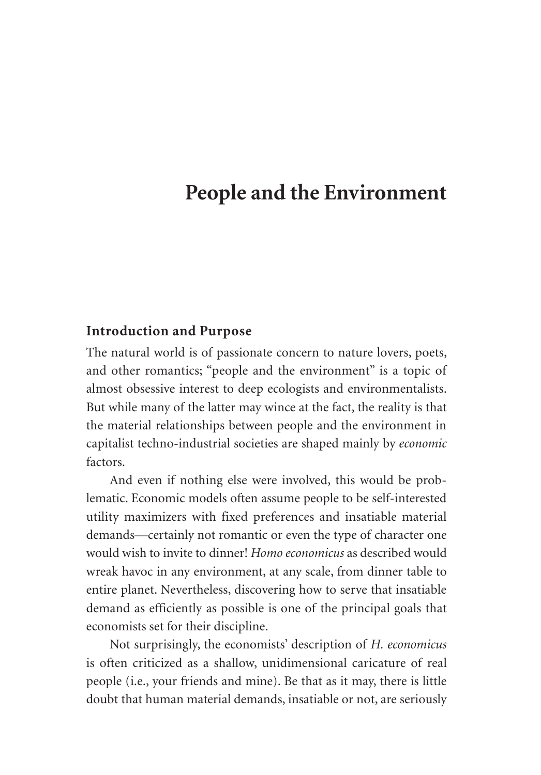## **People and the Environment**

#### **Introduction and Purpose**

The natural world is of passionate concern to nature lovers, poets, and other romantics; "people and the environment" is a topic of almost obsessive interest to deep ecologists and environmentalists. But while many of the latter may wince at the fact, the reality is that the material relationships between people and the environment in capitalist techno-industrial societies are shaped mainly by *economic* factors.

And even if nothing else were involved, this would be problematic. Economic models often assume people to be self-interested utility maximizers with fixed preferences and insatiable material demands—certainly not romantic or even the type of character one would wish to invite to dinner! *Homo economicus* as described would wreak havoc in any environment, at any scale, from dinner table to entire planet. Nevertheless, discovering how to serve that insatiable demand as efficiently as possible is one of the principal goals that economists set for their discipline.

Not surprisingly, the economists' description of *H. economicus*  is often criticized as a shallow, unidimensional caricature of real people (i.e., your friends and mine). Be that as it may, there is little doubt that human material demands, insatiable or not, are seriously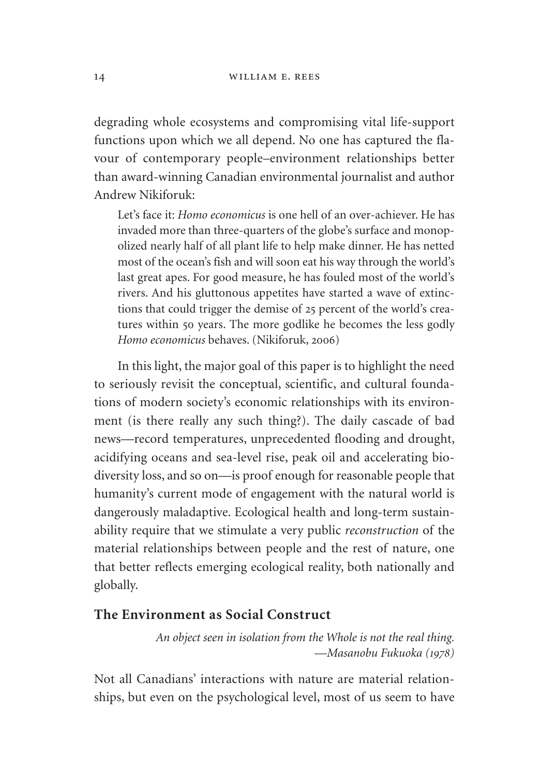degrading whole ecosystems and compromising vital life-support functions upon which we all depend. No one has captured the flavour of contemporary people–environment relationships better than award-winning Canadian environmental journalist and author Andrew Nikiforuk:

Let's face it: *Homo economicus* is one hell of an over-achiever. He has invaded more than three-quarters of the globe's surface and monopolized nearly half of all plant life to help make dinner. He has netted most of the ocean's fish and will soon eat his way through the world's last great apes. For good measure, he has fouled most of the world's rivers. And his gluttonous appetites have started a wave of extinctions that could trigger the demise of 25 percent of the world's creatures within 50 years. The more godlike he becomes the less godly *Homo economicus* behaves. (Nikiforuk, 2006)

In this light, the major goal of this paper is to highlight the need to seriously revisit the conceptual, scientific, and cultural foundations of modern society's economic relationships with its environment (is there really any such thing?). The daily cascade of bad news—record temperatures, unprecedented flooding and drought, acidifying oceans and sea-level rise, peak oil and accelerating biodiversity loss, and so on—is proof enough for reasonable people that humanity's current mode of engagement with the natural world is dangerously maladaptive. Ecological health and long-term sustainability require that we stimulate a very public *reconstruction* of the material relationships between people and the rest of nature, one that better reflects emerging ecological reality, both nationally and globally.

#### **The Environment as Social Construct**

*An object seen in isolation from the Whole is not the real thing. —Masanobu Fukuoka (1978)*

Not all Canadians' interactions with nature are material relationships, but even on the psychological level, most of us seem to have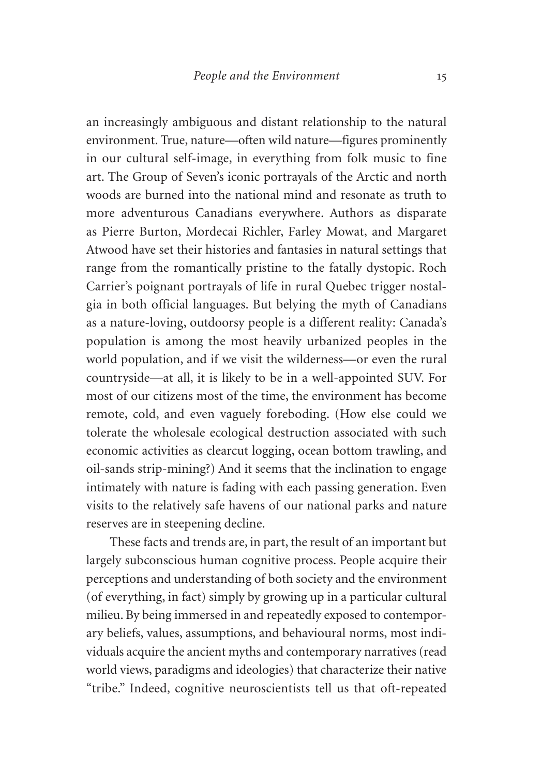an increasingly ambiguous and distant relationship to the natural environment. True, nature—often wild nature—figures prominently in our cultural self-image, in everything from folk music to fine art. The Group of Seven's iconic portrayals of the Arctic and north woods are burned into the national mind and resonate as truth to more adventurous Canadians everywhere. Authors as disparate as Pierre Burton, Mordecai Richler, Farley Mowat, and Margaret Atwood have set their histories and fantasies in natural settings that range from the romantically pristine to the fatally dystopic. Roch Carrier's poignant portrayals of life in rural Quebec trigger nostalgia in both official languages. But belying the myth of Canadians as a nature-loving, outdoorsy people is a different reality: Canada's population is among the most heavily urbanized peoples in the world population, and if we visit the wilderness—or even the rural countryside—at all, it is likely to be in a well-appointed SUV. For most of our citizens most of the time, the environment has become remote, cold, and even vaguely foreboding. (How else could we tolerate the wholesale ecological destruction associated with such economic activities as clearcut logging, ocean bottom trawling, and oil-sands strip-mining?) And it seems that the inclination to engage intimately with nature is fading with each passing generation. Even visits to the relatively safe havens of our national parks and nature reserves are in steepening decline.

These facts and trends are, in part, the result of an important but largely subconscious human cognitive process. People acquire their perceptions and understanding of both society and the environment (of everything, in fact) simply by growing up in a particular cultural milieu. By being immersed in and repeatedly exposed to contemporary beliefs, values, assumptions, and behavioural norms, most individuals acquire the ancient myths and contemporary narratives (read world views, paradigms and ideologies) that characterize their native "tribe." Indeed, cognitive neuroscientists tell us that oft-repeated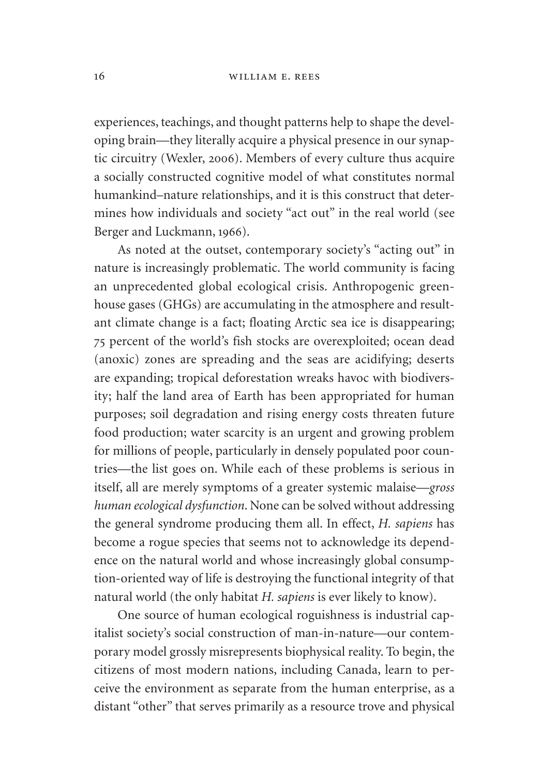experiences, teachings, and thought patterns help to shape the developing brain—they literally acquire a physical presence in our synaptic circuitry (Wexler, 2006). Members of every culture thus acquire a socially constructed cognitive model of what constitutes normal humankind–nature relationships, and it is this construct that determines how individuals and society "act out" in the real world (see Berger and Luckmann, 1966).

As noted at the outset, contemporary society's "acting out" in nature is increasingly problematic. The world community is facing an unprecedented global ecological crisis. Anthropogenic greenhouse gases (GHGs) are accumulating in the atmosphere and resultant climate change is a fact; floating Arctic sea ice is disappearing; 75 percent of the world's fish stocks are overexploited; ocean dead (anoxic) zones are spreading and the seas are acidifying; deserts are expanding; tropical deforestation wreaks havoc with biodiversity; half the land area of Earth has been appropriated for human purposes; soil degradation and rising energy costs threaten future food production; water scarcity is an urgent and growing problem for millions of people, particularly in densely populated poor countries—the list goes on. While each of these problems is serious in itself, all are merely symptoms of a greater systemic malaise—*gross human ecological dysfunction*. None can be solved without addressing the general syndrome producing them all. In effect, *H. sapiens* has become a rogue species that seems not to acknowledge its dependence on the natural world and whose increasingly global consumption-oriented way of life is destroying the functional integrity of that natural world (the only habitat *H. sapiens* is ever likely to know).

One source of human ecological roguishness is industrial capitalist society's social construction of man-in-nature—our contemporary model grossly misrepresents biophysical reality. To begin, the citizens of most modern nations, including Canada, learn to perceive the environment as separate from the human enterprise, as a distant "other" that serves primarily as a resource trove and physical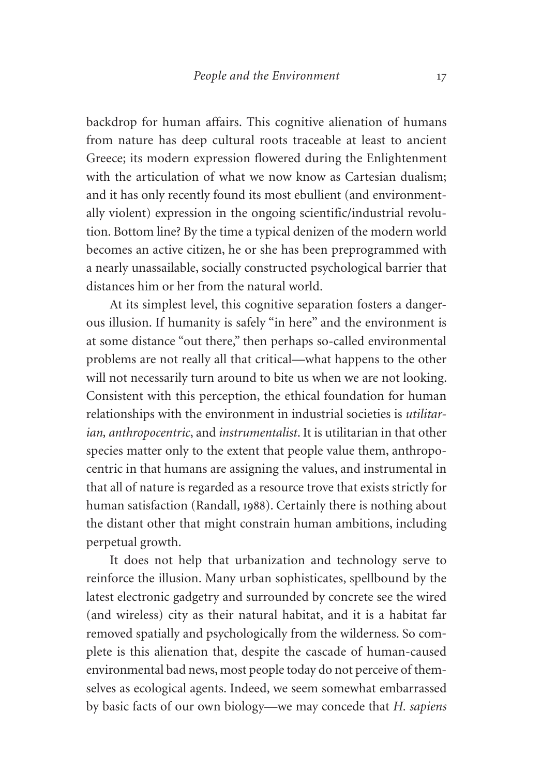backdrop for human affairs. This cognitive alienation of humans from nature has deep cultural roots traceable at least to ancient Greece; its modern expression flowered during the Enlightenment with the articulation of what we now know as Cartesian dualism; and it has only recently found its most ebullient (and environmentally violent) expression in the ongoing scientific/industrial revolution. Bottom line? By the time a typical denizen of the modern world becomes an active citizen, he or she has been preprogrammed with a nearly unassailable, socially constructed psychological barrier that distances him or her from the natural world.

At its simplest level, this cognitive separation fosters a dangerous illusion. If humanity is safely "in here" and the environment is at some distance "out there," then perhaps so-called environmental problems are not really all that critical—what happens to the other will not necessarily turn around to bite us when we are not looking. Consistent with this perception, the ethical foundation for human relationships with the environment in industrial societies is *utilitarian, anthropocentric*, and *instrumentalist*. It is utilitarian in that other species matter only to the extent that people value them, anthropocentric in that humans are assigning the values, and instrumental in that all of nature is regarded as a resource trove that exists strictly for human satisfaction (Randall, 1988). Certainly there is nothing about the distant other that might constrain human ambitions, including perpetual growth.

It does not help that urbanization and technology serve to reinforce the illusion. Many urban sophisticates, spellbound by the latest electronic gadgetry and surrounded by concrete see the wired (and wireless) city as their natural habitat, and it is a habitat far removed spatially and psychologically from the wilderness. So complete is this alienation that, despite the cascade of human-caused environmental bad news, most people today do not perceive of themselves as ecological agents. Indeed, we seem somewhat embarrassed by basic facts of our own biology—we may concede that *H. sapiens*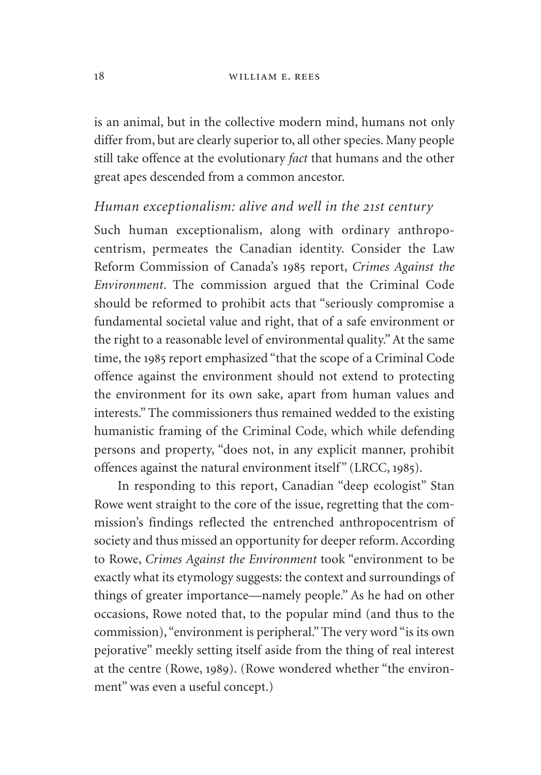is an animal, but in the collective modern mind, humans not only differ from, but are clearly superior to, all other species. Many people still take offence at the evolutionary *fact* that humans and the other great apes descended from a common ancestor.

#### *Human exceptionalism: alive and well in the 21st century*

Such human exceptionalism, along with ordinary anthropocentrism, permeates the Canadian identity. Consider the Law Reform Commission of Canada's 1985 report, *Crimes Against the Environment*. The commission argued that the Criminal Code should be reformed to prohibit acts that "seriously compromise a fundamental societal value and right, that of a safe environment or the right to a reasonable level of environmental quality." At the same time, the 1985 report emphasized "that the scope of a Criminal Code offence against the environment should not extend to protecting the environment for its own sake, apart from human values and interests." The commissioners thus remained wedded to the existing humanistic framing of the Criminal Code, which while defending persons and property, "does not, in any explicit manner, prohibit offences against the natural environment itself" (LRCC, 1985).

In responding to this report, Canadian "deep ecologist" Stan Rowe went straight to the core of the issue, regretting that the commission's findings reflected the entrenched anthropocentrism of society and thus missed an opportunity for deeper reform. According to Rowe, *Crimes Against the Environment* took "environment to be exactly what its etymology suggests: the context and surroundings of things of greater importance—namely people." As he had on other occasions, Rowe noted that, to the popular mind (and thus to the commission), "environment is peripheral." The very word "is its own pejorative" meekly setting itself aside from the thing of real interest at the centre (Rowe, 1989). (Rowe wondered whether "the environment" was even a useful concept.)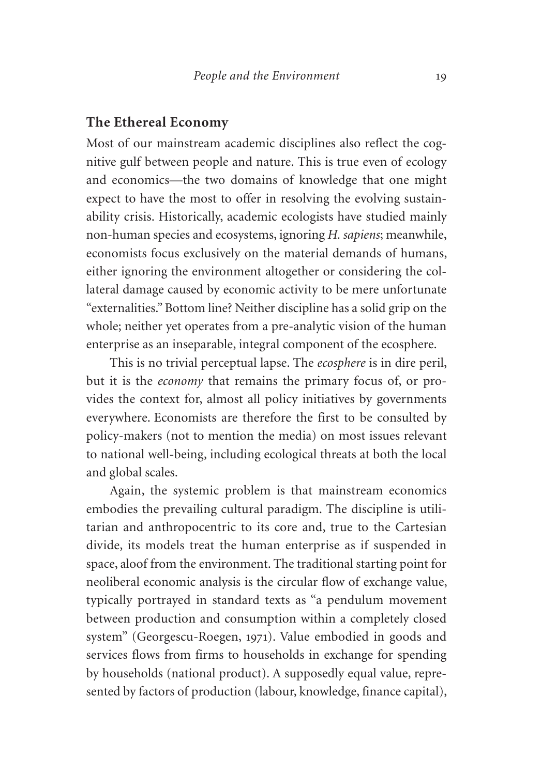#### **The Ethereal Economy**

Most of our mainstream academic disciplines also reflect the cognitive gulf between people and nature. This is true even of ecology and economics—the two domains of knowledge that one might expect to have the most to offer in resolving the evolving sustainability crisis. Historically, academic ecologists have studied mainly non-human species and ecosystems, ignoring *H. sapiens*; meanwhile, economists focus exclusively on the material demands of humans, either ignoring the environment altogether or considering the collateral damage caused by economic activity to be mere unfortunate "externalities." Bottom line? Neither discipline has a solid grip on the whole; neither yet operates from a pre-analytic vision of the human enterprise as an inseparable, integral component of the ecosphere.

This is no trivial perceptual lapse. The *ecosphere* is in dire peril, but it is the *economy* that remains the primary focus of, or provides the context for, almost all policy initiatives by governments everywhere. Economists are therefore the first to be consulted by policy-makers (not to mention the media) on most issues relevant to national well-being, including ecological threats at both the local and global scales.

Again, the systemic problem is that mainstream economics embodies the prevailing cultural paradigm. The discipline is utilitarian and anthropocentric to its core and, true to the Cartesian divide, its models treat the human enterprise as if suspended in space, aloof from the environment. The traditional starting point for neoliberal economic analysis is the circular flow of exchange value, typically portrayed in standard texts as "a pendulum movement between production and consumption within a completely closed system" (Georgescu-Roegen, 1971). Value embodied in goods and services flows from firms to households in exchange for spending by households (national product). A supposedly equal value, represented by factors of production (labour, knowledge, finance capital),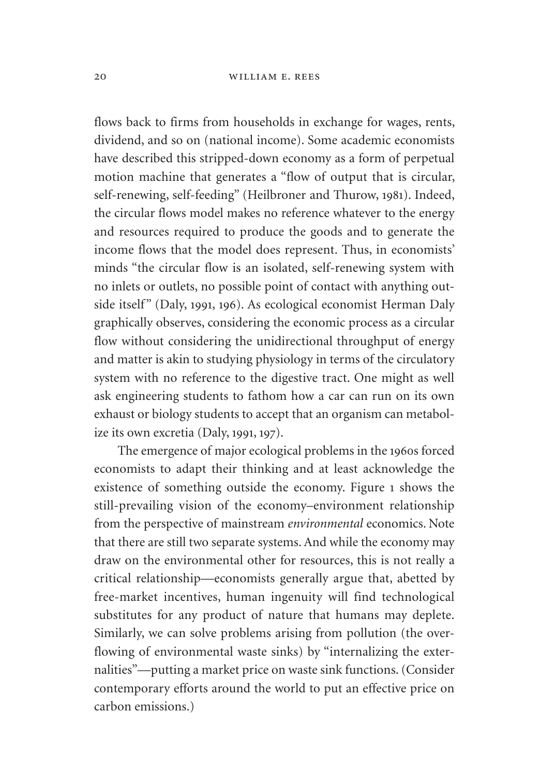flows back to firms from households in exchange for wages, rents, dividend, and so on (national income). Some academic economists have described this stripped-down economy as a form of perpetual motion machine that generates a "flow of output that is circular, self-renewing, self-feeding" (Heilbroner and Thurow, 1981). Indeed, the circular flows model makes no reference whatever to the energy and resources required to produce the goods and to generate the income flows that the model does represent. Thus, in economists' minds "the circular flow is an isolated, self-renewing system with no inlets or outlets, no possible point of contact with anything outside itself" (Daly, 1991, 196). As ecological economist Herman Daly graphically observes, considering the economic process as a circular flow without considering the unidirectional throughput of energy and matter is akin to studying physiology in terms of the circulatory system with no reference to the digestive tract. One might as well ask engineering students to fathom how a car can run on its own exhaust or biology students to accept that an organism can metabolize its own excretia (Daly, 1991, 197).

The emergence of major ecological problems in the 1960s forced economists to adapt their thinking and at least acknowledge the existence of something outside the economy. Figure 1 shows the still-prevailing vision of the economy–environment relationship from the perspective of mainstream *environmental* economics. Note that there are still two separate systems. And while the economy may draw on the environmental other for resources, this is not really a critical relationship—economists generally argue that, abetted by free-market incentives, human ingenuity will find technological substitutes for any product of nature that humans may deplete. Similarly, we can solve problems arising from pollution (the overflowing of environmental waste sinks) by "internalizing the externalities"—putting a market price on waste sink functions. (Consider contemporary efforts around the world to put an effective price on carbon emissions.)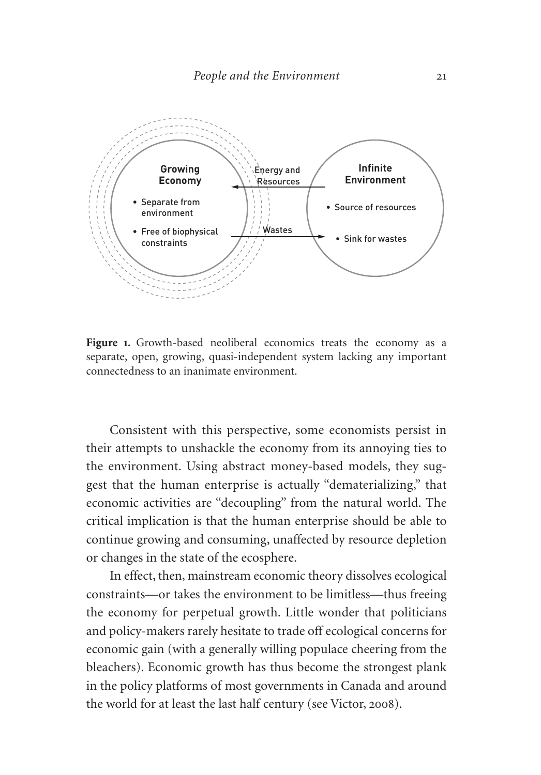

Figure 1. Growth-based neoliberal economics treats the economy as a separate, open, growing, quasi-independent system lacking any important connectedness to an inanimate environment.

Consistent with this perspective, some economists persist in their attempts to unshackle the economy from its annoying ties to the environment. Using abstract money-based models, they suggest that the human enterprise is actually "dematerializing," that economic activities are "decoupling" from the natural world. The critical implication is that the human enterprise should be able to continue growing and consuming, unaffected by resource depletion or changes in the state of the ecosphere.

In effect, then, mainstream economic theory dissolves ecological constraints—or takes the environment to be limitless—thus freeing the economy for perpetual growth. Little wonder that politicians and policy-makers rarely hesitate to trade off ecological concerns for economic gain (with a generally willing populace cheering from the bleachers). Economic growth has thus become the strongest plank in the policy platforms of most governments in Canada and around the world for at least the last half century (see Victor, 2008).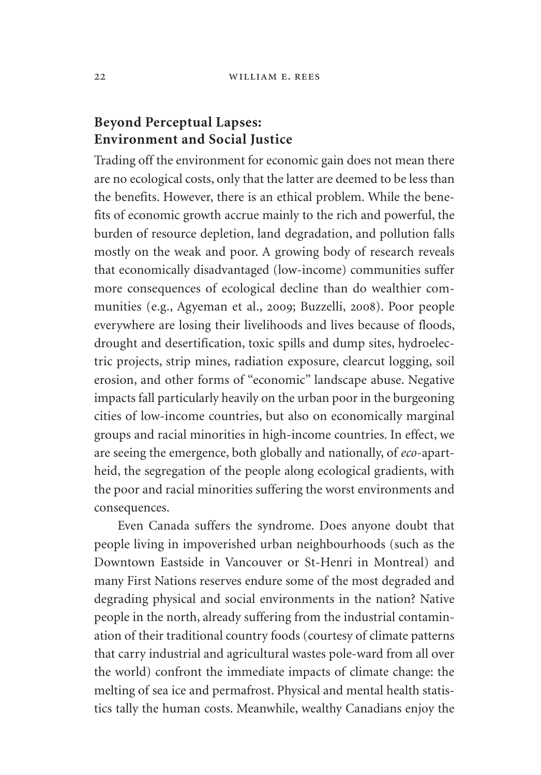#### **Beyond Perceptual Lapses: Environment and Social Justice**

Trading off the environment for economic gain does not mean there are no ecological costs, only that the latter are deemed to be less than the benefits. However, there is an ethical problem. While the benefits of economic growth accrue mainly to the rich and powerful, the burden of resource depletion, land degradation, and pollution falls mostly on the weak and poor. A growing body of research reveals that economically disadvantaged (low-income) communities suffer more consequences of ecological decline than do wealthier communities (e.g., Agyeman et al., 2009; Buzzelli, 2008). Poor people everywhere are losing their livelihoods and lives because of floods, drought and desertification, toxic spills and dump sites, hydroelectric projects, strip mines, radiation exposure, clearcut logging, soil erosion, and other forms of "economic" landscape abuse. Negative impacts fall particularly heavily on the urban poor in the burgeoning cities of low-income countries, but also on economically marginal groups and racial minorities in high-income countries. In effect, we are seeing the emergence, both globally and nationally, of *eco*-apartheid, the segregation of the people along ecological gradients, with the poor and racial minorities suffering the worst environments and consequences.

Even Canada suffers the syndrome. Does anyone doubt that people living in impoverished urban neighbourhoods (such as the Downtown Eastside in Vancouver or St-Henri in Montreal) and many First Nations reserves endure some of the most degraded and degrading physical and social environments in the nation? Native people in the north, already suffering from the industrial contamination of their traditional country foods (courtesy of climate patterns that carry industrial and agricultural wastes pole-ward from all over the world) confront the immediate impacts of climate change: the melting of sea ice and permafrost. Physical and mental health statistics tally the human costs. Meanwhile, wealthy Canadians enjoy the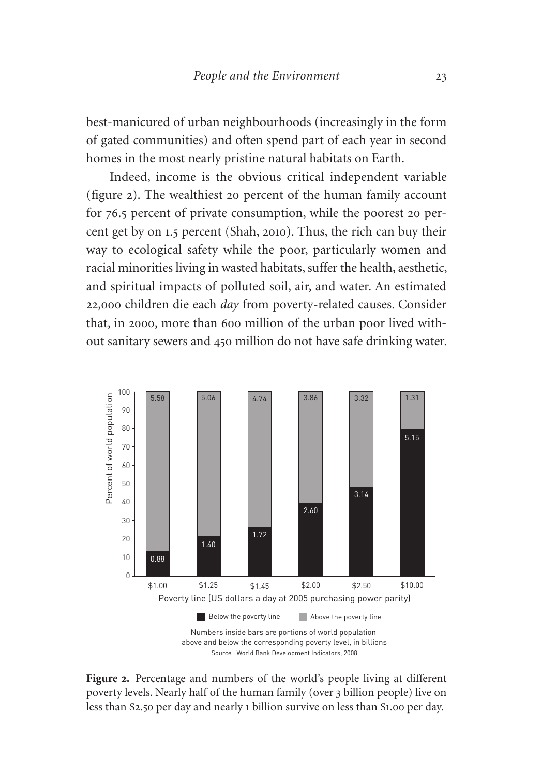best-manicured of urban neighbourhoods (increasingly in the form of gated communities) and often spend part of each year in second homes in the most nearly pristine natural habitats on Earth.

Indeed, income is the obvious critical independent variable (figure 2). The wealthiest 20 percent of the human family account for 76.5 percent of private consumption, while the poorest 20 percent get by on 1.5 percent (Shah, 2010). Thus, the rich can buy their way to ecological safety while the poor, particularly women and racial minorities living in wasted habitats, suffer the health, aesthetic, and spiritual impacts of polluted soil, air, and water. An estimated 22,000 children die each *day* from poverty-related causes. Consider that, in 2000, more than 600 million of the urban poor lived without sanitary sewers and 450 million do not have safe drinking water.



**Figure 2.** Percentage and numbers of the world's people living at different poverty levels. Nearly half of the human family (over 3 billion people) live on less than \$2.50 per day and nearly 1 billion survive on less than \$1.00 per day.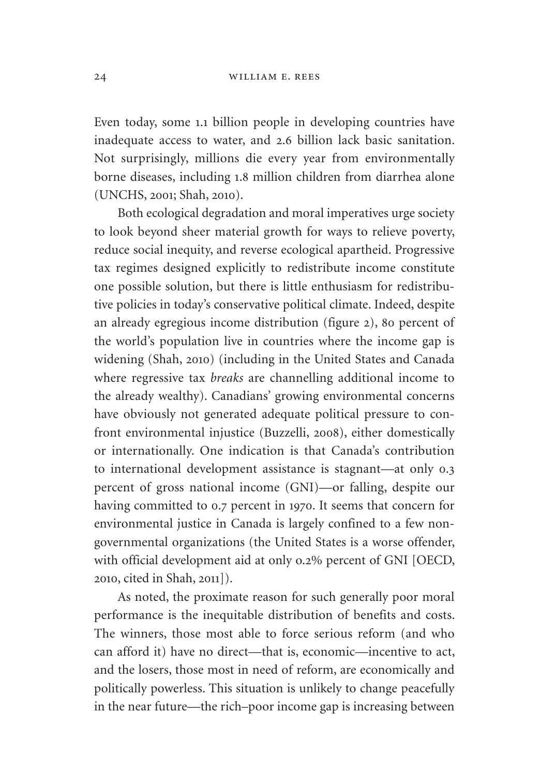Even today, some 1.1 billion people in developing countries have inadequate access to water, and 2.6 billion lack basic sanitation. Not surprisingly, millions die every year from environmentally borne diseases, including 1.8 million children from diarrhea alone (UNCHS, 2001; Shah, 2010).

Both ecological degradation and moral imperatives urge society to look beyond sheer material growth for ways to relieve poverty, reduce social inequity, and reverse ecological apartheid. Progressive tax regimes designed explicitly to redistribute income constitute one possible solution, but there is little enthusiasm for redistributive policies in today's conservative political climate. Indeed, despite an already egregious income distribution (figure 2), 80 percent of the world's population live in countries where the income gap is widening (Shah, 2010) (including in the United States and Canada where regressive tax *breaks* are channelling additional income to the already wealthy). Canadians' growing environmental concerns have obviously not generated adequate political pressure to confront environmental injustice (Buzzelli, 2008), either domestically or internationally. One indication is that Canada's contribution to international development assistance is stagnant—at only 0.3 percent of gross national income (GNI)—or falling, despite our having committed to 0.7 percent in 1970. It seems that concern for environmental justice in Canada is largely confined to a few nongovernmental organizations (the United States is a worse offender, with official development aid at only o.2% percent of GNI [OECD, 2010, cited in Shah, 2011]).

As noted, the proximate reason for such generally poor moral performance is the inequitable distribution of benefits and costs. The winners, those most able to force serious reform (and who can afford it) have no direct—that is, economic—incentive to act, and the losers, those most in need of reform, are economically and politically powerless. This situation is unlikely to change peacefully in the near future—the rich–poor income gap is increasing between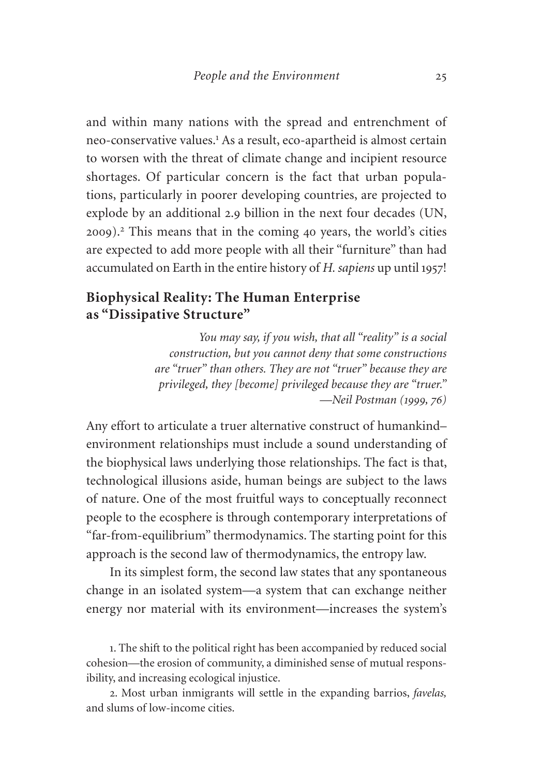and within many nations with the spread and entrenchment of neo-conservative values.<sup>1</sup> As a result, eco-apartheid is almost certain to worsen with the threat of climate change and incipient resource shortages. Of particular concern is the fact that urban populations, particularly in poorer developing countries, are projected to explode by an additional 2.9 billion in the next four decades (UN, 2009).<sup>2</sup> This means that in the coming 40 years, the world's cities are expected to add more people with all their "furniture" than had accumulated on Earth in the entire history of *H. sapiens* up until 1957!

#### **Biophysical Reality: The Human Enterprise as "Dissipative Structure"**

*You may say, if you wish, that all "reality" is a social construction, but you cannot deny that some constructions are "truer" than others. They are not "truer" because they are privileged, they [become] privileged because they are "truer." —Neil Postman (1999, 76)*

Any effort to articulate a truer alternative construct of humankind– environment relationships must include a sound understanding of the biophysical laws underlying those relationships. The fact is that, technological illusions aside, human beings are subject to the laws of nature. One of the most fruitful ways to conceptually reconnect people to the ecosphere is through contemporary interpretations of "far-from-equilibrium" thermodynamics. The starting point for this approach is the second law of thermodynamics, the entropy law.

In its simplest form, the second law states that any spontaneous change in an isolated system—a system that can exchange neither energy nor material with its environment—increases the system's

1. The shift to the political right has been accompanied by reduced social cohesion—the erosion of community, a diminished sense of mutual responsibility, and increasing ecological injustice.

2. Most urban inmigrants will settle in the expanding barrios, *favelas,* and slums of low-income cities.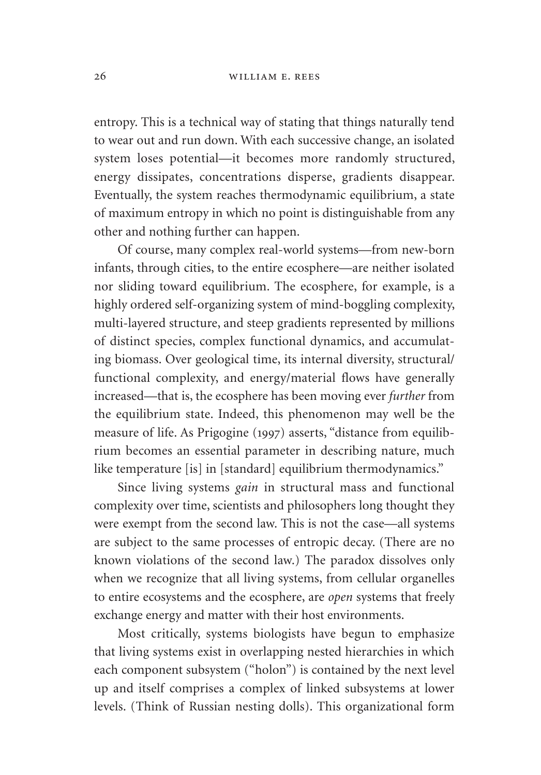entropy. This is a technical way of stating that things naturally tend to wear out and run down. With each successive change, an isolated system loses potential—it becomes more randomly structured, energy dissipates, concentrations disperse, gradients disappear. Eventually, the system reaches thermodynamic equilibrium, a state of maximum entropy in which no point is distinguishable from any other and nothing further can happen.

Of course, many complex real-world systems—from new-born infants, through cities, to the entire ecosphere—are neither isolated nor sliding toward equilibrium. The ecosphere, for example, is a highly ordered self-organizing system of mind-boggling complexity, multi-layered structure, and steep gradients represented by millions of distinct species, complex functional dynamics, and accumulating biomass. Over geological time, its internal diversity, structural/ functional complexity, and energy/material flows have generally increased—that is, the ecosphere has been moving ever *further* from the equilibrium state. Indeed, this phenomenon may well be the measure of life. As Prigogine (1997) asserts, "distance from equilibrium becomes an essential parameter in describing nature, much like temperature [is] in [standard] equilibrium thermodynamics."

Since living systems *gain* in structural mass and functional complexity over time, scientists and philosophers long thought they were exempt from the second law. This is not the case—all systems are subject to the same processes of entropic decay. (There are no known violations of the second law.) The paradox dissolves only when we recognize that all living systems, from cellular organelles to entire ecosystems and the ecosphere, are *open* systems that freely exchange energy and matter with their host environments.

Most critically, systems biologists have begun to emphasize that living systems exist in overlapping nested hierarchies in which each component subsystem ("holon") is contained by the next level up and itself comprises a complex of linked subsystems at lower levels. (Think of Russian nesting dolls). This organizational form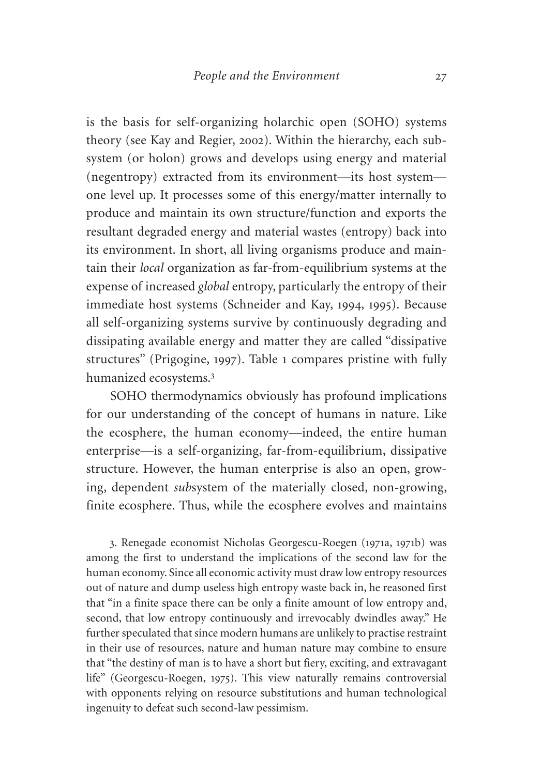is the basis for self-organizing holarchic open (SOHO) systems theory (see Kay and Regier, 2002). Within the hierarchy, each subsystem (or holon) grows and develops using energy and material (negentropy) extracted from its environment—its host system one level up. It processes some of this energy/matter internally to produce and maintain its own structure/function and exports the resultant degraded energy and material wastes (entropy) back into its environment. In short, all living organisms produce and maintain their *local* organization as far-from-equilibrium systems at the expense of increased *global* entropy, particularly the entropy of their immediate host systems (Schneider and Kay, 1994, 1995). Because all self-organizing systems survive by continuously degrading and dissipating available energy and matter they are called "dissipative structures" (Prigogine, 1997). Table 1 compares pristine with fully humanized ecosystems.<sup>3</sup>

SOHO thermodynamics obviously has profound implications for our understanding of the concept of humans in nature. Like the ecosphere, the human economy—indeed, the entire human enterprise—is a self-organizing, far-from-equilibrium, dissipative structure. However, the human enterprise is also an open, growing, dependent *sub*system of the materially closed, non-growing, finite ecosphere. Thus, while the ecosphere evolves and maintains

3. Renegade economist Nicholas Georgescu-Roegen (1971a, 1971b) was among the first to understand the implications of the second law for the human economy. Since all economic activity must draw low entropy resources out of nature and dump useless high entropy waste back in, he reasoned first that "in a finite space there can be only a finite amount of low entropy and, second, that low entropy continuously and irrevocably dwindles away." He further speculated that since modern humans are unlikely to practise restraint in their use of resources, nature and human nature may combine to ensure that "the destiny of man is to have a short but fiery, exciting, and extravagant life" (Georgescu-Roegen, 1975). This view naturally remains controversial with opponents relying on resource substitutions and human technological ingenuity to defeat such second-law pessimism.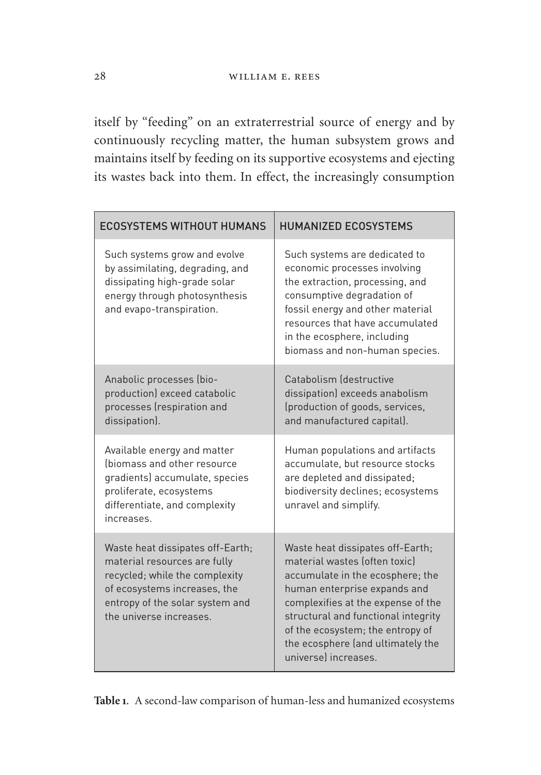itself by "feeding" on an extraterrestrial source of energy and by continuously recycling matter, the human subsystem grows and maintains itself by feeding on its supportive ecosystems and ejecting its wastes back into them. In effect, the increasingly consumption

| <b>ECOSYSTEMS WITHOUT HUMANS</b>                                                                                                                                                                | <b>HUMANIZED ECOSYSTEMS</b>                                                                                                                                                                                                                                                                                         |
|-------------------------------------------------------------------------------------------------------------------------------------------------------------------------------------------------|---------------------------------------------------------------------------------------------------------------------------------------------------------------------------------------------------------------------------------------------------------------------------------------------------------------------|
| Such systems grow and evolve<br>by assimilating, degrading, and<br>dissipating high-grade solar<br>energy through photosynthesis<br>and evapo-transpiration.                                    | Such systems are dedicated to<br>economic processes involving<br>the extraction, processing, and<br>consumptive degradation of<br>fossil energy and other material<br>resources that have accumulated<br>in the ecosphere, including<br>biomass and non-human species.                                              |
| Anabolic processes (bio-<br>production) exceed catabolic<br>processes (respiration and<br>dissipation).                                                                                         | Catabolism (destructive<br>dissipation) exceeds anabolism<br>(production of goods, services,<br>and manufactured capital).                                                                                                                                                                                          |
| Available energy and matter<br>(biomass and other resource<br>gradients) accumulate, species<br>proliferate, ecosystems<br>differentiate, and complexity<br>increases                           | Human populations and artifacts<br>accumulate, but resource stocks<br>are depleted and dissipated;<br>biodiversity declines; ecosystems<br>unravel and simplify.                                                                                                                                                    |
| Waste heat dissipates off-Earth;<br>material resources are fully<br>recycled; while the complexity<br>of ecosystems increases, the<br>entropy of the solar system and<br>the universe increases | Waste heat dissipates off-Earth;<br>material wastes (often toxic)<br>accumulate in the ecosphere; the<br>human enterprise expands and<br>complexifies at the expense of the<br>structural and functional integrity<br>of the ecosystem; the entropy of<br>the ecosphere (and ultimately the<br>universel increases. |

**Table 1**. A second-law comparison of human-less and humanized ecosystems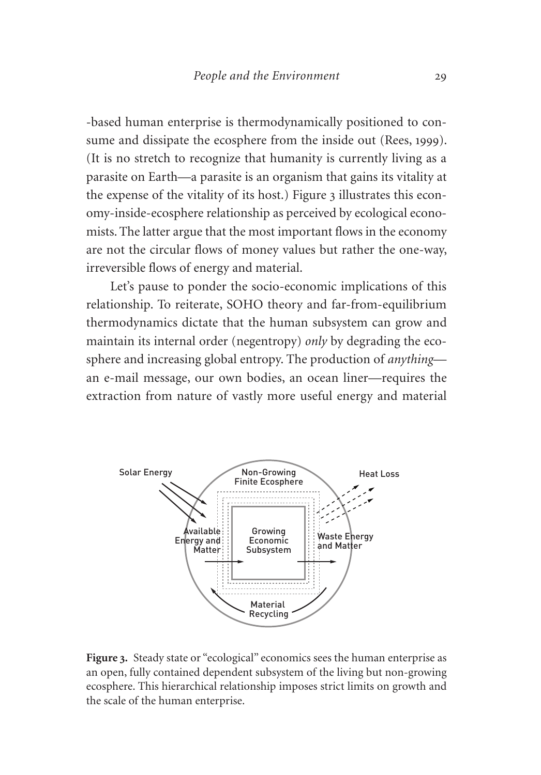-based human enterprise is thermodynamically positioned to consume and dissipate the ecosphere from the inside out (Rees, 1999). (It is no stretch to recognize that humanity is currently living as a parasite on Earth—a parasite is an organism that gains its vitality at the expense of the vitality of its host.) Figure 3 illustrates this economy-inside-ecosphere relationship as perceived by ecological economists.The latter argue that the most important flows in the economy are not the circular flows of money values but rather the one-way, irreversible flows of energy and material.

Let's pause to ponder the socio-economic implications of this relationship. To reiterate, SOHO theory and far-from-equilibrium thermodynamics dictate that the human subsystem can grow and maintain its internal order (negentropy) *only* by degrading the ecosphere and increasing global entropy. The production of *anything* an e-mail message, our own bodies, an ocean liner—requires the extraction from nature of vastly more useful energy and material



**Figure 3.** Steady state or "ecological" economics sees the human enterprise as an open, fully contained dependent subsystem of the living but non-growing ecosphere. This hierarchical relationship imposes strict limits on growth and the scale of the human enterprise.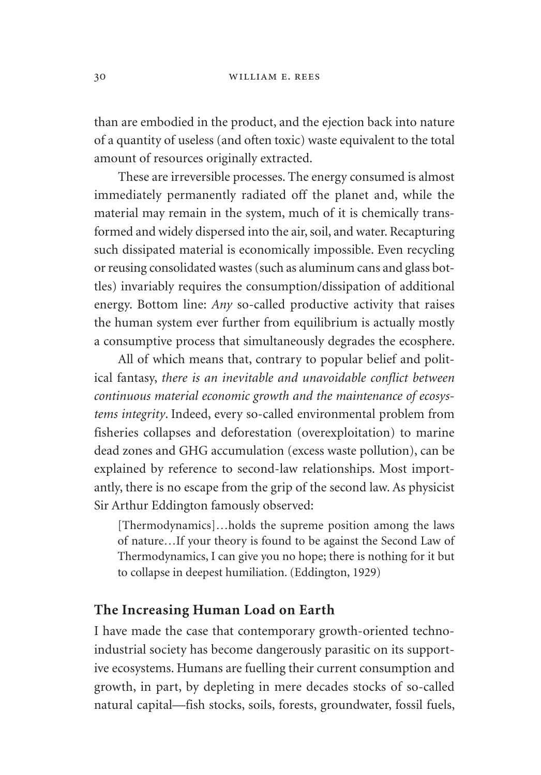than are embodied in the product, and the ejection back into nature of a quantity of useless (and often toxic) waste equivalent to the total amount of resources originally extracted.

These are irreversible processes. The energy consumed is almost immediately permanently radiated off the planet and, while the material may remain in the system, much of it is chemically transformed and widely dispersed into the air, soil, and water. Recapturing such dissipated material is economically impossible. Even recycling or reusing consolidated wastes (such as aluminum cans and glass bottles) invariably requires the consumption/dissipation of additional energy. Bottom line: *Any* so-called productive activity that raises the human system ever further from equilibrium is actually mostly a consumptive process that simultaneously degrades the ecosphere.

All of which means that, contrary to popular belief and political fantasy, *there is an inevitable and unavoidable conflict between continuous material economic growth and the maintenance of ecosystems integrity*. Indeed, every so-called environmental problem from fisheries collapses and deforestation (overexploitation) to marine dead zones and GHG accumulation (excess waste pollution), can be explained by reference to second-law relationships. Most importantly, there is no escape from the grip of the second law. As physicist Sir Arthur Eddington famously observed:

[Thermodynamics]…holds the supreme position among the laws of nature…If your theory is found to be against the Second Law of Thermodynamics, I can give you no hope; there is nothing for it but to collapse in deepest humiliation. (Eddington, 1929)

#### **The Increasing Human Load on Earth**

I have made the case that contemporary growth-oriented technoindustrial society has become dangerously parasitic on its supportive ecosystems. Humans are fuelling their current consumption and growth, in part, by depleting in mere decades stocks of so-called natural capital—fish stocks, soils, forests, groundwater, fossil fuels,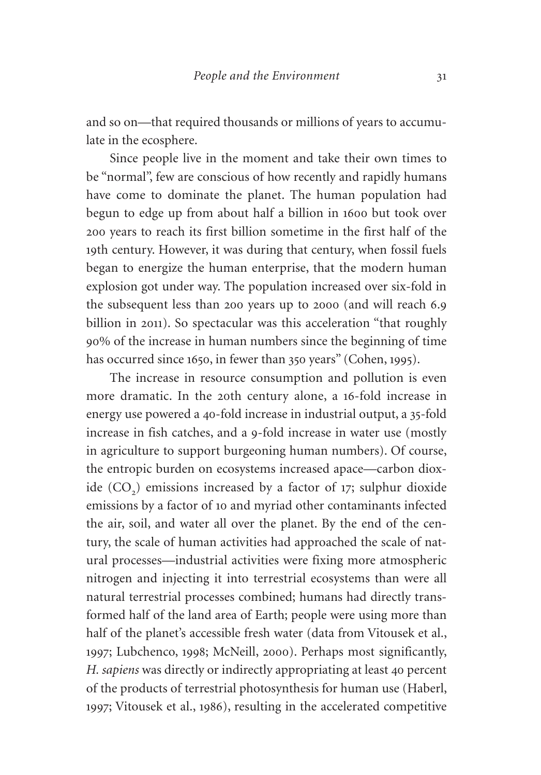and so on—that required thousands or millions of years to accumulate in the ecosphere.

Since people live in the moment and take their own times to be "normal", few are conscious of how recently and rapidly humans have come to dominate the planet. The human population had begun to edge up from about half a billion in 1600 but took over 200 years to reach its first billion sometime in the first half of the 19th century. However, it was during that century, when fossil fuels began to energize the human enterprise, that the modern human explosion got under way. The population increased over six-fold in the subsequent less than 200 years up to 2000 (and will reach 6.9 billion in 2011). So spectacular was this acceleration "that roughly 90% of the increase in human numbers since the beginning of time has occurred since 1650, in fewer than 350 years" (Cohen, 1995).

The increase in resource consumption and pollution is even more dramatic. In the 20th century alone, a 16-fold increase in energy use powered a 40-fold increase in industrial output, a 35-fold increase in fish catches, and a 9-fold increase in water use (mostly in agriculture to support burgeoning human numbers). Of course, the entropic burden on ecosystems increased apace—carbon dioxide  $(CO<sub>2</sub>)$  emissions increased by a factor of 17; sulphur dioxide emissions by a factor of 10 and myriad other contaminants infected the air, soil, and water all over the planet. By the end of the century, the scale of human activities had approached the scale of natural processes—industrial activities were fixing more atmospheric nitrogen and injecting it into terrestrial ecosystems than were all natural terrestrial processes combined; humans had directly transformed half of the land area of Earth; people were using more than half of the planet's accessible fresh water (data from Vitousek et al., 1997; Lubchenco, 1998; McNeill, 2000). Perhaps most significantly, *H. sapiens* was directly or indirectly appropriating at least 40 percent of the products of terrestrial photosynthesis for human use (Haberl, 1997; Vitousek et al., 1986), resulting in the accelerated competitive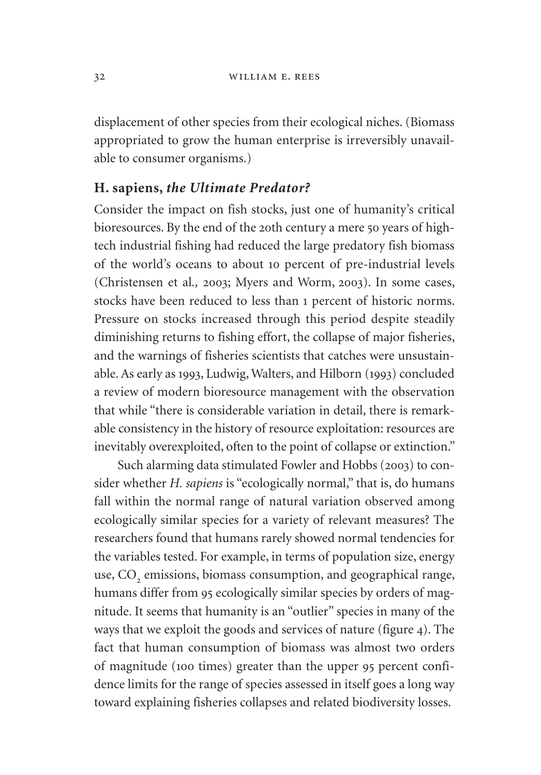displacement of other species from their ecological niches. (Biomass appropriated to grow the human enterprise is irreversibly unavailable to consumer organisms.)

#### **H. sapiens,** *the Ultimate Predator?*

Consider the impact on fish stocks, just one of humanity's critical bioresources. By the end of the 20th century a mere 50 years of hightech industrial fishing had reduced the large predatory fish biomass of the world's oceans to about 10 percent of pre-industrial levels (Christensen et al*.,* 2003; Myers and Worm, 2003). In some cases, stocks have been reduced to less than 1 percent of historic norms. Pressure on stocks increased through this period despite steadily diminishing returns to fishing effort, the collapse of major fisheries, and the warnings of fisheries scientists that catches were unsustainable. As early as 1993, Ludwig, Walters, and Hilborn (1993) concluded a review of modern bioresource management with the observation that while "there is considerable variation in detail, there is remarkable consistency in the history of resource exploitation: resources are inevitably overexploited, often to the point of collapse or extinction."

Such alarming data stimulated Fowler and Hobbs (2003) to consider whether *H. sapiens* is "ecologically normal," that is, do humans fall within the normal range of natural variation observed among ecologically similar species for a variety of relevant measures? The researchers found that humans rarely showed normal tendencies for the variables tested. For example, in terms of population size, energy use, CO<sub>2</sub> emissions, biomass consumption, and geographical range, humans differ from 95 ecologically similar species by orders of magnitude. It seems that humanity is an "outlier" species in many of the ways that we exploit the goods and services of nature (figure 4). The fact that human consumption of biomass was almost two orders of magnitude (100 times) greater than the upper 95 percent confidence limits for the range of species assessed in itself goes a long way toward explaining fisheries collapses and related biodiversity losses.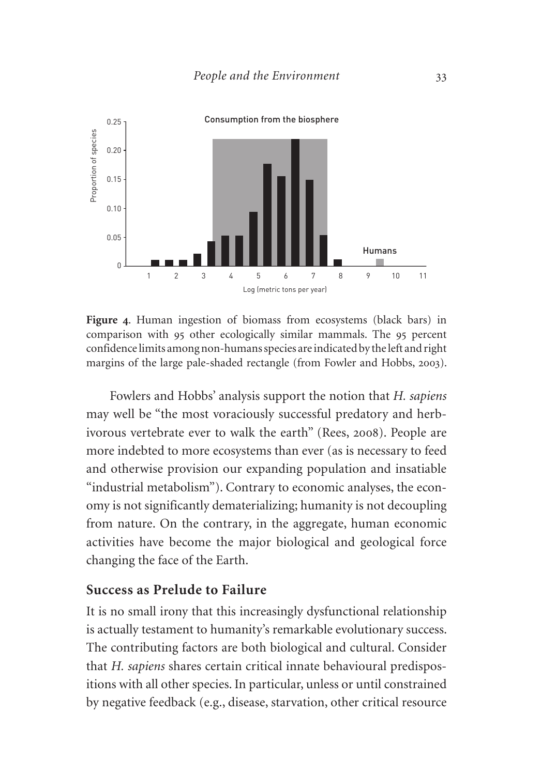

**Figure 4**. Human ingestion of biomass from ecosystems (black bars) in comparison with 95 other ecologically similar mammals. The 95 percent confidence limits among non-humans species are indicated by the left and right margins of the large pale-shaded rectangle (from Fowler and Hobbs, 2003).

Fowlers and Hobbs' analysis support the notion that *H. sapiens* may well be "the most voraciously successful predatory and herbivorous vertebrate ever to walk the earth" (Rees, 2008). People are more indebted to more ecosystems than ever (as is necessary to feed and otherwise provision our expanding population and insatiable "industrial metabolism"). Contrary to economic analyses, the economy is not significantly dematerializing; humanity is not decoupling from nature. On the contrary, in the aggregate, human economic activities have become the major biological and geological force changing the face of the Earth.

#### **Success as Prelude to Failure**

It is no small irony that this increasingly dysfunctional relationship is actually testament to humanity's remarkable evolutionary success. The contributing factors are both biological and cultural. Consider that *H. sapiens* shares certain critical innate behavioural predispositions with all other species. In particular, unless or until constrained by negative feedback (e.g., disease, starvation, other critical resource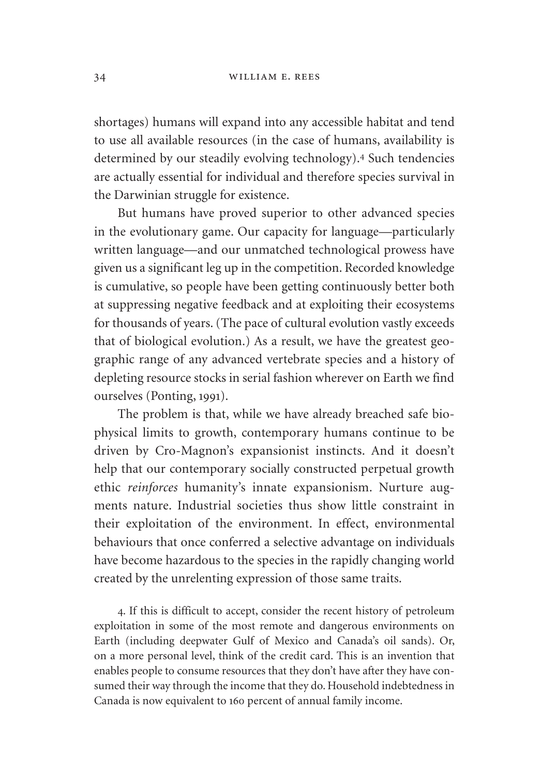shortages) humans will expand into any accessible habitat and tend to use all available resources (in the case of humans, availability is determined by our steadily evolving technology).<sup>4</sup> Such tendencies are actually essential for individual and therefore species survival in the Darwinian struggle for existence.

But humans have proved superior to other advanced species in the evolutionary game. Our capacity for language—particularly written language—and our unmatched technological prowess have given us a significant leg up in the competition. Recorded knowledge is cumulative, so people have been getting continuously better both at suppressing negative feedback and at exploiting their ecosystems for thousands of years. (The pace of cultural evolution vastly exceeds that of biological evolution.) As a result, we have the greatest geographic range of any advanced vertebrate species and a history of depleting resource stocks in serial fashion wherever on Earth we find ourselves (Ponting, 1991).

The problem is that, while we have already breached safe biophysical limits to growth, contemporary humans continue to be driven by Cro-Magnon's expansionist instincts. And it doesn't help that our contemporary socially constructed perpetual growth ethic *reinforces* humanity's innate expansionism. Nurture augments nature. Industrial societies thus show little constraint in their exploitation of the environment. In effect, environmental behaviours that once conferred a selective advantage on individuals have become hazardous to the species in the rapidly changing world created by the unrelenting expression of those same traits.

4. If this is difficult to accept, consider the recent history of petroleum exploitation in some of the most remote and dangerous environments on Earth (including deepwater Gulf of Mexico and Canada's oil sands). Or, on a more personal level, think of the credit card. This is an invention that enables people to consume resources that they don't have after they have consumed their way through the income that they do. Household indebtedness in Canada is now equivalent to 160 percent of annual family income.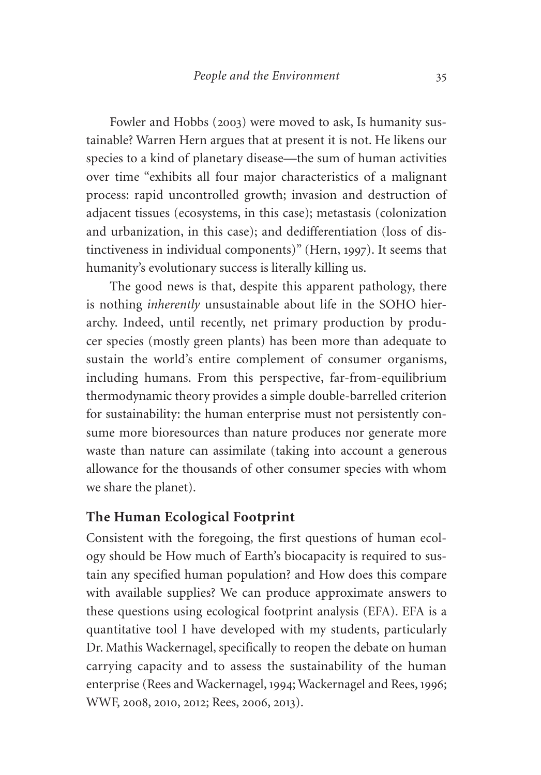Fowler and Hobbs (2003) were moved to ask, Is humanity sustainable? Warren Hern argues that at present it is not. He likens our species to a kind of planetary disease—the sum of human activities over time "exhibits all four major characteristics of a malignant process: rapid uncontrolled growth; invasion and destruction of adjacent tissues (ecosystems, in this case); metastasis (colonization and urbanization, in this case); and dedifferentiation (loss of distinctiveness in individual components)" (Hern, 1997). It seems that humanity's evolutionary success is literally killing us.

The good news is that, despite this apparent pathology, there is nothing *inherently* unsustainable about life in the SOHO hierarchy. Indeed, until recently, net primary production by producer species (mostly green plants) has been more than adequate to sustain the world's entire complement of consumer organisms, including humans. From this perspective, far-from-equilibrium thermodynamic theory provides a simple double-barrelled criterion for sustainability: the human enterprise must not persistently consume more bioresources than nature produces nor generate more waste than nature can assimilate (taking into account a generous allowance for the thousands of other consumer species with whom we share the planet).

#### **The Human Ecological Footprint**

Consistent with the foregoing, the first questions of human ecology should be How much of Earth's biocapacity is required to sustain any specified human population? and How does this compare with available supplies? We can produce approximate answers to these questions using ecological footprint analysis (EFA). EFA is a quantitative tool I have developed with my students, particularly Dr. Mathis Wackernagel, specifically to reopen the debate on human carrying capacity and to assess the sustainability of the human enterprise (Rees and Wackernagel, 1994; Wackernagel and Rees, 1996; WWF, 2008, 2010, 2012; Rees, 2006, 2013).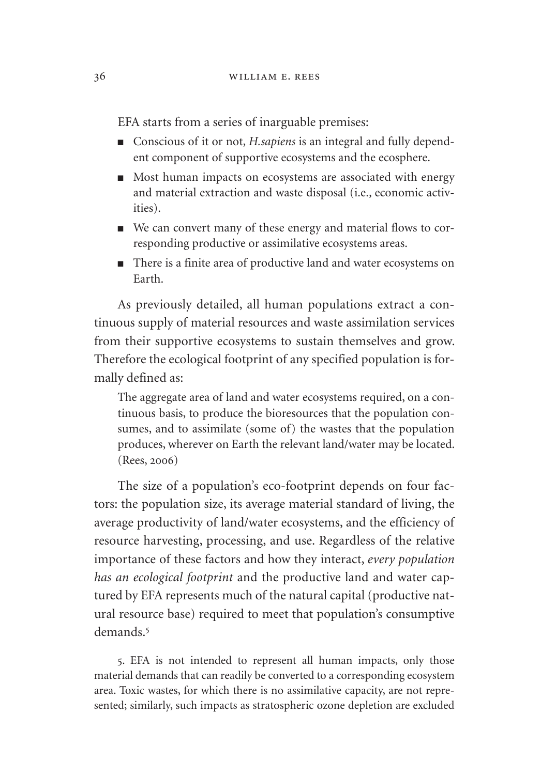EFA starts from a series of inarguable premises:

- Conscious of it or not, *H.sapiens* is an integral and fully dependent component of supportive ecosystems and the ecosphere.
- Most human impacts on ecosystems are associated with energy and material extraction and waste disposal (i.e., economic activities).
- We can convert many of these energy and material flows to corresponding productive or assimilative ecosystems areas.
- There is a finite area of productive land and water ecosystems on Earth.

As previously detailed, all human populations extract a continuous supply of material resources and waste assimilation services from their supportive ecosystems to sustain themselves and grow. Therefore the ecological footprint of any specified population is formally defined as:

The aggregate area of land and water ecosystems required, on a continuous basis, to produce the bioresources that the population consumes, and to assimilate (some of) the wastes that the population produces, wherever on Earth the relevant land/water may be located. (Rees, 2006)

The size of a population's eco-footprint depends on four factors: the population size, its average material standard of living, the average productivity of land/water ecosystems, and the efficiency of resource harvesting, processing, and use. Regardless of the relative importance of these factors and how they interact, *every population has an ecological footprint* and the productive land and water captured by EFA represents much of the natural capital (productive natural resource base) required to meet that population's consumptive demands.<sup>5</sup>

5. EFA is not intended to represent all human impacts, only those material demands that can readily be converted to a corresponding ecosystem area. Toxic wastes, for which there is no assimilative capacity, are not represented; similarly, such impacts as stratospheric ozone depletion are excluded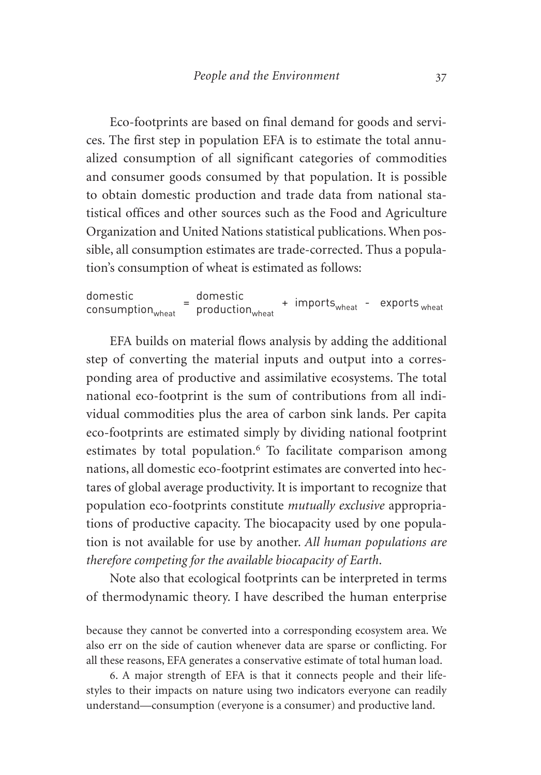Eco-footprints are based on final demand for goods and services. The first step in population EFA is to estimate the total annualized consumption of all significant categories of commodities and consumer goods consumed by that population. It is possible to obtain domestic production and trade data from national statistical offices and other sources such as the Food and Agriculture Organization and United Nations statistical publications. When possible, all consumption estimates are trade-corrected. Thus a population's consumption of wheat is estimated as follows:

domestic consumptionwheat <sup>=</sup>domestic productionwheat + importswheat - exports wheat

EFA builds on material flows analysis by adding the additional step of converting the material inputs and output into a corresponding area of productive and assimilative ecosystems. The total national eco-footprint is the sum of contributions from all individual commodities plus the area of carbon sink lands. Per capita eco-footprints are estimated simply by dividing national footprint estimates by total population.<sup>6</sup> To facilitate comparison among nations, all domestic eco-footprint estimates are converted into hectares of global average productivity. It is important to recognize that population eco-footprints constitute *mutually exclusive* appropriations of productive capacity. The biocapacity used by one population is not available for use by another. *All human populations are therefore competing for the available biocapacity of Earth*.

Note also that ecological footprints can be interpreted in terms of thermodynamic theory. I have described the human enterprise

because they cannot be converted into a corresponding ecosystem area. We also err on the side of caution whenever data are sparse or conflicting. For all these reasons, EFA generates a conservative estimate of total human load.

6. A major strength of EFA is that it connects people and their lifestyles to their impacts on nature using two indicators everyone can readily understand—consumption (everyone is a consumer) and productive land.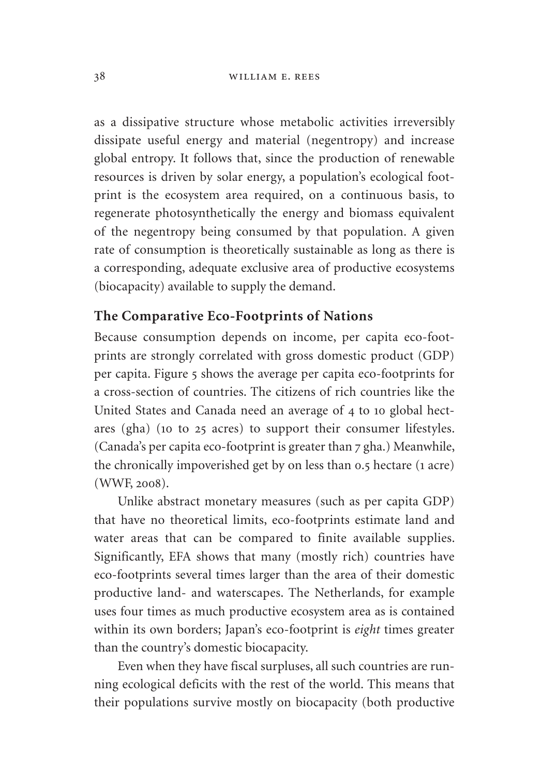as a dissipative structure whose metabolic activities irreversibly dissipate useful energy and material (negentropy) and increase global entropy. It follows that, since the production of renewable resources is driven by solar energy, a population's ecological footprint is the ecosystem area required, on a continuous basis, to regenerate photosynthetically the energy and biomass equivalent of the negentropy being consumed by that population. A given rate of consumption is theoretically sustainable as long as there is a corresponding, adequate exclusive area of productive ecosystems (biocapacity) available to supply the demand.

# **The Comparative Eco-Footprints of Nations**

Because consumption depends on income, per capita eco-footprints are strongly correlated with gross domestic product (GDP) per capita. Figure 5 shows the average per capita eco-footprints for a cross-section of countries. The citizens of rich countries like the United States and Canada need an average of 4 to 10 global hectares (gha) (10 to 25 acres) to support their consumer lifestyles. (Canada's per capita eco-footprint is greater than 7 gha.) Meanwhile, the chronically impoverished get by on less than 0.5 hectare (1 acre) (WWF, 2008).

Unlike abstract monetary measures (such as per capita GDP) that have no theoretical limits, eco-footprints estimate land and water areas that can be compared to finite available supplies. Significantly, EFA shows that many (mostly rich) countries have eco-footprints several times larger than the area of their domestic productive land- and waterscapes. The Netherlands, for example uses four times as much productive ecosystem area as is contained within its own borders; Japan's eco-footprint is *eight* times greater than the country's domestic biocapacity.

Even when they have fiscal surpluses, all such countries are running ecological deficits with the rest of the world. This means that their populations survive mostly on biocapacity (both productive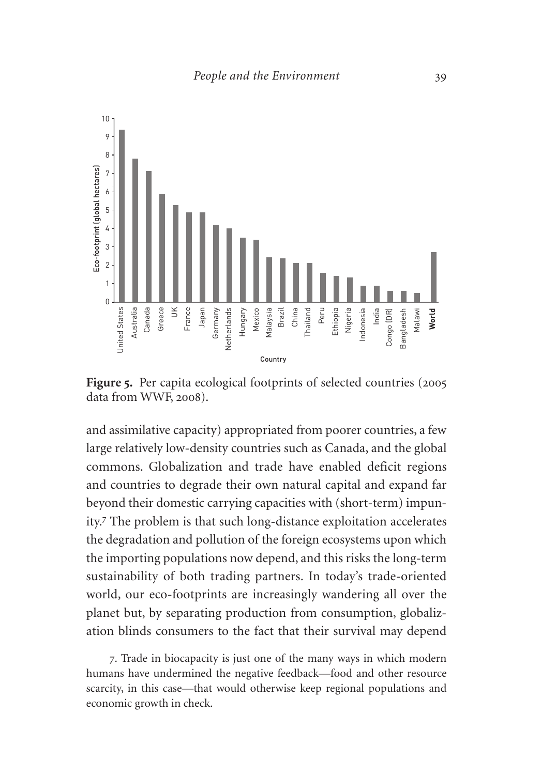

Figure 5. Per capita ecological footprints of selected countries (2005) data from WWF, 2008).

and assimilative capacity) appropriated from poorer countries, a few large relatively low-density countries such as Canada, and the global commons. Globalization and trade have enabled deficit regions and countries to degrade their own natural capital and expand far beyond their domestic carrying capacities with (short-term) impunity.<sup>7</sup> The problem is that such long-distance exploitation accelerates the degradation and pollution of the foreign ecosystems upon which the importing populations now depend, and this risks the long-term sustainability of both trading partners. In today's trade-oriented world, our eco-footprints are increasingly wandering all over the planet but, by separating production from consumption, globalization blinds consumers to the fact that their survival may depend

7. Trade in biocapacity is just one of the many ways in which modern humans have undermined the negative feedback—food and other resource scarcity, in this case—that would otherwise keep regional populations and economic growth in check.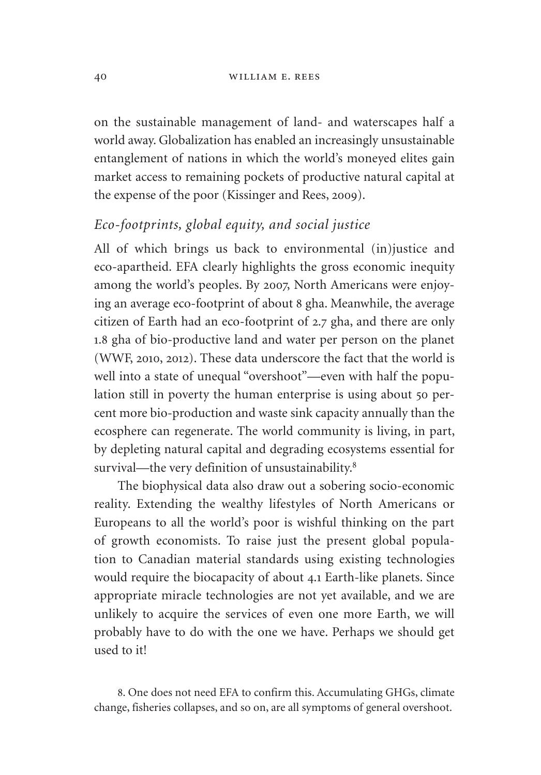on the sustainable management of land- and waterscapes half a world away. Globalization has enabled an increasingly unsustainable entanglement of nations in which the world's moneyed elites gain market access to remaining pockets of productive natural capital at the expense of the poor (Kissinger and Rees, 2009).

# *Eco-footprints, global equity, and social justice*

All of which brings us back to environmental (in)justice and eco-apartheid. EFA clearly highlights the gross economic inequity among the world's peoples. By 2007, North Americans were enjoying an average eco-footprint of about 8 gha. Meanwhile, the average citizen of Earth had an eco-footprint of 2.7 gha, and there are only 1.8 gha of bio-productive land and water per person on the planet (WWF, 2010, 2012). These data underscore the fact that the world is well into a state of unequal "overshoot"—even with half the population still in poverty the human enterprise is using about 50 percent more bio-production and waste sink capacity annually than the ecosphere can regenerate. The world community is living, in part, by depleting natural capital and degrading ecosystems essential for survival—the very definition of unsustainability.<sup>8</sup>

The biophysical data also draw out a sobering socio-economic reality. Extending the wealthy lifestyles of North Americans or Europeans to all the world's poor is wishful thinking on the part of growth economists. To raise just the present global population to Canadian material standards using existing technologies would require the biocapacity of about 4.1 Earth-like planets. Since appropriate miracle technologies are not yet available, and we are unlikely to acquire the services of even one more Earth, we will probably have to do with the one we have. Perhaps we should get used to it!

8. One does not need EFA to confirm this. Accumulating GHGs, climate change, fisheries collapses, and so on, are all symptoms of general overshoot.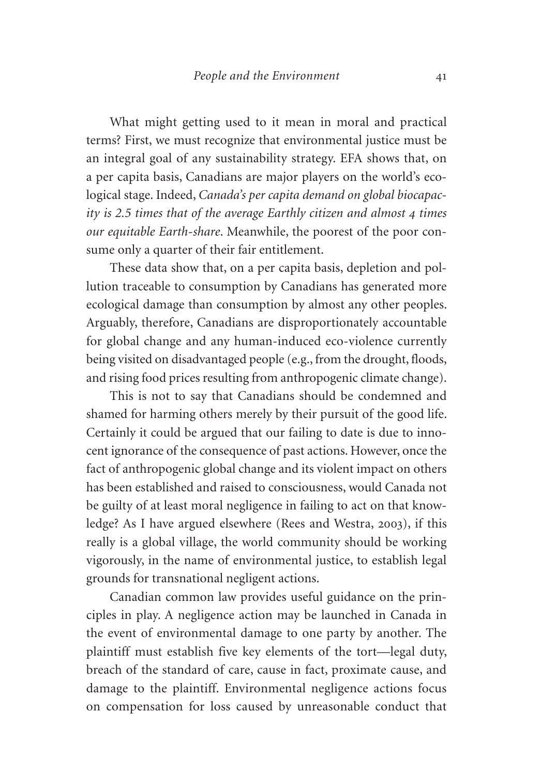What might getting used to it mean in moral and practical terms? First, we must recognize that environmental justice must be an integral goal of any sustainability strategy. EFA shows that, on a per capita basis, Canadians are major players on the world's ecological stage. Indeed, *Canada's per capita demand on global biocapacity is 2.5 times that of the average Earthly citizen and almost 4 times our equitable Earth-share*. Meanwhile, the poorest of the poor consume only a quarter of their fair entitlement.

These data show that, on a per capita basis, depletion and pollution traceable to consumption by Canadians has generated more ecological damage than consumption by almost any other peoples. Arguably, therefore, Canadians are disproportionately accountable for global change and any human-induced eco-violence currently being visited on disadvantaged people (e.g., from the drought, floods, and rising food prices resulting from anthropogenic climate change).

This is not to say that Canadians should be condemned and shamed for harming others merely by their pursuit of the good life. Certainly it could be argued that our failing to date is due to innocent ignorance of the consequence of past actions. However, once the fact of anthropogenic global change and its violent impact on others has been established and raised to consciousness, would Canada not be guilty of at least moral negligence in failing to act on that knowledge? As I have argued elsewhere (Rees and Westra, 2003), if this really is a global village, the world community should be working vigorously, in the name of environmental justice, to establish legal grounds for transnational negligent actions.

Canadian common law provides useful guidance on the principles in play. A negligence action may be launched in Canada in the event of environmental damage to one party by another. The plaintiff must establish five key elements of the tort—legal duty, breach of the standard of care, cause in fact, proximate cause, and damage to the plaintiff. Environmental negligence actions focus on compensation for loss caused by unreasonable conduct that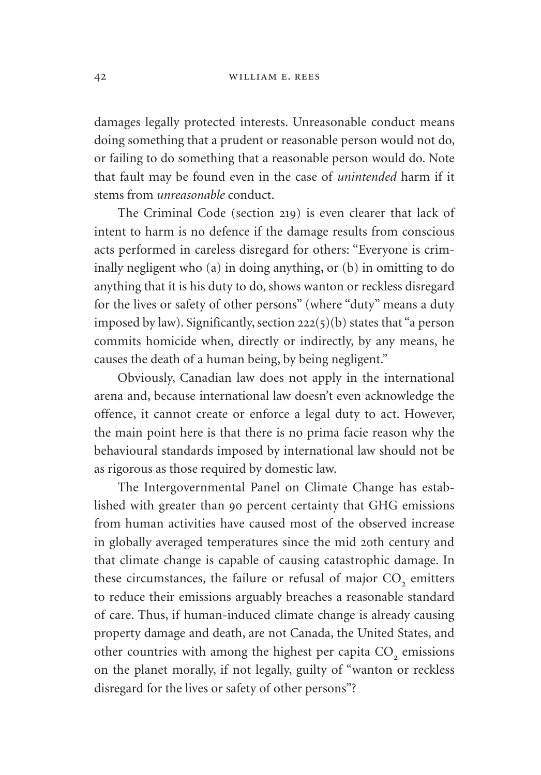damages legally protected interests. Unreasonable conduct means doing something that a prudent or reasonable person would not do, or failing to do something that a reasonable person would do. Note that fault may be found even in the case of *unintended* harm if it stems from *unreasonable* conduct.

The Criminal Code (section 219) is even clearer that lack of intent to harm is no defence if the damage results from conscious acts performed in careless disregard for others: "Everyone is criminally negligent who (a) in doing anything, or (b) in omitting to do anything that it is his duty to do, shows wanton or reckless disregard for the lives or safety of other persons" (where "duty" means a duty imposed by law). Significantly, section 222(5)(b) states that "a person commits homicide when, directly or indirectly, by any means, he causes the death of a human being, by being negligent."

Obviously, Canadian law does not apply in the international arena and, because international law doesn't even acknowledge the offence, it cannot create or enforce a legal duty to act. However, the main point here is that there is no prima facie reason why the behavioural standards imposed by international law should not be as rigorous as those required by domestic law.

The Intergovernmental Panel on Climate Change has established with greater than 90 percent certainty that GHG emissions from human activities have caused most of the observed increase in globally averaged temperatures since the mid 20th century and that climate change is capable of causing catastrophic damage. In these circumstances, the failure or refusal of major CO<sub>2</sub> emitters to reduce their emissions arguably breaches a reasonable standard of care. Thus, if human-induced climate change is already causing property damage and death, are not Canada, the United States, and other countries with among the highest per capita CO<sub>2</sub> emissions on the planet morally, if not legally, guilty of "wanton or reckless disregard for the lives or safety of other persons"?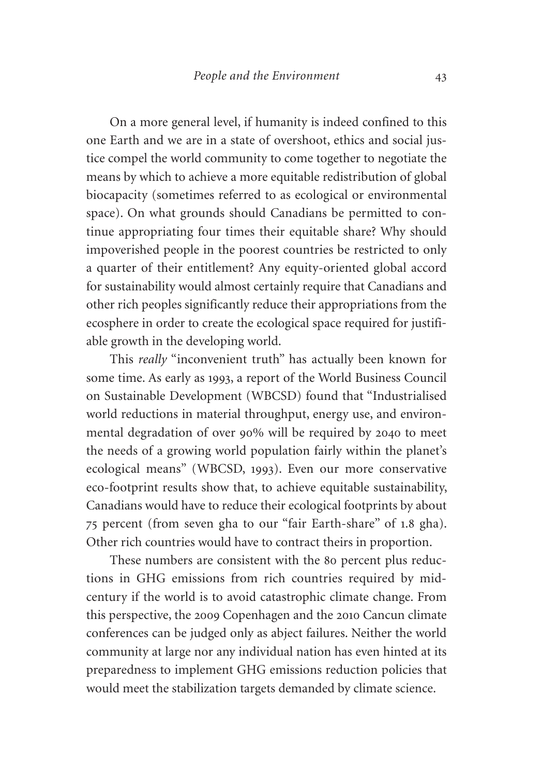On a more general level, if humanity is indeed confined to this one Earth and we are in a state of overshoot, ethics and social justice compel the world community to come together to negotiate the means by which to achieve a more equitable redistribution of global biocapacity (sometimes referred to as ecological or environmental space). On what grounds should Canadians be permitted to continue appropriating four times their equitable share? Why should impoverished people in the poorest countries be restricted to only a quarter of their entitlement? Any equity-oriented global accord for sustainability would almost certainly require that Canadians and other rich peoples significantly reduce their appropriations from the ecosphere in order to create the ecological space required for justifiable growth in the developing world.

This *really* "inconvenient truth" has actually been known for some time. As early as 1993, a report of the World Business Council on Sustainable Development (WBCSD) found that "Industrialised world reductions in material throughput, energy use, and environmental degradation of over 90% will be required by 2040 to meet the needs of a growing world population fairly within the planet's ecological means" (WBCSD, 1993). Even our more conservative eco-footprint results show that, to achieve equitable sustainability, Canadians would have to reduce their ecological footprints by about 75 percent (from seven gha to our "fair Earth-share" of 1.8 gha). Other rich countries would have to contract theirs in proportion.

These numbers are consistent with the 80 percent plus reductions in GHG emissions from rich countries required by midcentury if the world is to avoid catastrophic climate change. From this perspective, the 2009 Copenhagen and the 2010 Cancun climate conferences can be judged only as abject failures. Neither the world community at large nor any individual nation has even hinted at its preparedness to implement GHG emissions reduction policies that would meet the stabilization targets demanded by climate science.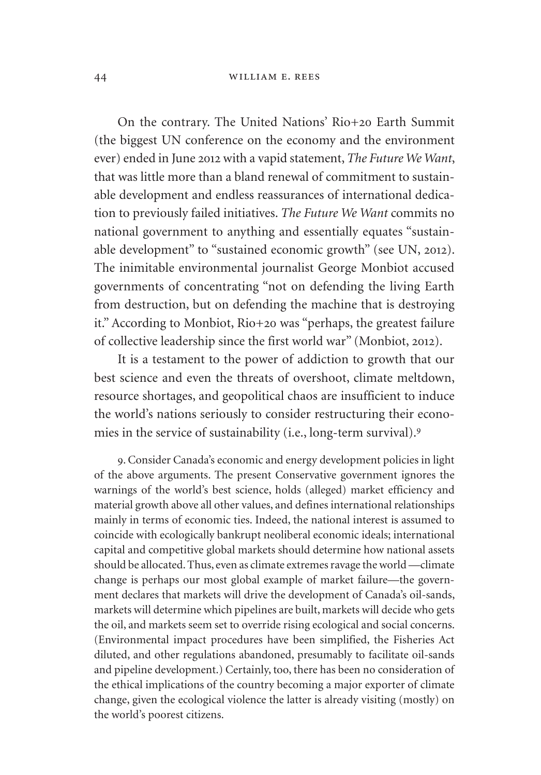On the contrary. The United Nations' Rio+20 Earth Summit (the biggest UN conference on the economy and the environment ever) ended in June 2012 with a vapid statement, *The Future We Want*, that was little more than a bland renewal of commitment to sustainable development and endless reassurances of international dedication to previously failed initiatives. *The Future We Want* commits no national government to anything and essentially equates "sustainable development" to "sustained economic growth" (see UN, 2012). The inimitable environmental journalist George Monbiot accused governments of concentrating "not on defending the living Earth from destruction, but on defending the machine that is destroying it." According to Monbiot, Rio+20 was "perhaps, the greatest failure of collective leadership since the first world war" (Monbiot, 2012).

It is a testament to the power of addiction to growth that our best science and even the threats of overshoot, climate meltdown, resource shortages, and geopolitical chaos are insufficient to induce the world's nations seriously to consider restructuring their economies in the service of sustainability (i.e., long-term survival).<sup>9</sup>

9. Consider Canada's economic and energy development policies in light of the above arguments. The present Conservative government ignores the warnings of the world's best science, holds (alleged) market efficiency and material growth above all other values, and defines international relationships mainly in terms of economic ties. Indeed, the national interest is assumed to coincide with ecologically bankrupt neoliberal economic ideals; international capital and competitive global markets should determine how national assets should be allocated. Thus, even as climate extremes ravage the world —climate change is perhaps our most global example of market failure—the government declares that markets will drive the development of Canada's oil-sands, markets will determine which pipelines are built, markets will decide who gets the oil, and markets seem set to override rising ecological and social concerns. (Environmental impact procedures have been simplified, the Fisheries Act diluted, and other regulations abandoned, presumably to facilitate oil-sands and pipeline development.) Certainly, too, there has been no consideration of the ethical implications of the country becoming a major exporter of climate change, given the ecological violence the latter is already visiting (mostly) on the world's poorest citizens.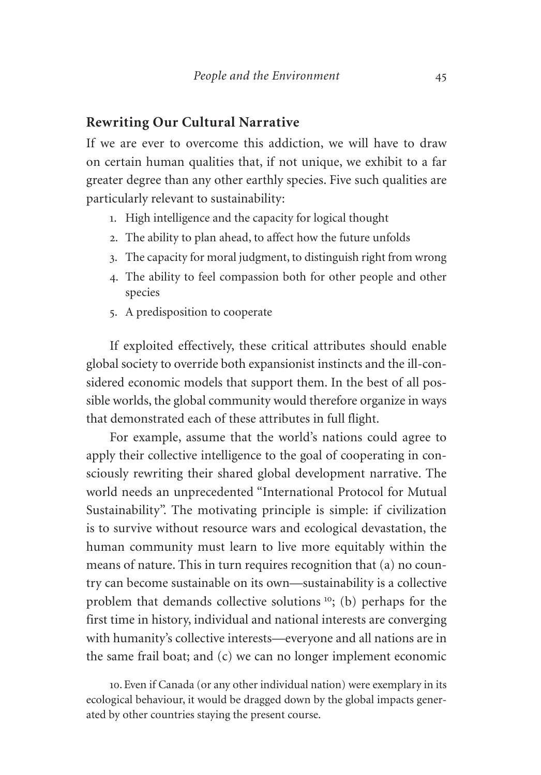# **Rewriting Our Cultural Narrative**

If we are ever to overcome this addiction, we will have to draw on certain human qualities that, if not unique, we exhibit to a far greater degree than any other earthly species. Five such qualities are particularly relevant to sustainability:

- 1. High intelligence and the capacity for logical thought
- 2. The ability to plan ahead, to affect how the future unfolds
- 3. The capacity for moral judgment, to distinguish right from wrong
- 4. The ability to feel compassion both for other people and other species
- 5. A predisposition to cooperate

If exploited effectively, these critical attributes should enable global society to override both expansionist instincts and the ill-considered economic models that support them. In the best of all possible worlds, the global community would therefore organize in ways that demonstrated each of these attributes in full flight.

For example, assume that the world's nations could agree to apply their collective intelligence to the goal of cooperating in consciously rewriting their shared global development narrative. The world needs an unprecedented "International Protocol for Mutual Sustainability". The motivating principle is simple: if civilization is to survive without resource wars and ecological devastation, the human community must learn to live more equitably within the means of nature. This in turn requires recognition that (a) no country can become sustainable on its own—sustainability is a collective problem that demands collective solutions <sup>10</sup>; (b) perhaps for the first time in history, individual and national interests are converging with humanity's collective interests—everyone and all nations are in the same frail boat; and (c) we can no longer implement economic

10. Even if Canada (or any other individual nation) were exemplary in its ecological behaviour, it would be dragged down by the global impacts generated by other countries staying the present course.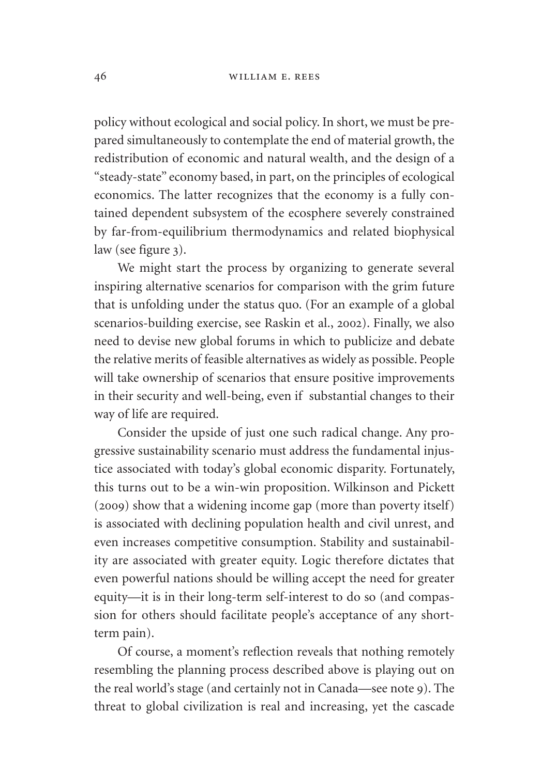policy without ecological and social policy. In short, we must be prepared simultaneously to contemplate the end of material growth, the redistribution of economic and natural wealth, and the design of a "steady-state" economy based, in part, on the principles of ecological economics. The latter recognizes that the economy is a fully contained dependent subsystem of the ecosphere severely constrained by far-from-equilibrium thermodynamics and related biophysical law (see figure 3).

We might start the process by organizing to generate several inspiring alternative scenarios for comparison with the grim future that is unfolding under the status quo. (For an example of a global scenarios-building exercise, see Raskin et al., 2002). Finally, we also need to devise new global forums in which to publicize and debate the relative merits of feasible alternatives as widely as possible. People will take ownership of scenarios that ensure positive improvements in their security and well-being, even if substantial changes to their way of life are required.

Consider the upside of just one such radical change. Any progressive sustainability scenario must address the fundamental injustice associated with today's global economic disparity. Fortunately, this turns out to be a win-win proposition. Wilkinson and Pickett (2009) show that a widening income gap (more than poverty itself) is associated with declining population health and civil unrest, and even increases competitive consumption. Stability and sustainability are associated with greater equity. Logic therefore dictates that even powerful nations should be willing accept the need for greater equity—it is in their long-term self-interest to do so (and compassion for others should facilitate people's acceptance of any shortterm pain).

Of course, a moment's reflection reveals that nothing remotely resembling the planning process described above is playing out on the real world's stage (and certainly not in Canada—see note 9). The threat to global civilization is real and increasing, yet the cascade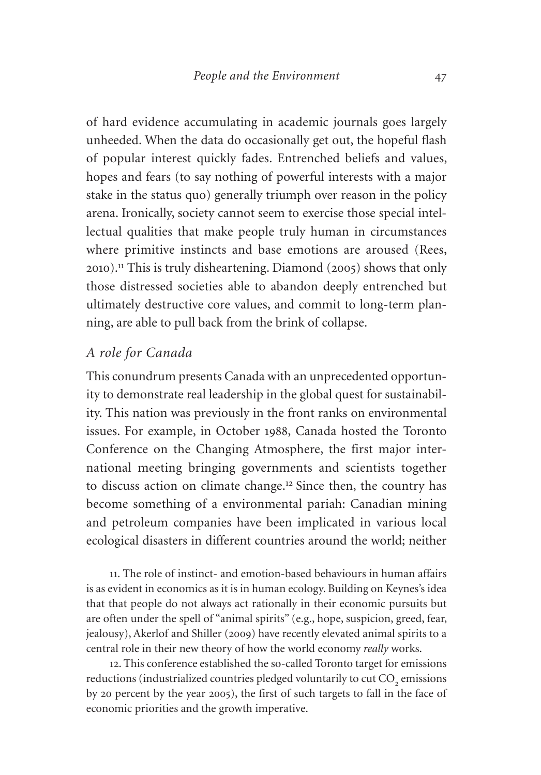of hard evidence accumulating in academic journals goes largely unheeded. When the data do occasionally get out, the hopeful flash of popular interest quickly fades. Entrenched beliefs and values, hopes and fears (to say nothing of powerful interests with a major stake in the status quo) generally triumph over reason in the policy arena. Ironically, society cannot seem to exercise those special intellectual qualities that make people truly human in circumstances where primitive instincts and base emotions are aroused (Rees, 2010).<sup>11</sup> This is truly disheartening. Diamond (2005) shows that only those distressed societies able to abandon deeply entrenched but ultimately destructive core values, and commit to long-term planning, are able to pull back from the brink of collapse.

## *A role for Canada*

This conundrum presents Canada with an unprecedented opportunity to demonstrate real leadership in the global quest for sustainability. This nation was previously in the front ranks on environmental issues. For example, in October 1988, Canada hosted the Toronto Conference on the Changing Atmosphere, the first major international meeting bringing governments and scientists together to discuss action on climate change.<sup>12</sup> Since then, the country has become something of a environmental pariah: Canadian mining and petroleum companies have been implicated in various local ecological disasters in different countries around the world; neither

11. The role of instinct- and emotion-based behaviours in human affairs is as evident in economics as it is in human ecology. Building on Keynes's idea that that people do not always act rationally in their economic pursuits but are often under the spell of "animal spirits" (e.g., hope, suspicion, greed, fear, jealousy), Akerlof and Shiller (2009) have recently elevated animal spirits to a central role in their new theory of how the world economy *really* works.

12. This conference established the so-called Toronto target for emissions reductions (industrialized countries pledged voluntarily to cut CO<sub>2</sub> emissions by 20 percent by the year 2005), the first of such targets to fall in the face of economic priorities and the growth imperative.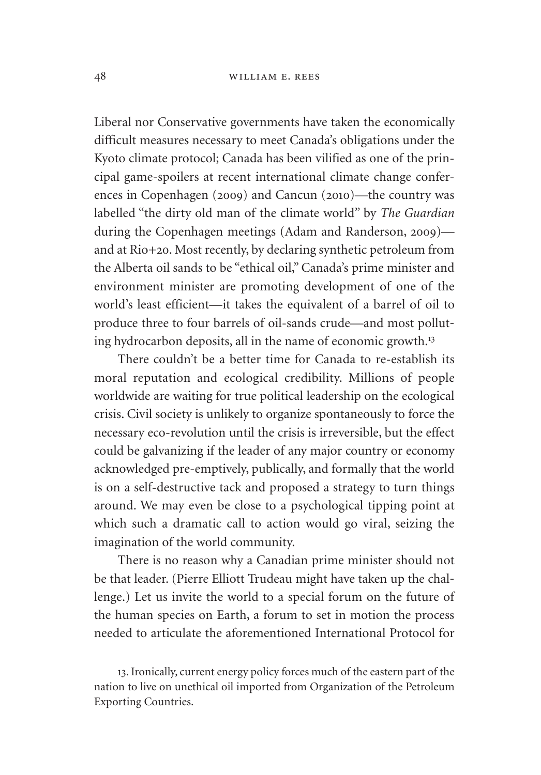Liberal nor Conservative governments have taken the economically difficult measures necessary to meet Canada's obligations under the Kyoto climate protocol; Canada has been vilified as one of the principal game-spoilers at recent international climate change conferences in Copenhagen (2009) and Cancun (2010)—the country was labelled "the dirty old man of the climate world" by *The Guardian* during the Copenhagen meetings (Adam and Randerson, 2009) and at Rio+20. Most recently, by declaring synthetic petroleum from the Alberta oil sands to be "ethical oil," Canada's prime minister and environment minister are promoting development of one of the world's least efficient—it takes the equivalent of a barrel of oil to produce three to four barrels of oil-sands crude—and most polluting hydrocarbon deposits, all in the name of economic growth.<sup>13</sup>

There couldn't be a better time for Canada to re-establish its moral reputation and ecological credibility. Millions of people worldwide are waiting for true political leadership on the ecological crisis. Civil society is unlikely to organize spontaneously to force the necessary eco-revolution until the crisis is irreversible, but the effect could be galvanizing if the leader of any major country or economy acknowledged pre-emptively, publically, and formally that the world is on a self-destructive tack and proposed a strategy to turn things around. We may even be close to a psychological tipping point at which such a dramatic call to action would go viral, seizing the imagination of the world community.

There is no reason why a Canadian prime minister should not be that leader. (Pierre Elliott Trudeau might have taken up the challenge.) Let us invite the world to a special forum on the future of the human species on Earth, a forum to set in motion the process needed to articulate the aforementioned International Protocol for

13. Ironically, current energy policy forces much of the eastern part of the nation to live on unethical oil imported from Organization of the Petroleum Exporting Countries.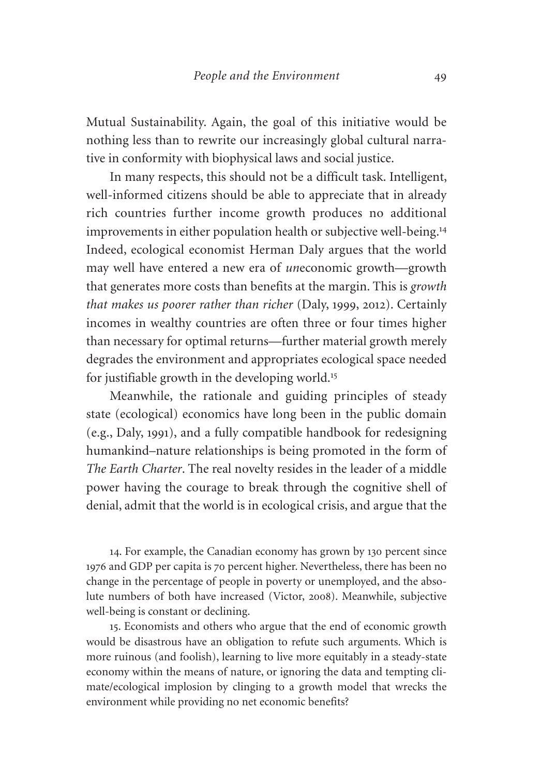Mutual Sustainability. Again, the goal of this initiative would be nothing less than to rewrite our increasingly global cultural narrative in conformity with biophysical laws and social justice.

In many respects, this should not be a difficult task. Intelligent, well-informed citizens should be able to appreciate that in already rich countries further income growth produces no additional improvements in either population health or subjective well-being.<sup>14</sup> Indeed, ecological economist Herman Daly argues that the world may well have entered a new era of *un*economic growth—growth that generates more costs than benefits at the margin. This is *growth that makes us poorer rather than richer* (Daly, 1999, 2012). Certainly incomes in wealthy countries are often three or four times higher than necessary for optimal returns—further material growth merely degrades the environment and appropriates ecological space needed for justifiable growth in the developing world.<sup>15</sup>

Meanwhile, the rationale and guiding principles of steady state (ecological) economics have long been in the public domain (e.g., Daly, 1991), and a fully compatible handbook for redesigning humankind–nature relationships is being promoted in the form of *The Earth Charter*. The real novelty resides in the leader of a middle power having the courage to break through the cognitive shell of denial, admit that the world is in ecological crisis, and argue that the

14. For example, the Canadian economy has grown by 130 percent since 1976 and GDP per capita is 70 percent higher. Nevertheless, there has been no change in the percentage of people in poverty or unemployed, and the absolute numbers of both have increased (Victor, 2008). Meanwhile, subjective well-being is constant or declining.

15. Economists and others who argue that the end of economic growth would be disastrous have an obligation to refute such arguments. Which is more ruinous (and foolish), learning to live more equitably in a steady-state economy within the means of nature, or ignoring the data and tempting climate/ecological implosion by clinging to a growth model that wrecks the environment while providing no net economic benefits?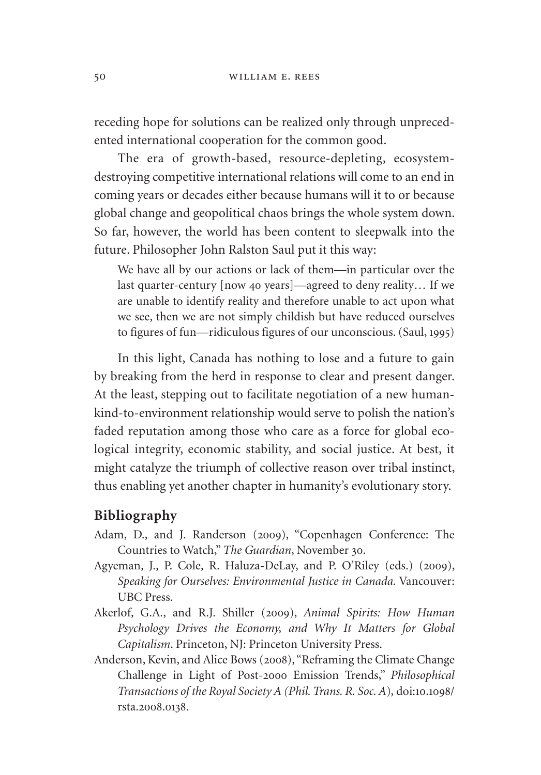receding hope for solutions can be realized only through unprecedented international cooperation for the common good.

The era of growth-based, resource-depleting, ecosystemdestroying competitive international relations will come to an end in coming years or decades either because humans will it to or because global change and geopolitical chaos brings the whole system down. So far, however, the world has been content to sleepwalk into the future. Philosopher John Ralston Saul put it this way:

We have all by our actions or lack of them—in particular over the last quarter-century [now 40 years]—agreed to deny reality… If we are unable to identify reality and therefore unable to act upon what we see, then we are not simply childish but have reduced ourselves to figures of fun—ridiculous figures of our unconscious. (Saul, 1995)

In this light, Canada has nothing to lose and a future to gain by breaking from the herd in response to clear and present danger. At the least, stepping out to facilitate negotiation of a new humankind-to-environment relationship would serve to polish the nation's faded reputation among those who care as a force for global ecological integrity, economic stability, and social justice. At best, it might catalyze the triumph of collective reason over tribal instinct, thus enabling yet another chapter in humanity's evolutionary story.

## **Bibliography**

- Adam, D., and J. Randerson (2009), "Copenhagen Conference: The Countries to Watch," *The Guardian*, November 30.
- Agyeman, J., P. Cole, R. Haluza-DeLay, and P. O'Riley (eds.) (2009), *Speaking for Ourselves: Environmental Justice in Canada.* Vancouver: UBC Press.
- Akerlof, G.A., and R.J. Shiller (2009), *Animal Spirits: How Human Psychology Drives the Economy, and Why It Matters for Global Capitalism*. Princeton, NJ: Princeton University Press.
- Anderson, Kevin, and Alice Bows (2008), "Reframing the Climate Change Challenge in Light of Post-2000 Emission Trends," *Philosophical Transactions of the Royal Society A (Phil. Trans. R. Soc. A*)*,* doi:10.1098/ rsta.2008.0138.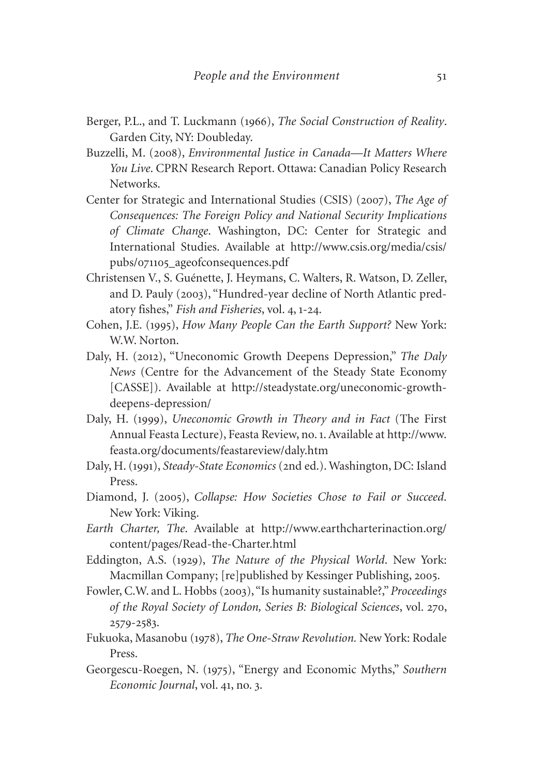- Berger, P.L., and T. Luckmann (1966), *The Social Construction of Reality*. Garden City, NY: Doubleday.
- Buzzelli, M. (2008), *Environmental Justice in Canada—It Matters Where You Live*. CPRN Research Report. Ottawa: Canadian Policy Research Networks.
- Center for Strategic and International Studies (CSIS) (2007), *The Age of Consequences: The Foreign Policy and National Security Implications of Climate Change*. Washington, DC: Center for Strategic and International Studies. Available at [http://www.csis.org/media/csis/](http://www.csis.org/media/csis/pubs/071105_ageofconsequences.pdf) pubs/071105[\\_ageofconsequences.pdf](http://www.csis.org/media/csis/pubs/071105_ageofconsequences.pdf)
- Christensen V., S. Guénette, J. Heymans, C. Walters, R. Watson, D. Zeller, and D. Pauly (2003), "Hundred-year decline of North Atlantic predatory fishes," *Fish and Fisheries*, vol. 4, 1-24.
- Cohen, J.E. (1995), *How Many People Can the Earth Support?* New York: W.W. Norton.
- Daly, H. (2012), "Uneconomic Growth Deepens Depression," *The Daly News* (Centre for the Advancement of the Steady State Economy [CASSE]). Available at [http://steadystate.org/uneconomic-growth](http://steadystate.org/uneconomic-growth-deepens-depression/)[deepens-depression/](http://steadystate.org/uneconomic-growth-deepens-depression/)
- Daly, H. (1999), *Uneconomic Growth in Theory and in Fact* (The First Annual Feasta Lecture), Feasta Review, no. 1. Available at [http://www.](http://www.feasta.org/documents/feastareview/daly.htm) [feasta.org/documents/feastareview/daly.htm](http://www.feasta.org/documents/feastareview/daly.htm)
- Daly, H. (1991), *Steady-State Economics* (2nd ed.). Washington, DC: Island Press.
- Diamond, J. (2005), *Collapse: How Societies Chose to Fail or Succeed*. New York: Viking.
- *Earth Charter, The*. Available at [http://www.earthcharterinaction.org/](http://www.earthcharterinaction.org/content/pages/Read-the-Charter.html) [content/pages/Read-the-Charter.html](http://www.earthcharterinaction.org/content/pages/Read-the-Charter.html)
- Eddington, A.S. (1929), *The Nature of the Physical World*. New York: Macmillan Company; [re]published by Kessinger Publishing, 2005.
- Fowler, C.W. and L. Hobbs (2003), "Is humanity sustainable?," *Proceedings of the Royal Society of London, Series B: Biological Sciences*, vol. 270, 2579-2583.
- Fukuoka, Masanobu (1978), *The One-Straw Revolution.* New York: Rodale Press.
- Georgescu-Roegen, N. (1975), "Energy and Economic Myths," *Southern Economic Journal*, vol. 41, no. 3.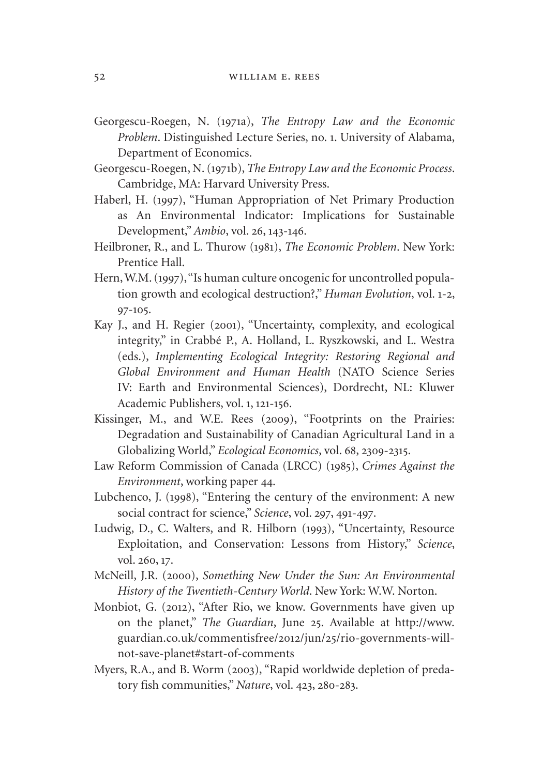- Georgescu-Roegen, N. (1971a), *The Entropy Law and the Economic Problem*. Distinguished Lecture Series, no. 1. University of Alabama, Department of Economics.
- Georgescu-Roegen, N. (1971b), *The Entropy Law and the Economic Process*. Cambridge, MA: Harvard University Press.
- Haberl, H. (1997), "Human Appropriation of Net Primary Production as An Environmental Indicator: Implications for Sustainable Development," *Ambio*, vol. 26, 143-146.
- Heilbroner, R., and L. Thurow (1981), *The Economic Problem*. New York: Prentice Hall.
- Hern, W.M. (1997), "Is human culture oncogenic for uncontrolled population growth and ecological destruction?," *Human Evolution*, vol. 1-2, 97-105.
- Kay J., and H. Regier (2001), "Uncertainty, complexity, and ecological integrity," in Crabbé P., A. Holland, L. Ryszkowski, and L. Westra (eds.), *Implementing Ecological Integrity: Restoring Regional and Global Environment and Human Health* (NATO Science Series IV: Earth and Environmental Sciences), Dordrecht, NL: Kluwer Academic Publishers, vol. 1, 121-156.
- Kissinger, M., and W.E. Rees (2009), "Footprints on the Prairies: Degradation and Sustainability of Canadian Agricultural Land in a Globalizing World," *Ecological Economics*, vol. 68, 2309-2315.
- Law Reform Commission of Canada (LRCC) (1985), *Crimes Against the Environment*, working paper 44.
- Lubchenco, J. (1998), "Entering the century of the environment: A new social contract for science," *Science*, vol. 297, 491-497.
- Ludwig, D., C. Walters, and R. Hilborn (1993), "Uncertainty, Resource Exploitation, and Conservation: Lessons from History," *Science*, vol. 260, 17.
- McNeill, J.R. (2000), *Something New Under the Sun: An Environmental History of the Twentieth-Century World*. New York: W.W. Norton.
- Monbiot, G. (2012), "After Rio, we know. Governments have given up on the planet," *The Guardian*, June 25. Available at [http://www.](http://www.guardian.co.uk/commentisfree/2012/jun/25/rio-governments-will-not-save-planet#start-of-comments) [guardian.co.uk/commentisfree/](http://www.guardian.co.uk/commentisfree/2012/jun/25/rio-governments-will-not-save-planet#start-of-comments)2012/jun/25/rio-governments-will[not-save-planet#start-of-comments](http://www.guardian.co.uk/commentisfree/2012/jun/25/rio-governments-will-not-save-planet#start-of-comments)
- Myers, R.A., and B. Worm (2003), "Rapid worldwide depletion of predatory fish communities," *Nature*, vol. 423, 280-283.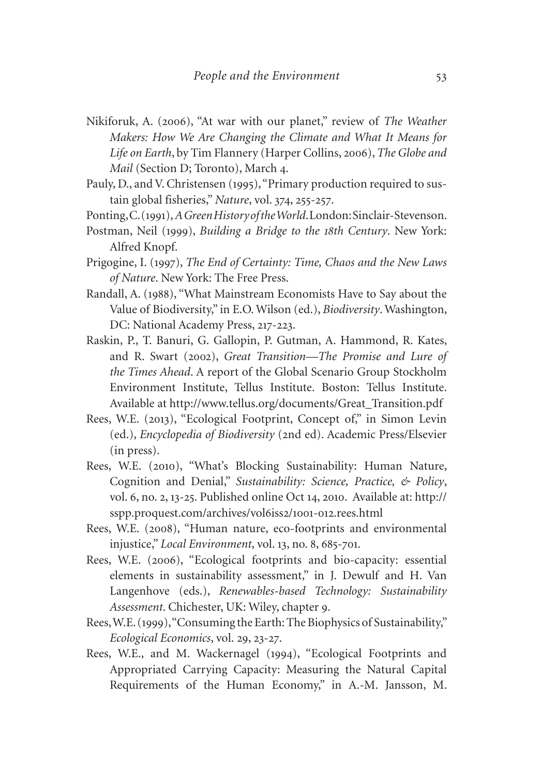- Nikiforuk, A. (2006), "At war with our planet," review of *The Weather Makers: How We Are Changing the Climate and What It Means for Life on Earth*, by Tim Flannery (Harper Collins, 2006), *The Globe and Mail* (Section D; Toronto), March 4.
- Pauly, D., and V. Christensen (1995), "Primary production required to sustain global fisheries," *Nature*, vol. 374, 255-257.
- Ponting, C. (1991), *A Green History of the World*. London: Sinclair-Stevenson.
- Postman, Neil (1999), *Building a Bridge to the 18th Century*. New York: Alfred Knopf.
- Prigogine, I. (1997), *The End of Certainty: Time, Chaos and the New Laws of Nature*. New York: The Free Press.
- Randall, A. (1988), "What Mainstream Economists Have to Say about the Value of Biodiversity," in E.O. Wilson (ed.), *Biodiversity*. Washington, DC: National Academy Press, 217-223.
- Raskin, P., T. Banuri, G. Gallopin, P. Gutman, A. Hammond, R. Kates, and R. Swart (2002), *Great Transition—The Promise and Lure of the Times Ahead*. A report of the Global Scenario Group Stockholm Environment Institute, Tellus Institute. Boston: Tellus Institute. Available at [http://www.tellus.org/documents/Great\\_Transition.pdf](http://www.tellus.org/documents/Great_Transition.pdf)
- Rees, W.E. (2013), "Ecological Footprint, Concept of," in Simon Levin (ed.), *Encyclopedia of Biodiversity* (2nd ed). Academic Press/Elsevier (in press).
- Rees, W.E. (2010), "What's Blocking Sustainability: Human Nature, Cognition and Denial," *Sustainability: Science, Practice, & Policy*, vol. 6, no. 2, 13-25. Published online Oct 14, 2010. Available at: [http://](http://sspp.proquest.com/archives/vol6iss2/1001-012.rees.html) [sspp.proquest.com/archives/vol](http://sspp.proquest.com/archives/vol6iss2/1001-012.rees.html)6iss2/1001-012.rees.html
- Rees, W.E. (2008), "Human nature, eco-footprints and environmental injustice," *Local Environment*, vol. 13, no. 8, 685-701.
- Rees, W.E. (2006), "Ecological footprints and bio-capacity: essential elements in sustainability assessment," in J. Dewulf and H. Van Langenhove (eds.), *Renewables-based Technology: Sustainability Assessment*. Chichester, UK: Wiley, chapter 9.
- Rees, W.E. (1999), "Consuming the Earth: The Biophysics of Sustainability," *Ecological Economics*, vol. 29, 23-27.
- Rees, W.E., and M. Wackernagel (1994), "Ecological Footprints and Appropriated Carrying Capacity: Measuring the Natural Capital Requirements of the Human Economy," in A.-M. Jansson, M.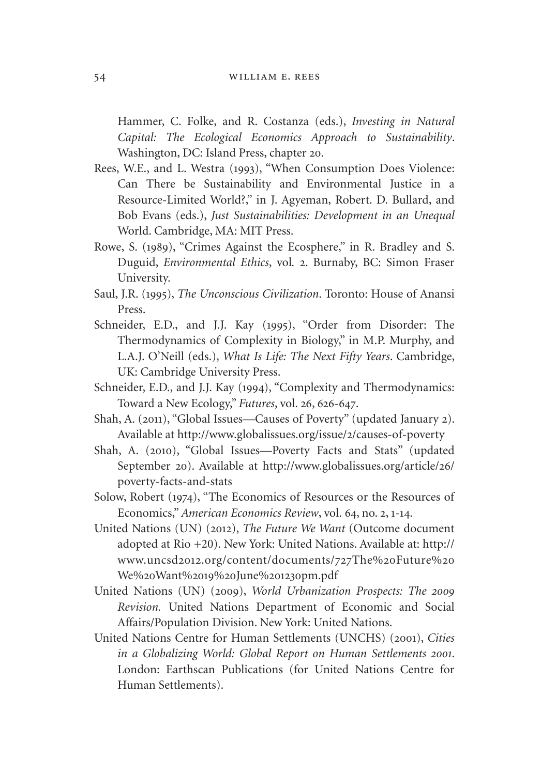Hammer, C. Folke, and R. Costanza (eds.), *Investing in Natural Capital: The Ecological Economics Approach to Sustainability*. Washington, DC: Island Press, chapter 20.

- Rees, W.E., and L. Westra (1993), "When Consumption Does Violence: Can There be Sustainability and Environmental Justice in a Resource-Limited World?," in J. Agyeman, Robert. D. Bullard, and Bob Evans (eds.), *Just Sustainabilities: Development in an Unequal*  World. Cambridge, MA: MIT Press.
- Rowe, S. (1989), "Crimes Against the Ecosphere," in R. Bradley and S. Duguid, *Environmental Ethics*, vol*.* 2. Burnaby, BC: Simon Fraser University.
- Saul, J.R. (1995), *The Unconscious Civilization*. Toronto: House of Anansi Press.
- Schneider, E.D., and J.J. Kay (1995), "Order from Disorder: The Thermodynamics of Complexity in Biology," in M.P. Murphy, and L.A.J. O'Neill (eds.), *What Is Life: The Next Fifty Years*. Cambridge, UK: Cambridge University Press.
- Schneider, E.D., and J.J. Kay (1994), "Complexity and Thermodynamics: Toward a New Ecology," *Futures*, vol. 26, 626-647.
- Shah, A. (2011), "Global Issues—Causes of Poverty" (updated January 2). Available at [http://www.globalissues.org/issue/](http://www.globalissues.org/issue/2/causes-of-poverty)2/causes-of-poverty
- Shah, A. (2010), "Global Issues—Poverty Facts and Stats" (updated September 20). Available at [http://www.globalissues.org/article/](http://www.globalissues.org/article/26/poverty-facts-and-stats)26/ [poverty-facts-and-stats](http://www.globalissues.org/article/26/poverty-facts-and-stats)
- Solow, Robert (1974), "The Economics of Resources or the Resources of Economics," *American Economics Review*, vol. 64, no. 2, 1-14.
- United Nations (UN) (2012), *The Future We Want* (Outcome document adopted at Rio +20). New York: United Nations. Available at: <http://> www.uncsd2012[.org/content/documents/](http://)727The%20Future%20 We%20[Want%](http://)2019%20June%201230pm.pdf
- United Nations (UN) (2009), *World Urbanization Prospects: The 2009 Revision.* United Nations Department of Economic and Social Affairs/Population Division. New York: United Nations.
- United Nations Centre for Human Settlements (UNCHS) (2001), *Cities in a Globalizing World: Global Report on Human Settlements 2001*. London: Earthscan Publications (for United Nations Centre for Human Settlements).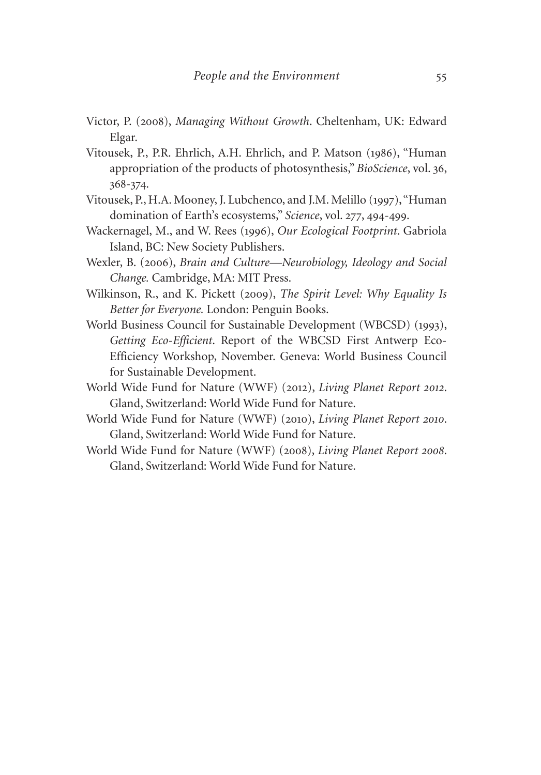- Victor, P. (2008), *Managing Without Growth*. Cheltenham, UK: Edward Elgar.
- Vitousek, P., P.R. Ehrlich, A.H. Ehrlich, and P. Matson (1986), "Human appropriation of the products of photosynthesis," *BioScience*, vol. 36, 368-374.
- Vitousek, P., H.A. Mooney, J. Lubchenco, and J.M. Melillo (1997), "Human domination of Earth's ecosystems," *Science*, vol. 277, 494-499.
- Wackernagel, M., and W. Rees (1996), *Our Ecological Footprint*. Gabriola Island, BC: New Society Publishers.
- Wexler, B. (2006), *Brain and Culture—Neurobiology, Ideology and Social Change.* Cambridge, MA: MIT Press.
- Wilkinson, R., and K. Pickett (2009), *The Spirit Level: Why Equality Is Better for Everyone.* London: Penguin Books.
- World Business Council for Sustainable Development (WBCSD) (1993), *Getting Eco-Efficient*. Report of the WBCSD First Antwerp Eco-Efficiency Workshop, November. Geneva: World Business Council for Sustainable Development.
- World Wide Fund for Nature (WWF) (2012), *Living Planet Report 2012*. Gland, Switzerland: World Wide Fund for Nature.
- World Wide Fund for Nature (WWF) (2010), *Living Planet Report 2010*. Gland, Switzerland: World Wide Fund for Nature.
- World Wide Fund for Nature (WWF) (2008), *Living Planet Report 2008*. Gland, Switzerland: World Wide Fund for Nature.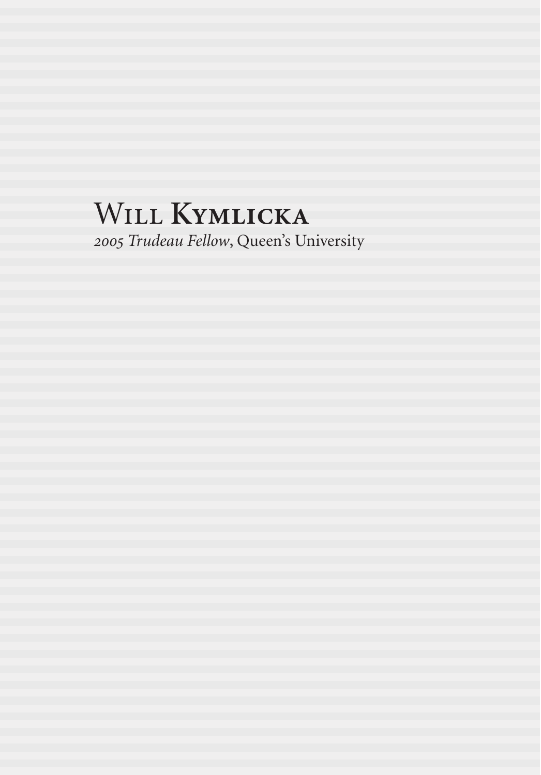# Will **Kymlicka**

*2005 Trudeau Fellow*, Queen's University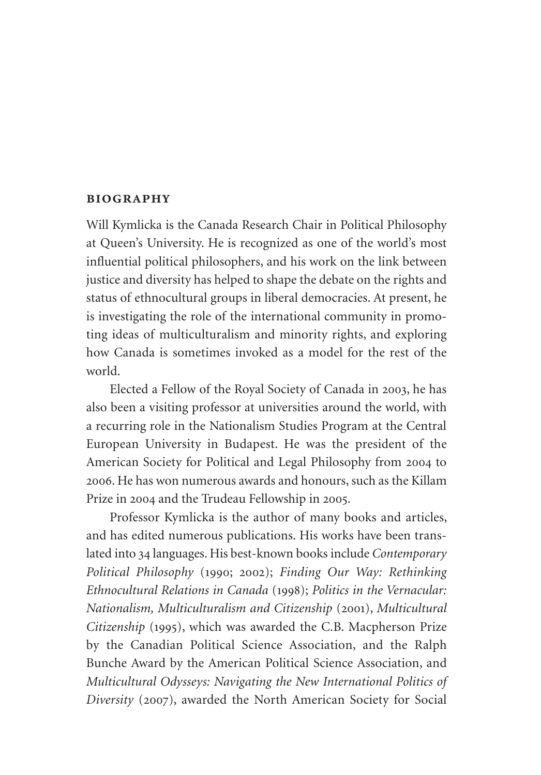# **biography**

Will Kymlicka is the Canada Research Chair in Political Philosophy at Queen's University. He is recognized as one of the world's most influential political philosophers, and his work on the link between justice and diversity has helped to shape the debate on the rights and status of ethnocultural groups in liberal democracies. At present, he is investigating the role of the international community in promoting ideas of multiculturalism and minority rights, and exploring how Canada is sometimes invoked as a model for the rest of the world.

Elected a Fellow of the Royal Society of Canada in 2003, he has also been a visiting professor at universities around the world, with a recurring role in the Nationalism Studies Program at the Central European University in Budapest. He was the president of the American Society for Political and Legal Philosophy from 2004 to 2006. He has won numerous awards and honours, such as the Killam Prize in 2004 and the Trudeau Fellowship in 2005.

Professor Kymlicka is the author of many books and articles, and has edited numerous publications. His works have been translated into 34 languages. His best-known books include *Contemporary Political Philosophy* (1990; 2002); *Finding Our Way: Rethinking Ethnocultural Relations in Canada* (1998); *Politics in the Vernacular: Nationalism, Multiculturalism and Citizenship* (2001), *Multicultural Citizenship* (1995), which was awarded the C.B. Macpherson Prize by the Canadian Political Science Association, and the Ralph Bunche Award by the American Political Science Association, and *Multicultural Odysseys: Navigating the New International Politics of Diversity* (2007), awarded the North American Society for Social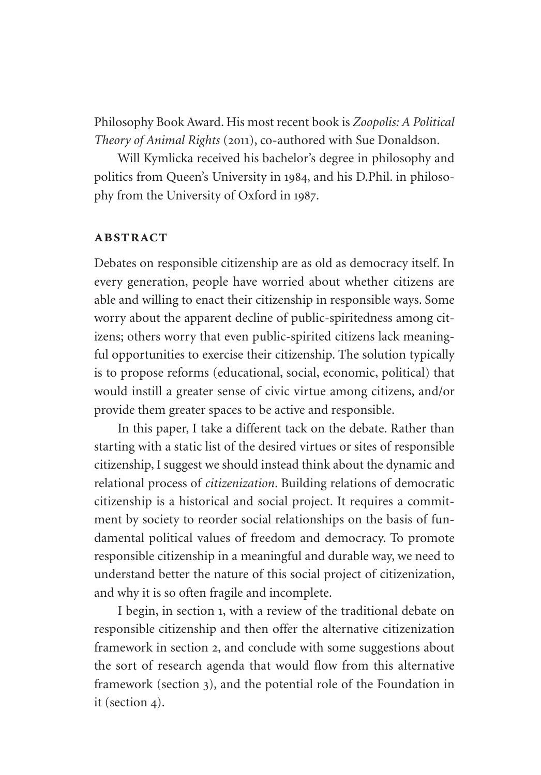Philosophy Book Award. His most recent book is *Zoopolis: A Political Theory of Animal Rights* (2011), co-authored with Sue Donaldson.

Will Kymlicka received his bachelor's degree in philosophy and politics from Queen's University in 1984, and his D.Phil. in philosophy from the University of Oxford in 1987.

#### **abstract**

Debates on responsible citizenship are as old as democracy itself. In every generation, people have worried about whether citizens are able and willing to enact their citizenship in responsible ways. Some worry about the apparent decline of public-spiritedness among citizens; others worry that even public-spirited citizens lack meaningful opportunities to exercise their citizenship. The solution typically is to propose reforms (educational, social, economic, political) that would instill a greater sense of civic virtue among citizens, and/or provide them greater spaces to be active and responsible.

In this paper, I take a different tack on the debate. Rather than starting with a static list of the desired virtues or sites of responsible citizenship, I suggest we should instead think about the dynamic and relational process of *citizenization*. Building relations of democratic citizenship is a historical and social project. It requires a commitment by society to reorder social relationships on the basis of fundamental political values of freedom and democracy. To promote responsible citizenship in a meaningful and durable way, we need to understand better the nature of this social project of citizenization, and why it is so often fragile and incomplete.

I begin, in section 1, with a review of the traditional debate on responsible citizenship and then offer the alternative citizenization framework in section 2, and conclude with some suggestions about the sort of research agenda that would flow from this alternative framework (section 3), and the potential role of the Foundation in it (section 4).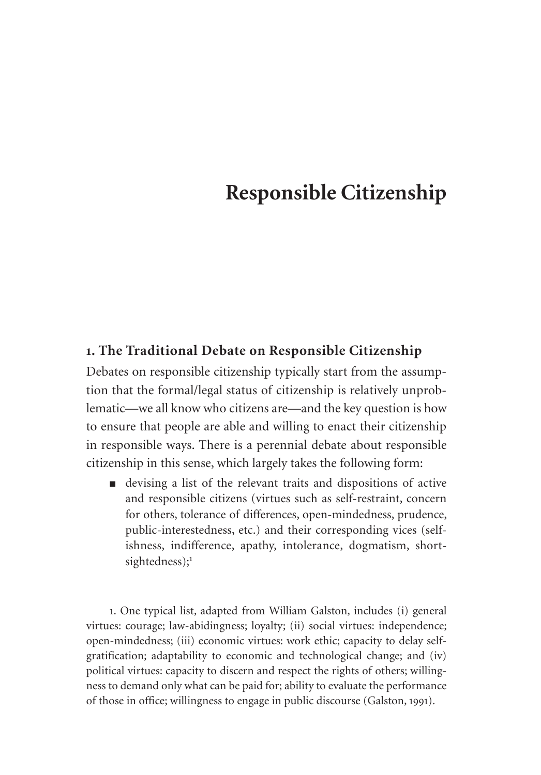# **Responsible Citizenship**

# **1. The Traditional Debate on Responsible Citizenship**

Debates on responsible citizenship typically start from the assumption that the formal/legal status of citizenship is relatively unproblematic—we all know who citizens are—and the key question is how to ensure that people are able and willing to enact their citizenship in responsible ways. There is a perennial debate about responsible citizenship in this sense, which largely takes the following form:

■ devising a list of the relevant traits and dispositions of active and responsible citizens (virtues such as self-restraint, concern for others, tolerance of differences, open-mindedness, prudence, public-interestedness, etc.) and their corresponding vices (selfishness, indifference, apathy, intolerance, dogmatism, shortsightedness);<sup>1</sup>

1. One typical list, adapted from William Galston, includes (i) general virtues: courage; law-abidingness; loyalty; (ii) social virtues: independence; open-mindedness; (iii) economic virtues: work ethic; capacity to delay selfgratification; adaptability to economic and technological change; and (iv) political virtues: capacity to discern and respect the rights of others; willingness to demand only what can be paid for; ability to evaluate the performance of those in office; willingness to engage in public discourse (Galston, 1991).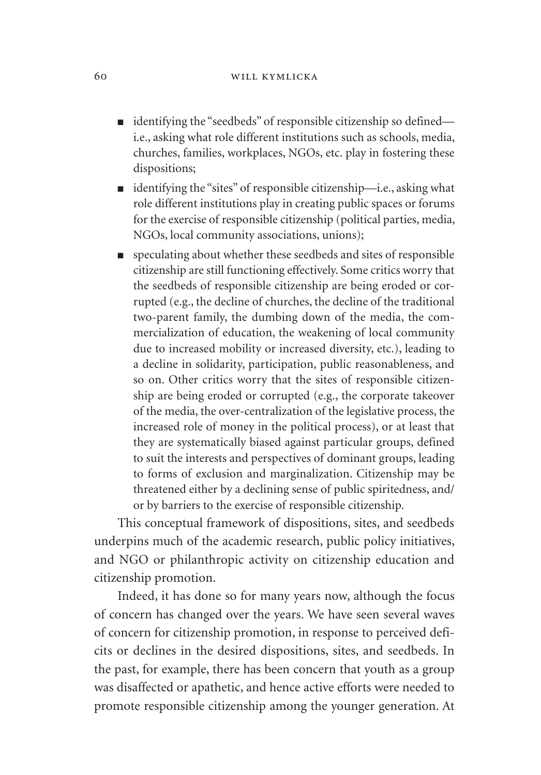- identifying the "seedbeds" of responsible citizenship so defined i.e., asking what role different institutions such as schools, media, churches, families, workplaces, NGOs, etc. play in fostering these dispositions;
- identifying the "sites" of responsible citizenship—i.e., asking what role different institutions play in creating public spaces or forums for the exercise of responsible citizenship (political parties, media, NGOs, local community associations, unions);
- speculating about whether these seedbeds and sites of responsible citizenship are still functioning effectively. Some critics worry that the seedbeds of responsible citizenship are being eroded or corrupted (e.g., the decline of churches, the decline of the traditional two-parent family, the dumbing down of the media, the commercialization of education, the weakening of local community due to increased mobility or increased diversity, etc.), leading to a decline in solidarity, participation, public reasonableness, and so on. Other critics worry that the sites of responsible citizenship are being eroded or corrupted (e.g., the corporate takeover of the media, the over-centralization of the legislative process, the increased role of money in the political process), or at least that they are systematically biased against particular groups, defined to suit the interests and perspectives of dominant groups, leading to forms of exclusion and marginalization. Citizenship may be threatened either by a declining sense of public spiritedness, and/ or by barriers to the exercise of responsible citizenship.

This conceptual framework of dispositions, sites, and seedbeds underpins much of the academic research, public policy initiatives, and NGO or philanthropic activity on citizenship education and citizenship promotion.

Indeed, it has done so for many years now, although the focus of concern has changed over the years. We have seen several waves of concern for citizenship promotion, in response to perceived deficits or declines in the desired dispositions, sites, and seedbeds. In the past, for example, there has been concern that youth as a group was disaffected or apathetic, and hence active efforts were needed to promote responsible citizenship among the younger generation. At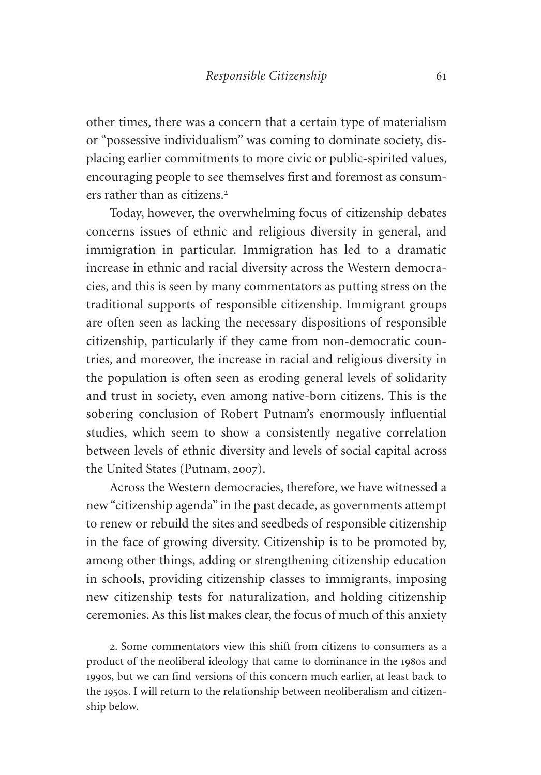other times, there was a concern that a certain type of materialism or "possessive individualism" was coming to dominate society, displacing earlier commitments to more civic or public-spirited values, encouraging people to see themselves first and foremost as consumers rather than as citizens.<sup>2</sup>

Today, however, the overwhelming focus of citizenship debates concerns issues of ethnic and religious diversity in general, and immigration in particular. Immigration has led to a dramatic increase in ethnic and racial diversity across the Western democracies, and this is seen by many commentators as putting stress on the traditional supports of responsible citizenship. Immigrant groups are often seen as lacking the necessary dispositions of responsible citizenship, particularly if they came from non-democratic countries, and moreover, the increase in racial and religious diversity in the population is often seen as eroding general levels of solidarity and trust in society, even among native-born citizens. This is the sobering conclusion of Robert Putnam's enormously influential studies, which seem to show a consistently negative correlation between levels of ethnic diversity and levels of social capital across the United States (Putnam, 2007).

Across the Western democracies, therefore, we have witnessed a new "citizenship agenda" in the past decade, as governments attempt to renew or rebuild the sites and seedbeds of responsible citizenship in the face of growing diversity. Citizenship is to be promoted by, among other things, adding or strengthening citizenship education in schools, providing citizenship classes to immigrants, imposing new citizenship tests for naturalization, and holding citizenship ceremonies. As this list makes clear, the focus of much of this anxiety

2. Some commentators view this shift from citizens to consumers as a product of the neoliberal ideology that came to dominance in the 1980s and 1990s, but we can find versions of this concern much earlier, at least back to the 1950s. I will return to the relationship between neoliberalism and citizenship below.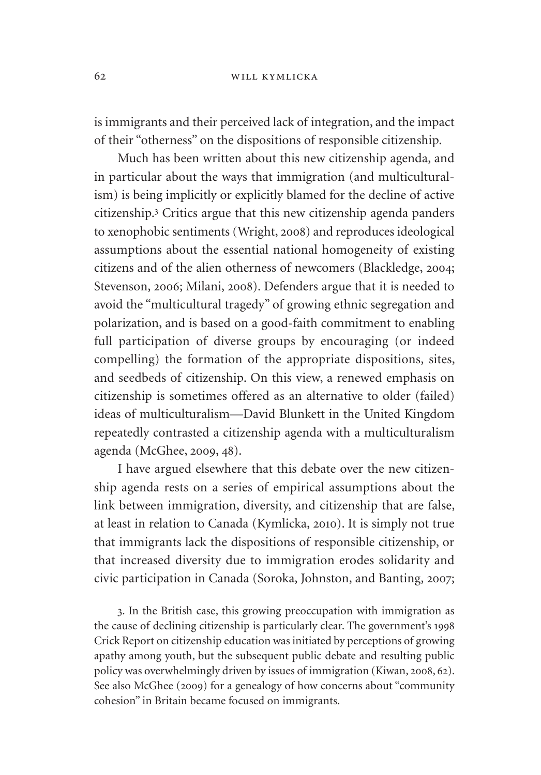is immigrants and their perceived lack of integration, and the impact of their "otherness" on the dispositions of responsible citizenship.

Much has been written about this new citizenship agenda, and in particular about the ways that immigration (and multiculturalism) is being implicitly or explicitly blamed for the decline of active citizenship.<sup>3</sup> Critics argue that this new citizenship agenda panders to xenophobic sentiments (Wright, 2008) and reproduces ideological assumptions about the essential national homogeneity of existing citizens and of the alien otherness of newcomers (Blackledge, 2004; Stevenson, 2006; Milani, 2008). Defenders argue that it is needed to avoid the "multicultural tragedy" of growing ethnic segregation and polarization, and is based on a good-faith commitment to enabling full participation of diverse groups by encouraging (or indeed compelling) the formation of the appropriate dispositions, sites, and seedbeds of citizenship. On this view, a renewed emphasis on citizenship is sometimes offered as an alternative to older (failed) ideas of multiculturalism—David Blunkett in the United Kingdom repeatedly contrasted a citizenship agenda with a multiculturalism agenda (McGhee, 2009, 48).

I have argued elsewhere that this debate over the new citizenship agenda rests on a series of empirical assumptions about the link between immigration, diversity, and citizenship that are false, at least in relation to Canada (Kymlicka, 2010). It is simply not true that immigrants lack the dispositions of responsible citizenship, or that increased diversity due to immigration erodes solidarity and civic participation in Canada (Soroka, Johnston, and Banting, 2007;

3. In the British case, this growing preoccupation with immigration as the cause of declining citizenship is particularly clear. The government's 1998 Crick Report on citizenship education was initiated by perceptions of growing apathy among youth, but the subsequent public debate and resulting public policy was overwhelmingly driven by issues of immigration (Kiwan, 2008, 62). See also McGhee (2009) for a genealogy of how concerns about "community cohesion" in Britain became focused on immigrants.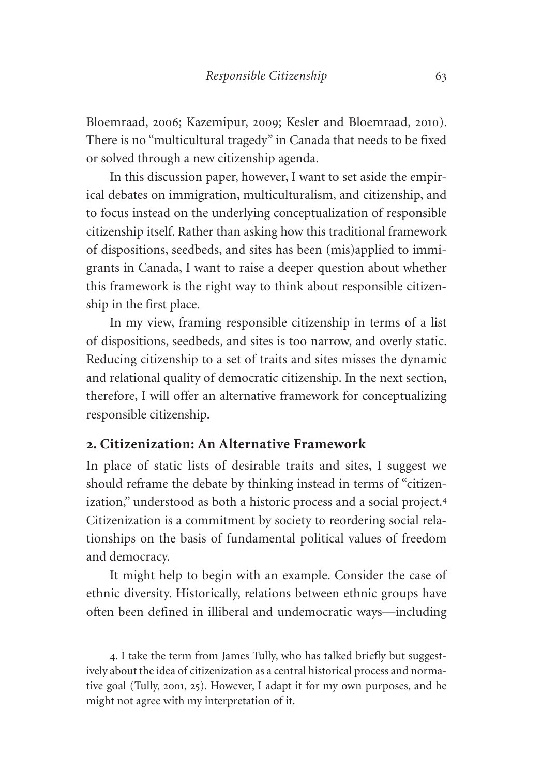Bloemraad, 2006; Kazemipur, 2009; Kesler and Bloemraad, 2010). There is no "multicultural tragedy" in Canada that needs to be fixed or solved through a new citizenship agenda.

In this discussion paper, however, I want to set aside the empirical debates on immigration, multiculturalism, and citizenship, and to focus instead on the underlying conceptualization of responsible citizenship itself. Rather than asking how this traditional framework of dispositions, seedbeds, and sites has been (mis)applied to immigrants in Canada, I want to raise a deeper question about whether this framework is the right way to think about responsible citizenship in the first place.

In my view, framing responsible citizenship in terms of a list of dispositions, seedbeds, and sites is too narrow, and overly static. Reducing citizenship to a set of traits and sites misses the dynamic and relational quality of democratic citizenship. In the next section, therefore, I will offer an alternative framework for conceptualizing responsible citizenship.

# **2. Citizenization: An Alternative Framework**

In place of static lists of desirable traits and sites, I suggest we should reframe the debate by thinking instead in terms of "citizenization," understood as both a historic process and a social project.<sup>4</sup> Citizenization is a commitment by society to reordering social relationships on the basis of fundamental political values of freedom and democracy.

It might help to begin with an example. Consider the case of ethnic diversity. Historically, relations between ethnic groups have often been defined in illiberal and undemocratic ways—including

4. I take the term from James Tully, who has talked briefly but suggestively about the idea of citizenization as a central historical process and normative goal (Tully, 2001, 25). However, I adapt it for my own purposes, and he might not agree with my interpretation of it.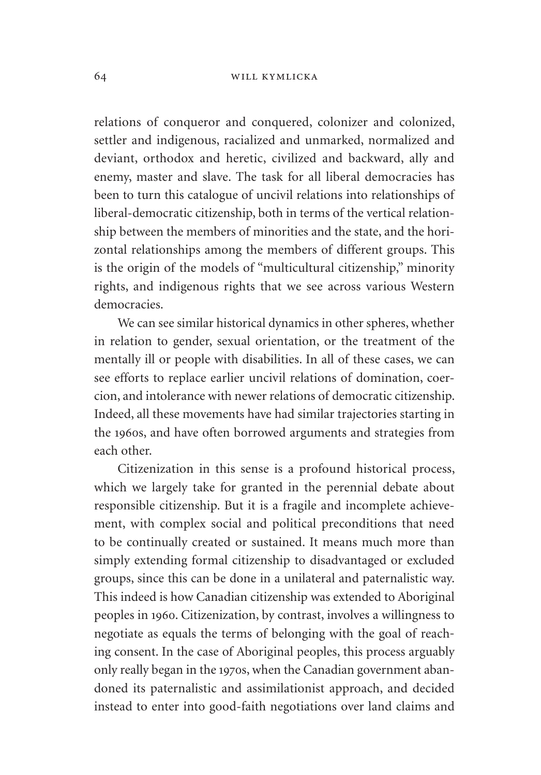relations of conqueror and conquered, colonizer and colonized, settler and indigenous, racialized and unmarked, normalized and deviant, orthodox and heretic, civilized and backward, ally and enemy, master and slave. The task for all liberal democracies has been to turn this catalogue of uncivil relations into relationships of liberal-democratic citizenship, both in terms of the vertical relationship between the members of minorities and the state, and the horizontal relationships among the members of different groups. This is the origin of the models of "multicultural citizenship," minority rights, and indigenous rights that we see across various Western democracies.

We can see similar historical dynamics in other spheres, whether in relation to gender, sexual orientation, or the treatment of the mentally ill or people with disabilities. In all of these cases, we can see efforts to replace earlier uncivil relations of domination, coercion, and intolerance with newer relations of democratic citizenship. Indeed, all these movements have had similar trajectories starting in the 1960s, and have often borrowed arguments and strategies from each other.

Citizenization in this sense is a profound historical process, which we largely take for granted in the perennial debate about responsible citizenship. But it is a fragile and incomplete achievement, with complex social and political preconditions that need to be continually created or sustained. It means much more than simply extending formal citizenship to disadvantaged or excluded groups, since this can be done in a unilateral and paternalistic way. This indeed is how Canadian citizenship was extended to Aboriginal peoples in 1960. Citizenization, by contrast, involves a willingness to negotiate as equals the terms of belonging with the goal of reaching consent. In the case of Aboriginal peoples, this process arguably only really began in the 1970s, when the Canadian government abandoned its paternalistic and assimilationist approach, and decided instead to enter into good-faith negotiations over land claims and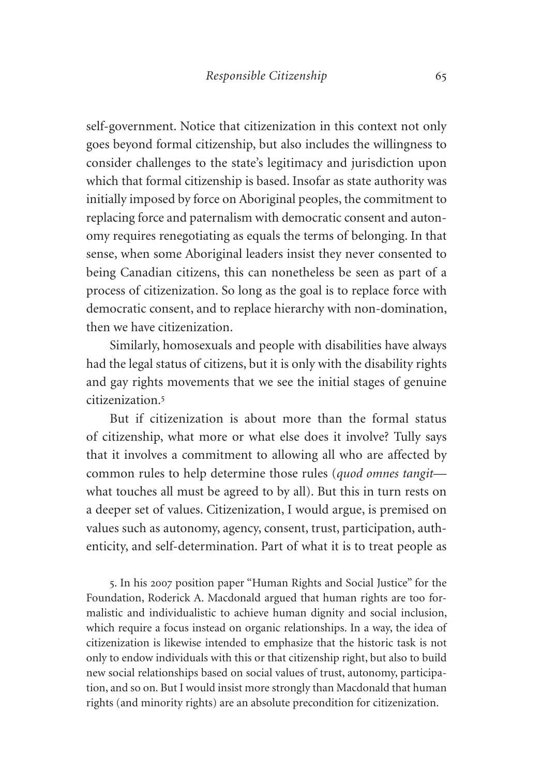self-government. Notice that citizenization in this context not only goes beyond formal citizenship, but also includes the willingness to consider challenges to the state's legitimacy and jurisdiction upon which that formal citizenship is based. Insofar as state authority was initially imposed by force on Aboriginal peoples, the commitment to replacing force and paternalism with democratic consent and autonomy requires renegotiating as equals the terms of belonging. In that sense, when some Aboriginal leaders insist they never consented to being Canadian citizens, this can nonetheless be seen as part of a process of citizenization. So long as the goal is to replace force with democratic consent, and to replace hierarchy with non-domination, then we have citizenization.

Similarly, homosexuals and people with disabilities have always had the legal status of citizens, but it is only with the disability rights and gay rights movements that we see the initial stages of genuine citizenization<sup>5</sup>

But if citizenization is about more than the formal status of citizenship, what more or what else does it involve? Tully says that it involves a commitment to allowing all who are affected by common rules to help determine those rules (*quod omnes tangit* what touches all must be agreed to by all). But this in turn rests on a deeper set of values. Citizenization, I would argue, is premised on values such as autonomy, agency, consent, trust, participation, authenticity, and self-determination. Part of what it is to treat people as

5. In his 2007 position paper "Human Rights and Social Justice" for the Foundation, Roderick A. Macdonald argued that human rights are too formalistic and individualistic to achieve human dignity and social inclusion, which require a focus instead on organic relationships. In a way, the idea of citizenization is likewise intended to emphasize that the historic task is not only to endow individuals with this or that citizenship right, but also to build new social relationships based on social values of trust, autonomy, participation, and so on. But I would insist more strongly than Macdonald that human rights (and minority rights) are an absolute precondition for citizenization.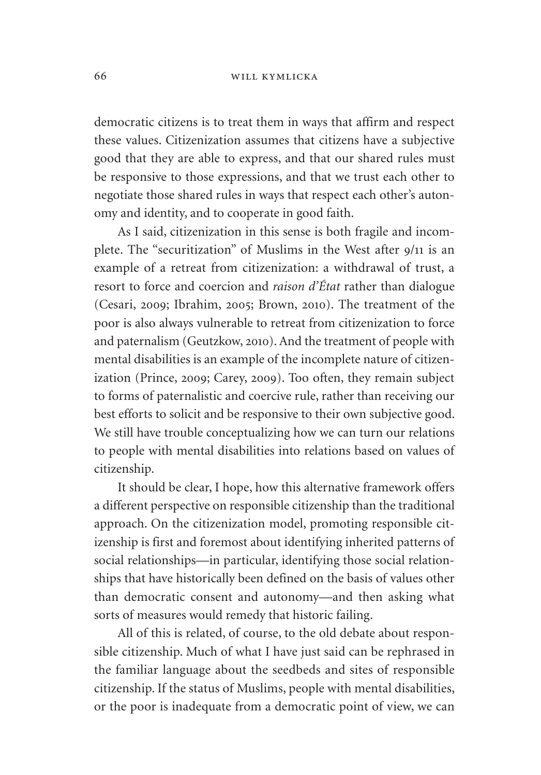#### 66 will kymlicka

democratic citizens is to treat them in ways that affirm and respect these values. Citizenization assumes that citizens have a subjective good that they are able to express, and that our shared rules must be responsive to those expressions, and that we trust each other to negotiate those shared rules in ways that respect each other's autonomy and identity, and to cooperate in good faith.

As I said, citizenization in this sense is both fragile and incomplete. The "securitization" of Muslims in the West after 9/11 is an example of a retreat from citizenization: a withdrawal of trust, a resort to force and coercion and *raison d'État* rather than dialogue (Cesari, 2009; Ibrahim, 2005; Brown, 2010). The treatment of the poor is also always vulnerable to retreat from citizenization to force and paternalism (Geutzkow, 2010). And the treatment of people with mental disabilities is an example of the incomplete nature of citizenization (Prince, 2009; Carey, 2009). Too often, they remain subject to forms of paternalistic and coercive rule, rather than receiving our best efforts to solicit and be responsive to their own subjective good. We still have trouble conceptualizing how we can turn our relations to people with mental disabilities into relations based on values of citizenship.

It should be clear, I hope, how this alternative framework offers a different perspective on responsible citizenship than the traditional approach. On the citizenization model, promoting responsible citizenship is first and foremost about identifying inherited patterns of social relationships—in particular, identifying those social relationships that have historically been defined on the basis of values other than democratic consent and autonomy—and then asking what sorts of measures would remedy that historic failing.

All of this is related, of course, to the old debate about responsible citizenship. Much of what I have just said can be rephrased in the familiar language about the seedbeds and sites of responsible citizenship. If the status of Muslims, people with mental disabilities, or the poor is inadequate from a democratic point of view, we can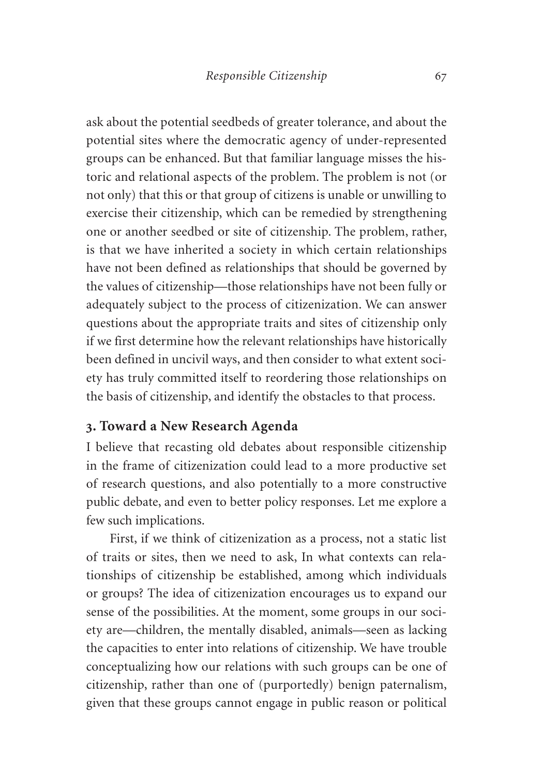ask about the potential seedbeds of greater tolerance, and about the potential sites where the democratic agency of under-represented groups can be enhanced. But that familiar language misses the historic and relational aspects of the problem. The problem is not (or not only) that this or that group of citizens is unable or unwilling to exercise their citizenship, which can be remedied by strengthening one or another seedbed or site of citizenship. The problem, rather, is that we have inherited a society in which certain relationships have not been defined as relationships that should be governed by the values of citizenship—those relationships have not been fully or adequately subject to the process of citizenization. We can answer questions about the appropriate traits and sites of citizenship only if we first determine how the relevant relationships have historically been defined in uncivil ways, and then consider to what extent society has truly committed itself to reordering those relationships on the basis of citizenship, and identify the obstacles to that process.

# **3. Toward a New Research Agenda**

I believe that recasting old debates about responsible citizenship in the frame of citizenization could lead to a more productive set of research questions, and also potentially to a more constructive public debate, and even to better policy responses. Let me explore a few such implications.

First, if we think of citizenization as a process, not a static list of traits or sites, then we need to ask, In what contexts can relationships of citizenship be established, among which individuals or groups? The idea of citizenization encourages us to expand our sense of the possibilities. At the moment, some groups in our society are—children, the mentally disabled, animals—seen as lacking the capacities to enter into relations of citizenship. We have trouble conceptualizing how our relations with such groups can be one of citizenship, rather than one of (purportedly) benign paternalism, given that these groups cannot engage in public reason or political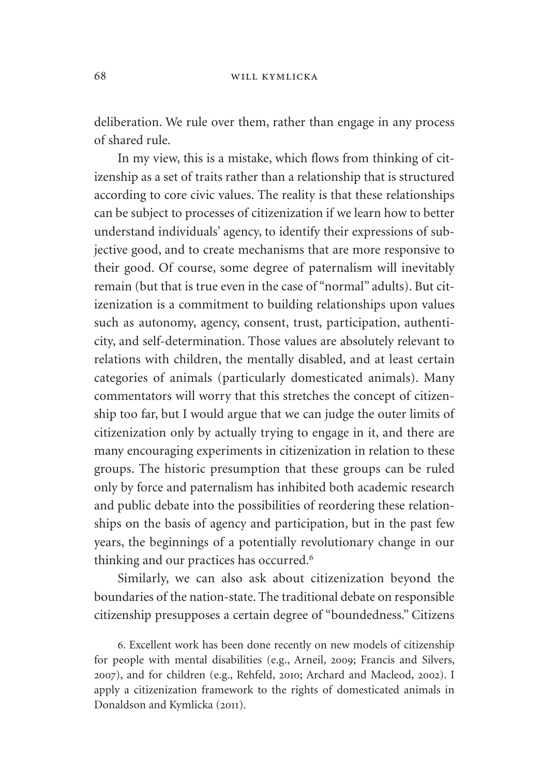deliberation. We rule over them, rather than engage in any process of shared rule.

In my view, this is a mistake, which flows from thinking of citizenship as a set of traits rather than a relationship that is structured according to core civic values. The reality is that these relationships can be subject to processes of citizenization if we learn how to better understand individuals' agency, to identify their expressions of subjective good, and to create mechanisms that are more responsive to their good. Of course, some degree of paternalism will inevitably remain (but that is true even in the case of "normal" adults). But citizenization is a commitment to building relationships upon values such as autonomy, agency, consent, trust, participation, authenticity, and self-determination. Those values are absolutely relevant to relations with children, the mentally disabled, and at least certain categories of animals (particularly domesticated animals). Many commentators will worry that this stretches the concept of citizenship too far, but I would argue that we can judge the outer limits of citizenization only by actually trying to engage in it, and there are many encouraging experiments in citizenization in relation to these groups. The historic presumption that these groups can be ruled only by force and paternalism has inhibited both academic research and public debate into the possibilities of reordering these relationships on the basis of agency and participation, but in the past few years, the beginnings of a potentially revolutionary change in our thinking and our practices has occurred.<sup>6</sup>

Similarly, we can also ask about citizenization beyond the boundaries of the nation-state. The traditional debate on responsible citizenship presupposes a certain degree of "boundedness." Citizens

6. Excellent work has been done recently on new models of citizenship for people with mental disabilities (e.g., Arneil, 2009; Francis and Silvers, 2007), and for children (e.g., Rehfeld, 2010; Archard and Macleod, 2002). I apply a citizenization framework to the rights of domesticated animals in Donaldson and Kymlicka (2011).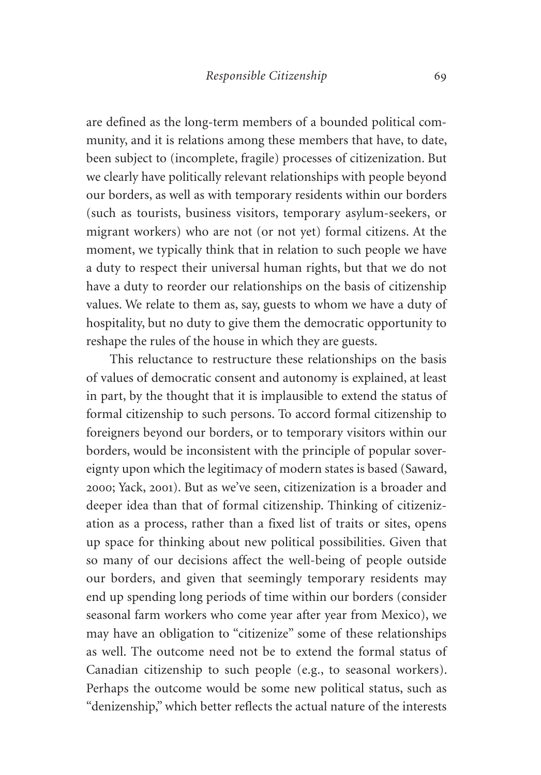are defined as the long-term members of a bounded political community, and it is relations among these members that have, to date, been subject to (incomplete, fragile) processes of citizenization. But we clearly have politically relevant relationships with people beyond our borders, as well as with temporary residents within our borders (such as tourists, business visitors, temporary asylum-seekers, or migrant workers) who are not (or not yet) formal citizens. At the moment, we typically think that in relation to such people we have a duty to respect their universal human rights, but that we do not have a duty to reorder our relationships on the basis of citizenship values. We relate to them as, say, guests to whom we have a duty of hospitality, but no duty to give them the democratic opportunity to reshape the rules of the house in which they are guests.

This reluctance to restructure these relationships on the basis of values of democratic consent and autonomy is explained, at least in part, by the thought that it is implausible to extend the status of formal citizenship to such persons. To accord formal citizenship to foreigners beyond our borders, or to temporary visitors within our borders, would be inconsistent with the principle of popular sovereignty upon which the legitimacy of modern states is based (Saward, 2000; Yack, 2001). But as we've seen, citizenization is a broader and deeper idea than that of formal citizenship. Thinking of citizenization as a process, rather than a fixed list of traits or sites, opens up space for thinking about new political possibilities. Given that so many of our decisions affect the well-being of people outside our borders, and given that seemingly temporary residents may end up spending long periods of time within our borders (consider seasonal farm workers who come year after year from Mexico), we may have an obligation to "citizenize" some of these relationships as well. The outcome need not be to extend the formal status of Canadian citizenship to such people (e.g., to seasonal workers). Perhaps the outcome would be some new political status, such as "denizenship," which better reflects the actual nature of the interests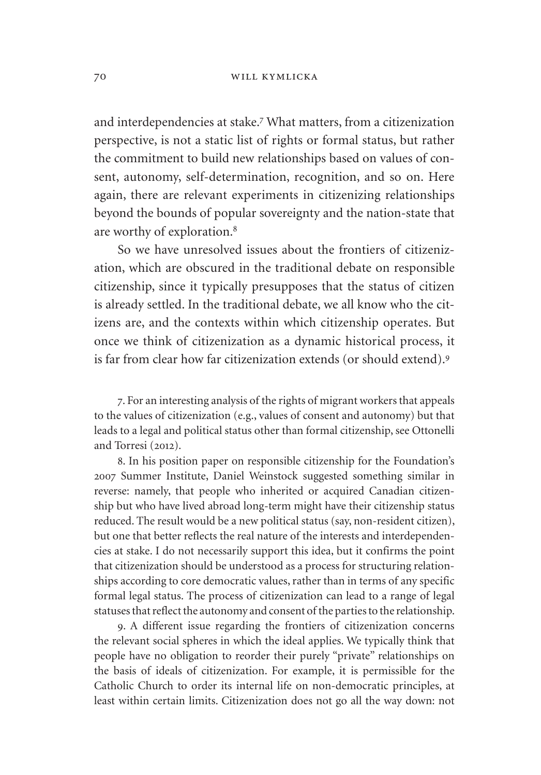and interdependencies at stake.<sup>7</sup> What matters, from a citizenization perspective, is not a static list of rights or formal status, but rather the commitment to build new relationships based on values of consent, autonomy, self-determination, recognition, and so on. Here again, there are relevant experiments in citizenizing relationships beyond the bounds of popular sovereignty and the nation-state that are worthy of exploration.<sup>8</sup>

So we have unresolved issues about the frontiers of citizenization, which are obscured in the traditional debate on responsible citizenship, since it typically presupposes that the status of citizen is already settled. In the traditional debate, we all know who the citizens are, and the contexts within which citizenship operates. But once we think of citizenization as a dynamic historical process, it is far from clear how far citizenization extends (or should extend).<sup>9</sup>

7. For an interesting analysis of the rights of migrant workers that appeals to the values of citizenization (e.g., values of consent and autonomy) but that leads to a legal and political status other than formal citizenship, see Ottonelli and Torresi (2012).

8. In his position paper on responsible citizenship for the Foundation's 2007 Summer Institute, Daniel Weinstock suggested something similar in reverse: namely, that people who inherited or acquired Canadian citizenship but who have lived abroad long-term might have their citizenship status reduced. The result would be a new political status (say, non-resident citizen), but one that better reflects the real nature of the interests and interdependencies at stake. I do not necessarily support this idea, but it confirms the point that citizenization should be understood as a process for structuring relationships according to core democratic values, rather than in terms of any specific formal legal status. The process of citizenization can lead to a range of legal statuses that reflect the autonomy and consent of the parties to the relationship.

9. A different issue regarding the frontiers of citizenization concerns the relevant social spheres in which the ideal applies. We typically think that people have no obligation to reorder their purely "private" relationships on the basis of ideals of citizenization. For example, it is permissible for the Catholic Church to order its internal life on non-democratic principles, at least within certain limits. Citizenization does not go all the way down: not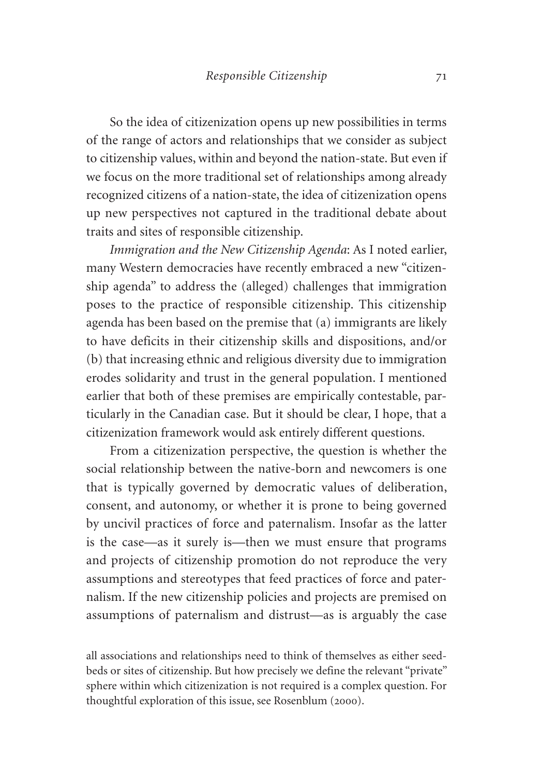So the idea of citizenization opens up new possibilities in terms of the range of actors and relationships that we consider as subject to citizenship values, within and beyond the nation-state. But even if we focus on the more traditional set of relationships among already recognized citizens of a nation-state, the idea of citizenization opens up new perspectives not captured in the traditional debate about traits and sites of responsible citizenship.

*Immigration and the New Citizenship Agenda*: As I noted earlier, many Western democracies have recently embraced a new "citizenship agenda" to address the (alleged) challenges that immigration poses to the practice of responsible citizenship. This citizenship agenda has been based on the premise that (a) immigrants are likely to have deficits in their citizenship skills and dispositions, and/or (b) that increasing ethnic and religious diversity due to immigration erodes solidarity and trust in the general population. I mentioned earlier that both of these premises are empirically contestable, particularly in the Canadian case. But it should be clear, I hope, that a citizenization framework would ask entirely different questions.

From a citizenization perspective, the question is whether the social relationship between the native-born and newcomers is one that is typically governed by democratic values of deliberation, consent, and autonomy, or whether it is prone to being governed by uncivil practices of force and paternalism. Insofar as the latter is the case—as it surely is—then we must ensure that programs and projects of citizenship promotion do not reproduce the very assumptions and stereotypes that feed practices of force and paternalism. If the new citizenship policies and projects are premised on assumptions of paternalism and distrust—as is arguably the case

all associations and relationships need to think of themselves as either seedbeds or sites of citizenship. But how precisely we define the relevant "private" sphere within which citizenization is not required is a complex question. For thoughtful exploration of this issue, see Rosenblum (2000).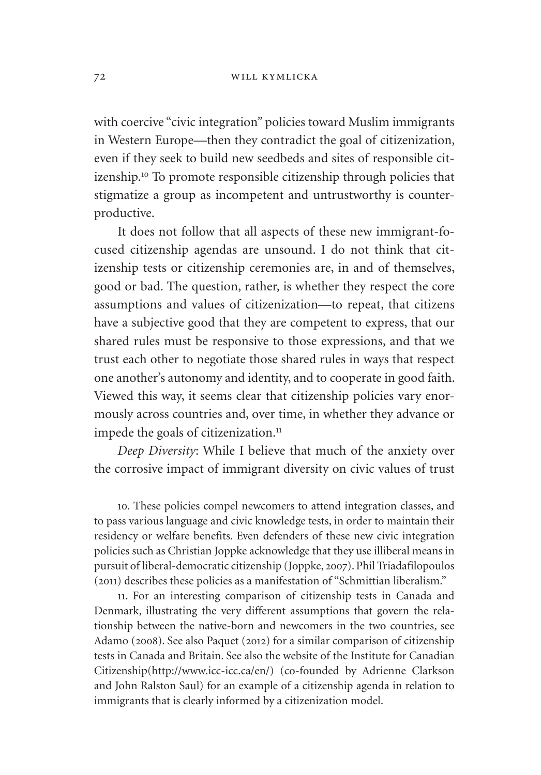with coercive "civic integration" policies toward Muslim immigrants in Western Europe—then they contradict the goal of citizenization, even if they seek to build new seedbeds and sites of responsible citizenship.<sup>10</sup> To promote responsible citizenship through policies that stigmatize a group as incompetent and untrustworthy is counterproductive.

It does not follow that all aspects of these new immigrant-focused citizenship agendas are unsound. I do not think that citizenship tests or citizenship ceremonies are, in and of themselves, good or bad. The question, rather, is whether they respect the core assumptions and values of citizenization—to repeat, that citizens have a subjective good that they are competent to express, that our shared rules must be responsive to those expressions, and that we trust each other to negotiate those shared rules in ways that respect one another's autonomy and identity, and to cooperate in good faith. Viewed this way, it seems clear that citizenship policies vary enormously across countries and, over time, in whether they advance or impede the goals of citizenization.<sup>11</sup>

*Deep Diversity*: While I believe that much of the anxiety over the corrosive impact of immigrant diversity on civic values of trust

10. These policies compel newcomers to attend integration classes, and to pass various language and civic knowledge tests, in order to maintain their residency or welfare benefits. Even defenders of these new civic integration policies such as Christian Joppke acknowledge that they use illiberal means in pursuit of liberal-democratic citizenship (Joppke, 2007). Phil Triadafilopoulos (2011) describes these policies as a manifestation of "Schmittian liberalism."

11. For an interesting comparison of citizenship tests in Canada and Denmark, illustrating the very different assumptions that govern the relationship between the native-born and newcomers in the two countries, see Adamo (2008). See also Paquet (2012) for a similar comparison of citizenship tests in Canada and Britain. See also the website of the Institute for Canadian Citizenship[\(http://www.icc-icc.ca/en/](http://www.icc-icc.ca/en/)) (co-founded by Adrienne Clarkson and John Ralston Saul) for an example of a citizenship agenda in relation to immigrants that is clearly informed by a citizenization model.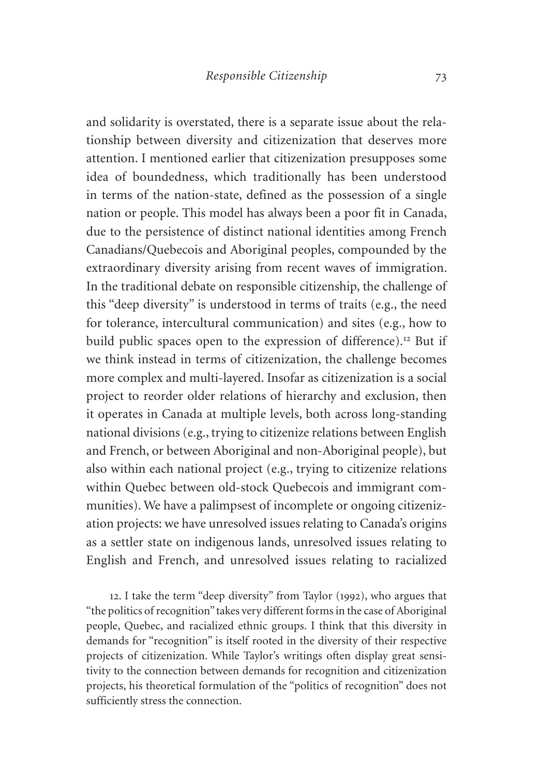and solidarity is overstated, there is a separate issue about the relationship between diversity and citizenization that deserves more attention. I mentioned earlier that citizenization presupposes some idea of boundedness, which traditionally has been understood in terms of the nation-state, defined as the possession of a single nation or people. This model has always been a poor fit in Canada, due to the persistence of distinct national identities among French Canadians/Quebecois and Aboriginal peoples, compounded by the extraordinary diversity arising from recent waves of immigration. In the traditional debate on responsible citizenship, the challenge of this "deep diversity" is understood in terms of traits (e.g., the need for tolerance, intercultural communication) and sites (e.g., how to build public spaces open to the expression of difference).<sup>12</sup> But if we think instead in terms of citizenization, the challenge becomes more complex and multi-layered. Insofar as citizenization is a social project to reorder older relations of hierarchy and exclusion, then it operates in Canada at multiple levels, both across long-standing national divisions (e.g., trying to citizenize relations between English and French, or between Aboriginal and non-Aboriginal people), but also within each national project (e.g., trying to citizenize relations within Quebec between old-stock Quebecois and immigrant communities). We have a palimpsest of incomplete or ongoing citizenization projects: we have unresolved issues relating to Canada's origins as a settler state on indigenous lands, unresolved issues relating to English and French, and unresolved issues relating to racialized

12. I take the term "deep diversity" from Taylor (1992), who argues that "the politics of recognition" takes very different forms in the case of Aboriginal people, Quebec, and racialized ethnic groups. I think that this diversity in demands for "recognition" is itself rooted in the diversity of their respective projects of citizenization. While Taylor's writings often display great sensitivity to the connection between demands for recognition and citizenization projects, his theoretical formulation of the "politics of recognition" does not sufficiently stress the connection.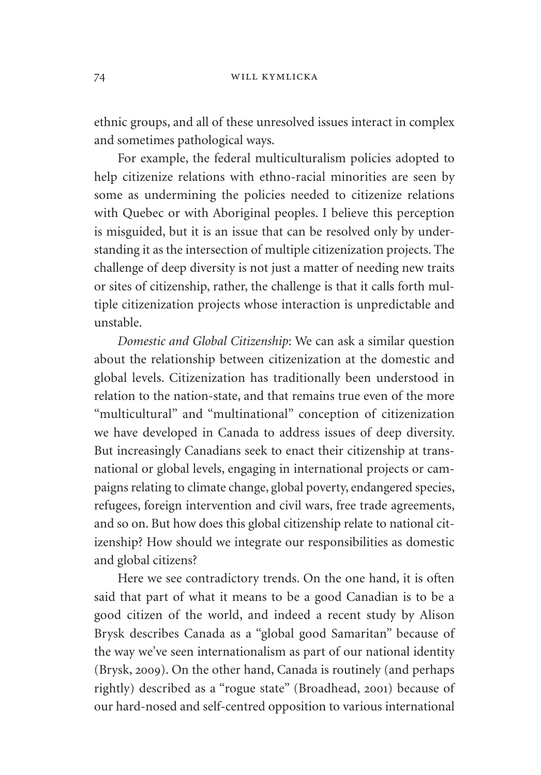ethnic groups, and all of these unresolved issues interact in complex and sometimes pathological ways.

For example, the federal multiculturalism policies adopted to help citizenize relations with ethno-racial minorities are seen by some as undermining the policies needed to citizenize relations with Quebec or with Aboriginal peoples. I believe this perception is misguided, but it is an issue that can be resolved only by understanding it as the intersection of multiple citizenization projects. The challenge of deep diversity is not just a matter of needing new traits or sites of citizenship, rather, the challenge is that it calls forth multiple citizenization projects whose interaction is unpredictable and unstable.

*Domestic and Global Citizenship*: We can ask a similar question about the relationship between citizenization at the domestic and global levels. Citizenization has traditionally been understood in relation to the nation-state, and that remains true even of the more "multicultural" and "multinational" conception of citizenization we have developed in Canada to address issues of deep diversity. But increasingly Canadians seek to enact their citizenship at transnational or global levels, engaging in international projects or campaigns relating to climate change, global poverty, endangered species, refugees, foreign intervention and civil wars, free trade agreements, and so on. But how does this global citizenship relate to national citizenship? How should we integrate our responsibilities as domestic and global citizens?

Here we see contradictory trends. On the one hand, it is often said that part of what it means to be a good Canadian is to be a good citizen of the world, and indeed a recent study by Alison Brysk describes Canada as a "global good Samaritan" because of the way we've seen internationalism as part of our national identity (Brysk, 2009). On the other hand, Canada is routinely (and perhaps rightly) described as a "rogue state" (Broadhead, 2001) because of our hard-nosed and self-centred opposition to various international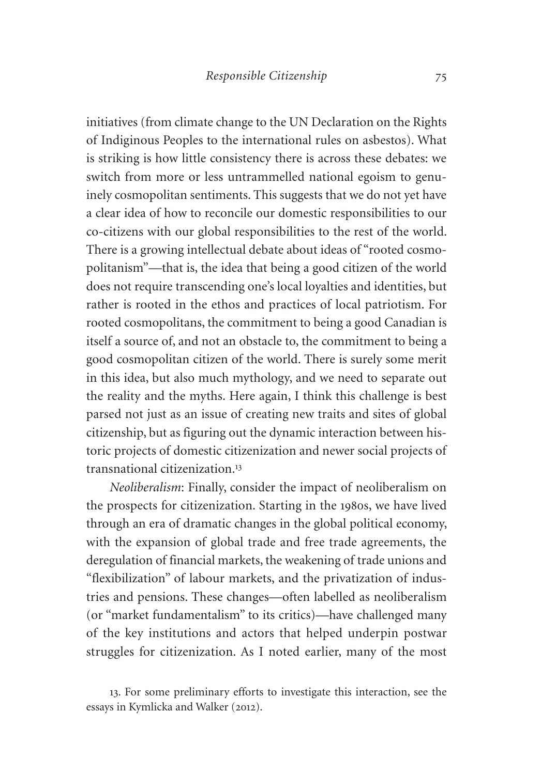initiatives (from climate change to the UN Declaration on the Rights of Indiginous Peoples to the international rules on asbestos). What is striking is how little consistency there is across these debates: we switch from more or less untrammelled national egoism to genuinely cosmopolitan sentiments. This suggests that we do not yet have a clear idea of how to reconcile our domestic responsibilities to our co-citizens with our global responsibilities to the rest of the world. There is a growing intellectual debate about ideas of "rooted cosmopolitanism"—that is, the idea that being a good citizen of the world does not require transcending one's local loyalties and identities, but rather is rooted in the ethos and practices of local patriotism. For rooted cosmopolitans, the commitment to being a good Canadian is itself a source of, and not an obstacle to, the commitment to being a good cosmopolitan citizen of the world. There is surely some merit in this idea, but also much mythology, and we need to separate out the reality and the myths. Here again, I think this challenge is best parsed not just as an issue of creating new traits and sites of global citizenship, but as figuring out the dynamic interaction between historic projects of domestic citizenization and newer social projects of transnational citizenization.<sup>13</sup>

*Neoliberalism*: Finally, consider the impact of neoliberalism on the prospects for citizenization. Starting in the 1980s, we have lived through an era of dramatic changes in the global political economy, with the expansion of global trade and free trade agreements, the deregulation of financial markets, the weakening of trade unions and "flexibilization" of labour markets, and the privatization of industries and pensions. These changes—often labelled as neoliberalism (or "market fundamentalism" to its critics)—have challenged many of the key institutions and actors that helped underpin postwar struggles for citizenization. As I noted earlier, many of the most

<sup>13</sup>. For some preliminary efforts to investigate this interaction, see the essays in Kymlicka and Walker (2012).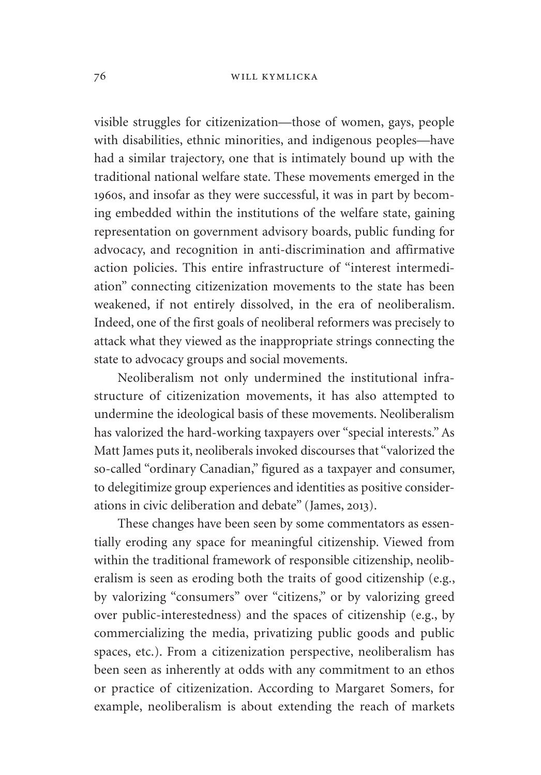visible struggles for citizenization—those of women, gays, people with disabilities, ethnic minorities, and indigenous peoples—have had a similar trajectory, one that is intimately bound up with the traditional national welfare state. These movements emerged in the 1960s, and insofar as they were successful, it was in part by becoming embedded within the institutions of the welfare state, gaining representation on government advisory boards, public funding for advocacy, and recognition in anti-discrimination and affirmative action policies. This entire infrastructure of "interest intermediation" connecting citizenization movements to the state has been weakened, if not entirely dissolved, in the era of neoliberalism. Indeed, one of the first goals of neoliberal reformers was precisely to attack what they viewed as the inappropriate strings connecting the state to advocacy groups and social movements.

Neoliberalism not only undermined the institutional infrastructure of citizenization movements, it has also attempted to undermine the ideological basis of these movements. Neoliberalism has valorized the hard-working taxpayers over "special interests." As Matt James puts it, neoliberals invoked discourses that "valorized the so-called "ordinary Canadian," figured as a taxpayer and consumer, to delegitimize group experiences and identities as positive considerations in civic deliberation and debate" (James, 2013).

These changes have been seen by some commentators as essentially eroding any space for meaningful citizenship. Viewed from within the traditional framework of responsible citizenship, neoliberalism is seen as eroding both the traits of good citizenship (e.g., by valorizing "consumers" over "citizens," or by valorizing greed over public-interestedness) and the spaces of citizenship (e.g., by commercializing the media, privatizing public goods and public spaces, etc.). From a citizenization perspective, neoliberalism has been seen as inherently at odds with any commitment to an ethos or practice of citizenization. According to Margaret Somers, for example, neoliberalism is about extending the reach of markets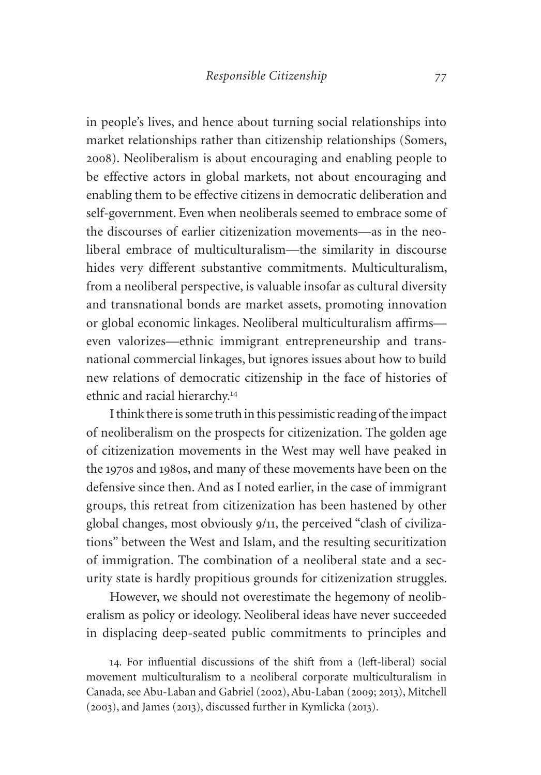in people's lives, and hence about turning social relationships into market relationships rather than citizenship relationships (Somers, 2008). Neoliberalism is about encouraging and enabling people to be effective actors in global markets, not about encouraging and enabling them to be effective citizens in democratic deliberation and self-government. Even when neoliberals seemed to embrace some of the discourses of earlier citizenization movements—as in the neoliberal embrace of multiculturalism—the similarity in discourse hides very different substantive commitments. Multiculturalism, from a neoliberal perspective, is valuable insofar as cultural diversity and transnational bonds are market assets, promoting innovation or global economic linkages. Neoliberal multiculturalism affirms even valorizes—ethnic immigrant entrepreneurship and transnational commercial linkages, but ignores issues about how to build new relations of democratic citizenship in the face of histories of ethnic and racial hierarchy.<sup>14</sup>

I think there is some truth in this pessimistic reading of the impact of neoliberalism on the prospects for citizenization. The golden age of citizenization movements in the West may well have peaked in the 1970s and 1980s, and many of these movements have been on the defensive since then. And as I noted earlier, in the case of immigrant groups, this retreat from citizenization has been hastened by other global changes, most obviously 9/11, the perceived "clash of civilizations" between the West and Islam, and the resulting securitization of immigration. The combination of a neoliberal state and a security state is hardly propitious grounds for citizenization struggles.

However, we should not overestimate the hegemony of neoliberalism as policy or ideology. Neoliberal ideas have never succeeded in displacing deep-seated public commitments to principles and

14. For influential discussions of the shift from a (left-liberal) social movement multiculturalism to a neoliberal corporate multiculturalism in Canada, see Abu-Laban and Gabriel (2002), Abu-Laban (2009; 2013), Mitchell (2003), and James (2013), discussed further in Kymlicka (2013).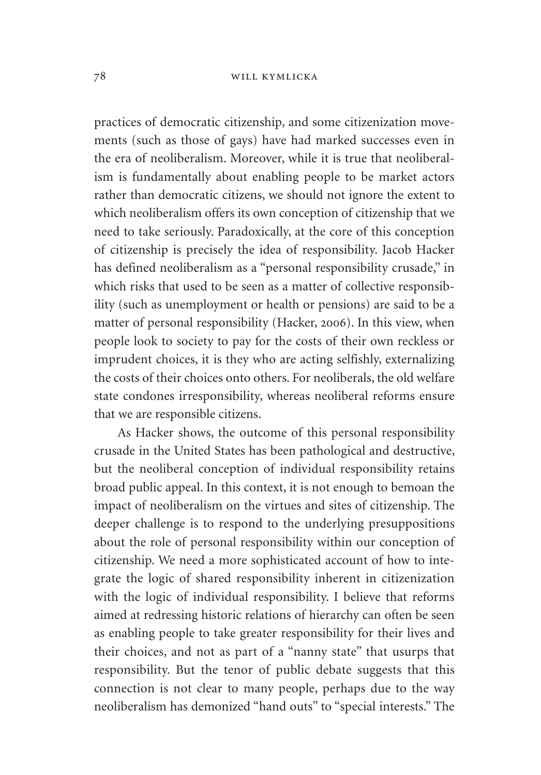practices of democratic citizenship, and some citizenization movements (such as those of gays) have had marked successes even in the era of neoliberalism. Moreover, while it is true that neoliberalism is fundamentally about enabling people to be market actors rather than democratic citizens, we should not ignore the extent to which neoliberalism offers its own conception of citizenship that we need to take seriously. Paradoxically, at the core of this conception of citizenship is precisely the idea of responsibility. Jacob Hacker has defined neoliberalism as a "personal responsibility crusade," in which risks that used to be seen as a matter of collective responsibility (such as unemployment or health or pensions) are said to be a matter of personal responsibility (Hacker, 2006). In this view, when people look to society to pay for the costs of their own reckless or imprudent choices, it is they who are acting selfishly, externalizing the costs of their choices onto others. For neoliberals, the old welfare state condones irresponsibility, whereas neoliberal reforms ensure that we are responsible citizens.

As Hacker shows, the outcome of this personal responsibility crusade in the United States has been pathological and destructive, but the neoliberal conception of individual responsibility retains broad public appeal. In this context, it is not enough to bemoan the impact of neoliberalism on the virtues and sites of citizenship. The deeper challenge is to respond to the underlying presuppositions about the role of personal responsibility within our conception of citizenship. We need a more sophisticated account of how to integrate the logic of shared responsibility inherent in citizenization with the logic of individual responsibility. I believe that reforms aimed at redressing historic relations of hierarchy can often be seen as enabling people to take greater responsibility for their lives and their choices, and not as part of a "nanny state" that usurps that responsibility. But the tenor of public debate suggests that this connection is not clear to many people, perhaps due to the way neoliberalism has demonized "hand outs" to "special interests." The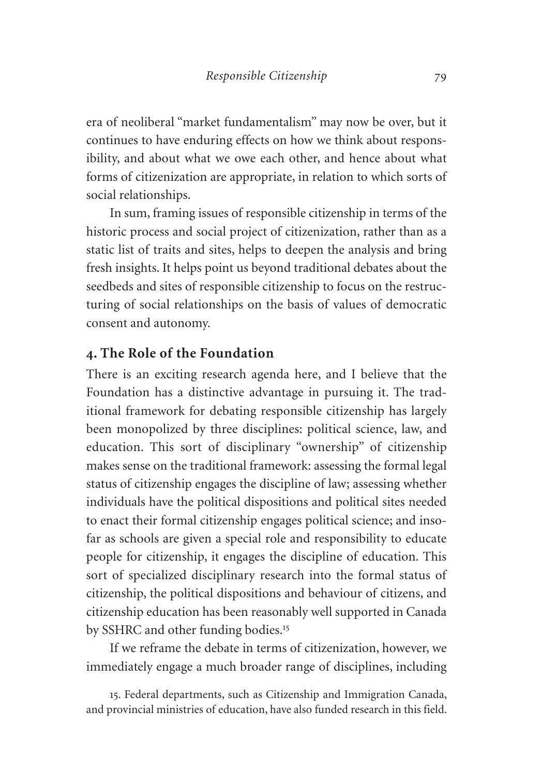era of neoliberal "market fundamentalism" may now be over, but it continues to have enduring effects on how we think about responsibility, and about what we owe each other, and hence about what forms of citizenization are appropriate, in relation to which sorts of social relationships.

In sum, framing issues of responsible citizenship in terms of the historic process and social project of citizenization, rather than as a static list of traits and sites, helps to deepen the analysis and bring fresh insights. It helps point us beyond traditional debates about the seedbeds and sites of responsible citizenship to focus on the restructuring of social relationships on the basis of values of democratic consent and autonomy.

# **4. The Role of the Foundation**

There is an exciting research agenda here, and I believe that the Foundation has a distinctive advantage in pursuing it. The traditional framework for debating responsible citizenship has largely been monopolized by three disciplines: political science, law, and education. This sort of disciplinary "ownership" of citizenship makes sense on the traditional framework: assessing the formal legal status of citizenship engages the discipline of law; assessing whether individuals have the political dispositions and political sites needed to enact their formal citizenship engages political science; and insofar as schools are given a special role and responsibility to educate people for citizenship, it engages the discipline of education. This sort of specialized disciplinary research into the formal status of citizenship, the political dispositions and behaviour of citizens, and citizenship education has been reasonably well supported in Canada by SSHRC and other funding bodies.<sup>15</sup>

If we reframe the debate in terms of citizenization, however, we immediately engage a much broader range of disciplines, including

15. Federal departments, such as Citizenship and Immigration Canada, and provincial ministries of education, have also funded research in this field.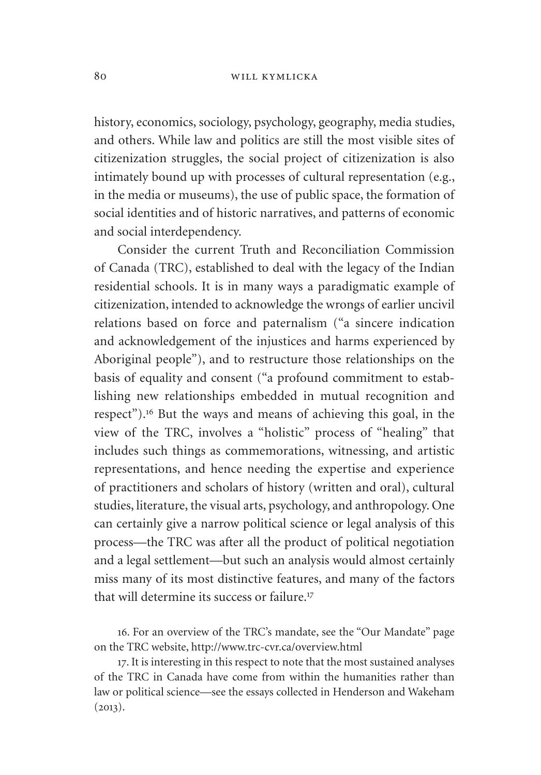#### 80 will kymlicka

history, economics, sociology, psychology, geography, media studies, and others. While law and politics are still the most visible sites of citizenization struggles, the social project of citizenization is also intimately bound up with processes of cultural representation (e.g., in the media or museums), the use of public space, the formation of social identities and of historic narratives, and patterns of economic and social interdependency.

Consider the current Truth and Reconciliation Commission of Canada (TRC), established to deal with the legacy of the Indian residential schools. It is in many ways a paradigmatic example of citizenization, intended to acknowledge the wrongs of earlier uncivil relations based on force and paternalism ("a sincere indication and acknowledgement of the injustices and harms experienced by Aboriginal people"), and to restructure those relationships on the basis of equality and consent ("a profound commitment to establishing new relationships embedded in mutual recognition and respect").<sup>16</sup> But the ways and means of achieving this goal, in the view of the TRC, involves a "holistic" process of "healing" that includes such things as commemorations, witnessing, and artistic representations, and hence needing the expertise and experience of practitioners and scholars of history (written and oral), cultural studies, literature, the visual arts, psychology, and anthropology. One can certainly give a narrow political science or legal analysis of this process—the TRC was after all the product of political negotiation and a legal settlement—but such an analysis would almost certainly miss many of its most distinctive features, and many of the factors that will determine its success or failure<sup>17</sup>

16. For an overview of the TRC's mandate, see the "Our Mandate" page on the TRC website,<http://www.trc-cvr.ca/overview.html>

17. It is interesting in this respect to note that the most sustained analyses of the TRC in Canada have come from within the humanities rather than law or political science—see the essays collected in Henderson and Wakeham  $(2013).$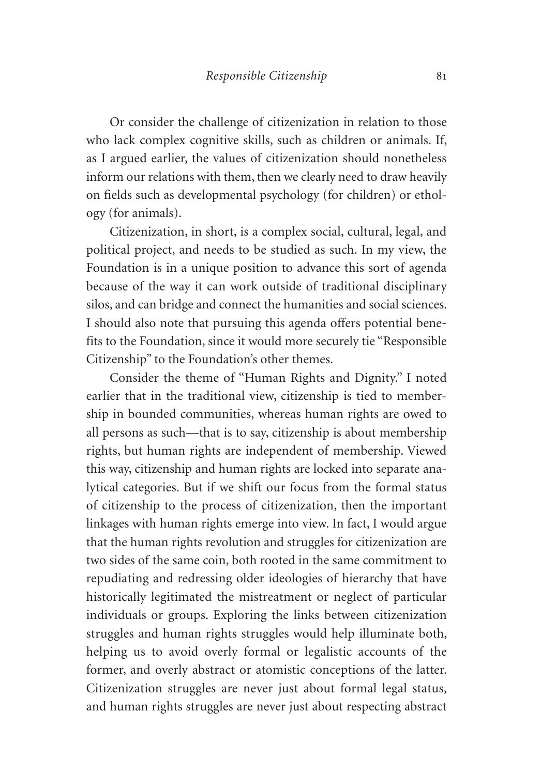Or consider the challenge of citizenization in relation to those who lack complex cognitive skills, such as children or animals. If, as I argued earlier, the values of citizenization should nonetheless inform our relations with them, then we clearly need to draw heavily on fields such as developmental psychology (for children) or ethology (for animals).

Citizenization, in short, is a complex social, cultural, legal, and political project, and needs to be studied as such. In my view, the Foundation is in a unique position to advance this sort of agenda because of the way it can work outside of traditional disciplinary silos, and can bridge and connect the humanities and social sciences. I should also note that pursuing this agenda offers potential benefits to the Foundation, since it would more securely tie "Responsible Citizenship" to the Foundation's other themes.

Consider the theme of "Human Rights and Dignity." I noted earlier that in the traditional view, citizenship is tied to membership in bounded communities, whereas human rights are owed to all persons as such—that is to say, citizenship is about membership rights, but human rights are independent of membership. Viewed this way, citizenship and human rights are locked into separate analytical categories. But if we shift our focus from the formal status of citizenship to the process of citizenization, then the important linkages with human rights emerge into view. In fact, I would argue that the human rights revolution and struggles for citizenization are two sides of the same coin, both rooted in the same commitment to repudiating and redressing older ideologies of hierarchy that have historically legitimated the mistreatment or neglect of particular individuals or groups. Exploring the links between citizenization struggles and human rights struggles would help illuminate both, helping us to avoid overly formal or legalistic accounts of the former, and overly abstract or atomistic conceptions of the latter. Citizenization struggles are never just about formal legal status, and human rights struggles are never just about respecting abstract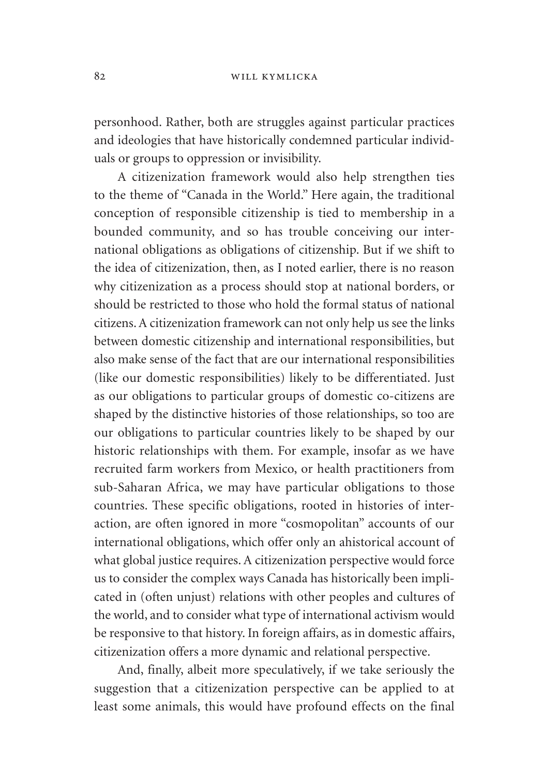personhood. Rather, both are struggles against particular practices and ideologies that have historically condemned particular individuals or groups to oppression or invisibility.

A citizenization framework would also help strengthen ties to the theme of "Canada in the World." Here again, the traditional conception of responsible citizenship is tied to membership in a bounded community, and so has trouble conceiving our international obligations as obligations of citizenship. But if we shift to the idea of citizenization, then, as I noted earlier, there is no reason why citizenization as a process should stop at national borders, or should be restricted to those who hold the formal status of national citizens. A citizenization framework can not only help us see the links between domestic citizenship and international responsibilities, but also make sense of the fact that are our international responsibilities (like our domestic responsibilities) likely to be differentiated. Just as our obligations to particular groups of domestic co-citizens are shaped by the distinctive histories of those relationships, so too are our obligations to particular countries likely to be shaped by our historic relationships with them. For example, insofar as we have recruited farm workers from Mexico, or health practitioners from sub-Saharan Africa, we may have particular obligations to those countries. These specific obligations, rooted in histories of interaction, are often ignored in more "cosmopolitan" accounts of our international obligations, which offer only an ahistorical account of what global justice requires. A citizenization perspective would force us to consider the complex ways Canada has historically been implicated in (often unjust) relations with other peoples and cultures of the world, and to consider what type of international activism would be responsive to that history. In foreign affairs, as in domestic affairs, citizenization offers a more dynamic and relational perspective.

And, finally, albeit more speculatively, if we take seriously the suggestion that a citizenization perspective can be applied to at least some animals, this would have profound effects on the final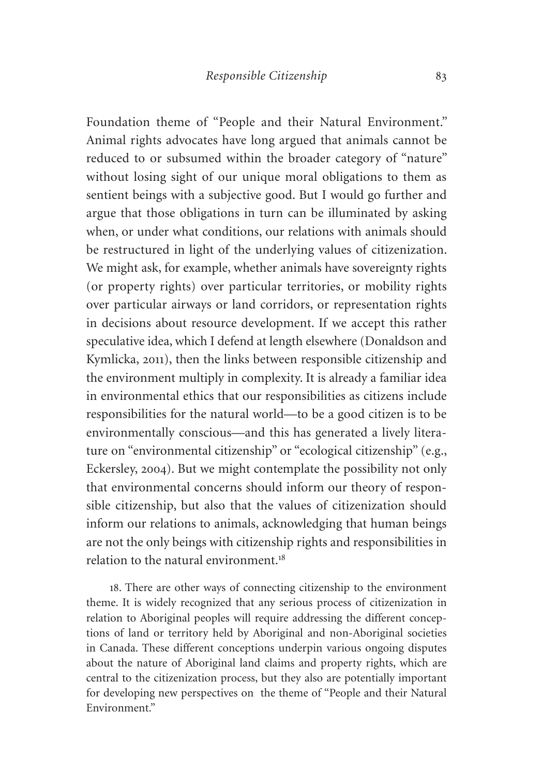Foundation theme of "People and their Natural Environment." Animal rights advocates have long argued that animals cannot be reduced to or subsumed within the broader category of "nature" without losing sight of our unique moral obligations to them as sentient beings with a subjective good. But I would go further and argue that those obligations in turn can be illuminated by asking when, or under what conditions, our relations with animals should be restructured in light of the underlying values of citizenization. We might ask, for example, whether animals have sovereignty rights (or property rights) over particular territories, or mobility rights over particular airways or land corridors, or representation rights in decisions about resource development. If we accept this rather speculative idea, which I defend at length elsewhere (Donaldson and Kymlicka, 2011), then the links between responsible citizenship and the environment multiply in complexity. It is already a familiar idea in environmental ethics that our responsibilities as citizens include responsibilities for the natural world—to be a good citizen is to be environmentally conscious—and this has generated a lively literature on "environmental citizenship" or "ecological citizenship" (e.g., Eckersley, 2004). But we might contemplate the possibility not only that environmental concerns should inform our theory of responsible citizenship, but also that the values of citizenization should inform our relations to animals, acknowledging that human beings are not the only beings with citizenship rights and responsibilities in relation to the natural environment.<sup>18</sup>

18. There are other ways of connecting citizenship to the environment theme. It is widely recognized that any serious process of citizenization in relation to Aboriginal peoples will require addressing the different conceptions of land or territory held by Aboriginal and non-Aboriginal societies in Canada. These different conceptions underpin various ongoing disputes about the nature of Aboriginal land claims and property rights, which are central to the citizenization process, but they also are potentially important for developing new perspectives on the theme of "People and their Natural Environment."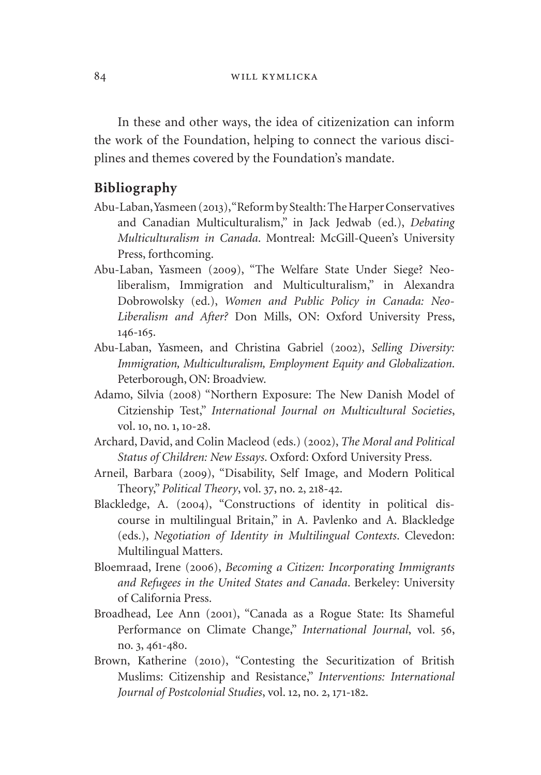In these and other ways, the idea of citizenization can inform the work of the Foundation, helping to connect the various disciplines and themes covered by the Foundation's mandate.

#### **Bibliography**

- Abu-Laban, Yasmeen (2013), "Reform by Stealth: The Harper Conservatives and Canadian Multiculturalism," in Jack Jedwab (ed.), *Debating Multiculturalism in Canada*. Montreal: McGill-Queen's University Press, forthcoming.
- Abu-Laban, Yasmeen (2009), "The Welfare State Under Siege? Neoliberalism, Immigration and Multiculturalism," in Alexandra Dobrowolsky (ed.), *Women and Public Policy in Canada: Neo-Liberalism and After?* Don Mills, ON: Oxford University Press, 146-165.
- Abu-Laban, Yasmeen, and Christina Gabriel (2002), *Selling Diversity: Immigration, Multiculturalism, Employment Equity and Globalization*. Peterborough, ON: Broadview.
- Adamo, Silvia (2008) "Northern Exposure: The New Danish Model of Citzienship Test," *International Journal on Multicultural Societies*, vol. 10, no. 1, 10-28.
- Archard, David, and Colin Macleod (eds.) (2002), *The Moral and Political Status of Children: New Essays*. Oxford: Oxford University Press.
- Arneil, Barbara (2009), "Disability, Self Image, and Modern Political Theory," *Political Theory*, vol. 37, no. 2, 218-42.
- Blackledge, A. (2004), "Constructions of identity in political discourse in multilingual Britain," in A. Pavlenko and A. Blackledge (eds.), *Negotiation of Identity in Multilingual Contexts*. Clevedon: Multilingual Matters.
- Bloemraad, Irene (2006), *Becoming a Citizen: Incorporating Immigrants and Refugees in the United States and Canada*. Berkeley: University of California Press.
- Broadhead, Lee Ann (2001), "Canada as a Rogue State: Its Shameful Performance on Climate Change," *International Journal*, vol. 56, no. 3, 461-480.
- Brown, Katherine (2010), "Contesting the Securitization of British Muslims: Citizenship and Resistance," *Interventions: International Journal of Postcolonial Studies*, vol. 12, no. 2, 171-182.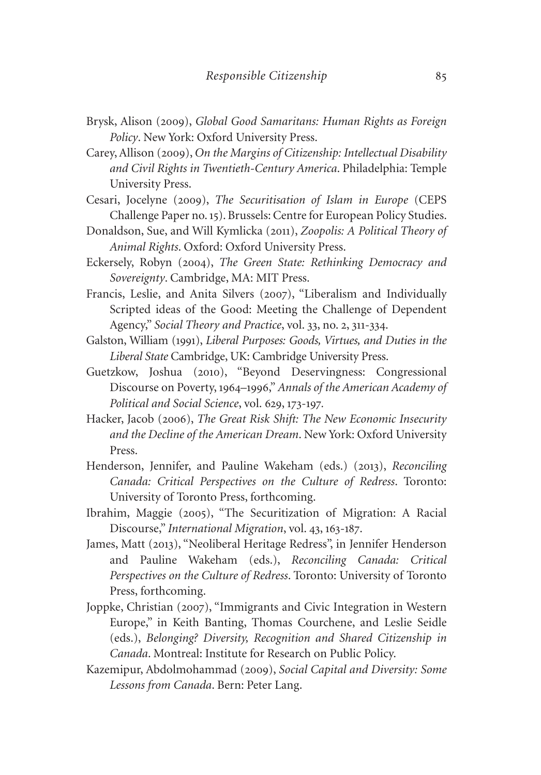- Brysk, Alison (2009), *Global Good Samaritans: Human Rights as Foreign Policy*. New York: Oxford University Press.
- Carey, Allison (2009), *On the Margins of Citizenship: Intellectual Disability and Civil Rights in Twentieth-Century America*. Philadelphia: Temple University Press.
- Cesari, Jocelyne (2009), *The Securitisation of Islam in Europe* (CEPS Challenge Paper no. 15). Brussels: Centre for European Policy Studies.
- Donaldson, Sue, and Will Kymlicka (2011), *Zoopolis: A Political Theory of Animal Rights*. Oxford: Oxford University Press.
- Eckersely, Robyn (2004), *The Green State: Rethinking Democracy and Sovereignty*. Cambridge, MA: MIT Press.
- Francis, Leslie, and Anita Silvers (2007), "Liberalism and Individually Scripted ideas of the Good: Meeting the Challenge of Dependent Agency," *Social Theory and Practice*, vol. 33, no. 2, 311-334.
- Galston, William (1991), *Liberal Purposes: Goods, Virtues, and Duties in the Liberal State* Cambridge, UK: Cambridge University Press.
- Guetzkow, Joshua (2010), "Beyond Deservingness: Congressional Discourse on Poverty, 1964–1996," *Annals of the American Academy of Political and Social Science*, vol. 629, 173-197*.*
- Hacker, Jacob (2006), *The Great Risk Shift: The New Economic Insecurity and the Decline of the American Dream*. New York: Oxford University Press.
- Henderson, Jennifer, and Pauline Wakeham (eds.) (2013), *Reconciling Canada: Critical Perspectives on the Culture of Redress*. Toronto: University of Toronto Press, forthcoming.
- Ibrahim, Maggie (2005), "The Securitization of Migration: A Racial Discourse," *International Migration*, vol. 43, 163-187.
- James, Matt (2013), "Neoliberal Heritage Redress", in Jennifer Henderson and Pauline Wakeham (eds.), *Reconciling Canada: Critical Perspectives on the Culture of Redress*. Toronto: University of Toronto Press, forthcoming.
- Joppke, Christian (2007), "Immigrants and Civic Integration in Western Europe," in Keith Banting, Thomas Courchene, and Leslie Seidle (eds.), *Belonging? Diversity, Recognition and Shared Citizenship in Canada*. Montreal: Institute for Research on Public Policy.
- Kazemipur, Abdolmohammad (2009), *Social Capital and Diversity: Some Lessons from Canada*. Bern: Peter Lang.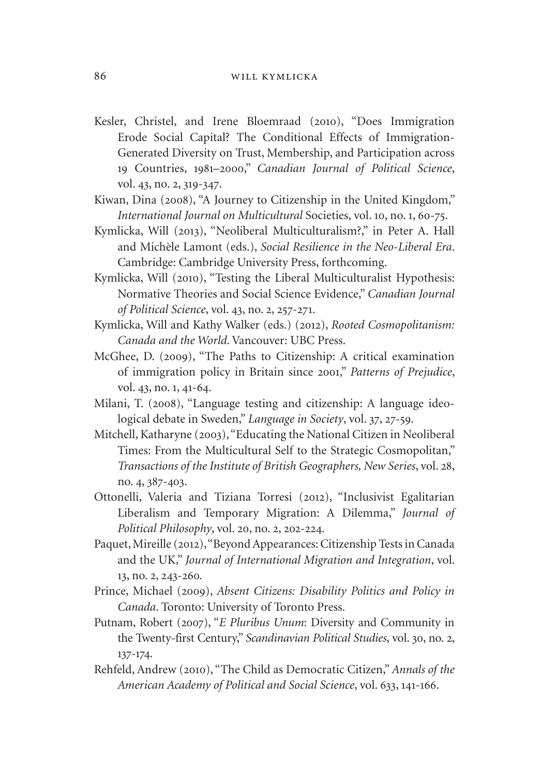- Kesler, Christel, and Irene Bloemraad (2010), "Does Immigration Erode Social Capital? The Conditional Effects of Immigration-Generated Diversity on Trust, Membership, and Participation across 19 Countries, 1981–2000," *Canadian Journal of Political Science*, vol. 43, no. 2, 319-347.
- Kiwan, Dina (2008), "A Journey to Citizenship in the United Kingdom," *International Journal on Multicultural* Societies, vol. 10, no. 1, 60-75.
- Kymlicka, Will (2013), "Neoliberal Multiculturalism?," in Peter A. Hall and Michèle Lamont (eds.), *Social Resilience in the Neo-Liberal Era*. Cambridge: Cambridge University Press, forthcoming.
- Kymlicka, Will (2010), "Testing the Liberal Multiculturalist Hypothesis: Normative Theories and Social Science Evidence," *Canadian Journal of Political Science*, vol. 43, no. 2, 257-271.
- Kymlicka, Will and Kathy Walker (eds.) (2012), *Rooted Cosmopolitanism: Canada and the World*. Vancouver: UBC Press.
- McGhee, D. (2009), "The Paths to Citizenship: A critical examination of immigration policy in Britain since 2001," *Patterns of Prejudice*, vol. 43, no. 1, 41-64.
- Milani, T. (2008), "Language testing and citizenship: A language ideological debate in Sweden," *Language in Society*, vol. 37, 27-59.
- Mitchell, Katharyne (2003), "Educating the National Citizen in Neoliberal Times: From the Multicultural Self to the Strategic Cosmopolitan," *Transactions of the Institute of British Geographers, New Series*, vol. 28, no. 4, 387-403.
- Ottonelli, Valeria and Tiziana Torresi (2012), "Inclusivist Egalitarian Liberalism and Temporary Migration: A Dilemma," *Journal of Political Philosophy*, vol. 20, no. 2, 202-224.
- Paquet, Mireille (2012), "Beyond Appearances: Citizenship Tests in Canada and the UK," *Journal of International Migration and Integration*, vol. 13, no. 2, 243-260*.*
- Prince, Michael (2009), *Absent Citizens: Disability Politics and Policy in Canada*. Toronto: University of Toronto Press.
- Putnam, Robert (2007), "*E Pluribus Unum*: Diversity and Community in the Twenty-first Century," *Scandinavian Political Studies*, vol. 30, no. 2, 137-174.
- Rehfeld, Andrew (2010), "The Child as Democratic Citizen," *Annals of the American Academy of Political and Social Science*, vol. 633, 141-166.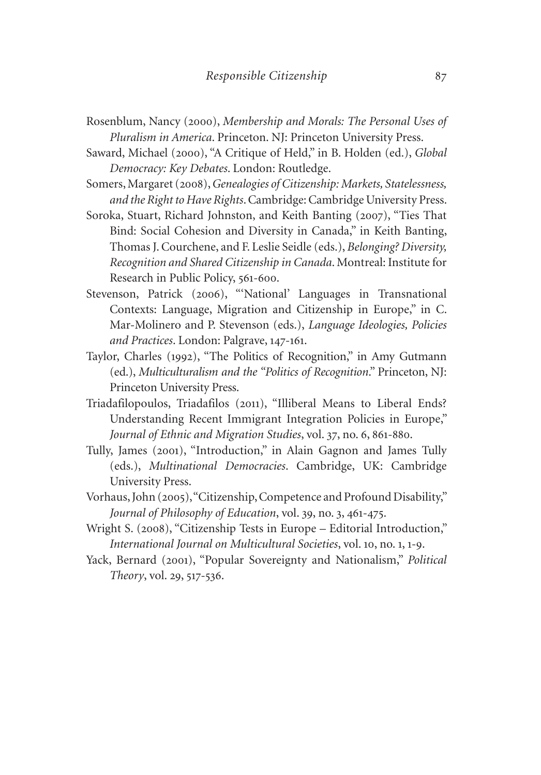- Rosenblum, Nancy (2000), *Membership and Morals: The Personal Uses of Pluralism in America*. Princeton. NJ: Princeton University Press.
- Saward, Michael (2000), "A Critique of Held," in B. Holden (ed.), *Global Democracy: Key Debates*. London: Routledge.
- Somers, Margaret (2008), *Genealogies of Citizenship: Markets, Statelessness, and the Right to Have Rights*. Cambridge: Cambridge University Press.
- Soroka, Stuart, Richard Johnston, and Keith Banting (2007), "Ties That Bind: Social Cohesion and Diversity in Canada," in Keith Banting, Thomas J. Courchene, and F. Leslie Seidle (eds.), *Belonging? Diversity, Recognition and Shared Citizenship in Canada*. Montreal: Institute for Research in Public Policy, 561-600.
- Stevenson, Patrick (2006), "'National' Languages in Transnational Contexts: Language, Migration and Citizenship in Europe," in C. Mar-Molinero and P. Stevenson (eds.), *Language Ideologies, Policies and Practices*. London: Palgrave, 147-161.
- Taylor, Charles (1992), "The Politics of Recognition," in Amy Gutmann (ed.), *Multiculturalism and the "Politics of Recognition*." Princeton, NJ: Princeton University Press.
- Triadafilopoulos, Triadafilos (2011), "Illiberal Means to Liberal Ends? Understanding Recent Immigrant Integration Policies in Europe," *Journal of Ethnic and Migration Studies*, vol. 37, no. 6, 861-880.
- Tully, James (2001), "Introduction," in Alain Gagnon and James Tully (eds.), *Multinational Democracies*. Cambridge, UK: Cambridge University Press.
- Vorhaus, John (2005), "Citizenship, Competence and Profound Disability," *Journal of Philosophy of Education*, vol. 39, no. 3, 461-475.
- Wright S. (2008), "Citizenship Tests in Europe Editorial Introduction," *International Journal on Multicultural Societies*, vol. 10, no. 1, 1-9.
- Yack, Bernard (2001), "Popular Sovereignty and Nationalism," *Political Theory*, vol. 29, 517-536.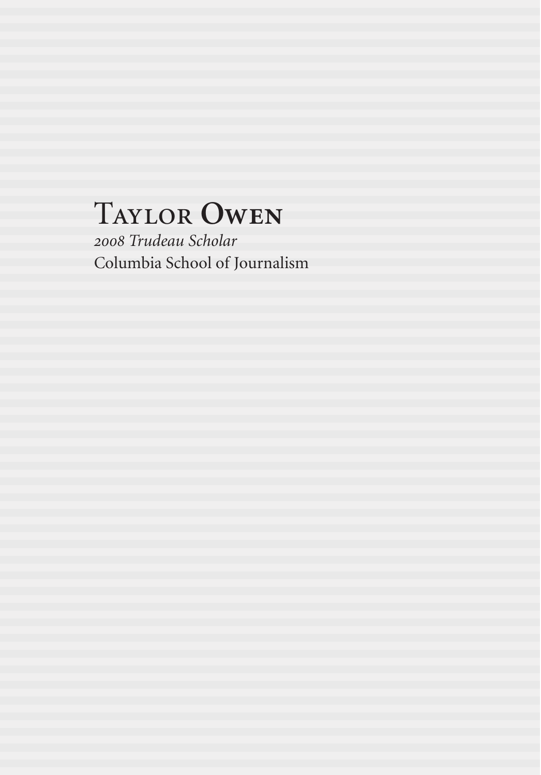# Taylor **Owen**

*2008 Trudeau Scholar* Columbia School of Journalism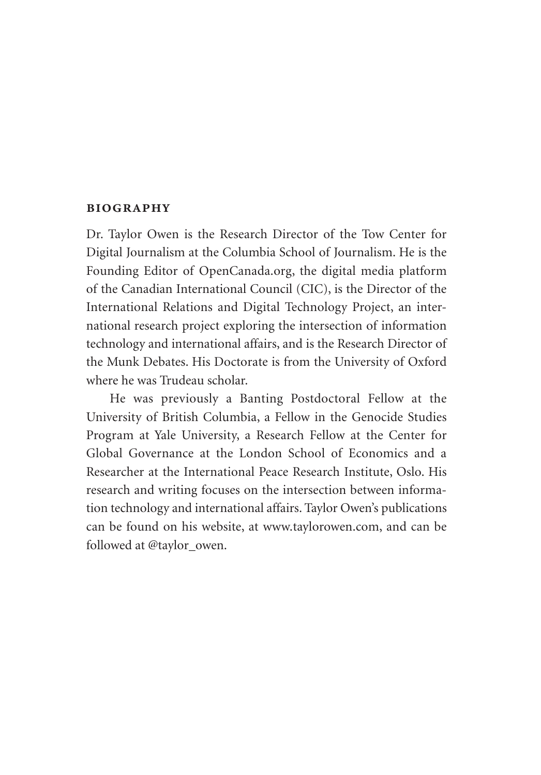#### **biography**

Dr. Taylor Owen is the Research Director of the Tow Center for Digital Journalism at the Columbia School of Journalism. He is the Founding Editor of [OpenCanada.org](http://OpenCanada.org), the digital media platform of the Canadian International Council (CIC), is the Director of the International Relations and Digital Technology Project, an international research project exploring the intersection of information technology and international affairs, and is the Research Director of the Munk Debates. His Doctorate is from the University of Oxford where he was Trudeau scholar.

He was previously a Banting Postdoctoral Fellow at the University of British Columbia, a Fellow in the Genocide Studies Program at Yale University, a Research Fellow at the Center for Global Governance at the London School of Economics and a Researcher at the International Peace Research Institute, Oslo. His research and writing focuses on the intersection between information technology and international affairs. Taylor Owen's publications can be found on his website, at [www.taylorowen.com](http://www.taylorowen.com), and can be followed at @taylor\_owen.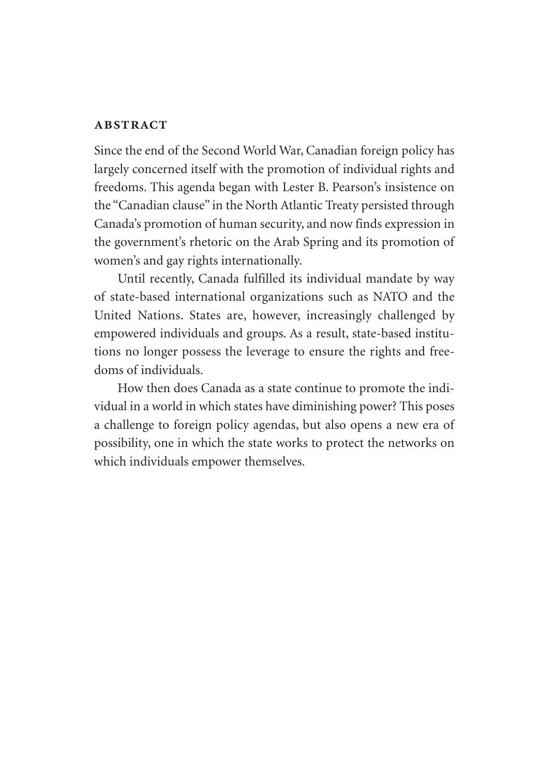#### **abstract**

Since the end of the Second World War, Canadian foreign policy has largely concerned itself with the promotion of individual rights and freedoms. This agenda began with Lester B. Pearson's insistence on the "Canadian clause" in the North Atlantic Treaty persisted through Canada's promotion of human security, and now finds expression in the government's rhetoric on the Arab Spring and its promotion of women's and gay rights internationally.

Until recently, Canada fulfilled its individual mandate by way of state-based international organizations such as NATO and the United Nations. States are, however, increasingly challenged by empowered individuals and groups. As a result, state-based institutions no longer possess the leverage to ensure the rights and freedoms of individuals.

How then does Canada as a state continue to promote the individual in a world in which states have diminishing power? This poses a challenge to foreign policy agendas, but also opens a new era of possibility, one in which the state works to protect the networks on which individuals empower themselves.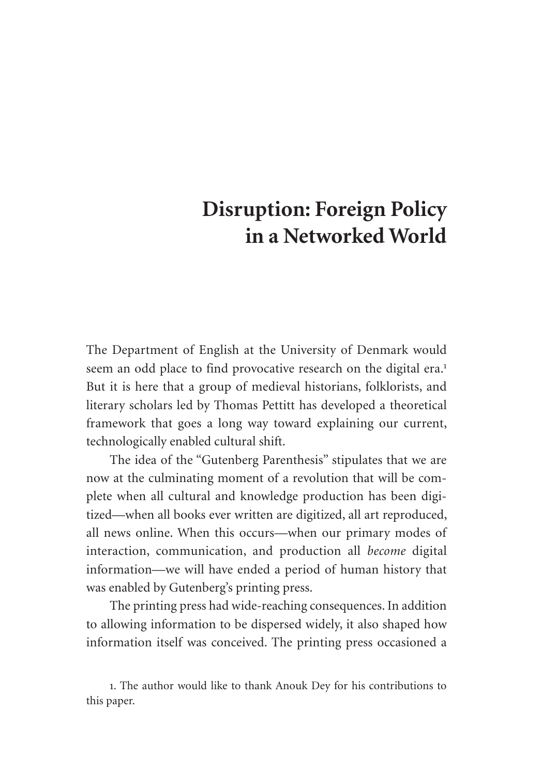# **Disruption: Foreign Policy in a Networked World**

The Department of English at the University of Denmark would seem an odd place to find provocative research on the digital era.<sup>1</sup> But it is here that a group of medieval historians, folklorists, and literary scholars led by Thomas Pettitt has developed a theoretical framework that goes a long way toward explaining our current, technologically enabled cultural shift.

The idea of the "Gutenberg Parenthesis" stipulates that we are now at the culminating moment of a revolution that will be complete when all cultural and knowledge production has been digitized—when all books ever written are digitized, all art reproduced, all news online. When this occurs—when our primary modes of interaction, communication, and production all *become* digital information—we will have ended a period of human history that was enabled by Gutenberg's printing press.

The printing press had wide-reaching consequences. In addition to allowing information to be dispersed widely, it also shaped how information itself was conceived. The printing press occasioned a

<sup>1</sup>. The author would like to thank Anouk Dey for his contributions to this paper.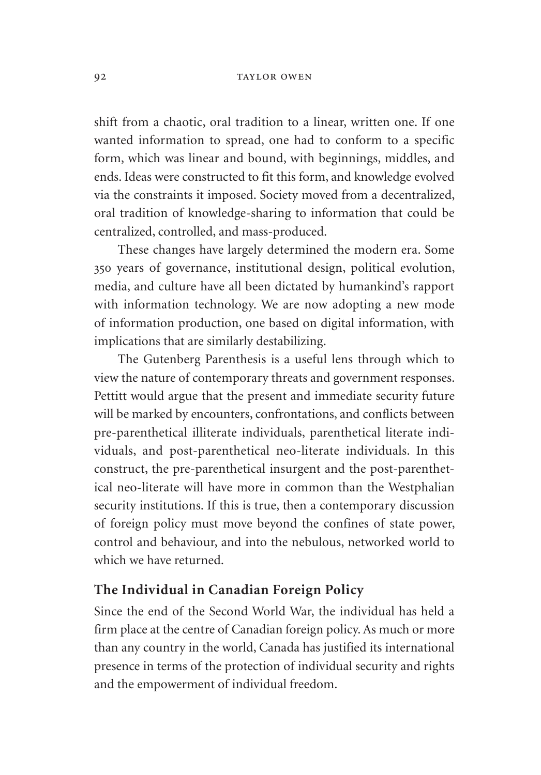#### 92 TAYLOR OWEN

shift from a chaotic, oral tradition to a linear, written one. If one wanted information to spread, one had to conform to a specific form, which was linear and bound, with beginnings, middles, and ends. Ideas were constructed to fit this form, and knowledge evolved via the constraints it imposed. Society moved from a decentralized, oral tradition of knowledge-sharing to information that could be centralized, controlled, and mass-produced.

These changes have largely determined the modern era. Some 350 years of governance, institutional design, political evolution, media, and culture have all been dictated by humankind's rapport with information technology. We are now adopting a new mode of information production, one based on digital information, with implications that are similarly destabilizing.

The Gutenberg Parenthesis is a useful lens through which to view the nature of contemporary threats and government responses. Pettitt would argue that the present and immediate security future will be marked by encounters, confrontations, and conflicts between pre-parenthetical illiterate individuals, parenthetical literate individuals, and post-parenthetical neo-literate individuals. In this construct, the pre-parenthetical insurgent and the post-parenthetical neo-literate will have more in common than the Westphalian security institutions. If this is true, then a contemporary discussion of foreign policy must move beyond the confines of state power, control and behaviour, and into the nebulous, networked world to which we have returned.

# **The Individual in Canadian Foreign Policy**

Since the end of the Second World War, the individual has held a firm place at the centre of Canadian foreign policy. As much or more than any country in the world, Canada has justified its international presence in terms of the protection of individual security and rights and the empowerment of individual freedom.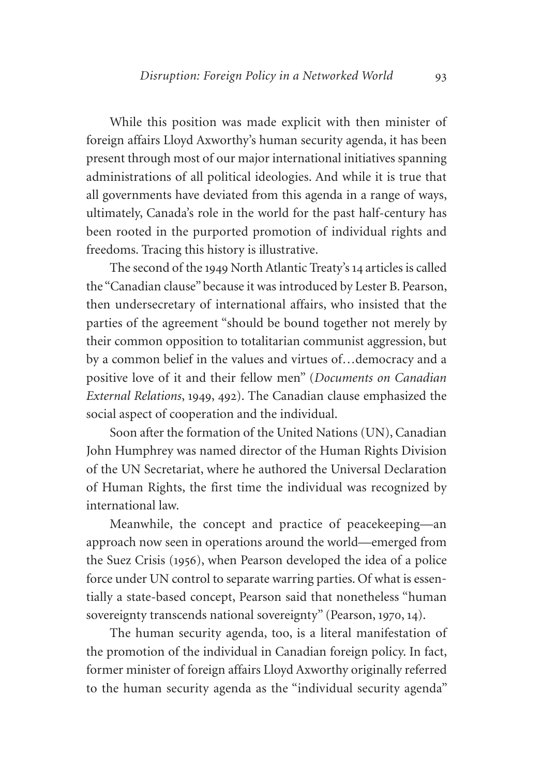While this position was made explicit with then minister of foreign affairs Lloyd Axworthy's human security agenda, it has been present through most of our major international initiatives spanning administrations of all political ideologies. And while it is true that all governments have deviated from this agenda in a range of ways, ultimately, Canada's role in the world for the past half-century has been rooted in the purported promotion of individual rights and freedoms. Tracing this history is illustrative.

The second of the 1949 North Atlantic Treaty's 14 articles is called the "Canadian clause" because it was introduced by Lester B. Pearson, then undersecretary of international affairs, who insisted that the parties of the agreement "should be bound together not merely by their common opposition to totalitarian communist aggression, but by a common belief in the values and virtues of…democracy and a positive love of it and their fellow men" (*Documents on Canadian External Relations*, 1949, 492). The Canadian clause emphasized the social aspect of cooperation and the individual.

Soon after the formation of the United Nations (UN), Canadian John Humphrey was named director of the Human Rights Division of the UN Secretariat, where he authored the Universal Declaration of Human Rights, the first time the individual was recognized by international law.

Meanwhile, the concept and practice of peacekeeping—an approach now seen in operations around the world—emerged from the Suez Crisis (1956), when Pearson developed the idea of a police force under UN control to separate warring parties. Of what is essentially a state-based concept, Pearson said that nonetheless "human sovereignty transcends national sovereignty" (Pearson, 1970, 14).

The human security agenda, too, is a literal manifestation of the promotion of the individual in Canadian foreign policy. In fact, former minister of foreign affairs Lloyd Axworthy originally referred to the human security agenda as the "individual security agenda"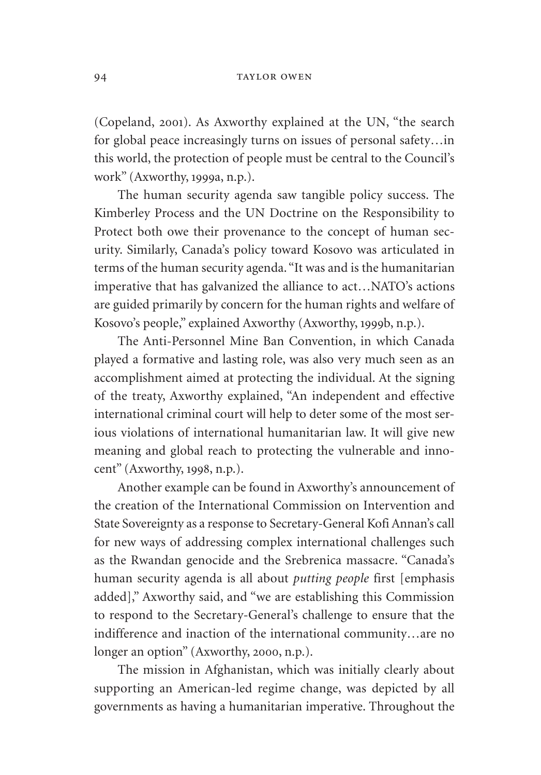#### 94 TAYLOR OWEN

(Copeland, 2001). As Axworthy explained at the UN, "the search for global peace increasingly turns on issues of personal safety…in this world, the protection of people must be central to the Council's work" (Axworthy, 1999a, n.p.).

The human security agenda saw tangible policy success. The Kimberley Process and the UN Doctrine on the Responsibility to Protect both owe their provenance to the concept of human security. Similarly, Canada's policy toward Kosovo was articulated in terms of the human security agenda. "It was and is the humanitarian imperative that has galvanized the alliance to act…NATO's actions are guided primarily by concern for the human rights and welfare of Kosovo's people," explained Axworthy (Axworthy, 1999b, n.p.).

The Anti-Personnel Mine Ban Convention, in which Canada played a formative and lasting role, was also very much seen as an accomplishment aimed at protecting the individual. At the signing of the treaty, Axworthy explained, "An independent and effective international criminal court will help to deter some of the most serious violations of international humanitarian law. It will give new meaning and global reach to protecting the vulnerable and innocent" (Axworthy, 1998, n.p.).

Another example can be found in Axworthy's announcement of the creation of the International Commission on Intervention and State Sovereignty as a response to Secretary-General Kofi Annan's call for new ways of addressing complex international challenges such as the Rwandan genocide and the Srebrenica massacre. "Canada's human security agenda is all about *putting people* first [emphasis added]," Axworthy said, and "we are establishing this Commission to respond to the Secretary-General's challenge to ensure that the indifference and inaction of the international community…are no longer an option" (Axworthy, 2000, n.p.).

The mission in Afghanistan, which was initially clearly about supporting an American-led regime change, was depicted by all governments as having a humanitarian imperative. Throughout the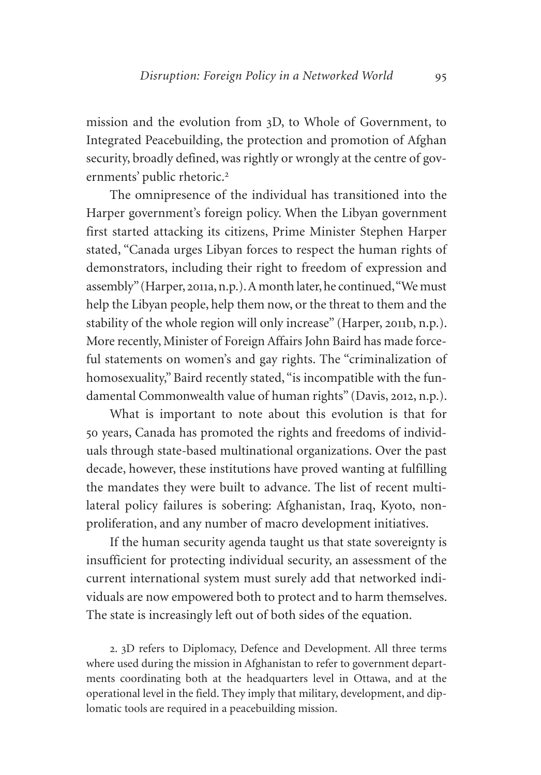mission and the evolution from 3D, to Whole of Government, to Integrated Peacebuilding, the protection and promotion of Afghan security, broadly defined, was rightly or wrongly at the centre of governments' public rhetoric.<sup>2</sup>

The omnipresence of the individual has transitioned into the Harper government's foreign policy. When the Libyan government first started attacking its citizens, Prime Minister Stephen Harper stated, "Canada urges Libyan forces to respect the human rights of demonstrators, including their right to freedom of expression and assembly" (Harper, 2011a, n.p.). A month later, he continued, "We must help the Libyan people, help them now, or the threat to them and the stability of the whole region will only increase" (Harper, 2011b, n.p.). More recently, Minister of Foreign Affairs John Baird has made forceful statements on women's and gay rights. The "criminalization of homosexuality," Baird recently stated, "is incompatible with the fundamental Commonwealth value of human rights" (Davis, 2012, n.p.).

What is important to note about this evolution is that for 50 years, Canada has promoted the rights and freedoms of individuals through state-based multinational organizations. Over the past decade, however, these institutions have proved wanting at fulfilling the mandates they were built to advance. The list of recent multilateral policy failures is sobering: Afghanistan, Iraq, Kyoto, nonproliferation, and any number of macro development initiatives.

If the human security agenda taught us that state sovereignty is insufficient for protecting individual security, an assessment of the current international system must surely add that networked individuals are now empowered both to protect and to harm themselves. The state is increasingly left out of both sides of the equation.

2. 3D refers to Diplomacy, Defence and Development. All three terms where used during the mission in Afghanistan to refer to government departments coordinating both at the headquarters level in Ottawa, and at the operational level in the field. They imply that military, development, and diplomatic tools are required in a peacebuilding mission.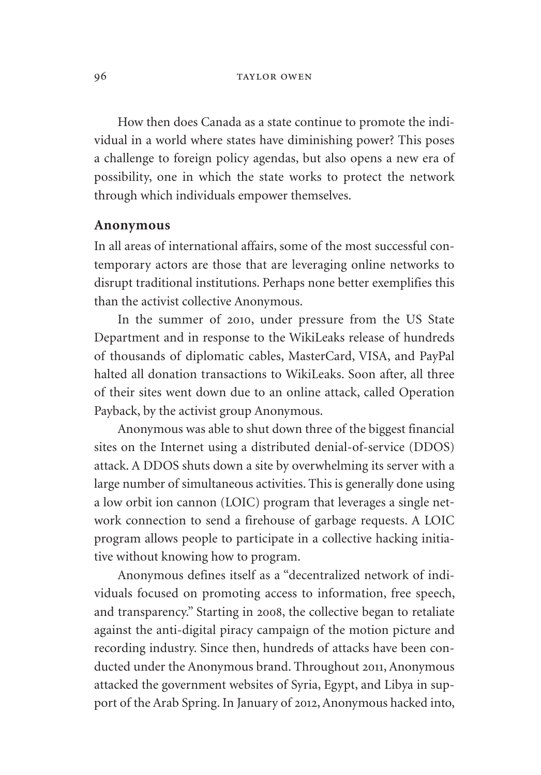#### 96 TAYLOR OWEN

How then does Canada as a state continue to promote the individual in a world where states have diminishing power? This poses a challenge to foreign policy agendas, but also opens a new era of possibility, one in which the state works to protect the network through which individuals empower themselves.

#### **Anonymous**

In all areas of international affairs, some of the most successful contemporary actors are those that are leveraging online networks to disrupt traditional institutions. Perhaps none better exemplifies this than the activist collective Anonymous.

In the summer of 2010, under pressure from the US State Department and in response to the WikiLeaks release of hundreds of thousands of diplomatic cables, MasterCard, VISA, and PayPal halted all donation transactions to WikiLeaks. Soon after, all three of their sites went down due to an online attack, called Operation Payback, by the activist group Anonymous.

Anonymous was able to shut down three of the biggest financial sites on the Internet using a distributed denial-of-service (DDOS) attack. A DDOS shuts down a site by overwhelming its server with a large number of simultaneous activities. This is generally done using a low orbit ion cannon (LOIC) program that leverages a single network connection to send a firehouse of garbage requests. A LOIC program allows people to participate in a collective hacking initiative without knowing how to program.

Anonymous defines itself as a "decentralized network of individuals focused on promoting access to information, free speech, and transparency." Starting in 2008, the collective began to retaliate against the anti-digital piracy campaign of the motion picture and recording industry. Since then, hundreds of attacks have been conducted under the Anonymous brand. Throughout 2011, Anonymous attacked the government websites of Syria, Egypt, and Libya in support of the Arab Spring. In January of 2012, Anonymous hacked into,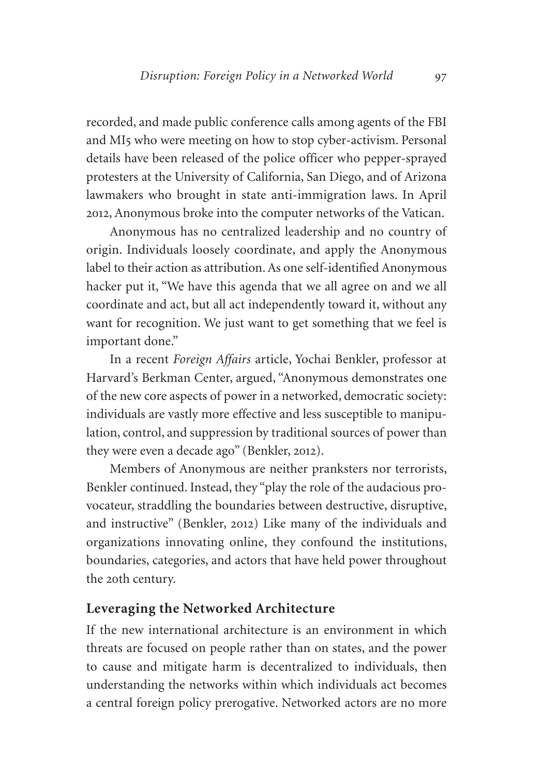recorded, and made public conference calls among agents of the FBI and MI5 who were meeting on how to stop cyber-activism. Personal details have been released of the police officer who pepper-sprayed protesters at the University of California, San Diego, and of Arizona lawmakers who brought in state anti-immigration laws. In April 2012, Anonymous broke into the computer networks of the Vatican.

Anonymous has no centralized leadership and no country of origin. Individuals loosely coordinate, and apply the Anonymous label to their action as attribution. As one self-identified Anonymous hacker put it, "We have this agenda that we all agree on and we all coordinate and act, but all act independently toward it, without any want for recognition. We just want to get something that we feel is important done."

In a recent *Foreign Affairs* article, Yochai Benkler, professor at Harvard's Berkman Center, argued, "Anonymous demonstrates one of the new core aspects of power in a networked, democratic society: individuals are vastly more effective and less susceptible to manipulation, control, and suppression by traditional sources of power than they were even a decade ago" (Benkler, 2012).

Members of Anonymous are neither pranksters nor terrorists, Benkler continued. Instead, they "play the role of the audacious provocateur, straddling the boundaries between destructive, disruptive, and instructive" (Benkler, 2012) Like many of the individuals and organizations innovating online, they confound the institutions, boundaries, categories, and actors that have held power throughout the 20th century.

## **Leveraging the Networked Architecture**

If the new international architecture is an environment in which threats are focused on people rather than on states, and the power to cause and mitigate harm is decentralized to individuals, then understanding the networks within which individuals act becomes a central foreign policy prerogative. Networked actors are no more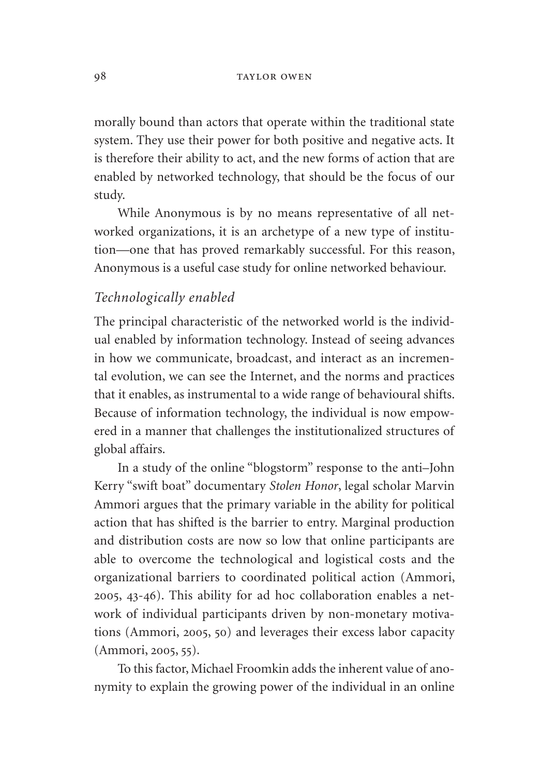morally bound than actors that operate within the traditional state system. They use their power for both positive and negative acts. It is therefore their ability to act, and the new forms of action that are enabled by networked technology, that should be the focus of our study.

While Anonymous is by no means representative of all networked organizations, it is an archetype of a new type of institution—one that has proved remarkably successful. For this reason, Anonymous is a useful case study for online networked behaviour.

## *Technologically enabled*

The principal characteristic of the networked world is the individual enabled by information technology. Instead of seeing advances in how we communicate, broadcast, and interact as an incremental evolution, we can see the Internet, and the norms and practices that it enables, as instrumental to a wide range of behavioural shifts. Because of information technology, the individual is now empowered in a manner that challenges the institutionalized structures of global affairs.

In a study of the online "blogstorm" response to the anti–John Kerry "swift boat" documentary *Stolen Honor*, legal scholar Marvin Ammori argues that the primary variable in the ability for political action that has shifted is the barrier to entry. Marginal production and distribution costs are now so low that online participants are able to overcome the technological and logistical costs and the organizational barriers to coordinated political action (Ammori, 2005, 43-46). This ability for ad hoc collaboration enables a network of individual participants driven by non-monetary motivations (Ammori, 2005, 50) and leverages their excess labor capacity (Ammori, 2005, 55).

To this factor, Michael Froomkin adds the inherent value of anonymity to explain the growing power of the individual in an online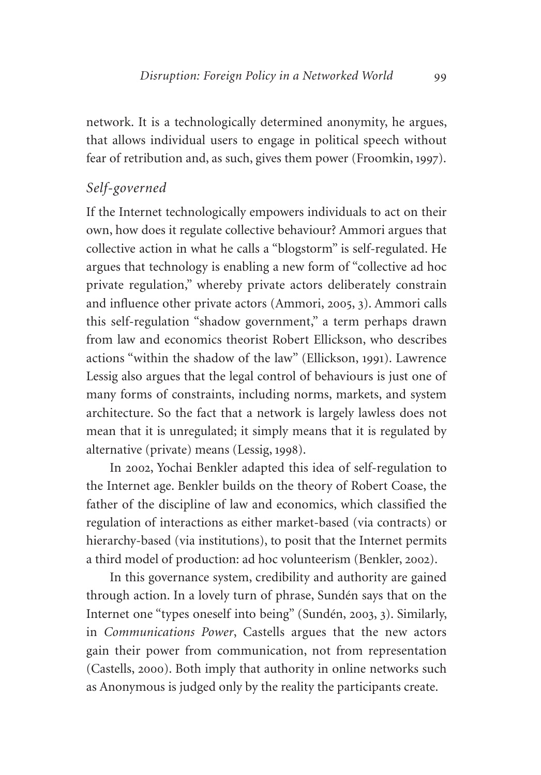network. It is a technologically determined anonymity, he argues, that allows individual users to engage in political speech without fear of retribution and, as such, gives them power (Froomkin, 1997).

# *Self-governed*

If the Internet technologically empowers individuals to act on their own, how does it regulate collective behaviour? Ammori argues that collective action in what he calls a "blogstorm" is self-regulated. He argues that technology is enabling a new form of "collective ad hoc private regulation," whereby private actors deliberately constrain and influence other private actors (Ammori, 2005, 3). Ammori calls this self-regulation "shadow government," a term perhaps drawn from law and economics theorist Robert Ellickson, who describes actions "within the shadow of the law" (Ellickson, 1991). Lawrence Lessig also argues that the legal control of behaviours is just one of many forms of constraints, including norms, markets, and system architecture. So the fact that a network is largely lawless does not mean that it is unregulated; it simply means that it is regulated by alternative (private) means (Lessig, 1998).

In 2002, Yochai Benkler adapted this idea of self-regulation to the Internet age. Benkler builds on the theory of Robert Coase, the father of the discipline of law and economics, which classified the regulation of interactions as either market-based (via contracts) or hierarchy-based (via institutions), to posit that the Internet permits a third model of production: ad hoc volunteerism (Benkler, 2002).

In this governance system, credibility and authority are gained through action. In a lovely turn of phrase, Sundén says that on the Internet one "types oneself into being" (Sundén, 2003, 3). Similarly, in *Communications Power*, Castells argues that the new actors gain their power from communication, not from representation (Castells, 2000). Both imply that authority in online networks such as Anonymous is judged only by the reality the participants create.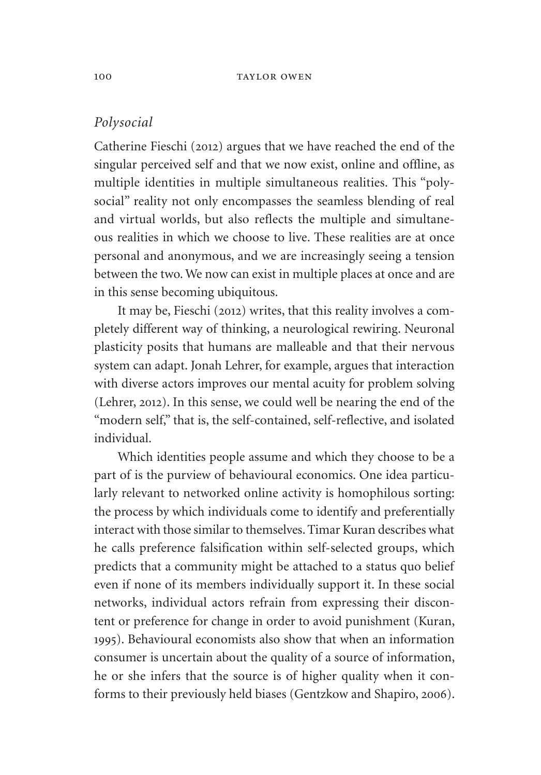# *Polysocial*

Catherine Fieschi (2012) argues that we have reached the end of the singular perceived self and that we now exist, online and offline, as multiple identities in multiple simultaneous realities. This "polysocial" reality not only encompasses the seamless blending of real and virtual worlds, but also reflects the multiple and simultaneous realities in which we choose to live. These realities are at once personal and anonymous, and we are increasingly seeing a tension between the two. We now can exist in multiple places at once and are in this sense becoming ubiquitous.

It may be, Fieschi (2012) writes, that this reality involves a completely different way of thinking, a neurological rewiring. Neuronal plasticity posits that humans are malleable and that their nervous system can adapt. Jonah Lehrer, for example, argues that interaction with diverse actors improves our mental acuity for problem solving (Lehrer, 2012). In this sense, we could well be nearing the end of the "modern self," that is, the self-contained, self-reflective, and isolated individual.

Which identities people assume and which they choose to be a part of is the purview of behavioural economics. One idea particularly relevant to networked online activity is homophilous sorting: the process by which individuals come to identify and preferentially interact with those similar to themselves. Timar Kuran describes what he calls preference falsification within self-selected groups, which predicts that a community might be attached to a status quo belief even if none of its members individually support it. In these social networks, individual actors refrain from expressing their discontent or preference for change in order to avoid punishment (Kuran, 1995). Behavioural economists also show that when an information consumer is uncertain about the quality of a source of information, he or she infers that the source is of higher quality when it conforms to their previously held biases (Gentzkow and Shapiro, 2006).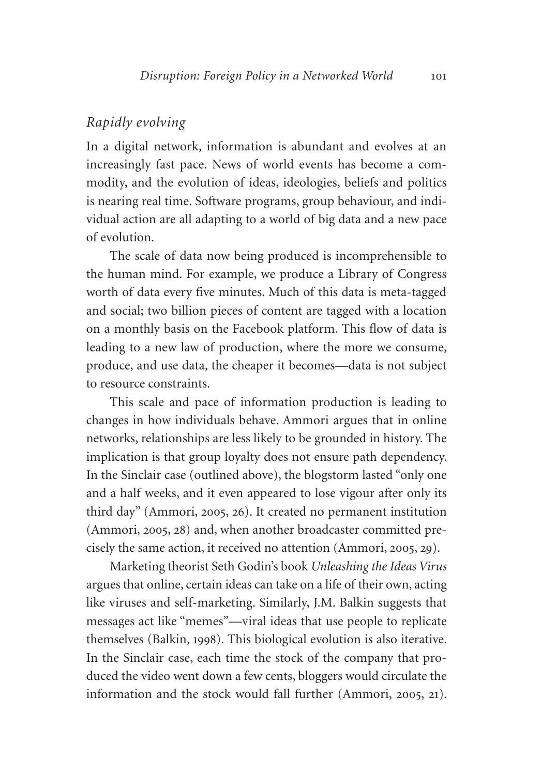### *Rapidly evolving*

In a digital network, information is abundant and evolves at an increasingly fast pace. News of world events has become a commodity, and the evolution of ideas, ideologies, beliefs and politics is nearing real time. Software programs, group behaviour, and individual action are all adapting to a world of big data and a new pace of evolution.

The scale of data now being produced is incomprehensible to the human mind. For example, we produce a Library of Congress worth of data every five minutes. Much of this data is meta-tagged and social; two billion pieces of content are tagged with a location on a monthly basis on the Facebook platform. This flow of data is leading to a new law of production, where the more we consume, produce, and use data, the cheaper it becomes—data is not subject to resource constraints.

This scale and pace of information production is leading to changes in how individuals behave. Ammori argues that in online networks, relationships are less likely to be grounded in history. The implication is that group loyalty does not ensure path dependency. In the Sinclair case (outlined above), the blogstorm lasted "only one and a half weeks, and it even appeared to lose vigour after only its third day" (Ammori, 2005, 26). It created no permanent institution (Ammori, 2005, 28) and, when another broadcaster committed precisely the same action, it received no attention (Ammori, 2005, 29).

Marketing theorist Seth Godin's book *Unleashing the Ideas Virus*  argues that online, certain ideas can take on a life of their own, acting like viruses and self-marketing. Similarly, J.M. Balkin suggests that messages act like "memes"—viral ideas that use people to replicate themselves (Balkin, 1998). This biological evolution is also iterative. In the Sinclair case, each time the stock of the company that produced the video went down a few cents, bloggers would circulate the information and the stock would fall further (Ammori, 2005, 21).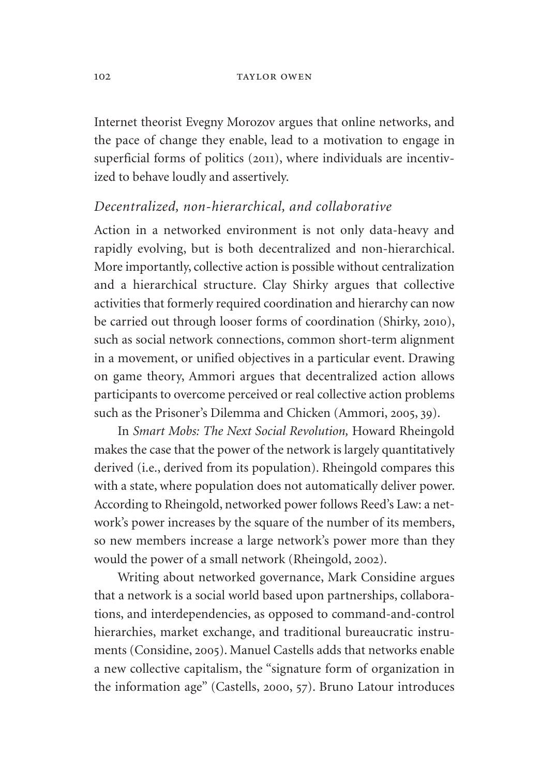Internet theorist Evegny Morozov argues that online networks, and the pace of change they enable, lead to a motivation to engage in superficial forms of politics (2011), where individuals are incentivized to behave loudly and assertively.

#### *Decentralized, non-hierarchical, and collaborative*

Action in a networked environment is not only data-heavy and rapidly evolving, but is both decentralized and non-hierarchical. More importantly, collective action is possible without centralization and a hierarchical structure. Clay Shirky argues that collective activities that formerly required coordination and hierarchy can now be carried out through looser forms of coordination (Shirky, 2010), such as social network connections, common short-term alignment in a movement, or unified objectives in a particular event. Drawing on game theory, Ammori argues that decentralized action allows participants to overcome perceived or real collective action problems such as the Prisoner's Dilemma and Chicken (Ammori, 2005, 39).

In *Smart Mobs: The Next Social Revolution,* Howard Rheingold makes the case that the power of the network is largely quantitatively derived (i.e., derived from its population). Rheingold compares this with a state, where population does not automatically deliver power. According to Rheingold, networked power follows Reed's Law: a network's power increases by the square of the number of its members, so new members increase a large network's power more than they would the power of a small network (Rheingold, 2002).

Writing about networked governance, Mark Considine argues that a network is a social world based upon partnerships, collaborations, and interdependencies, as opposed to command-and-control hierarchies, market exchange, and traditional bureaucratic instruments (Considine, 2005). Manuel Castells adds that networks enable a new collective capitalism, the "signature form of organization in the information age" (Castells, 2000, 57). Bruno Latour introduces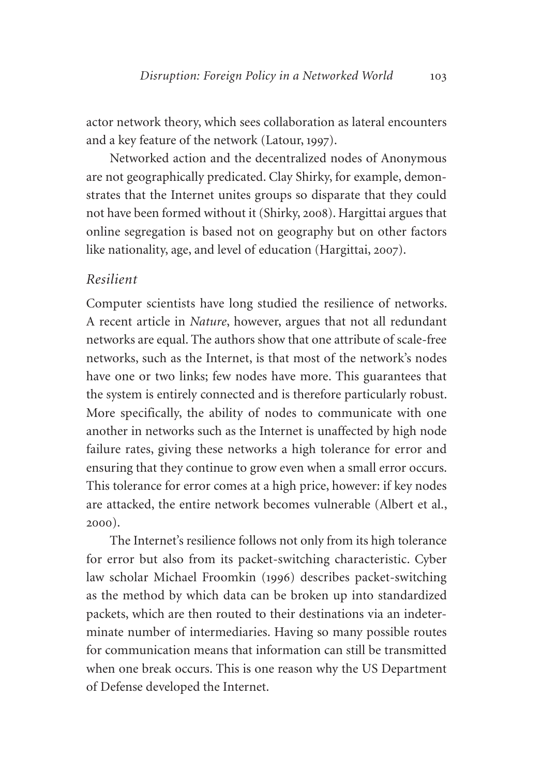actor network theory, which sees collaboration as lateral encounters and a key feature of the network (Latour, 1997).

Networked action and the decentralized nodes of Anonymous are not geographically predicated. Clay Shirky, for example, demonstrates that the Internet unites groups so disparate that they could not have been formed without it (Shirky, 2008). Hargittai argues that online segregation is based not on geography but on other factors like nationality, age, and level of education (Hargittai, 2007).

#### *Resilient*

Computer scientists have long studied the resilience of networks. A recent article in *Nature*, however, argues that not all redundant networks are equal. The authors show that one attribute of scale-free networks, such as the Internet, is that most of the network's nodes have one or two links; few nodes have more. This guarantees that the system is entirely connected and is therefore particularly robust. More specifically, the ability of nodes to communicate with one another in networks such as the Internet is unaffected by high node failure rates, giving these networks a high tolerance for error and ensuring that they continue to grow even when a small error occurs. This tolerance for error comes at a high price, however: if key nodes are attacked, the entire network becomes vulnerable (Albert et al., 2000).

The Internet's resilience follows not only from its high tolerance for error but also from its packet-switching characteristic. Cyber law scholar Michael Froomkin (1996) describes packet-switching as the method by which data can be broken up into standardized packets, which are then routed to their destinations via an indeterminate number of intermediaries. Having so many possible routes for communication means that information can still be transmitted when one break occurs. This is one reason why the US Department of Defense developed the Internet.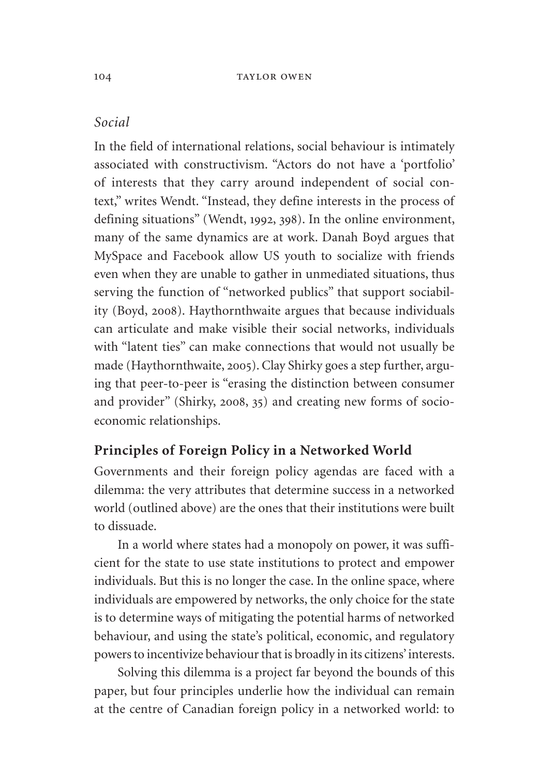#### *Social*

In the field of international relations, social behaviour is intimately associated with constructivism. "Actors do not have a 'portfolio' of interests that they carry around independent of social context," writes Wendt. "Instead, they define interests in the process of defining situations" (Wendt, 1992, 398). In the online environment, many of the same dynamics are at work. Danah Boyd argues that MySpace and Facebook allow US youth to socialize with friends even when they are unable to gather in unmediated situations, thus serving the function of "networked publics" that support sociability (Boyd, 2008). Haythornthwaite argues that because individuals can articulate and make visible their social networks, individuals with "latent ties" can make connections that would not usually be made (Haythornthwaite, 2005). Clay Shirky goes a step further, arguing that peer-to-peer is "erasing the distinction between consumer and provider" (Shirky, 2008, 35) and creating new forms of socioeconomic relationships.

#### **Principles of Foreign Policy in a Networked World**

Governments and their foreign policy agendas are faced with a dilemma: the very attributes that determine success in a networked world (outlined above) are the ones that their institutions were built to dissuade.

In a world where states had a monopoly on power, it was sufficient for the state to use state institutions to protect and empower individuals. But this is no longer the case. In the online space, where individuals are empowered by networks, the only choice for the state is to determine ways of mitigating the potential harms of networked behaviour, and using the state's political, economic, and regulatory powers to incentivize behaviour that is broadly in its citizens' interests.

Solving this dilemma is a project far beyond the bounds of this paper, but four principles underlie how the individual can remain at the centre of Canadian foreign policy in a networked world: to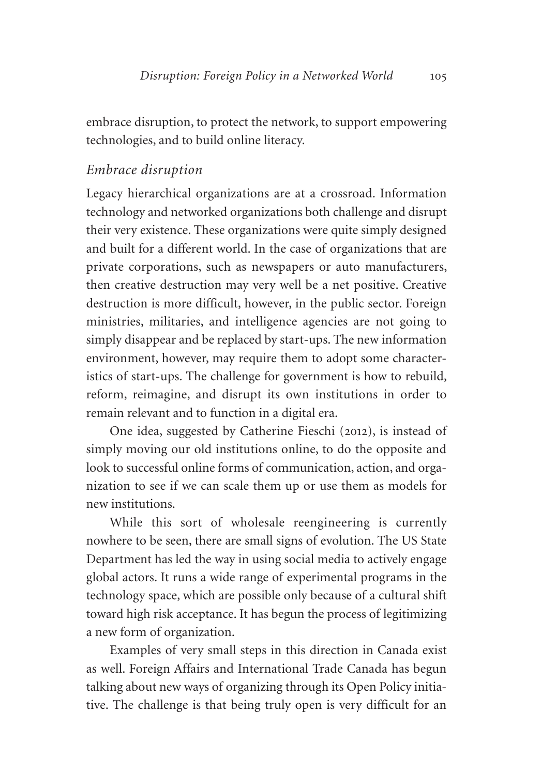embrace disruption, to protect the network, to support empowering technologies, and to build online literacy.

# *Embrace disruption*

Legacy hierarchical organizations are at a crossroad. Information technology and networked organizations both challenge and disrupt their very existence. These organizations were quite simply designed and built for a different world. In the case of organizations that are private corporations, such as newspapers or auto manufacturers, then creative destruction may very well be a net positive. Creative destruction is more difficult, however, in the public sector. Foreign ministries, militaries, and intelligence agencies are not going to simply disappear and be replaced by start-ups. The new information environment, however, may require them to adopt some characteristics of start-ups. The challenge for government is how to rebuild, reform, reimagine, and disrupt its own institutions in order to remain relevant and to function in a digital era.

One idea, suggested by Catherine Fieschi (2012), is instead of simply moving our old institutions online, to do the opposite and look to successful online forms of communication, action, and organization to see if we can scale them up or use them as models for new institutions.

While this sort of wholesale reengineering is currently nowhere to be seen, there are small signs of evolution. The US State Department has led the way in using social media to actively engage global actors. It runs a wide range of experimental programs in the technology space, which are possible only because of a cultural shift toward high risk acceptance. It has begun the process of legitimizing a new form of organization.

Examples of very small steps in this direction in Canada exist as well. Foreign Affairs and International Trade Canada has begun talking about new ways of organizing through its Open Policy initiative. The challenge is that being truly open is very difficult for an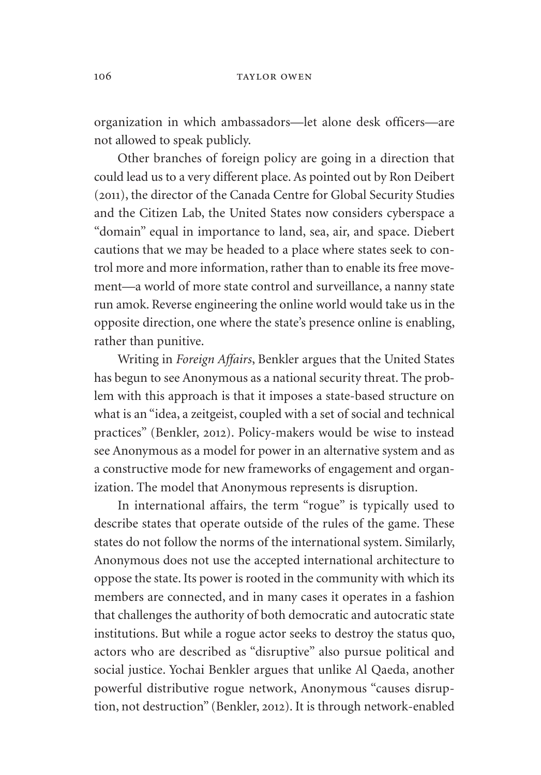organization in which ambassadors—let alone desk officers—are not allowed to speak publicly.

Other branches of foreign policy are going in a direction that could lead us to a very different place. As pointed out by Ron Deibert (2011), the director of the Canada Centre for Global Security Studies and the Citizen Lab, the United States now considers cyberspace a "domain" equal in importance to land, sea, air, and space. Diebert cautions that we may be headed to a place where states seek to control more and more information, rather than to enable its free movement—a world of more state control and surveillance, a nanny state run amok. Reverse engineering the online world would take us in the opposite direction, one where the state's presence online is enabling, rather than punitive.

Writing in *Foreign Affairs*, Benkler argues that the United States has begun to see Anonymous as a national security threat. The problem with this approach is that it imposes a state-based structure on what is an "idea, a zeitgeist, coupled with a set of social and technical practices" (Benkler, 2012). Policy-makers would be wise to instead see Anonymous as a model for power in an alternative system and as a constructive mode for new frameworks of engagement and organization. The model that Anonymous represents is disruption.

In international affairs, the term "rogue" is typically used to describe states that operate outside of the rules of the game. These states do not follow the norms of the international system. Similarly, Anonymous does not use the accepted international architecture to oppose the state. Its power is rooted in the community with which its members are connected, and in many cases it operates in a fashion that challenges the authority of both democratic and autocratic state institutions. But while a rogue actor seeks to destroy the status quo, actors who are described as "disruptive" also pursue political and social justice. Yochai Benkler argues that unlike Al Qaeda, another powerful distributive rogue network, Anonymous "causes disruption, not destruction" (Benkler, 2012). It is through network-enabled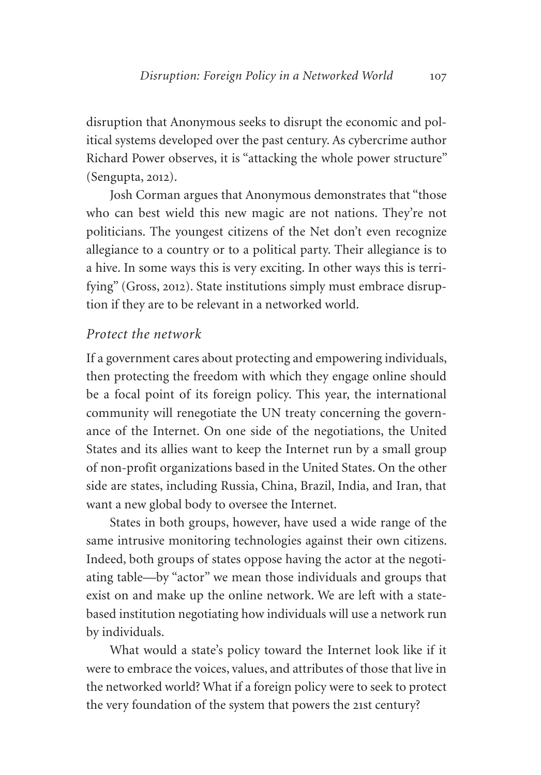disruption that Anonymous seeks to disrupt the economic and political systems developed over the past century. As cybercrime author Richard Power observes, it is "attacking the whole power structure" (Sengupta, 2012).

Josh Corman argues that Anonymous demonstrates that "those who can best wield this new magic are not nations. They're not politicians. The youngest citizens of the Net don't even recognize allegiance to a country or to a political party. Their allegiance is to a hive. In some ways this is very exciting. In other ways this is terrifying" (Gross, 2012). State institutions simply must embrace disruption if they are to be relevant in a networked world.

#### *Protect the network*

If a government cares about protecting and empowering individuals, then protecting the freedom with which they engage online should be a focal point of its foreign policy. This year, the international community will renegotiate the UN treaty concerning the governance of the Internet. On one side of the negotiations, the United States and its allies want to keep the Internet run by a small group of non-profit organizations based in the United States. On the other side are states, including Russia, China, Brazil, India, and Iran, that want a new global body to oversee the Internet.

States in both groups, however, have used a wide range of the same intrusive monitoring technologies against their own citizens. Indeed, both groups of states oppose having the actor at the negotiating table—by "actor" we mean those individuals and groups that exist on and make up the online network. We are left with a statebased institution negotiating how individuals will use a network run by individuals.

What would a state's policy toward the Internet look like if it were to embrace the voices, values, and attributes of those that live in the networked world? What if a foreign policy were to seek to protect the very foundation of the system that powers the 21st century?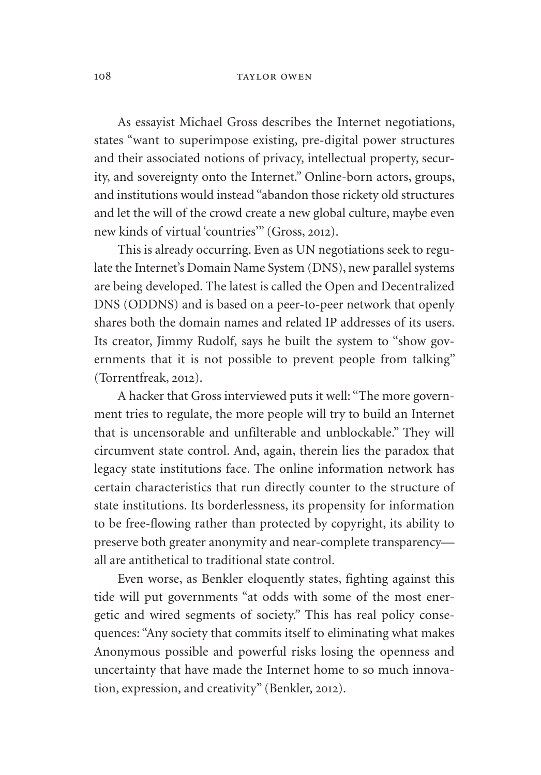#### 108 TAYLOR OWEN

As essayist Michael Gross describes the Internet negotiations, states "want to superimpose existing, pre-digital power structures and their associated notions of privacy, intellectual property, security, and sovereignty onto the Internet." Online-born actors, groups, and institutions would instead "abandon those rickety old structures and let the will of the crowd create a new global culture, maybe even new kinds of virtual 'countries'" (Gross, 2012).

This is already occurring. Even as UN negotiations seek to regulate the Internet's Domain Name System (DNS), new parallel systems are being developed. The latest is called the Open and Decentralized DNS (ODDNS) and is based on a peer-to-peer network that openly shares both the domain names and related IP addresses of its users. Its creator, Jimmy Rudolf, says he built the system to "show governments that it is not possible to prevent people from talking" (Torrentfreak, 2012).

A hacker that Gross interviewed puts it well: "The more government tries to regulate, the more people will try to build an Internet that is uncensorable and unfilterable and unblockable." They will circumvent state control. And, again, therein lies the paradox that legacy state institutions face. The online information network has certain characteristics that run directly counter to the structure of state institutions. Its borderlessness, its propensity for information to be free-flowing rather than protected by copyright, its ability to preserve both greater anonymity and near-complete transparency all are antithetical to traditional state control.

Even worse, as Benkler eloquently states, fighting against this tide will put governments "at odds with some of the most energetic and wired segments of society." This has real policy consequences: "Any society that commits itself to eliminating what makes Anonymous possible and powerful risks losing the openness and uncertainty that have made the Internet home to so much innovation, expression, and creativity" (Benkler, 2012).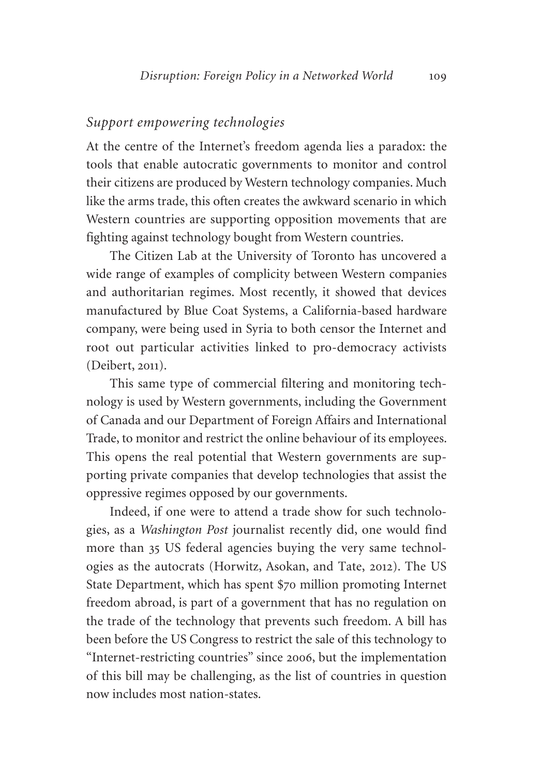## *Support empowering technologies*

At the centre of the Internet's freedom agenda lies a paradox: the tools that enable autocratic governments to monitor and control their citizens are produced by Western technology companies. Much like the arms trade, this often creates the awkward scenario in which Western countries are supporting opposition movements that are fighting against technology bought from Western countries.

The Citizen Lab at the University of Toronto has uncovered a wide range of examples of complicity between Western companies and authoritarian regimes. Most recently, it showed that devices manufactured by Blue Coat Systems, a California-based hardware company, were being used in Syria to both censor the Internet and root out particular activities linked to pro-democracy activists (Deibert, 2011).

This same type of commercial filtering and monitoring technology is used by Western governments, including the Government of Canada and our Department of Foreign Affairs and International Trade, to monitor and restrict the online behaviour of its employees. This opens the real potential that Western governments are supporting private companies that develop technologies that assist the oppressive regimes opposed by our governments.

Indeed, if one were to attend a trade show for such technologies, as a *Washington Post* journalist recently did, one would find more than 35 US federal agencies buying the very same technologies as the autocrats (Horwitz, Asokan, and Tate, 2012). The US State Department, which has spent \$70 million promoting Internet freedom abroad, is part of a government that has no regulation on the trade of the technology that prevents such freedom. A bill has been before the US Congress to restrict the sale of this technology to "Internet-restricting countries" since 2006, but the implementation of this bill may be challenging, as the list of countries in question now includes most nation-states.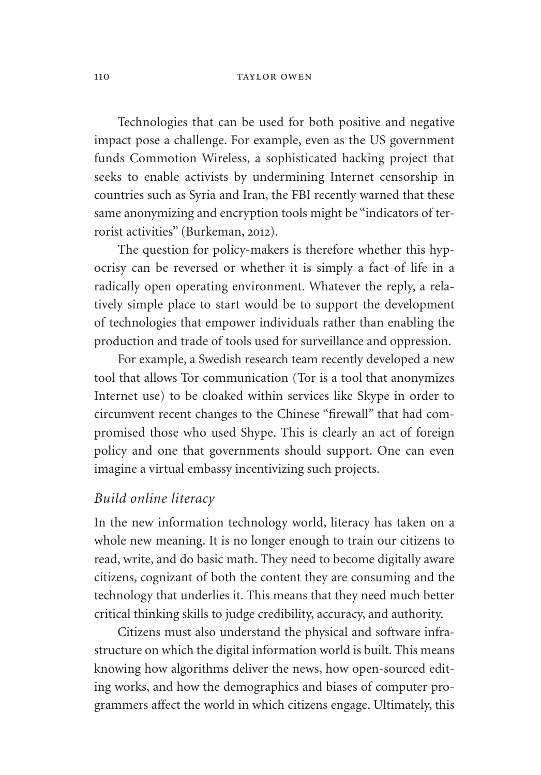#### 110 TAYLOR OWEN

Technologies that can be used for both positive and negative impact pose a challenge. For example, even as the US government funds Commotion Wireless, a sophisticated hacking project that seeks to enable activists by undermining Internet censorship in countries such as Syria and Iran, the FBI recently warned that these same anonymizing and encryption tools might be "indicators of terrorist activities" (Burkeman, 2012).

The question for policy-makers is therefore whether this hypocrisy can be reversed or whether it is simply a fact of life in a radically open operating environment. Whatever the reply, a relatively simple place to start would be to support the development of technologies that empower individuals rather than enabling the production and trade of tools used for surveillance and oppression.

For example, a Swedish research team recently developed a new tool that allows Tor communication (Tor is a tool that anonymizes Internet use) to be cloaked within services like Skype in order to circumvent recent changes to the Chinese "firewall" that had compromised those who used Shype. This is clearly an act of foreign policy and one that governments should support. One can even imagine a virtual embassy incentivizing such projects.

## *Build online literacy*

In the new information technology world, literacy has taken on a whole new meaning. It is no longer enough to train our citizens to read, write, and do basic math. They need to become digitally aware citizens, cognizant of both the content they are consuming and the technology that underlies it. This means that they need much better critical thinking skills to judge credibility, accuracy, and authority.

Citizens must also understand the physical and software infrastructure on which the digital information world is built. This means knowing how algorithms deliver the news, how open-sourced editing works, and how the demographics and biases of computer programmers affect the world in which citizens engage. Ultimately, this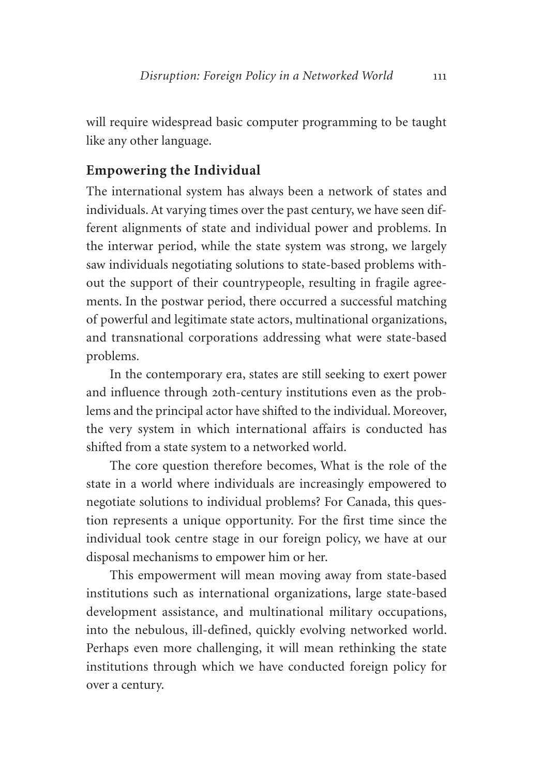will require widespread basic computer programming to be taught like any other language.

## **Empowering the Individual**

The international system has always been a network of states and individuals. At varying times over the past century, we have seen different alignments of state and individual power and problems. In the interwar period, while the state system was strong, we largely saw individuals negotiating solutions to state-based problems without the support of their countrypeople, resulting in fragile agreements. In the postwar period, there occurred a successful matching of powerful and legitimate state actors, multinational organizations, and transnational corporations addressing what were state-based problems.

In the contemporary era, states are still seeking to exert power and influence through 20th-century institutions even as the problems and the principal actor have shifted to the individual. Moreover, the very system in which international affairs is conducted has shifted from a state system to a networked world.

The core question therefore becomes, What is the role of the state in a world where individuals are increasingly empowered to negotiate solutions to individual problems? For Canada, this question represents a unique opportunity. For the first time since the individual took centre stage in our foreign policy, we have at our disposal mechanisms to empower him or her.

This empowerment will mean moving away from state-based institutions such as international organizations, large state-based development assistance, and multinational military occupations, into the nebulous, ill-defined, quickly evolving networked world. Perhaps even more challenging, it will mean rethinking the state institutions through which we have conducted foreign policy for over a century.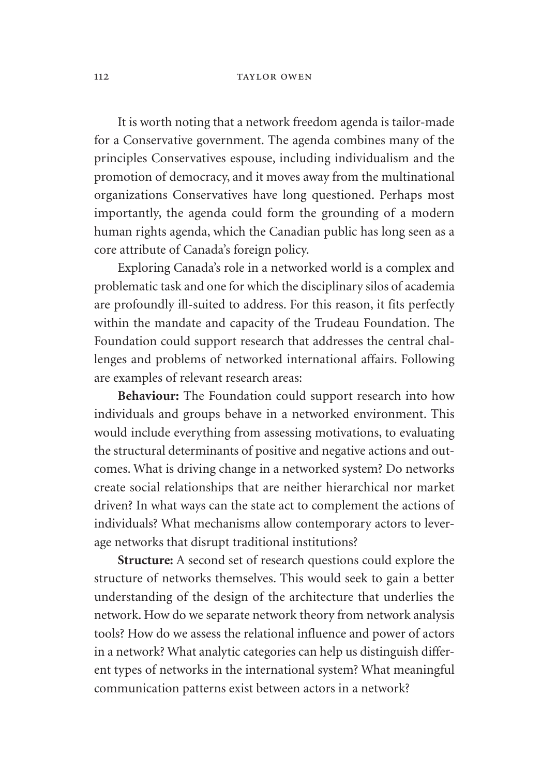#### 112 TAYLOR OWEN

It is worth noting that a network freedom agenda is tailor-made for a Conservative government. The agenda combines many of the principles Conservatives espouse, including individualism and the promotion of democracy, and it moves away from the multinational organizations Conservatives have long questioned. Perhaps most importantly, the agenda could form the grounding of a modern human rights agenda, which the Canadian public has long seen as a core attribute of Canada's foreign policy.

Exploring Canada's role in a networked world is a complex and problematic task and one for which the disciplinary silos of academia are profoundly ill-suited to address. For this reason, it fits perfectly within the mandate and capacity of the Trudeau Foundation. The Foundation could support research that addresses the central challenges and problems of networked international affairs. Following are examples of relevant research areas:

**Behaviour:** The Foundation could support research into how individuals and groups behave in a networked environment. This would include everything from assessing motivations, to evaluating the structural determinants of positive and negative actions and outcomes. What is driving change in a networked system? Do networks create social relationships that are neither hierarchical nor market driven? In what ways can the state act to complement the actions of individuals? What mechanisms allow contemporary actors to leverage networks that disrupt traditional institutions?

**Structure:** A second set of research questions could explore the structure of networks themselves. This would seek to gain a better understanding of the design of the architecture that underlies the network. How do we separate network theory from network analysis tools? How do we assess the relational influence and power of actors in a network? What analytic categories can help us distinguish different types of networks in the international system? What meaningful communication patterns exist between actors in a network?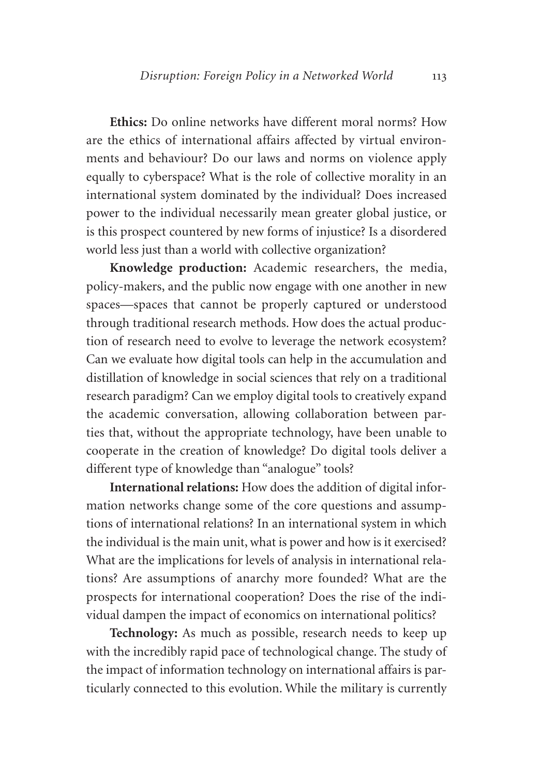**Ethics:** Do online networks have different moral norms? How are the ethics of international affairs affected by virtual environments and behaviour? Do our laws and norms on violence apply equally to cyberspace? What is the role of collective morality in an international system dominated by the individual? Does increased power to the individual necessarily mean greater global justice, or is this prospect countered by new forms of injustice? Is a disordered world less just than a world with collective organization?

**Knowledge production:** Academic researchers, the media, policy-makers, and the public now engage with one another in new spaces—spaces that cannot be properly captured or understood through traditional research methods. How does the actual production of research need to evolve to leverage the network ecosystem? Can we evaluate how digital tools can help in the accumulation and distillation of knowledge in social sciences that rely on a traditional research paradigm? Can we employ digital tools to creatively expand the academic conversation, allowing collaboration between parties that, without the appropriate technology, have been unable to cooperate in the creation of knowledge? Do digital tools deliver a different type of knowledge than "analogue" tools?

**International relations:** How does the addition of digital information networks change some of the core questions and assumptions of international relations? In an international system in which the individual is the main unit, what is power and how is it exercised? What are the implications for levels of analysis in international relations? Are assumptions of anarchy more founded? What are the prospects for international cooperation? Does the rise of the individual dampen the impact of economics on international politics?

**Technology:** As much as possible, research needs to keep up with the incredibly rapid pace of technological change. The study of the impact of information technology on international affairs is particularly connected to this evolution. While the military is currently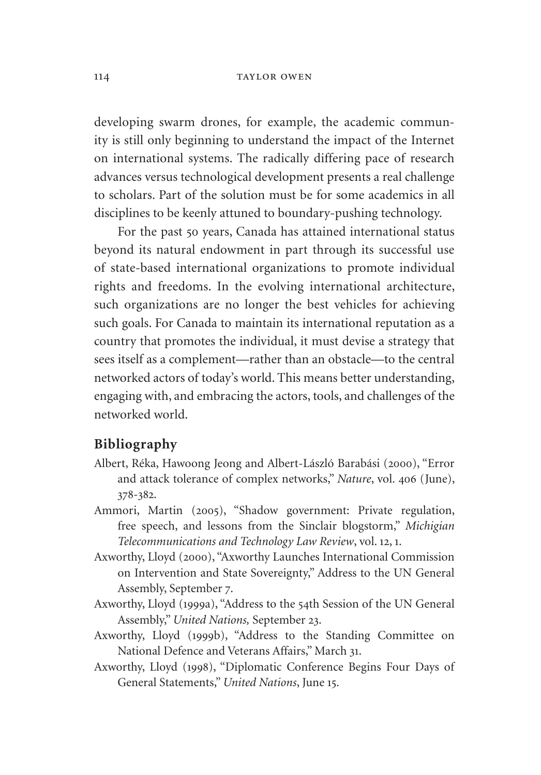#### 114 TAYLOR OWEN

developing swarm drones, for example, the academic community is still only beginning to understand the impact of the Internet on international systems. The radically differing pace of research advances versus technological development presents a real challenge to scholars. Part of the solution must be for some academics in all disciplines to be keenly attuned to boundary-pushing technology.

For the past 50 years, Canada has attained international status beyond its natural endowment in part through its successful use of state-based international organizations to promote individual rights and freedoms. In the evolving international architecture, such organizations are no longer the best vehicles for achieving such goals. For Canada to maintain its international reputation as a country that promotes the individual, it must devise a strategy that sees itself as a complement—rather than an obstacle—to the central networked actors of today's world. This means better understanding, engaging with, and embracing the actors, tools, and challenges of the networked world.

## **Bibliography**

- Albert, Réka, Hawoong Jeong and Albert-László Barabási (2000), "Error and attack tolerance of complex networks," *Nature*, vol. 406 (June), 378-382.
- Ammori, Martin (2005), "Shadow government: Private regulation, free speech, and lessons from the Sinclair blogstorm," *Michigian Telecommunications and Technology Law Review*, vol. 12, 1.
- Axworthy, Lloyd (2000), "Axworthy Launches International Commission on Intervention and State Sovereignty," Address to the UN General Assembly, September 7.
- Axworthy, Lloyd (1999a), "Address to the 54th Session of the UN General Assembly," *United Nations,* September 23.
- Axworthy, Lloyd (1999b), "Address to the Standing Committee on National Defence and Veterans Affairs," March 31.
- Axworthy, Lloyd (1998), "Diplomatic Conference Begins Four Days of General Statements," *United Nations*, June 15.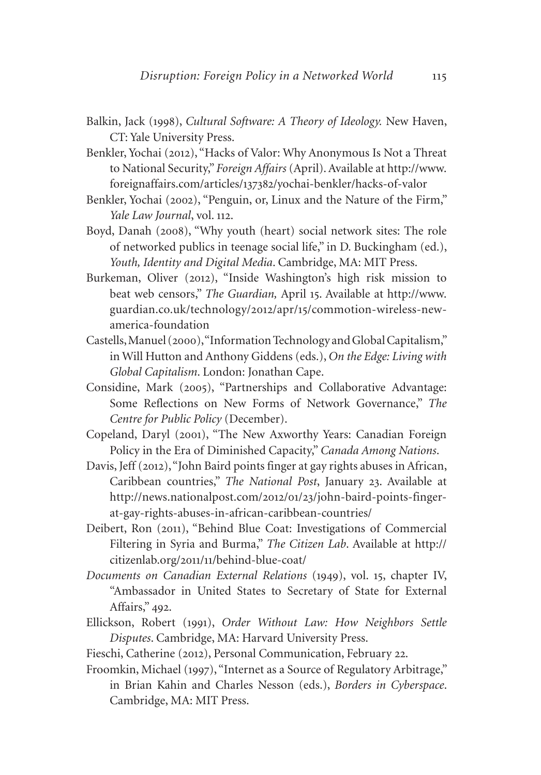- Balkin, Jack (1998), *Cultural Software: A Theory of Ideology.* New Haven, CT: Yale University Press.
- Benkler, Yochai (2012), "Hacks of Valor: Why Anonymous Is Not a Threat to National Security," *Foreign Affairs* (April). Available at [http://www.](http://www.foreignaffairs.com/articles/137382/yochai-benkler/hacks-of-valor) foreignaffairs.com/articles/137382[/yochai-benkler/hacks-of-valor](http://www.foreignaffairs.com/articles/137382/yochai-benkler/hacks-of-valor)
- Benkler, Yochai (2002), "Penguin, or, Linux and the Nature of the Firm," *Yale Law Journal*, vol. 112.
- Boyd, Danah (2008), "Why youth (heart) social network sites: The role of networked publics in teenage social life," in D. Buckingham (ed.), *Youth, Identity and Digital Media*. Cambridge, MA: MIT Press.
- Burkeman, Oliver (2012), "Inside Washington's high risk mission to beat web censors," *The Guardian,* April 15. Available at [http://www.](http://www.guardian.co.uk/technology/2012/apr/15/commotion) [guardian.co.uk/technology/](http://www.guardian.co.uk/technology/2012/apr/15/commotion)2012/apr/15/commotion-wireless-newamerica-foundation
- Castells, Manuel (2000), "Information Technology and Global Capitalism," in Will Hutton and Anthony Giddens (eds.), *On the Edge: Living with Global Capitalism*. London: Jonathan Cape.
- Considine, Mark (2005), "Partnerships and Collaborative Advantage: Some Reflections on New Forms of Network Governance," *The Centre for Public Policy* (December).
- Copeland, Daryl (2001), "The New Axworthy Years: Canadian Foreign Policy in the Era of Diminished Capacity," *Canada Among Nations*.
- Davis, Jeff (2012), "John Baird points finger at gay rights abuses in African, Caribbean countries," *The National Post*, January 23. Available at [http://news.nationalpost.com/](http://news.nationalpost.com/2012/01/23/john-baird-points-finger-at-gay-rights-abuses-in-african-caribbean-countries/)2012/01/23/john-baird-points-finger[at-gay-rights-abuses-in-african-caribbean-countries/](http://news.nationalpost.com/2012/01/23/john-baird-points-finger-at-gay-rights-abuses-in-african-caribbean-countries/)
- Deibert, Ron (2011), "Behind Blue Coat: Investigations of Commercial Filtering in Syria and Burma," *The Citizen Lab*. Available at [http://](http://citizenlab.org/2011/11/behind-blue-coat/) citizenlab.org/2011/11[/behind-blue-coat/](http://citizenlab.org/2011/11/behind-blue-coat/)
- *Documents on Canadian External Relations* (1949), vol. 15, chapter IV, "Ambassador in United States to Secretary of State for External Affairs," 492.
- Ellickson, Robert (1991), *Order Without Law: How Neighbors Settle Disputes*. Cambridge, MA: Harvard University Press.
- Fieschi, Catherine (2012), Personal Communication, February 22.
- Froomkin, Michael (1997), "Internet as a Source of Regulatory Arbitrage," in Brian Kahin and Charles Nesson (eds.), *Borders in Cyberspace*. Cambridge, MA: MIT Press.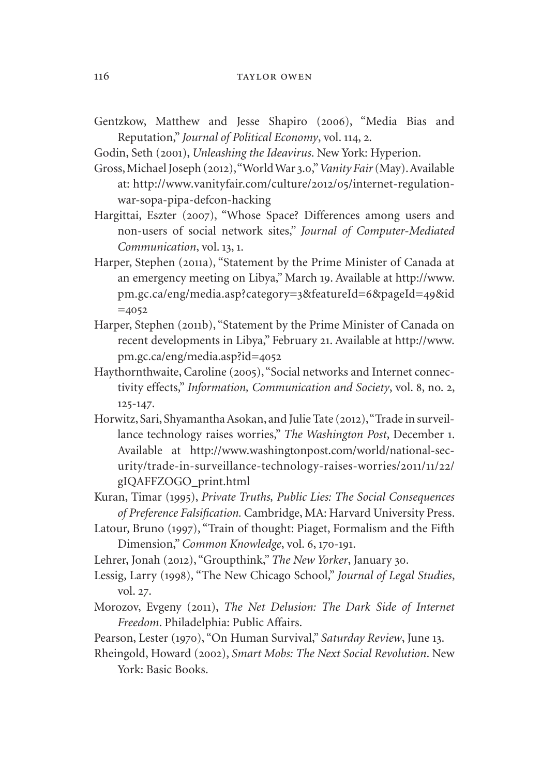- Gentzkow, Matthew and Jesse Shapiro (2006), "Media Bias and Reputation," *Journal of Political Economy*, vol. 114, 2.
- Godin, Seth (2001), *Unleashing the Ideavirus*. New York: Hyperion.
- Gross, Michael Joseph (2012), "World War 3.0," *Vanity Fair* (May). Available at: [http://www.vanityfair.com/culture/](http://www.vanityfair.com/culture/2012/05/internet)2012/05/internet-regulationwar-sopa-pipa-defcon-hacking
- Hargittai, Eszter (2007), "Whose Space? Differences among users and non-users of social network sites," *Journal of Computer-Mediated Communication*, vol. 13, 1.
- Harper, Stephen (2011a), "Statement by the Prime Minister of Canada at an emergency meeting on Libya," March 19. Available at [http://www.](http://www.pm.gc.ca/eng/media.asp?category=3&featureId=6&pageId=49&id=4052) [pm.gc.ca/eng/media.asp?category=](http://www.pm.gc.ca/eng/media.asp?category=3&featureId=6&pageId=49&id=4052)3&featureId=6&pageId=49&id  $=4052$  $=4052$
- Harper, Stephen (2011b), "Statement by the Prime Minister of Canada on recent developments in Libya," February 21. Available at [http://www.](http://www.pm.gc.ca/eng/media.asp?id=4052) [pm.gc.ca/eng/media.asp?id=](http://www.pm.gc.ca/eng/media.asp?id=4052)4052
- Haythornthwaite, Caroline (2005), "Social networks and Internet connectivity effects," *Information, Communication and Society*, vol. 8, no. 2, 125-147.
- Horwitz, Sari, Shyamantha Asokan, and Julie Tate (2012), "Trade in surveillance technology raises worries," *The Washington Post*, December 1. Available at [http://www.washingtonpost.com/world/national-sec](http://www.washingtonpost.com/world/national-security/trade-in-surveillance-technology-raises-worries/2011/11/22/gIQAFFZOGO_print.html)[urity/trade-in-surveillance-technology-raises-worries/](http://www.washingtonpost.com/world/national-security/trade-in-surveillance-technology-raises-worries/2011/11/22/gIQAFFZOGO_print.html)2011/11/22/ [gIQAFFZOGO\\_print.html](http://www.washingtonpost.com/world/national-security/trade-in-surveillance-technology-raises-worries/2011/11/22/gIQAFFZOGO_print.html)
- Kuran, Timar (1995), *Private Truths, Public Lies: The Social Consequences of Preference Falsification.* Cambridge, MA: Harvard University Press.
- Latour, Bruno (1997), "Train of thought: Piaget, Formalism and the Fifth Dimension," *Common Knowledge*, vol. 6, 170-191.
- Lehrer, Jonah (2012), "Groupthink," *The New Yorker*, January 30.
- Lessig, Larry (1998), "The New Chicago School," *Journal of Legal Studies*, vol. 27.
- Morozov, Evgeny (2011), *The Net Delusion: The Dark Side of Internet Freedom*. Philadelphia: Public Affairs.
- Pearson, Lester (1970), "On Human Survival," *Saturday Review*, June 13.
- Rheingold, Howard (2002), *Smart Mobs: The Next Social Revolution*. New York: Basic Books.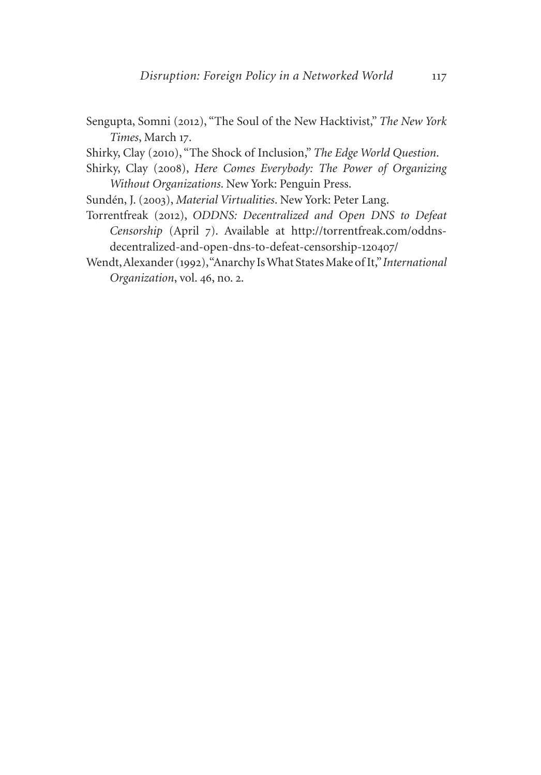Sengupta, Somni (2012), "The Soul of the New Hacktivist," *The New York Times*, March 17.

Shirky, Clay (2010), "The Shock of Inclusion," *The Edge World Question*.

- Shirky, Clay (2008), *Here Comes Everybody: The Power of Organizing Without Organizations*. New York: Penguin Press.
- Sundén, J. (2003), *Material Virtualities*. New York: Peter Lang.
- Torrentfreak (2012), *ODDNS: Decentralized and Open DNS to Defeat Censorship* (April 7). Available at [http://torrentfreak.com/oddns](http://torrentfreak.com/oddns-decentralized-and-open-dns-to-defeat-censorship-120407/)[decentralized-and-open-dns-to-defeat-censorship-](http://torrentfreak.com/oddns-decentralized-and-open-dns-to-defeat-censorship-120407/)120407/
- Wendt, Alexander (1992), "Anarchy Is What States Make of It," *International Organization*, vol. 46, no. 2.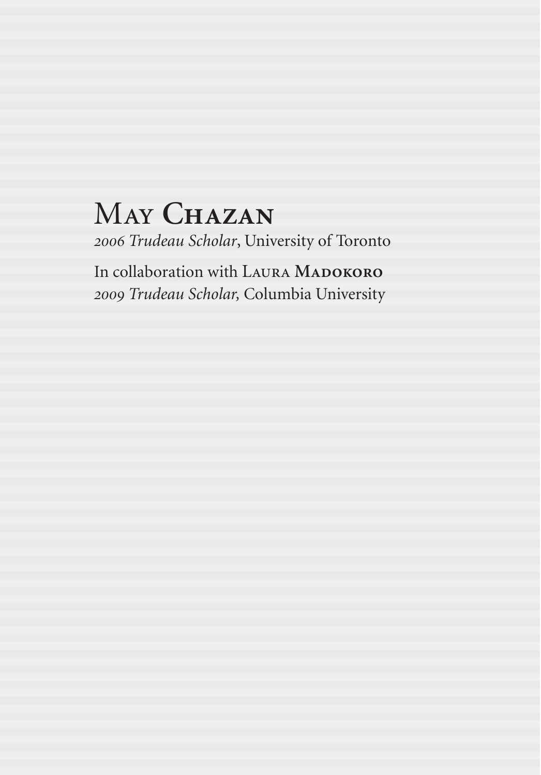# May **Chazan**

*2006 Trudeau Scholar*, University of Toronto

In collaboration with LAURA MADOKORO *2009 Trudeau Scholar,* Columbia University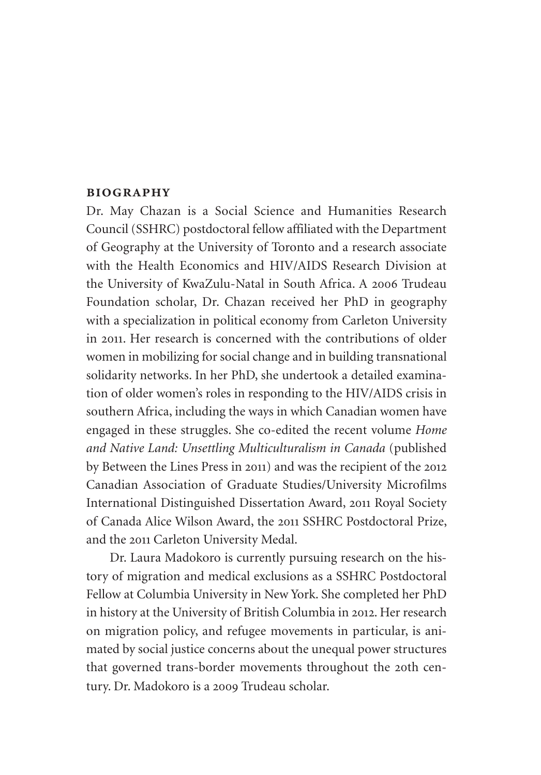### **biography**

Dr. May Chazan is a Social Science and Humanities Research Council (SSHRC) postdoctoral fellow affiliated with the Department of Geography at the University of Toronto and a research associate with the Health Economics and HIV/AIDS Research Division at the University of KwaZulu-Natal in South Africa. A 2006 Trudeau Foundation scholar, Dr. Chazan received her PhD in geography with a specialization in political economy from Carleton University in 2011. Her research is concerned with the contributions of older women in mobilizing for social change and in building transnational solidarity networks. In her PhD, she undertook a detailed examination of older women's roles in responding to the HIV/AIDS crisis in southern Africa, including the ways in which Canadian women have engaged in these struggles. She co-edited the recent volume *Home and Native Land: Unsettling Multiculturalism in Canada* (published by Between the Lines Press in 2011) and was the recipient of the 2012 Canadian Association of Graduate Studies/University Microfilms International Distinguished Dissertation Award, 2011 Royal Society of Canada Alice Wilson Award, the 2011 SSHRC Postdoctoral Prize, and the 2011 Carleton University Medal.

Dr. Laura Madokoro is currently pursuing research on the history of migration and medical exclusions as a SSHRC Postdoctoral Fellow at Columbia University in New York. She completed her PhD in history at the University of British Columbia in 2012. Her research on migration policy, and refugee movements in particular, is animated by social justice concerns about the unequal power structures that governed trans-border movements throughout the 20th century. Dr. Madokoro is a 2009 Trudeau scholar.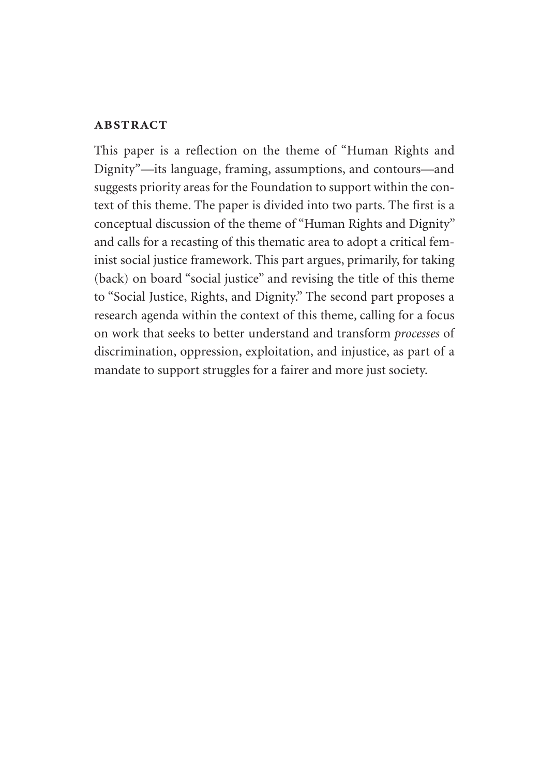## **abstract**

This paper is a reflection on the theme of "Human Rights and Dignity"—its language, framing, assumptions, and contours—and suggests priority areas for the Foundation to support within the context of this theme. The paper is divided into two parts. The first is a conceptual discussion of the theme of "Human Rights and Dignity" and calls for a recasting of this thematic area to adopt a critical feminist social justice framework. This part argues, primarily, for taking (back) on board "social justice" and revising the title of this theme to "Social Justice, Rights, and Dignity." The second part proposes a research agenda within the context of this theme, calling for a focus on work that seeks to better understand and transform *processes* of discrimination, oppression, exploitation, and injustice, as part of a mandate to support struggles for a fairer and more just society.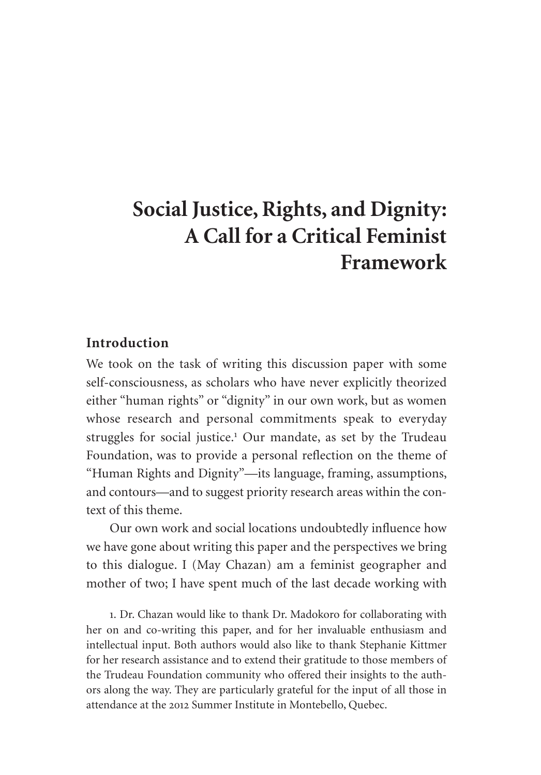## **Social Justice, Rights, and Dignity: A Call for a Critical Feminist Framework**

## **Introduction**

We took on the task of writing this discussion paper with some self-consciousness, as scholars who have never explicitly theorized either "human rights" or "dignity" in our own work, but as women whose research and personal commitments speak to everyday struggles for social justice.<sup>1</sup> Our mandate, as set by the Trudeau Foundation, was to provide a personal reflection on the theme of "Human Rights and Dignity"—its language, framing, assumptions, and contours—and to suggest priority research areas within the context of this theme.

Our own work and social locations undoubtedly influence how we have gone about writing this paper and the perspectives we bring to this dialogue. I (May Chazan) am a feminist geographer and mother of two; I have spent much of the last decade working with

1. Dr. Chazan would like to thank Dr. Madokoro for collaborating with her on and co-writing this paper, and for her invaluable enthusiasm and intellectual input. Both authors would also like to thank Stephanie Kittmer for her research assistance and to extend their gratitude to those members of the Trudeau Foundation community who offered their insights to the authors along the way. They are particularly grateful for the input of all those in attendance at the 2012 Summer Institute in Montebello, Quebec.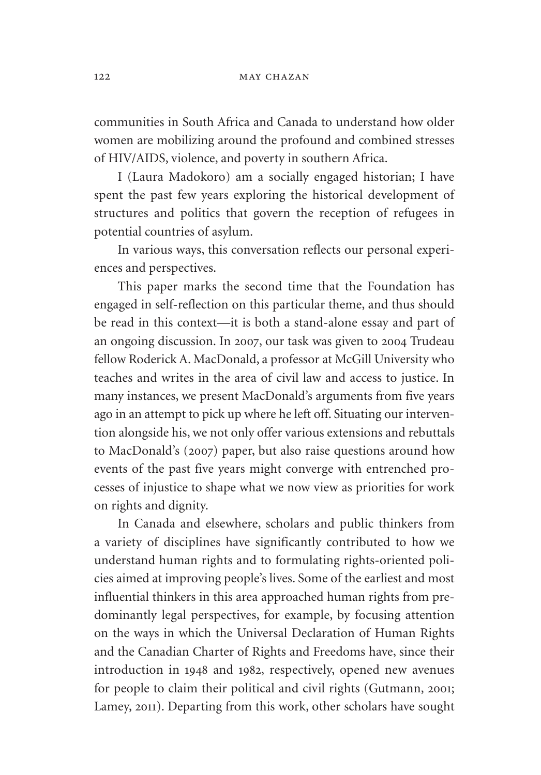communities in South Africa and Canada to understand how older women are mobilizing around the profound and combined stresses of HIV/AIDS, violence, and poverty in southern Africa.

I (Laura Madokoro) am a socially engaged historian; I have spent the past few years exploring the historical development of structures and politics that govern the reception of refugees in potential countries of asylum.

In various ways, this conversation reflects our personal experiences and perspectives.

This paper marks the second time that the Foundation has engaged in self-reflection on this particular theme, and thus should be read in this context—it is both a stand-alone essay and part of an ongoing discussion. In 2007, our task was given to 2004 Trudeau fellow Roderick A. MacDonald, a professor at McGill University who teaches and writes in the area of civil law and access to justice. In many instances, we present MacDonald's arguments from five years ago in an attempt to pick up where he left off. Situating our intervention alongside his, we not only offer various extensions and rebuttals to MacDonald's (2007) paper, but also raise questions around how events of the past five years might converge with entrenched processes of injustice to shape what we now view as priorities for work on rights and dignity.

In Canada and elsewhere, scholars and public thinkers from a variety of disciplines have significantly contributed to how we understand human rights and to formulating rights-oriented policies aimed at improving people's lives. Some of the earliest and most influential thinkers in this area approached human rights from predominantly legal perspectives, for example, by focusing attention on the ways in which the Universal Declaration of Human Rights and the Canadian Charter of Rights and Freedoms have, since their introduction in 1948 and 1982, respectively, opened new avenues for people to claim their political and civil rights (Gutmann, 2001; Lamey, 2011). Departing from this work, other scholars have sought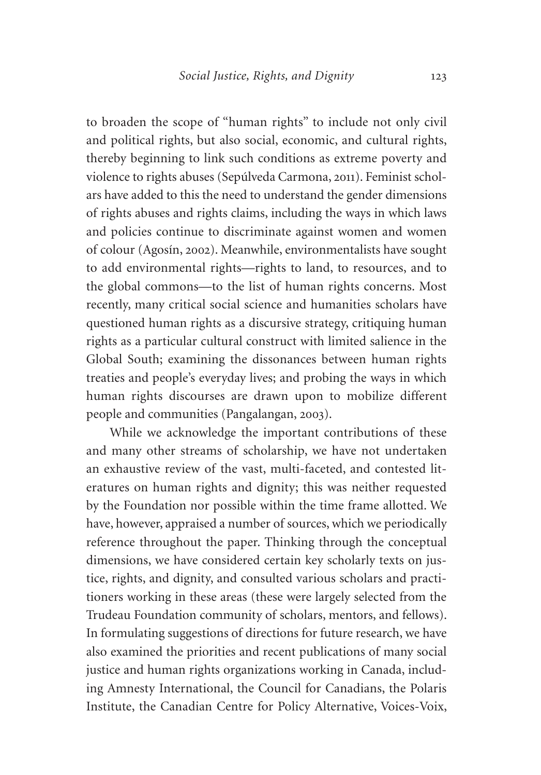to broaden the scope of "human rights" to include not only civil and political rights, but also social, economic, and cultural rights, thereby beginning to link such conditions as extreme poverty and violence to rights abuses (Sepúlveda Carmona, 2011). Feminist scholars have added to this the need to understand the gender dimensions of rights abuses and rights claims, including the ways in which laws and policies continue to discriminate against women and women of colour (Agosín, 2002). Meanwhile, environmentalists have sought to add environmental rights—rights to land, to resources, and to the global commons—to the list of human rights concerns. Most recently, many critical social science and humanities scholars have questioned human rights as a discursive strategy, critiquing human rights as a particular cultural construct with limited salience in the Global South; examining the dissonances between human rights treaties and people's everyday lives; and probing the ways in which human rights discourses are drawn upon to mobilize different people and communities (Pangalangan, 2003).

While we acknowledge the important contributions of these and many other streams of scholarship, we have not undertaken an exhaustive review of the vast, multi-faceted, and contested literatures on human rights and dignity; this was neither requested by the Foundation nor possible within the time frame allotted. We have, however, appraised a number of sources, which we periodically reference throughout the paper. Thinking through the conceptual dimensions, we have considered certain key scholarly texts on justice, rights, and dignity, and consulted various scholars and practitioners working in these areas (these were largely selected from the Trudeau Foundation community of scholars, mentors, and fellows). In formulating suggestions of directions for future research, we have also examined the priorities and recent publications of many social justice and human rights organizations working in Canada, including Amnesty International, the Council for Canadians, the Polaris Institute, the Canadian Centre for Policy Alternative, Voices-Voix,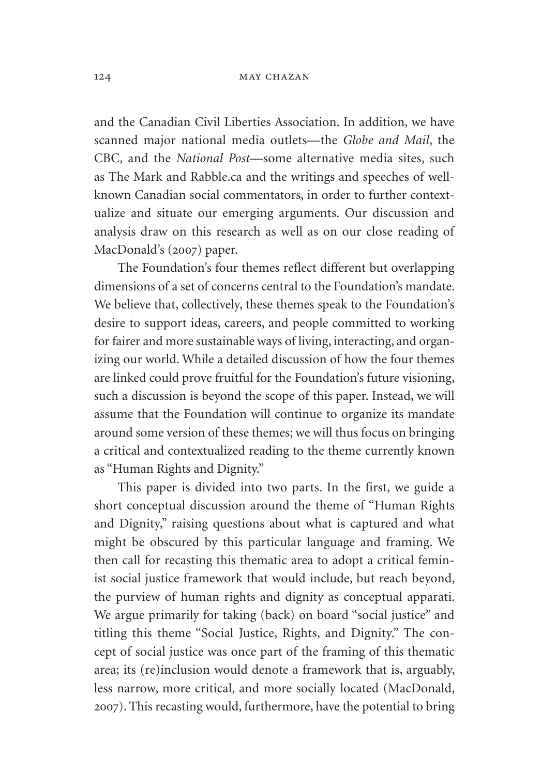#### 124 MAY CHAZAN

and the Canadian Civil Liberties Association. In addition, we have scanned major national media outlets—the *Globe and Mail*, the CBC, and the *National Post*—some alternative media sites, such as The Mark and [Rabble.ca](http://Rabble.ca) and the writings and speeches of wellknown Canadian social commentators, in order to further contextualize and situate our emerging arguments. Our discussion and analysis draw on this research as well as on our close reading of MacDonald's (2007) paper.

The Foundation's four themes reflect different but overlapping dimensions of a set of concerns central to the Foundation's mandate. We believe that, collectively, these themes speak to the Foundation's desire to support ideas, careers, and people committed to working for fairer and more sustainable ways of living, interacting, and organizing our world. While a detailed discussion of how the four themes are linked could prove fruitful for the Foundation's future visioning, such a discussion is beyond the scope of this paper. Instead, we will assume that the Foundation will continue to organize its mandate around some version of these themes; we will thus focus on bringing a critical and contextualized reading to the theme currently known as "Human Rights and Dignity."

This paper is divided into two parts. In the first, we guide a short conceptual discussion around the theme of "Human Rights and Dignity," raising questions about what is captured and what might be obscured by this particular language and framing. We then call for recasting this thematic area to adopt a critical feminist social justice framework that would include, but reach beyond, the purview of human rights and dignity as conceptual apparati. We argue primarily for taking (back) on board "social justice" and titling this theme "Social Justice, Rights, and Dignity." The concept of social justice was once part of the framing of this thematic area; its (re)inclusion would denote a framework that is, arguably, less narrow, more critical, and more socially located (MacDonald, 2007). This recasting would, furthermore, have the potential to bring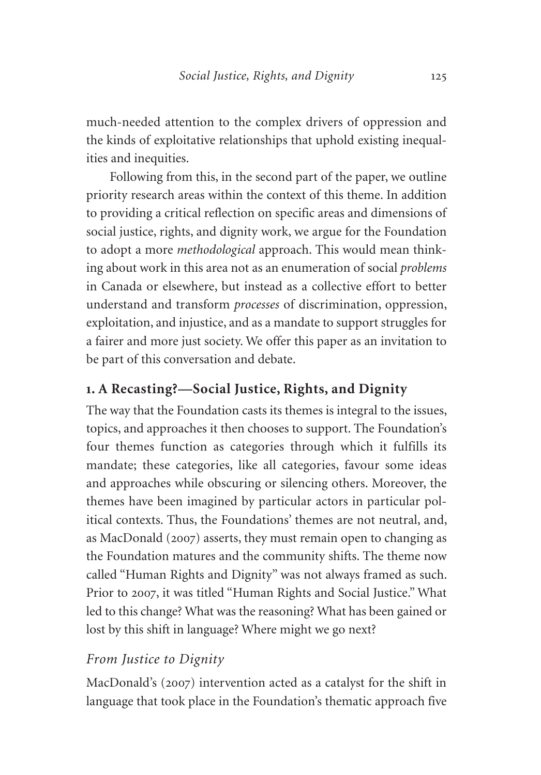much-needed attention to the complex drivers of oppression and the kinds of exploitative relationships that uphold existing inequalities and inequities.

Following from this, in the second part of the paper, we outline priority research areas within the context of this theme. In addition to providing a critical reflection on specific areas and dimensions of social justice, rights, and dignity work, we argue for the Foundation to adopt a more *methodological* approach. This would mean thinking about work in this area not as an enumeration of social *problems* in Canada or elsewhere, but instead as a collective effort to better understand and transform *processes* of discrimination, oppression, exploitation, and injustice, and as a mandate to support struggles for a fairer and more just society. We offer this paper as an invitation to be part of this conversation and debate.

## **1. A Recasting?—Social Justice, Rights, and Dignity**

The way that the Foundation casts its themes is integral to the issues, topics, and approaches it then chooses to support. The Foundation's four themes function as categories through which it fulfills its mandate; these categories, like all categories, favour some ideas and approaches while obscuring or silencing others. Moreover, the themes have been imagined by particular actors in particular political contexts. Thus, the Foundations' themes are not neutral, and, as MacDonald (2007) asserts, they must remain open to changing as the Foundation matures and the community shifts. The theme now called "Human Rights and Dignity" was not always framed as such. Prior to 2007, it was titled "Human Rights and Social Justice." What led to this change? What was the reasoning? What has been gained or lost by this shift in language? Where might we go next?

## *From Justice to Dignity*

MacDonald's (2007) intervention acted as a catalyst for the shift in language that took place in the Foundation's thematic approach five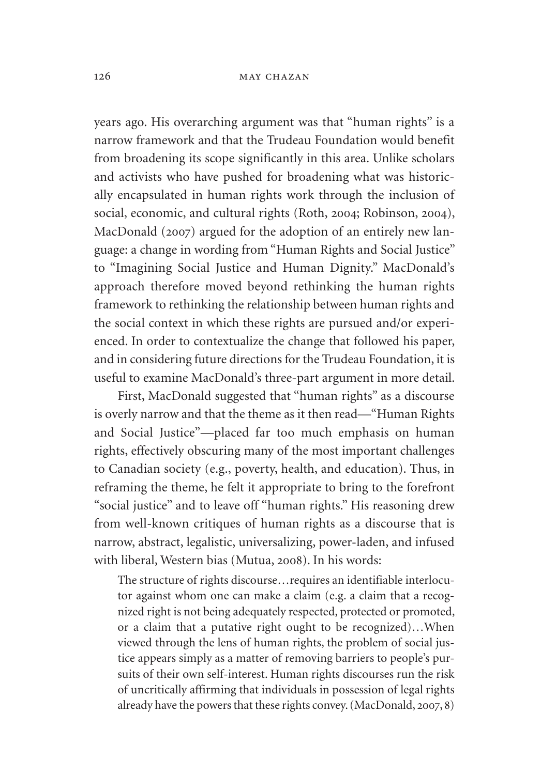#### 126 **MAY CHAZAN**

years ago. His overarching argument was that "human rights" is a narrow framework and that the Trudeau Foundation would benefit from broadening its scope significantly in this area. Unlike scholars and activists who have pushed for broadening what was historically encapsulated in human rights work through the inclusion of social, economic, and cultural rights (Roth, 2004; Robinson, 2004), MacDonald (2007) argued for the adoption of an entirely new language: a change in wording from "Human Rights and Social Justice" to "Imagining Social Justice and Human Dignity." MacDonald's approach therefore moved beyond rethinking the human rights framework to rethinking the relationship between human rights and the social context in which these rights are pursued and/or experienced. In order to contextualize the change that followed his paper, and in considering future directions for the Trudeau Foundation, it is useful to examine MacDonald's three-part argument in more detail.

First, MacDonald suggested that "human rights" as a discourse is overly narrow and that the theme as it then read—"Human Rights and Social Justice"—placed far too much emphasis on human rights, effectively obscuring many of the most important challenges to Canadian society (e.g., poverty, health, and education). Thus, in reframing the theme, he felt it appropriate to bring to the forefront "social justice" and to leave off "human rights." His reasoning drew from well-known critiques of human rights as a discourse that is narrow, abstract, legalistic, universalizing, power-laden, and infused with liberal, Western bias (Mutua, 2008). In his words:

The structure of rights discourse…requires an identifiable interlocutor against whom one can make a claim (e.g. a claim that a recognized right is not being adequately respected, protected or promoted, or a claim that a putative right ought to be recognized)…When viewed through the lens of human rights, the problem of social justice appears simply as a matter of removing barriers to people's pursuits of their own self-interest. Human rights discourses run the risk of uncritically affirming that individuals in possession of legal rights already have the powers that these rights convey. (MacDonald, 2007, 8)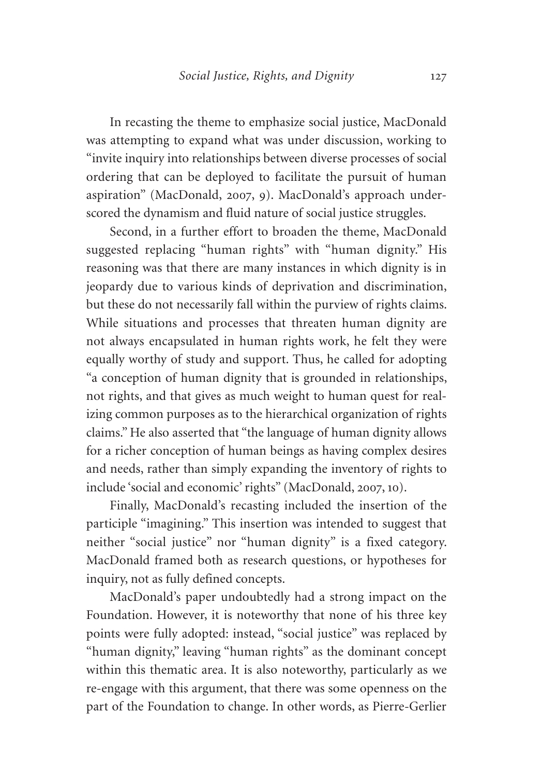In recasting the theme to emphasize social justice, MacDonald was attempting to expand what was under discussion, working to "invite inquiry into relationships between diverse processes of social ordering that can be deployed to facilitate the pursuit of human aspiration" (MacDonald, 2007, 9). MacDonald's approach underscored the dynamism and fluid nature of social justice struggles.

Second, in a further effort to broaden the theme, MacDonald suggested replacing "human rights" with "human dignity." His reasoning was that there are many instances in which dignity is in jeopardy due to various kinds of deprivation and discrimination, but these do not necessarily fall within the purview of rights claims. While situations and processes that threaten human dignity are not always encapsulated in human rights work, he felt they were equally worthy of study and support. Thus, he called for adopting "a conception of human dignity that is grounded in relationships, not rights, and that gives as much weight to human quest for realizing common purposes as to the hierarchical organization of rights claims." He also asserted that "the language of human dignity allows for a richer conception of human beings as having complex desires and needs, rather than simply expanding the inventory of rights to include 'social and economic' rights" (MacDonald, 2007, 10).

Finally, MacDonald's recasting included the insertion of the participle "imagining." This insertion was intended to suggest that neither "social justice" nor "human dignity" is a fixed category. MacDonald framed both as research questions, or hypotheses for inquiry, not as fully defined concepts.

MacDonald's paper undoubtedly had a strong impact on the Foundation. However, it is noteworthy that none of his three key points were fully adopted: instead, "social justice" was replaced by "human dignity," leaving "human rights" as the dominant concept within this thematic area. It is also noteworthy, particularly as we re-engage with this argument, that there was some openness on the part of the Foundation to change. In other words, as Pierre-Gerlier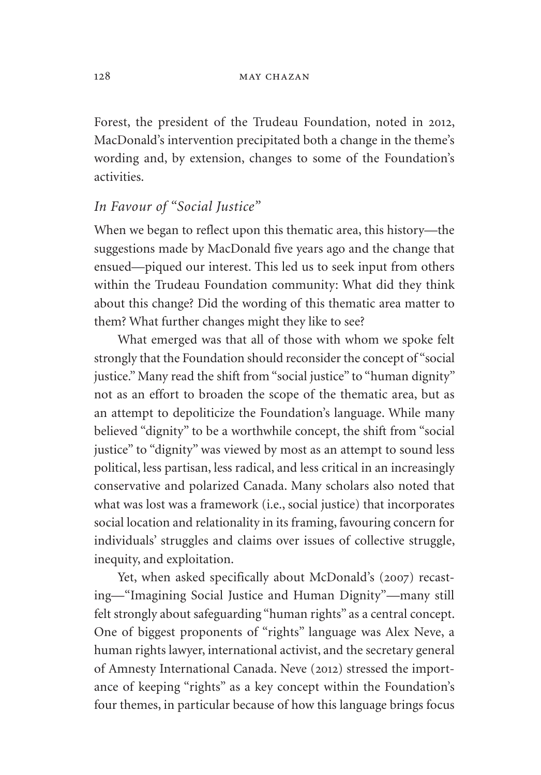Forest, the president of the Trudeau Foundation, noted in 2012, MacDonald's intervention precipitated both a change in the theme's wording and, by extension, changes to some of the Foundation's activities.

## *In Favour of "Social Justice"*

When we began to reflect upon this thematic area, this history—the suggestions made by MacDonald five years ago and the change that ensued—piqued our interest. This led us to seek input from others within the Trudeau Foundation community: What did they think about this change? Did the wording of this thematic area matter to them? What further changes might they like to see?

What emerged was that all of those with whom we spoke felt strongly that the Foundation should reconsider the concept of "social justice." Many read the shift from "social justice" to "human dignity" not as an effort to broaden the scope of the thematic area, but as an attempt to depoliticize the Foundation's language. While many believed "dignity" to be a worthwhile concept, the shift from "social justice" to "dignity" was viewed by most as an attempt to sound less political, less partisan, less radical, and less critical in an increasingly conservative and polarized Canada. Many scholars also noted that what was lost was a framework (i.e., social justice) that incorporates social location and relationality in its framing, favouring concern for individuals' struggles and claims over issues of collective struggle, inequity, and exploitation.

Yet, when asked specifically about McDonald's (2007) recasting—"Imagining Social Justice and Human Dignity"—many still felt strongly about safeguarding "human rights" as a central concept. One of biggest proponents of "rights" language was Alex Neve, a human rights lawyer, international activist, and the secretary general of Amnesty International Canada. Neve (2012) stressed the importance of keeping "rights" as a key concept within the Foundation's four themes, in particular because of how this language brings focus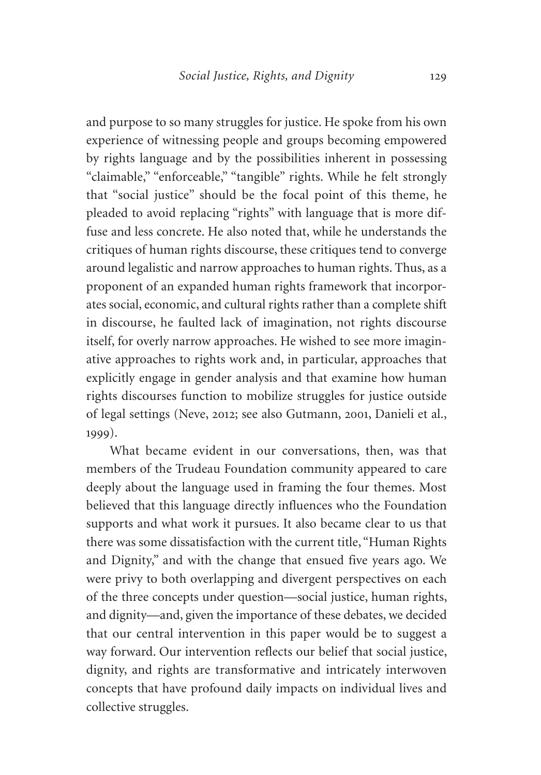and purpose to so many struggles for justice. He spoke from his own experience of witnessing people and groups becoming empowered by rights language and by the possibilities inherent in possessing "claimable," "enforceable," "tangible" rights. While he felt strongly that "social justice" should be the focal point of this theme, he pleaded to avoid replacing "rights" with language that is more diffuse and less concrete. He also noted that, while he understands the critiques of human rights discourse, these critiques tend to converge around legalistic and narrow approaches to human rights. Thus, as a proponent of an expanded human rights framework that incorporates social, economic, and cultural rights rather than a complete shift in discourse, he faulted lack of imagination, not rights discourse itself, for overly narrow approaches. He wished to see more imaginative approaches to rights work and, in particular, approaches that explicitly engage in gender analysis and that examine how human rights discourses function to mobilize struggles for justice outside of legal settings (Neve, 2012; see also Gutmann, 2001, Danieli et al., 1999).

What became evident in our conversations, then, was that members of the Trudeau Foundation community appeared to care deeply about the language used in framing the four themes. Most believed that this language directly influences who the Foundation supports and what work it pursues. It also became clear to us that there was some dissatisfaction with the current title, "Human Rights and Dignity," and with the change that ensued five years ago. We were privy to both overlapping and divergent perspectives on each of the three concepts under question—social justice, human rights, and dignity—and, given the importance of these debates, we decided that our central intervention in this paper would be to suggest a way forward. Our intervention reflects our belief that social justice, dignity, and rights are transformative and intricately interwoven concepts that have profound daily impacts on individual lives and collective struggles.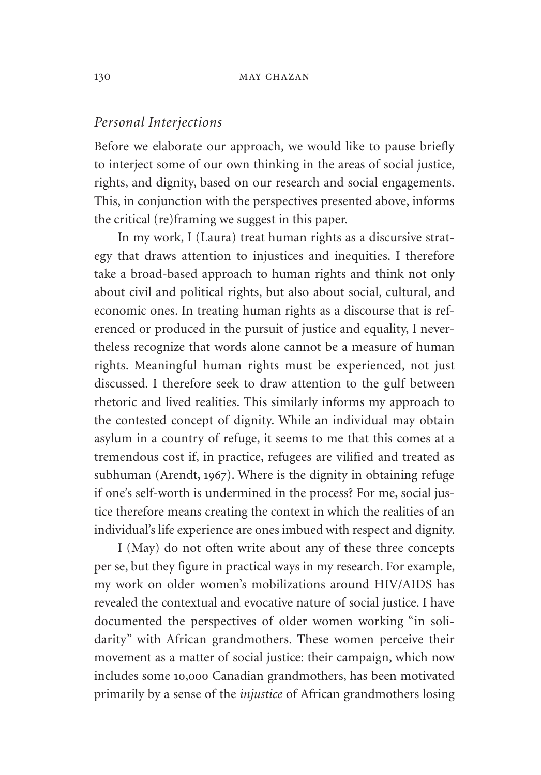## *Personal Interjections*

Before we elaborate our approach, we would like to pause briefly to interject some of our own thinking in the areas of social justice, rights, and dignity, based on our research and social engagements. This, in conjunction with the perspectives presented above, informs the critical (re)framing we suggest in this paper.

In my work, I (Laura) treat human rights as a discursive strategy that draws attention to injustices and inequities. I therefore take a broad-based approach to human rights and think not only about civil and political rights, but also about social, cultural, and economic ones. In treating human rights as a discourse that is referenced or produced in the pursuit of justice and equality, I nevertheless recognize that words alone cannot be a measure of human rights. Meaningful human rights must be experienced, not just discussed. I therefore seek to draw attention to the gulf between rhetoric and lived realities. This similarly informs my approach to the contested concept of dignity. While an individual may obtain asylum in a country of refuge, it seems to me that this comes at a tremendous cost if, in practice, refugees are vilified and treated as subhuman (Arendt, 1967). Where is the dignity in obtaining refuge if one's self-worth is undermined in the process? For me, social justice therefore means creating the context in which the realities of an individual's life experience are ones imbued with respect and dignity.

I (May) do not often write about any of these three concepts per se, but they figure in practical ways in my research. For example, my work on older women's mobilizations around HIV/AIDS has revealed the contextual and evocative nature of social justice. I have documented the perspectives of older women working "in solidarity" with African grandmothers. These women perceive their movement as a matter of social justice: their campaign, which now includes some 10,000 Canadian grandmothers, has been motivated primarily by a sense of the *injustice* of African grandmothers losing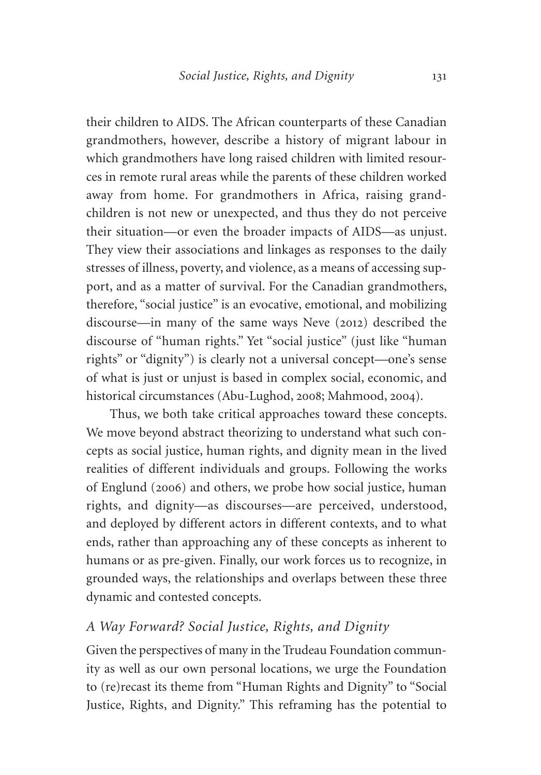their children to AIDS. The African counterparts of these Canadian grandmothers, however, describe a history of migrant labour in which grandmothers have long raised children with limited resources in remote rural areas while the parents of these children worked away from home. For grandmothers in Africa, raising grandchildren is not new or unexpected, and thus they do not perceive their situation—or even the broader impacts of AIDS—as unjust. They view their associations and linkages as responses to the daily stresses of illness, poverty, and violence, as a means of accessing support, and as a matter of survival. For the Canadian grandmothers, therefore, "social justice" is an evocative, emotional, and mobilizing discourse—in many of the same ways Neve (2012) described the discourse of "human rights." Yet "social justice" (just like "human rights" or "dignity") is clearly not a universal concept—one's sense of what is just or unjust is based in complex social, economic, and historical circumstances (Abu-Lughod, 2008; Mahmood, 2004).

Thus, we both take critical approaches toward these concepts. We move beyond abstract theorizing to understand what such concepts as social justice, human rights, and dignity mean in the lived realities of different individuals and groups. Following the works of Englund (2006) and others, we probe how social justice, human rights, and dignity—as discourses—are perceived, understood, and deployed by different actors in different contexts, and to what ends, rather than approaching any of these concepts as inherent to humans or as pre-given. Finally, our work forces us to recognize, in grounded ways, the relationships and overlaps between these three dynamic and contested concepts.

## *A Way Forward? Social Justice, Rights, and Dignity*

Given the perspectives of many in the Trudeau Foundation community as well as our own personal locations, we urge the Foundation to (re)recast its theme from "Human Rights and Dignity" to "Social Justice, Rights, and Dignity." This reframing has the potential to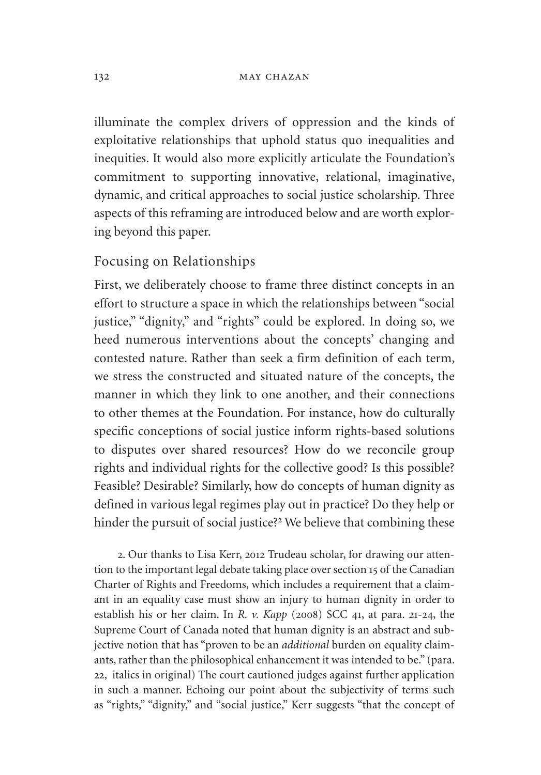illuminate the complex drivers of oppression and the kinds of exploitative relationships that uphold status quo inequalities and inequities. It would also more explicitly articulate the Foundation's commitment to supporting innovative, relational, imaginative, dynamic, and critical approaches to social justice scholarship. Three aspects of this reframing are introduced below and are worth exploring beyond this paper.

## Focusing on Relationships

First, we deliberately choose to frame three distinct concepts in an effort to structure a space in which the relationships between "social justice," "dignity," and "rights" could be explored. In doing so, we heed numerous interventions about the concepts' changing and contested nature. Rather than seek a firm definition of each term, we stress the constructed and situated nature of the concepts, the manner in which they link to one another, and their connections to other themes at the Foundation. For instance, how do culturally specific conceptions of social justice inform rights-based solutions to disputes over shared resources? How do we reconcile group rights and individual rights for the collective good? Is this possible? Feasible? Desirable? Similarly, how do concepts of human dignity as defined in various legal regimes play out in practice? Do they help or hinder the pursuit of social justice?<sup>2</sup> We believe that combining these

2. Our thanks to Lisa Kerr, 2012 Trudeau scholar, for drawing our attention to the important legal debate taking place over section 15 of the Canadian Charter of Rights and Freedoms, which includes a requirement that a claimant in an equality case must show an injury to human dignity in order to establish his or her claim. In *R. v. Kapp* (2008) SCC 41, at para. 21-24, the Supreme Court of Canada noted that human dignity is an abstract and subjective notion that has "proven to be an *additional* burden on equality claimants, rather than the philosophical enhancement it was intended to be." (para. 22, italics in original) The court cautioned judges against further application in such a manner. Echoing our point about the subjectivity of terms such as "rights," "dignity," and "social justice," Kerr suggests "that the concept of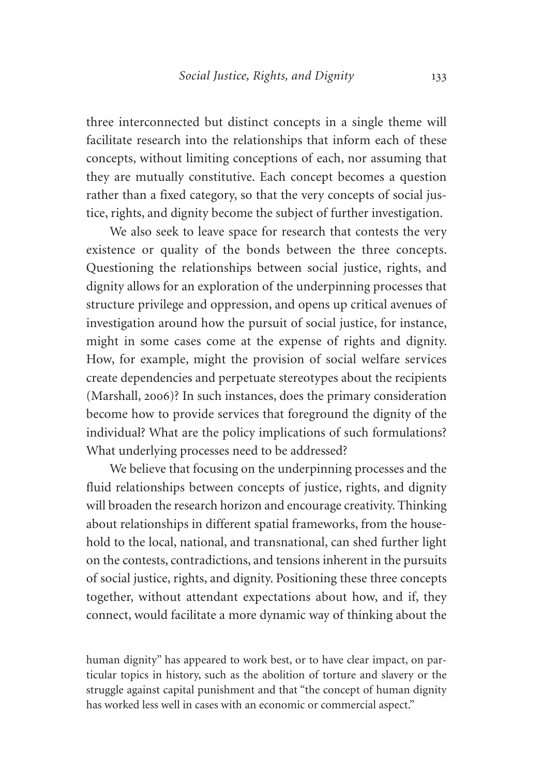three interconnected but distinct concepts in a single theme will facilitate research into the relationships that inform each of these concepts, without limiting conceptions of each, nor assuming that they are mutually constitutive. Each concept becomes a question rather than a fixed category, so that the very concepts of social justice, rights, and dignity become the subject of further investigation.

We also seek to leave space for research that contests the very existence or quality of the bonds between the three concepts. Questioning the relationships between social justice, rights, and dignity allows for an exploration of the underpinning processes that structure privilege and oppression, and opens up critical avenues of investigation around how the pursuit of social justice, for instance, might in some cases come at the expense of rights and dignity. How, for example, might the provision of social welfare services create dependencies and perpetuate stereotypes about the recipients (Marshall, 2006)? In such instances, does the primary consideration become how to provide services that foreground the dignity of the individual? What are the policy implications of such formulations? What underlying processes need to be addressed?

We believe that focusing on the underpinning processes and the fluid relationships between concepts of justice, rights, and dignity will broaden the research horizon and encourage creativity. Thinking about relationships in different spatial frameworks, from the household to the local, national, and transnational, can shed further light on the contests, contradictions, and tensions inherent in the pursuits of social justice, rights, and dignity. Positioning these three concepts together, without attendant expectations about how, and if, they connect, would facilitate a more dynamic way of thinking about the

human dignity" has appeared to work best, or to have clear impact, on particular topics in history, such as the abolition of torture and slavery or the struggle against capital punishment and that "the concept of human dignity has worked less well in cases with an economic or commercial aspect."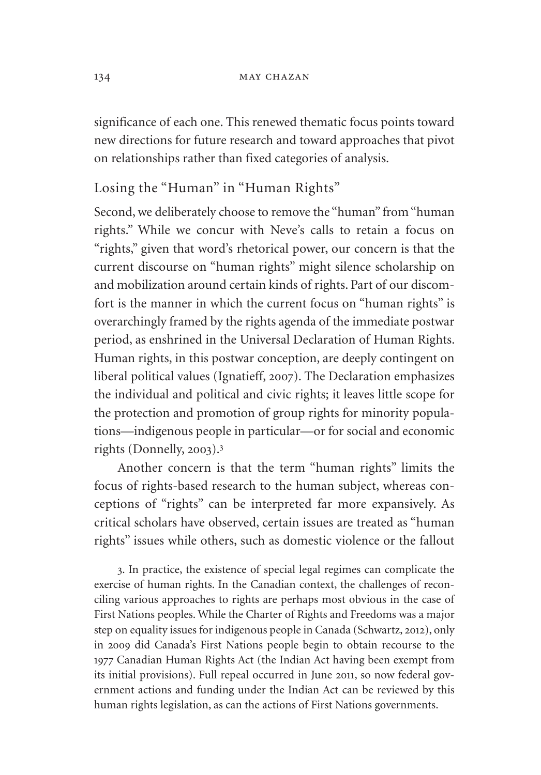significance of each one. This renewed thematic focus points toward new directions for future research and toward approaches that pivot on relationships rather than fixed categories of analysis.

## Losing the "Human" in "Human Rights"

Second, we deliberately choose to remove the "human" from "human rights." While we concur with Neve's calls to retain a focus on "rights," given that word's rhetorical power, our concern is that the current discourse on "human rights" might silence scholarship on and mobilization around certain kinds of rights. Part of our discomfort is the manner in which the current focus on "human rights" is overarchingly framed by the rights agenda of the immediate postwar period, as enshrined in the Universal Declaration of Human Rights. Human rights, in this postwar conception, are deeply contingent on liberal political values (Ignatieff, 2007). The Declaration emphasizes the individual and political and civic rights; it leaves little scope for the protection and promotion of group rights for minority populations—indigenous people in particular—or for social and economic rights (Donnelly, 2003).<sup>3</sup>

Another concern is that the term "human rights" limits the focus of rights-based research to the human subject, whereas conceptions of "rights" can be interpreted far more expansively. As critical scholars have observed, certain issues are treated as "human rights" issues while others, such as domestic violence or the fallout

3. In practice, the existence of special legal regimes can complicate the exercise of human rights. In the Canadian context, the challenges of reconciling various approaches to rights are perhaps most obvious in the case of First Nations peoples. While the Charter of Rights and Freedoms was a major step on equality issues for indigenous people in Canada (Schwartz, 2012), only in 2009 did Canada's First Nations people begin to obtain recourse to the 1977 Canadian Human Rights Act (the Indian Act having been exempt from its initial provisions). Full repeal occurred in June 2011, so now federal government actions and funding under the Indian Act can be reviewed by this human rights legislation, as can the actions of First Nations governments.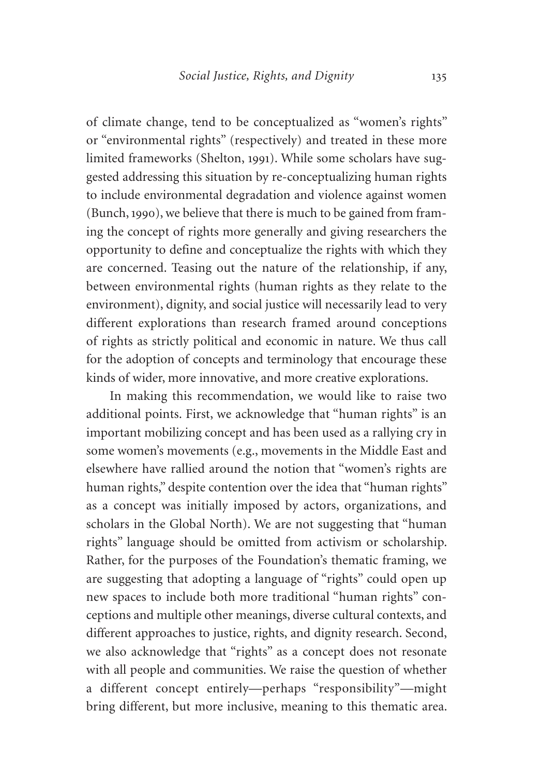of climate change, tend to be conceptualized as "women's rights" or "environmental rights" (respectively) and treated in these more limited frameworks (Shelton, 1991). While some scholars have suggested addressing this situation by re-conceptualizing human rights to include environmental degradation and violence against women (Bunch, 1990), we believe that there is much to be gained from framing the concept of rights more generally and giving researchers the opportunity to define and conceptualize the rights with which they are concerned. Teasing out the nature of the relationship, if any, between environmental rights (human rights as they relate to the environment), dignity, and social justice will necessarily lead to very different explorations than research framed around conceptions of rights as strictly political and economic in nature. We thus call for the adoption of concepts and terminology that encourage these kinds of wider, more innovative, and more creative explorations.

In making this recommendation, we would like to raise two additional points. First, we acknowledge that "human rights" is an important mobilizing concept and has been used as a rallying cry in some women's movements (e.g., movements in the Middle East and elsewhere have rallied around the notion that "women's rights are human rights," despite contention over the idea that "human rights" as a concept was initially imposed by actors, organizations, and scholars in the Global North). We are not suggesting that "human rights" language should be omitted from activism or scholarship. Rather, for the purposes of the Foundation's thematic framing, we are suggesting that adopting a language of "rights" could open up new spaces to include both more traditional "human rights" conceptions and multiple other meanings, diverse cultural contexts, and different approaches to justice, rights, and dignity research. Second, we also acknowledge that "rights" as a concept does not resonate with all people and communities. We raise the question of whether a different concept entirely—perhaps "responsibility"—might bring different, but more inclusive, meaning to this thematic area.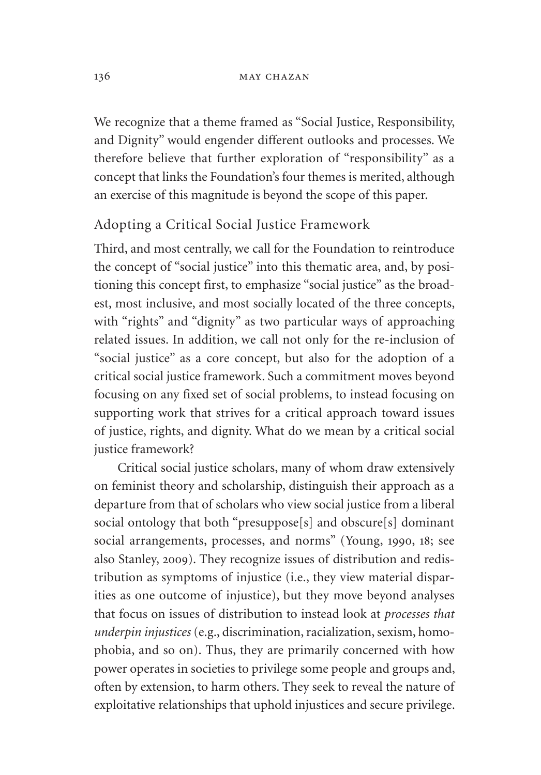#### 136 **MAY CHAZAN**

We recognize that a theme framed as "Social Justice, Responsibility, and Dignity" would engender different outlooks and processes. We therefore believe that further exploration of "responsibility" as a concept that links the Foundation's four themes is merited, although an exercise of this magnitude is beyond the scope of this paper.

## Adopting a Critical Social Justice Framework

Third, and most centrally, we call for the Foundation to reintroduce the concept of "social justice" into this thematic area, and, by positioning this concept first, to emphasize "social justice" as the broadest, most inclusive, and most socially located of the three concepts, with "rights" and "dignity" as two particular ways of approaching related issues. In addition, we call not only for the re-inclusion of "social justice" as a core concept, but also for the adoption of a critical social justice framework. Such a commitment moves beyond focusing on any fixed set of social problems, to instead focusing on supporting work that strives for a critical approach toward issues of justice, rights, and dignity. What do we mean by a critical social justice framework?

Critical social justice scholars, many of whom draw extensively on feminist theory and scholarship, distinguish their approach as a departure from that of scholars who view social justice from a liberal social ontology that both "presuppose[s] and obscure[s] dominant social arrangements, processes, and norms" (Young, 1990, 18; see also Stanley, 2009). They recognize issues of distribution and redistribution as symptoms of injustice (i.e., they view material disparities as one outcome of injustice), but they move beyond analyses that focus on issues of distribution to instead look at *processes that underpin injustices* (e.g., discrimination, racialization, sexism, homophobia, and so on). Thus, they are primarily concerned with how power operates in societies to privilege some people and groups and, often by extension, to harm others. They seek to reveal the nature of exploitative relationships that uphold injustices and secure privilege.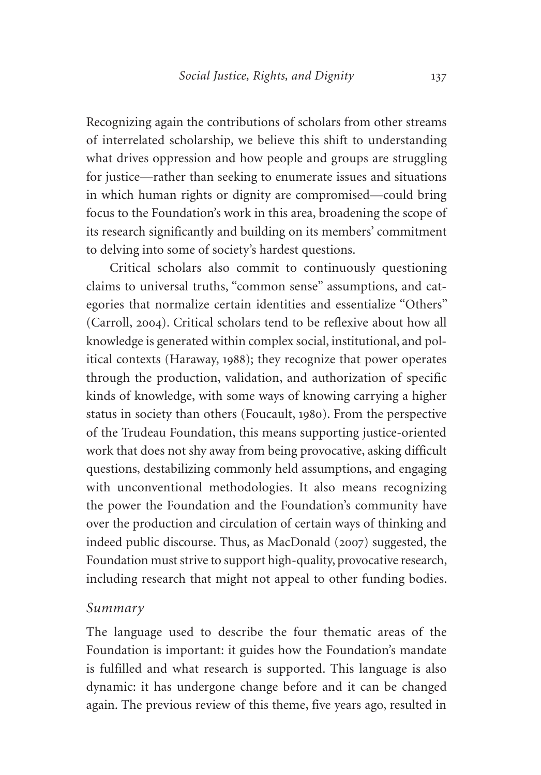Recognizing again the contributions of scholars from other streams of interrelated scholarship, we believe this shift to understanding what drives oppression and how people and groups are struggling for justice—rather than seeking to enumerate issues and situations in which human rights or dignity are compromised—could bring focus to the Foundation's work in this area, broadening the scope of its research significantly and building on its members' commitment to delving into some of society's hardest questions.

Critical scholars also commit to continuously questioning claims to universal truths, "common sense" assumptions, and categories that normalize certain identities and essentialize "Others" (Carroll, 2004). Critical scholars tend to be reflexive about how all knowledge is generated within complex social, institutional, and political contexts (Haraway, 1988); they recognize that power operates through the production, validation, and authorization of specific kinds of knowledge, with some ways of knowing carrying a higher status in society than others (Foucault, 1980). From the perspective of the Trudeau Foundation, this means supporting justice-oriented work that does not shy away from being provocative, asking difficult questions, destabilizing commonly held assumptions, and engaging with unconventional methodologies. It also means recognizing the power the Foundation and the Foundation's community have over the production and circulation of certain ways of thinking and indeed public discourse. Thus, as MacDonald (2007) suggested, the Foundation must strive to support high-quality, provocative research, including research that might not appeal to other funding bodies.

## *Summary*

The language used to describe the four thematic areas of the Foundation is important: it guides how the Foundation's mandate is fulfilled and what research is supported. This language is also dynamic: it has undergone change before and it can be changed again. The previous review of this theme, five years ago, resulted in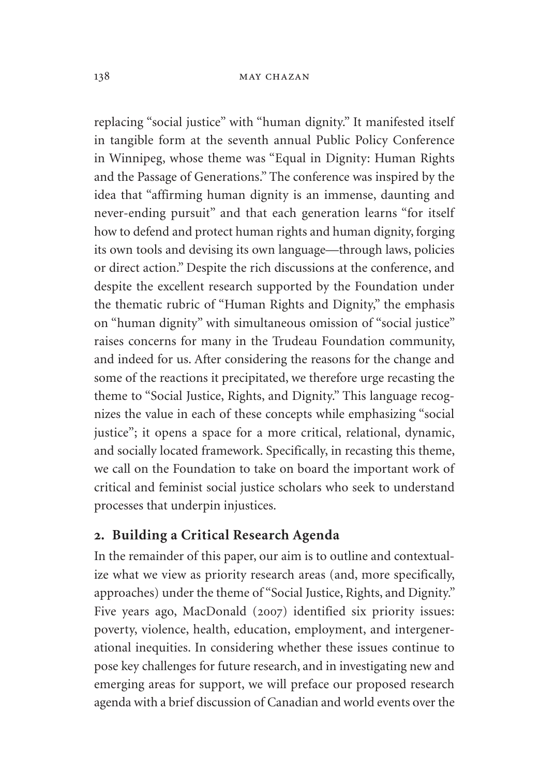replacing "social justice" with "human dignity." It manifested itself in tangible form at the seventh annual Public Policy Conference in Winnipeg, whose theme was "Equal in Dignity: Human Rights and the Passage of Generations." The conference was inspired by the idea that "affirming human dignity is an immense, daunting and never-ending pursuit" and that each generation learns "for itself how to defend and protect human rights and human dignity, forging its own tools and devising its own language—through laws, policies or direct action." Despite the rich discussions at the conference, and despite the excellent research supported by the Foundation under the thematic rubric of "Human Rights and Dignity," the emphasis on "human dignity" with simultaneous omission of "social justice" raises concerns for many in the Trudeau Foundation community, and indeed for us. After considering the reasons for the change and some of the reactions it precipitated, we therefore urge recasting the theme to "Social Justice, Rights, and Dignity." This language recognizes the value in each of these concepts while emphasizing "social justice"; it opens a space for a more critical, relational, dynamic, and socially located framework. Specifically, in recasting this theme, we call on the Foundation to take on board the important work of critical and feminist social justice scholars who seek to understand processes that underpin injustices.

## **2. Building a Critical Research Agenda**

In the remainder of this paper, our aim is to outline and contextualize what we view as priority research areas (and, more specifically, approaches) under the theme of "Social Justice, Rights, and Dignity." Five years ago, MacDonald (2007) identified six priority issues: poverty, violence, health, education, employment, and intergenerational inequities. In considering whether these issues continue to pose key challenges for future research, and in investigating new and emerging areas for support, we will preface our proposed research agenda with a brief discussion of Canadian and world events over the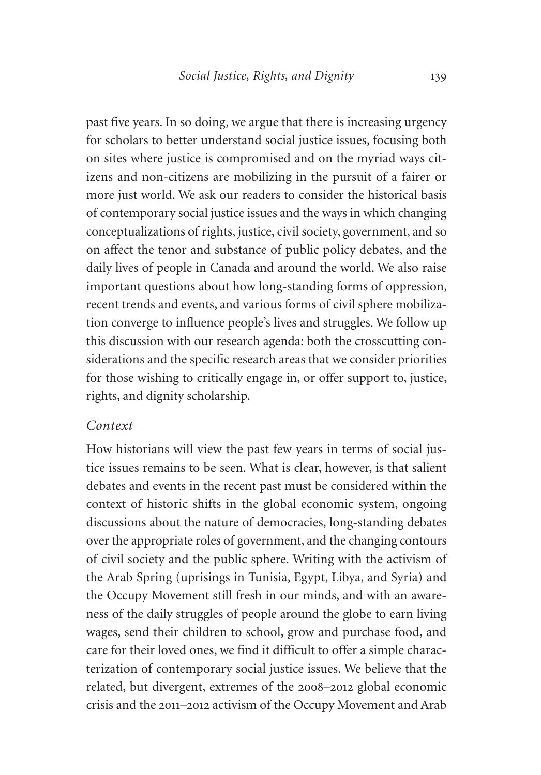past five years. In so doing, we argue that there is increasing urgency for scholars to better understand social justice issues, focusing both on sites where justice is compromised and on the myriad ways citizens and non-citizens are mobilizing in the pursuit of a fairer or more just world. We ask our readers to consider the historical basis of contemporary social justice issues and the ways in which changing conceptualizations of rights, justice, civil society, government, and so on affect the tenor and substance of public policy debates, and the daily lives of people in Canada and around the world. We also raise important questions about how long-standing forms of oppression, recent trends and events, and various forms of civil sphere mobilization converge to influence people's lives and struggles. We follow up this discussion with our research agenda: both the crosscutting considerations and the specific research areas that we consider priorities for those wishing to critically engage in, or offer support to, justice, rights, and dignity scholarship.

## *Context*

How historians will view the past few years in terms of social justice issues remains to be seen. What is clear, however, is that salient debates and events in the recent past must be considered within the context of historic shifts in the global economic system, ongoing discussions about the nature of democracies, long-standing debates over the appropriate roles of government, and the changing contours of civil society and the public sphere. Writing with the activism of the Arab Spring (uprisings in Tunisia, Egypt, Libya, and Syria) and the Occupy Movement still fresh in our minds, and with an awareness of the daily struggles of people around the globe to earn living wages, send their children to school, grow and purchase food, and care for their loved ones, we find it difficult to offer a simple characterization of contemporary social justice issues. We believe that the related, but divergent, extremes of the 2008–2012 global economic crisis and the 2011–2012 activism of the Occupy Movement and Arab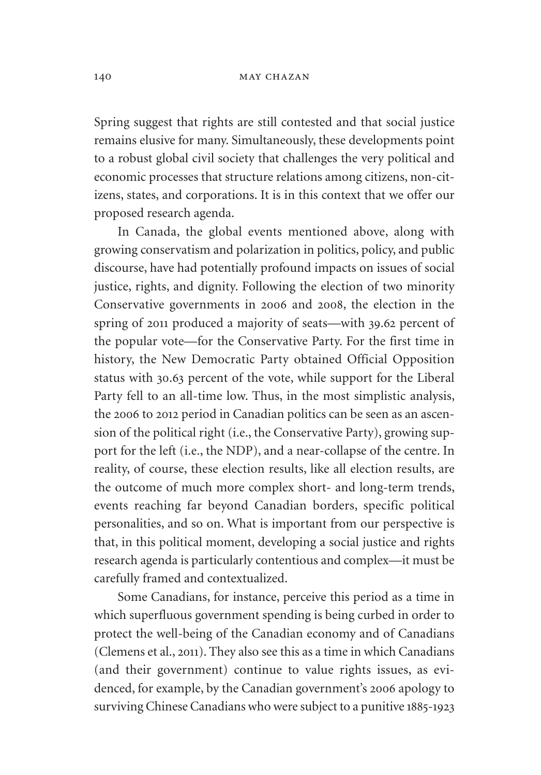#### 140 **MAY CHAZAN**

Spring suggest that rights are still contested and that social justice remains elusive for many. Simultaneously, these developments point to a robust global civil society that challenges the very political and economic processes that structure relations among citizens, non-citizens, states, and corporations. It is in this context that we offer our proposed research agenda.

In Canada, the global events mentioned above, along with growing conservatism and polarization in politics, policy, and public discourse, have had potentially profound impacts on issues of social justice, rights, and dignity. Following the election of two minority Conservative governments in 2006 and 2008, the election in the spring of 2011 produced a majority of seats—with 39.62 percent of the popular vote—for the Conservative Party. For the first time in history, the New Democratic Party obtained Official Opposition status with 30.63 percent of the vote, while support for the Liberal Party fell to an all-time low. Thus, in the most simplistic analysis, the 2006 to 2012 period in Canadian politics can be seen as an ascension of the political right (i.e., the Conservative Party), growing support for the left (i.e., the NDP), and a near-collapse of the centre. In reality, of course, these election results, like all election results, are the outcome of much more complex short- and long-term trends, events reaching far beyond Canadian borders, specific political personalities, and so on. What is important from our perspective is that, in this political moment, developing a social justice and rights research agenda is particularly contentious and complex—it must be carefully framed and contextualized.

Some Canadians, for instance, perceive this period as a time in which superfluous government spending is being curbed in order to protect the well-being of the Canadian economy and of Canadians (Clemens et al., 2011). They also see this as a time in which Canadians (and their government) continue to value rights issues, as evidenced, for example, by the Canadian government's 2006 apology to surviving Chinese Canadians who were subject to a punitive 1885-1923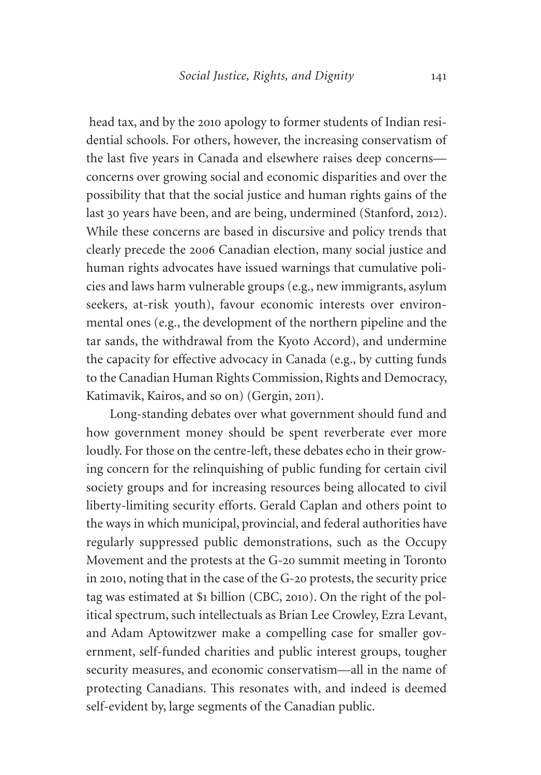head tax, and by the 2010 apology to former students of Indian residential schools. For others, however, the increasing conservatism of the last five years in Canada and elsewhere raises deep concerns concerns over growing social and economic disparities and over the possibility that that the social justice and human rights gains of the last 30 years have been, and are being, undermined (Stanford, 2012). While these concerns are based in discursive and policy trends that clearly precede the 2006 Canadian election, many social justice and human rights advocates have issued warnings that cumulative policies and laws harm vulnerable groups (e.g., new immigrants, asylum seekers, at-risk youth), favour economic interests over environmental ones (e.g., the development of the northern pipeline and the tar sands, the withdrawal from the Kyoto Accord), and undermine the capacity for effective advocacy in Canada (e.g., by cutting funds to the Canadian Human Rights Commission, Rights and Democracy, Katimavik, Kairos, and so on) (Gergin, 2011).

Long-standing debates over what government should fund and how government money should be spent reverberate ever more loudly. For those on the centre-left, these debates echo in their growing concern for the relinquishing of public funding for certain civil society groups and for increasing resources being allocated to civil liberty-limiting security efforts. Gerald Caplan and others point to the ways in which municipal, provincial, and federal authorities have regularly suppressed public demonstrations, such as the Occupy Movement and the protests at the G-20 summit meeting in Toronto in 2010, noting that in the case of the G-20 protests, the security price tag was estimated at \$1 billion (CBC, 2010). On the right of the political spectrum, such intellectuals as Brian Lee Crowley, Ezra Levant, and Adam Aptowitzwer make a compelling case for smaller government, self-funded charities and public interest groups, tougher security measures, and economic conservatism—all in the name of protecting Canadians. This resonates with, and indeed is deemed self-evident by, large segments of the Canadian public.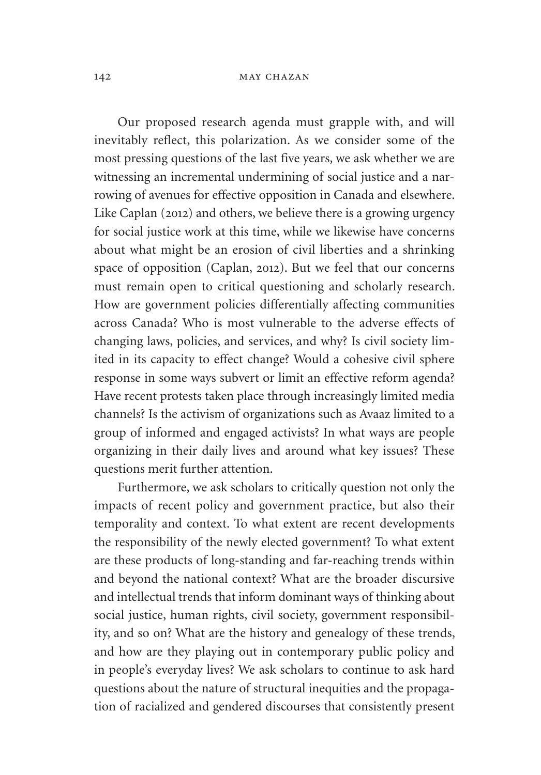#### 142 **MAY CHAZAN**

Our proposed research agenda must grapple with, and will inevitably reflect, this polarization. As we consider some of the most pressing questions of the last five years, we ask whether we are witnessing an incremental undermining of social justice and a narrowing of avenues for effective opposition in Canada and elsewhere. Like Caplan (2012) and others, we believe there is a growing urgency for social justice work at this time, while we likewise have concerns about what might be an erosion of civil liberties and a shrinking space of opposition (Caplan, 2012). But we feel that our concerns must remain open to critical questioning and scholarly research. How are government policies differentially affecting communities across Canada? Who is most vulnerable to the adverse effects of changing laws, policies, and services, and why? Is civil society limited in its capacity to effect change? Would a cohesive civil sphere response in some ways subvert or limit an effective reform agenda? Have recent protests taken place through increasingly limited media channels? Is the activism of organizations such as Avaaz limited to a group of informed and engaged activists? In what ways are people organizing in their daily lives and around what key issues? These questions merit further attention.

Furthermore, we ask scholars to critically question not only the impacts of recent policy and government practice, but also their temporality and context. To what extent are recent developments the responsibility of the newly elected government? To what extent are these products of long-standing and far-reaching trends within and beyond the national context? What are the broader discursive and intellectual trends that inform dominant ways of thinking about social justice, human rights, civil society, government responsibility, and so on? What are the history and genealogy of these trends, and how are they playing out in contemporary public policy and in people's everyday lives? We ask scholars to continue to ask hard questions about the nature of structural inequities and the propagation of racialized and gendered discourses that consistently present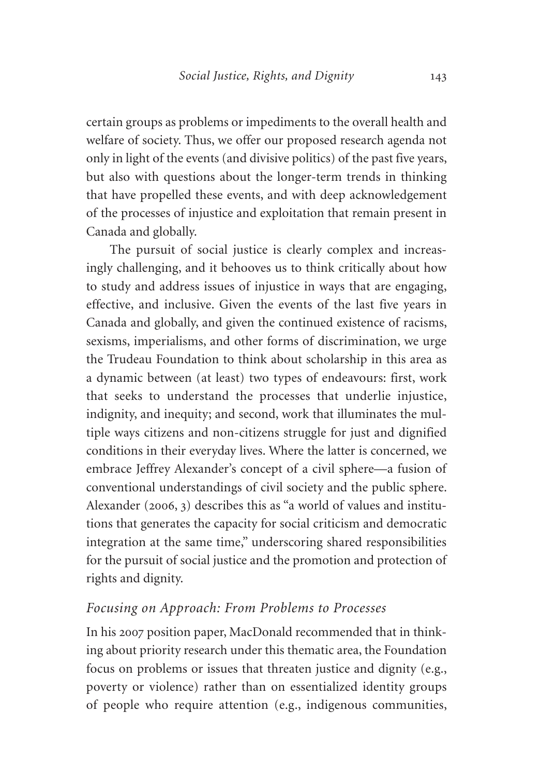certain groups as problems or impediments to the overall health and welfare of society. Thus, we offer our proposed research agenda not only in light of the events (and divisive politics) of the past five years, but also with questions about the longer-term trends in thinking that have propelled these events, and with deep acknowledgement of the processes of injustice and exploitation that remain present in Canada and globally.

The pursuit of social justice is clearly complex and increasingly challenging, and it behooves us to think critically about how to study and address issues of injustice in ways that are engaging, effective, and inclusive. Given the events of the last five years in Canada and globally, and given the continued existence of racisms, sexisms, imperialisms, and other forms of discrimination, we urge the Trudeau Foundation to think about scholarship in this area as a dynamic between (at least) two types of endeavours: first, work that seeks to understand the processes that underlie injustice, indignity, and inequity; and second, work that illuminates the multiple ways citizens and non-citizens struggle for just and dignified conditions in their everyday lives. Where the latter is concerned, we embrace Jeffrey Alexander's concept of a civil sphere—a fusion of conventional understandings of civil society and the public sphere. Alexander (2006, 3) describes this as "a world of values and institutions that generates the capacity for social criticism and democratic integration at the same time," underscoring shared responsibilities for the pursuit of social justice and the promotion and protection of rights and dignity.

## *Focusing on Approach: From Problems to Processes*

In his 2007 position paper, MacDonald recommended that in thinking about priority research under this thematic area, the Foundation focus on problems or issues that threaten justice and dignity (e.g., poverty or violence) rather than on essentialized identity groups of people who require attention (e.g., indigenous communities,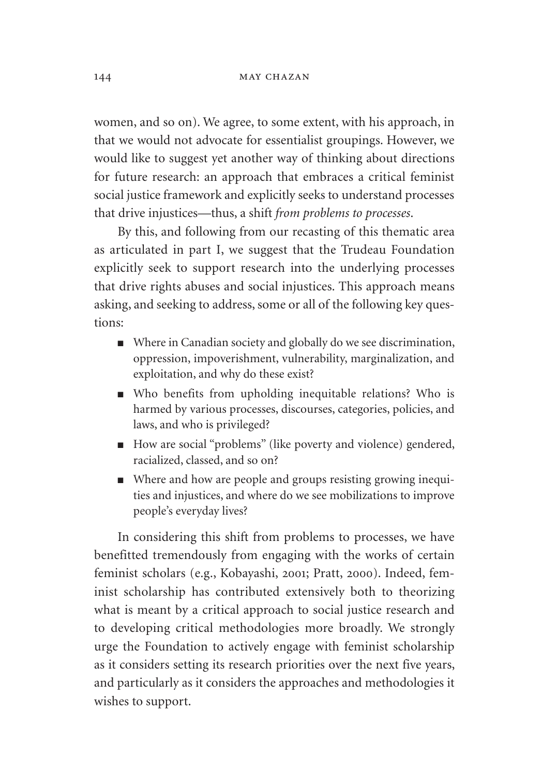women, and so on). We agree, to some extent, with his approach, in that we would not advocate for essentialist groupings. However, we would like to suggest yet another way of thinking about directions for future research: an approach that embraces a critical feminist social justice framework and explicitly seeks to understand processes that drive injustices—thus, a shift *from problems to processes*.

By this, and following from our recasting of this thematic area as articulated in part I, we suggest that the Trudeau Foundation explicitly seek to support research into the underlying processes that drive rights abuses and social injustices. This approach means asking, and seeking to address, some or all of the following key questions:

- Where in Canadian society and globally do we see discrimination, oppression, impoverishment, vulnerability, marginalization, and exploitation, and why do these exist?
- Who benefits from upholding inequitable relations? Who is harmed by various processes, discourses, categories, policies, and laws, and who is privileged?
- How are social "problems" (like poverty and violence) gendered, racialized, classed, and so on?
- Where and how are people and groups resisting growing inequi ties and injustices, and where do we see mobilizations to improve people's everyday lives?

In considering this shift from problems to processes, we have benefitted tremendously from engaging with the works of certain feminist scholars (e.g., Kobayashi, 2001; Pratt, 2000). Indeed, feminist scholarship has contributed extensively both to theorizing what is meant by a critical approach to social justice research and to developing critical methodologies more broadly. We strongly urge the Foundation to actively engage with feminist scholarship as it considers setting its research priorities over the next five years, and particularly as it considers the approaches and methodologies it wishes to support.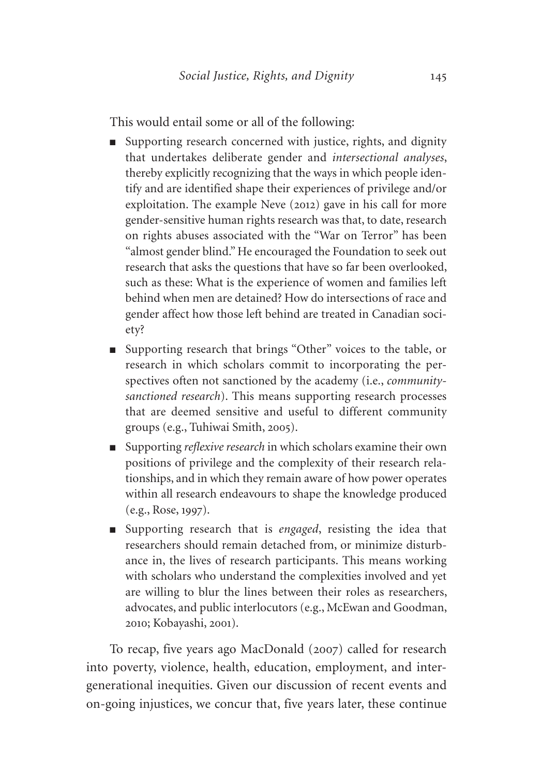This would entail some or all of the following:

- Supporting research concerned with justice, rights, and dignity that undertakes deliberate gender and *intersectional analyses*, thereby explicitly recognizing that the ways in which people identify and are identified shape their experiences of privilege and/or exploitation. The example Neve (2012) gave in his call for more gender-sensitive human rights research was that, to date, research on rights abuses associated with the "War on Terror" has been "almost gender blind." He encouraged the Foundation to seek out research that asks the questions that have so far been overlooked, such as these: What is the experience of women and families left behind when men are detained? How do intersections of race and gender affect how those left behind are treated in Canadian society?
- Supporting research that brings "Other" voices to the table, or research in which scholars commit to incorporating the perspectives often not sanctioned by the academy (i.e., *communitysanctioned research*). This means supporting research processes that are deemed sensitive and useful to different community groups (e.g., Tuhiwai Smith, 2005).
- Supporting *reflexive research* in which scholars examine their own positions of privilege and the complexity of their research relationships, and in which they remain aware of how power operates within all research endeavours to shape the knowledge produced (e.g., Rose, 1997).
- Supporting research that is *engaged*, resisting the idea that researchers should remain detached from, or minimize disturbance in, the lives of research participants. This means working with scholars who understand the complexities involved and yet are willing to blur the lines between their roles as researchers, advocates, and public interlocutors (e.g., McEwan and Goodman, 2010; Kobayashi, 2001).

To recap, five years ago MacDonald (2007) called for research into poverty, violence, health, education, employment, and intergenerational inequities. Given our discussion of recent events and on-going injustices, we concur that, five years later, these continue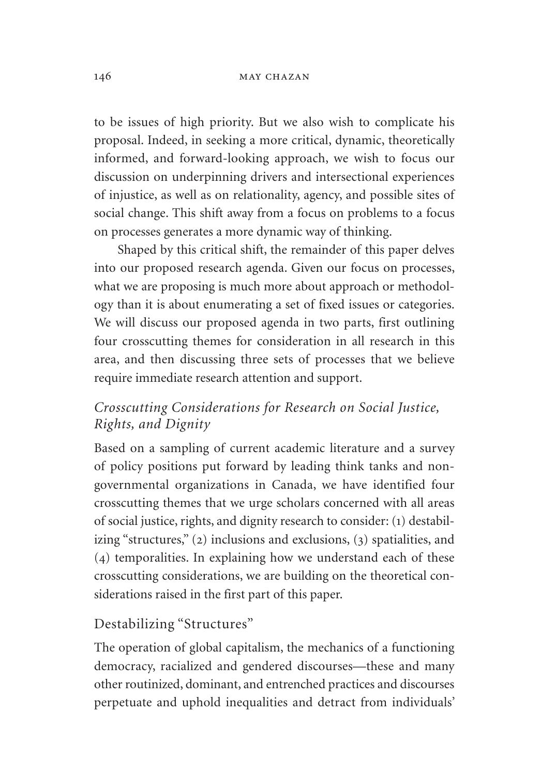#### 146 **MAY CHAZAN**

to be issues of high priority. But we also wish to complicate his proposal. Indeed, in seeking a more critical, dynamic, theoretically informed, and forward-looking approach, we wish to focus our discussion on underpinning drivers and intersectional experiences of injustice, as well as on relationality, agency, and possible sites of social change. This shift away from a focus on problems to a focus on processes generates a more dynamic way of thinking.

Shaped by this critical shift, the remainder of this paper delves into our proposed research agenda. Given our focus on processes, what we are proposing is much more about approach or methodology than it is about enumerating a set of fixed issues or categories. We will discuss our proposed agenda in two parts, first outlining four crosscutting themes for consideration in all research in this area, and then discussing three sets of processes that we believe require immediate research attention and support.

# *Crosscutting Considerations for Research on Social Justice, Rights, and Dignity*

Based on a sampling of current academic literature and a survey of policy positions put forward by leading think tanks and nongovernmental organizations in Canada, we have identified four crosscutting themes that we urge scholars concerned with all areas of social justice, rights, and dignity research to consider: (1) destabilizing "structures," (2) inclusions and exclusions, (3) spatialities, and (4) temporalities. In explaining how we understand each of these crosscutting considerations, we are building on the theoretical considerations raised in the first part of this paper.

## Destabilizing "Structures"

The operation of global capitalism, the mechanics of a functioning democracy, racialized and gendered discourses—these and many other routinized, dominant, and entrenched practices and discourses perpetuate and uphold inequalities and detract from individuals'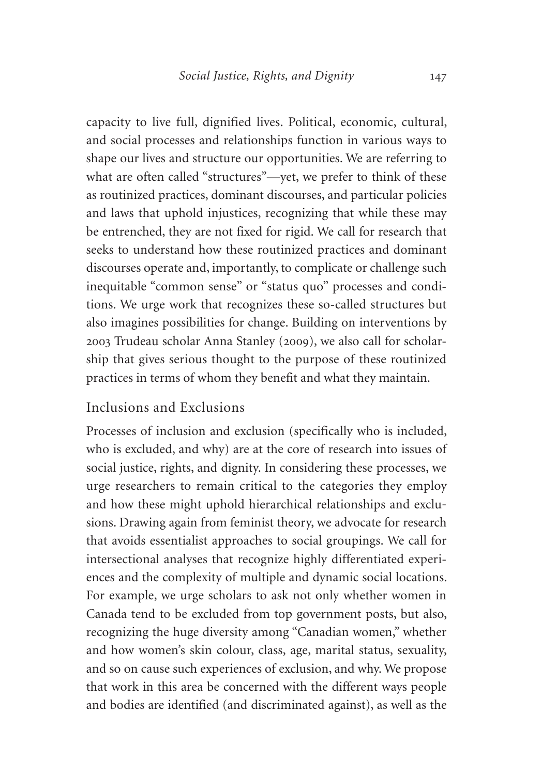capacity to live full, dignified lives. Political, economic, cultural, and social processes and relationships function in various ways to shape our lives and structure our opportunities. We are referring to what are often called "structures"—yet, we prefer to think of these as routinized practices, dominant discourses, and particular policies and laws that uphold injustices, recognizing that while these may be entrenched, they are not fixed for rigid. We call for research that seeks to understand how these routinized practices and dominant discourses operate and, importantly, to complicate or challenge such inequitable "common sense" or "status quo" processes and conditions. We urge work that recognizes these so-called structures but also imagines possibilities for change. Building on interventions by 2003 Trudeau scholar Anna Stanley (2009), we also call for scholarship that gives serious thought to the purpose of these routinized practices in terms of whom they benefit and what they maintain.

## Inclusions and Exclusions

Processes of inclusion and exclusion (specifically who is included, who is excluded, and why) are at the core of research into issues of social justice, rights, and dignity. In considering these processes, we urge researchers to remain critical to the categories they employ and how these might uphold hierarchical relationships and exclusions. Drawing again from feminist theory, we advocate for research that avoids essentialist approaches to social groupings. We call for intersectional analyses that recognize highly differentiated experiences and the complexity of multiple and dynamic social locations. For example, we urge scholars to ask not only whether women in Canada tend to be excluded from top government posts, but also, recognizing the huge diversity among "Canadian women," whether and how women's skin colour, class, age, marital status, sexuality, and so on cause such experiences of exclusion, and why. We propose that work in this area be concerned with the different ways people and bodies are identified (and discriminated against), as well as the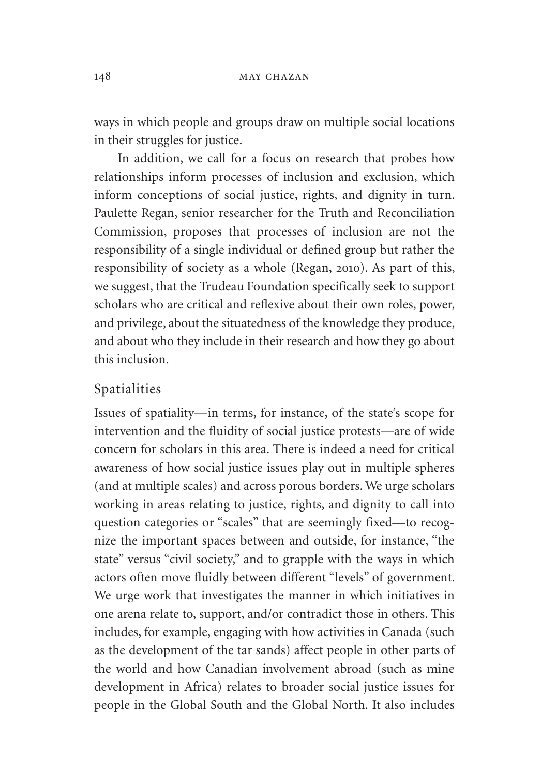ways in which people and groups draw on multiple social locations in their struggles for justice.

In addition, we call for a focus on research that probes how relationships inform processes of inclusion and exclusion, which inform conceptions of social justice, rights, and dignity in turn. Paulette Regan, senior researcher for the Truth and Reconciliation Commission, proposes that processes of inclusion are not the responsibility of a single individual or defined group but rather the responsibility of society as a whole (Regan, 2010). As part of this, we suggest, that the Trudeau Foundation specifically seek to support scholars who are critical and reflexive about their own roles, power, and privilege, about the situatedness of the knowledge they produce, and about who they include in their research and how they go about this inclusion.

#### Spatialities

Issues of spatiality—in terms, for instance, of the state's scope for intervention and the fluidity of social justice protests—are of wide concern for scholars in this area. There is indeed a need for critical awareness of how social justice issues play out in multiple spheres (and at multiple scales) and across porous borders. We urge scholars working in areas relating to justice, rights, and dignity to call into question categories or "scales" that are seemingly fixed—to recognize the important spaces between and outside, for instance, "the state" versus "civil society," and to grapple with the ways in which actors often move fluidly between different "levels" of government. We urge work that investigates the manner in which initiatives in one arena relate to, support, and/or contradict those in others. This includes, for example, engaging with how activities in Canada (such as the development of the tar sands) affect people in other parts of the world and how Canadian involvement abroad (such as mine development in Africa) relates to broader social justice issues for people in the Global South and the Global North. It also includes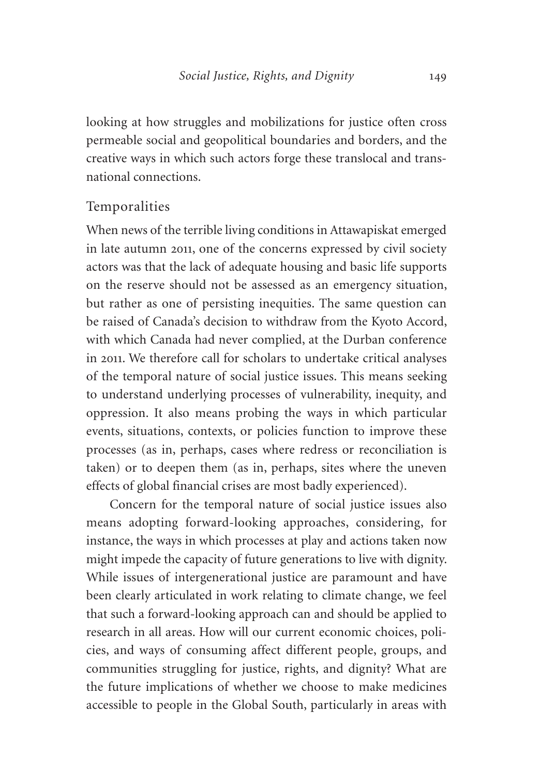looking at how struggles and mobilizations for justice often cross permeable social and geopolitical boundaries and borders, and the creative ways in which such actors forge these translocal and transnational connections.

## Temporalities

When news of the terrible living conditions in Attawapiskat emerged in late autumn 2011, one of the concerns expressed by civil society actors was that the lack of adequate housing and basic life supports on the reserve should not be assessed as an emergency situation, but rather as one of persisting inequities. The same question can be raised of Canada's decision to withdraw from the Kyoto Accord, with which Canada had never complied, at the Durban conference in 2011. We therefore call for scholars to undertake critical analyses of the temporal nature of social justice issues. This means seeking to understand underlying processes of vulnerability, inequity, and oppression. It also means probing the ways in which particular events, situations, contexts, or policies function to improve these processes (as in, perhaps, cases where redress or reconciliation is taken) or to deepen them (as in, perhaps, sites where the uneven effects of global financial crises are most badly experienced).

Concern for the temporal nature of social justice issues also means adopting forward-looking approaches, considering, for instance, the ways in which processes at play and actions taken now might impede the capacity of future generations to live with dignity. While issues of intergenerational justice are paramount and have been clearly articulated in work relating to climate change, we feel that such a forward-looking approach can and should be applied to research in all areas. How will our current economic choices, policies, and ways of consuming affect different people, groups, and communities struggling for justice, rights, and dignity? What are the future implications of whether we choose to make medicines accessible to people in the Global South, particularly in areas with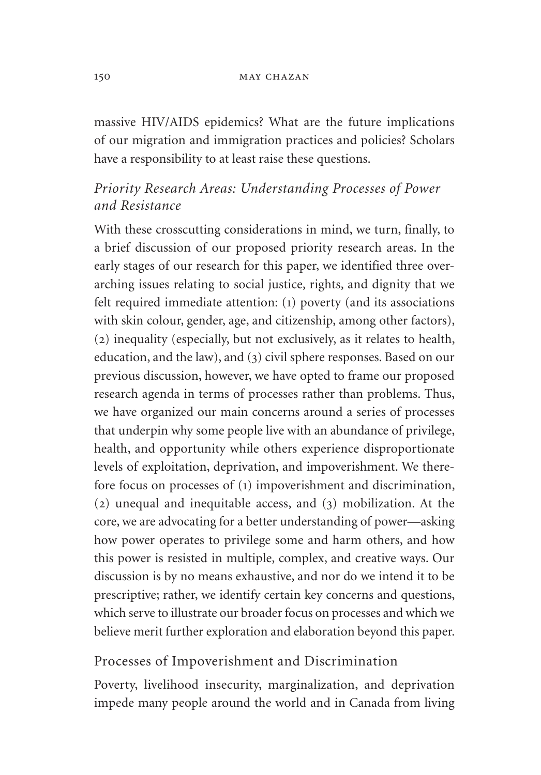#### 150 **MAY CHAZAN**

massive HIV/AIDS epidemics? What are the future implications of our migration and immigration practices and policies? Scholars have a responsibility to at least raise these questions.

# *Priority Research Areas: Understanding Processes of Power and Resistance*

With these crosscutting considerations in mind, we turn, finally, to a brief discussion of our proposed priority research areas. In the early stages of our research for this paper, we identified three overarching issues relating to social justice, rights, and dignity that we felt required immediate attention: (1) poverty (and its associations with skin colour, gender, age, and citizenship, among other factors), (2) inequality (especially, but not exclusively, as it relates to health, education, and the law), and (3) civil sphere responses. Based on our previous discussion, however, we have opted to frame our proposed research agenda in terms of processes rather than problems. Thus, we have organized our main concerns around a series of processes that underpin why some people live with an abundance of privilege, health, and opportunity while others experience disproportionate levels of exploitation, deprivation, and impoverishment. We therefore focus on processes of (1) impoverishment and discrimination, (2) unequal and inequitable access, and (3) mobilization. At the core, we are advocating for a better understanding of power—asking how power operates to privilege some and harm others, and how this power is resisted in multiple, complex, and creative ways. Our discussion is by no means exhaustive, and nor do we intend it to be prescriptive; rather, we identify certain key concerns and questions, which serve to illustrate our broader focus on processes and which we believe merit further exploration and elaboration beyond this paper.

### Processes of Impoverishment and Discrimination

Poverty, livelihood insecurity, marginalization, and deprivation impede many people around the world and in Canada from living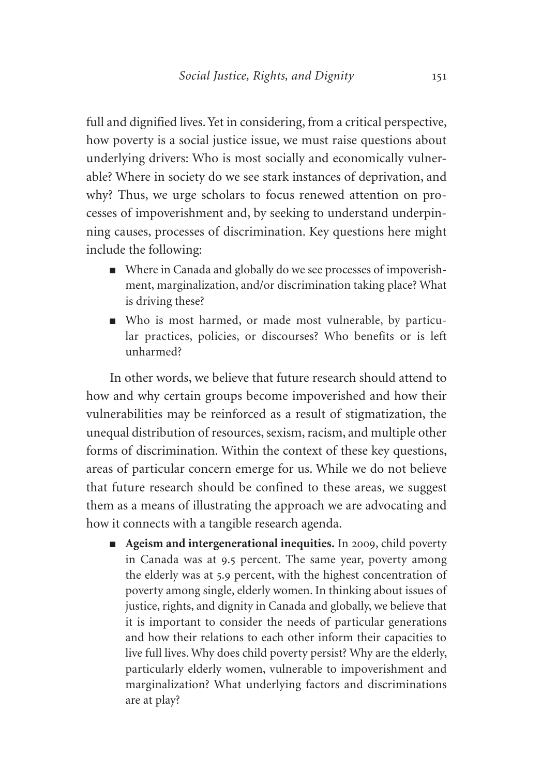full and dignified lives. Yet in considering, from a critical perspective, how poverty is a social justice issue, we must raise questions about underlying drivers: Who is most socially and economically vulnerable? Where in society do we see stark instances of deprivation, and why? Thus, we urge scholars to focus renewed attention on processes of impoverishment and, by seeking to understand underpinning causes, processes of discrimination. Key questions here might include the following:

- Where in Canada and globally do we see processes of impoverishment, marginalization, and/or discrimination taking place? What is driving these?
- Who is most harmed, or made most vulnerable, by particular practices, policies, or discourses? Who benefits or is left unharmed?

In other words, we believe that future research should attend to how and why certain groups become impoverished and how their vulnerabilities may be reinforced as a result of stigmatization, the unequal distribution of resources, sexism, racism, and multiple other forms of discrimination. Within the context of these key questions, areas of particular concern emerge for us. While we do not believe that future research should be confined to these areas, we suggest them as a means of illustrating the approach we are advocating and how it connects with a tangible research agenda.

■ **Ageism and intergenerational inequities.** In 2009, child poverty in Canada was at 9.5 percent. The same year, poverty among the elderly was at 5.9 percent, with the highest concentration of poverty among single, elderly women. In thinking about issues of justice, rights, and dignity in Canada and globally, we believe that it is important to consider the needs of particular generations and how their relations to each other inform their capacities to live full lives. Why does child poverty persist? Why are the elderly, particularly elderly women, vulnerable to impoverishment and marginalization? What underlying factors and discriminations are at play?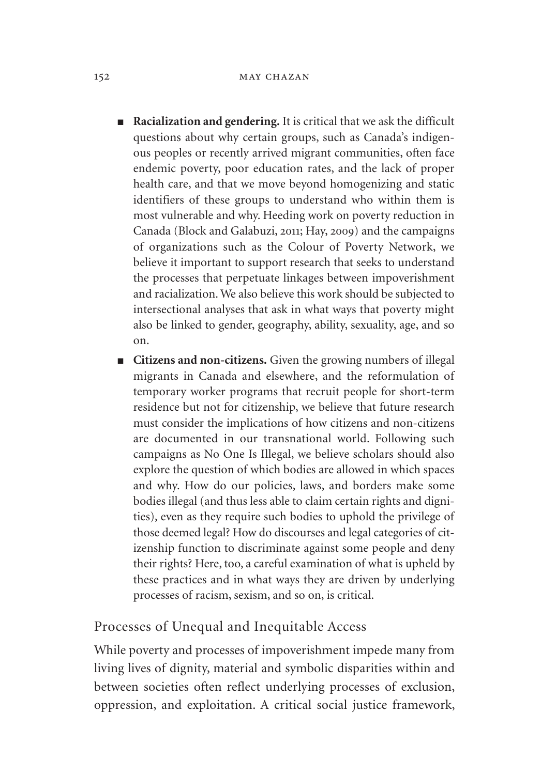- **Racialization and gendering.** It is critical that we ask the difficult questions about why certain groups, such as Canada's indigenous peoples or recently arrived migrant communities, often face endemic poverty, poor education rates, and the lack of proper health care, and that we move beyond homogenizing and static identifiers of these groups to understand who within them is most vulnerable and why. Heeding work on poverty reduction in Canada (Block and Galabuzi, 2011; Hay, 2009) and the campaigns of organizations such as the Colour of Poverty Network, we believe it important to support research that seeks to understand the processes that perpetuate linkages between impoverishment and racialization. We also believe this work should be subjected to intersectional analyses that ask in what ways that poverty might also be linked to gender, geography, ability, sexuality, age, and so on.
- **Citizens and non-citizens.** Given the growing numbers of illegal migrants in Canada and elsewhere, and the reformulation of temporary worker programs that recruit people for short-term residence but not for citizenship, we believe that future research must consider the implications of how citizens and non-citizens are documented in our transnational world. Following such campaigns as No One Is Illegal, we believe scholars should also explore the question of which bodies are allowed in which spaces and why. How do our policies, laws, and borders make some bodies illegal (and thus less able to claim certain rights and dignities), even as they require such bodies to uphold the privilege of those deemed legal? How do discourses and legal categories of citizenship function to discriminate against some people and deny their rights? Here, too, a careful examination of what is upheld by these practices and in what ways they are driven by underlying processes of racism, sexism, and so on, is critical.

### Processes of Unequal and Inequitable Access

While poverty and processes of impoverishment impede many from living lives of dignity, material and symbolic disparities within and between societies often reflect underlying processes of exclusion, oppression, and exploitation. A critical social justice framework,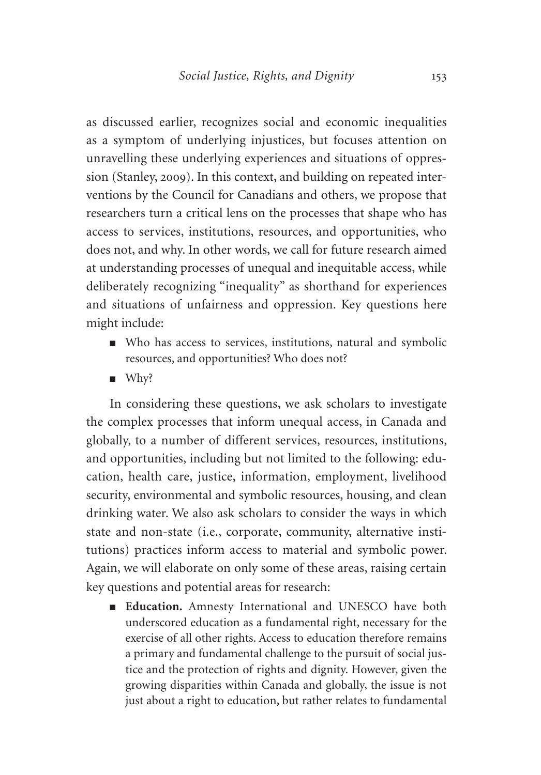as discussed earlier, recognizes social and economic inequalities as a symptom of underlying injustices, but focuses attention on unravelling these underlying experiences and situations of oppression (Stanley, 2009). In this context, and building on repeated interventions by the Council for Canadians and others, we propose that researchers turn a critical lens on the processes that shape who has access to services, institutions, resources, and opportunities, who does not, and why. In other words, we call for future research aimed at understanding processes of unequal and inequitable access, while deliberately recognizing "inequality" as shorthand for experiences and situations of unfairness and oppression. Key questions here might include:

- Who has access to services, institutions, natural and symbolic resources, and opportunities? Who does not?
- Why?

In considering these questions, we ask scholars to investigate the complex processes that inform unequal access, in Canada and globally, to a number of different services, resources, institutions, and opportunities, including but not limited to the following: education, health care, justice, information, employment, livelihood security, environmental and symbolic resources, housing, and clean drinking water. We also ask scholars to consider the ways in which state and non-state (i.e., corporate, community, alternative institutions) practices inform access to material and symbolic power. Again, we will elaborate on only some of these areas, raising certain key questions and potential areas for research:

■ **Education.** Amnesty International and UNESCO have both underscored education as a fundamental right, necessary for the exercise of all other rights. Access to education therefore remains a primary and fundamental challenge to the pursuit of social justice and the protection of rights and dignity. However, given the growing disparities within Canada and globally, the issue is not just about a right to education, but rather relates to fundamental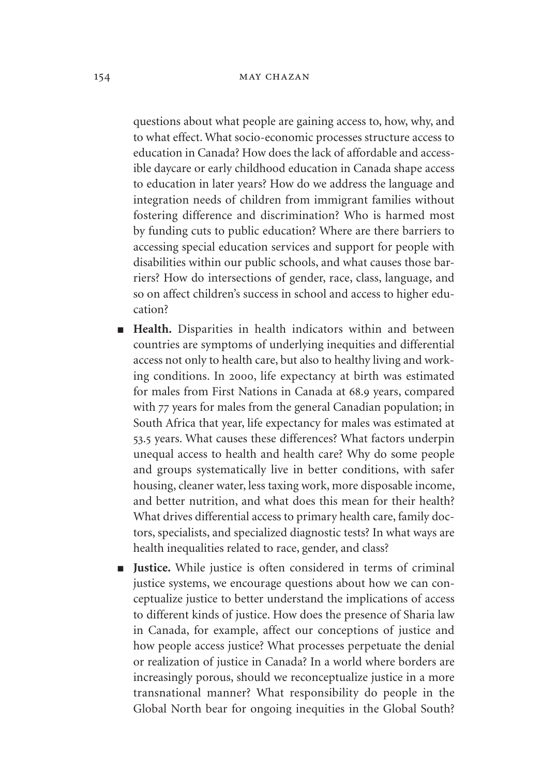questions about what people are gaining access to, how, why, and to what effect. What socio-economic processes structure access to education in Canada? How does the lack of affordable and accessible daycare or early childhood education in Canada shape access to education in later years? How do we address the language and integration needs of children from immigrant families without fostering difference and discrimination? Who is harmed most by funding cuts to public education? Where are there barriers to accessing special education services and support for people with disabilities within our public schools, and what causes those barriers? How do intersections of gender, race, class, language, and so on affect children's success in school and access to higher education?

- **Health.** Disparities in health indicators within and between countries are symptoms of underlying inequities and differential access not only to health care, but also to healthy living and working conditions. In 2000, life expectancy at birth was estimated for males from First Nations in Canada at 68.9 years, compared with 77 years for males from the general Canadian population; in South Africa that year, life expectancy for males was estimated at 53.5 years. What causes these differences? What factors underpin unequal access to health and health care? Why do some people and groups systematically live in better conditions, with safer housing, cleaner water, less taxing work, more disposable income, and better nutrition, and what does this mean for their health? What drives differential access to primary health care, family doctors, specialists, and specialized diagnostic tests? In what ways are health inequalities related to race, gender, and class?
- **Justice.** While justice is often considered in terms of criminal justice systems, we encourage questions about how we can conceptualize justice to better understand the implications of access to different kinds of justice. How does the presence of Sharia law in Canada, for example, affect our conceptions of justice and how people access justice? What processes perpetuate the denial or realization of justice in Canada? In a world where borders are increasingly porous, should we reconceptualize justice in a more transnational manner? What responsibility do people in the Global North bear for ongoing inequities in the Global South?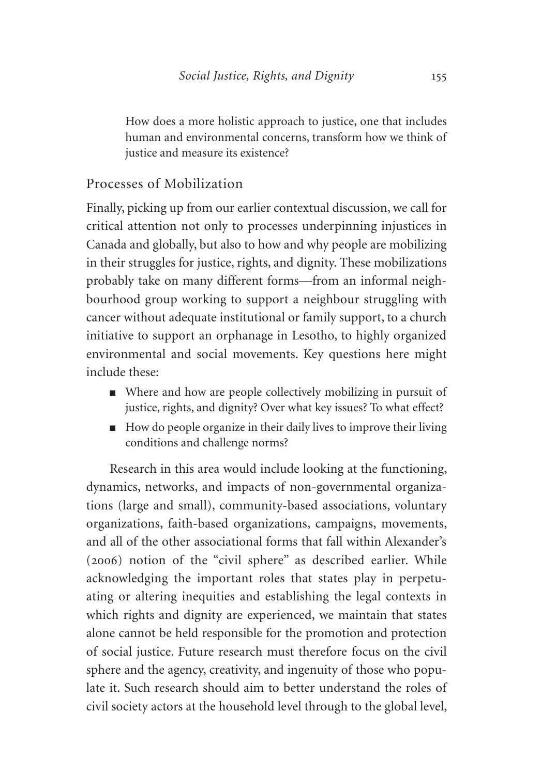How does a more holistic approach to justice, one that includes human and environmental concerns, transform how we think of justice and measure its existence?

## Processes of Mobilization

Finally, picking up from our earlier contextual discussion, we call for critical attention not only to processes underpinning injustices in Canada and globally, but also to how and why people are mobilizing in their struggles for justice, rights, and dignity. These mobilizations probably take on many different forms—from an informal neighbourhood group working to support a neighbour struggling with cancer without adequate institutional or family support, to a church initiative to support an orphanage in Lesotho, to highly organized environmental and social movements. Key questions here might include these:

- Where and how are people collectively mobilizing in pursuit of justice, rights, and dignity? Over what key issues? To what effect?
- How do people organize in their daily lives to improve their living conditions and challenge norms?

Research in this area would include looking at the functioning, dynamics, networks, and impacts of non-governmental organizations (large and small), community-based associations, voluntary organizations, faith-based organizations, campaigns, movements, and all of the other associational forms that fall within Alexander's (2006) notion of the "civil sphere" as described earlier. While acknowledging the important roles that states play in perpetuating or altering inequities and establishing the legal contexts in which rights and dignity are experienced, we maintain that states alone cannot be held responsible for the promotion and protection of social justice. Future research must therefore focus on the civil sphere and the agency, creativity, and ingenuity of those who populate it. Such research should aim to better understand the roles of civil society actors at the household level through to the global level,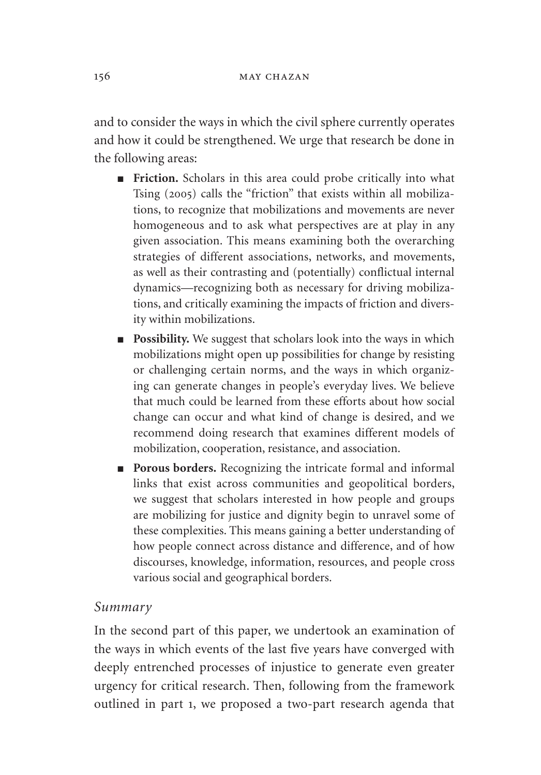and to consider the ways in which the civil sphere currently operates and how it could be strengthened. We urge that research be done in the following areas:

- **Friction.** Scholars in this area could probe critically into what Tsing (2005) calls the "friction" that exists within all mobilizations, to recognize that mobilizations and movements are never homogeneous and to ask what perspectives are at play in any given association. This means examining both the overarching strategies of different associations, networks, and movements, as well as their contrasting and (potentially) conflictual internal dynamics—recognizing both as necessary for driving mobilizations, and critically examining the impacts of friction and diversity within mobilizations.
- **Possibility.** We suggest that scholars look into the ways in which mobilizations might open up possibilities for change by resisting or challenging certain norms, and the ways in which organizing can generate changes in people's everyday lives. We believe that much could be learned from these efforts about how social change can occur and what kind of change is desired, and we recommend doing research that examines different models of mobilization, cooperation, resistance, and association.
- **Porous borders.** Recognizing the intricate formal and informal links that exist across communities and geopolitical borders, we suggest that scholars interested in how people and groups are mobilizing for justice and dignity begin to unravel some of these complexities. This means gaining a better understanding of how people connect across distance and difference, and of how discourses, knowledge, information, resources, and people cross various social and geographical borders.

### *Summary*

In the second part of this paper, we undertook an examination of the ways in which events of the last five years have converged with deeply entrenched processes of injustice to generate even greater urgency for critical research. Then, following from the framework outlined in part 1, we proposed a two-part research agenda that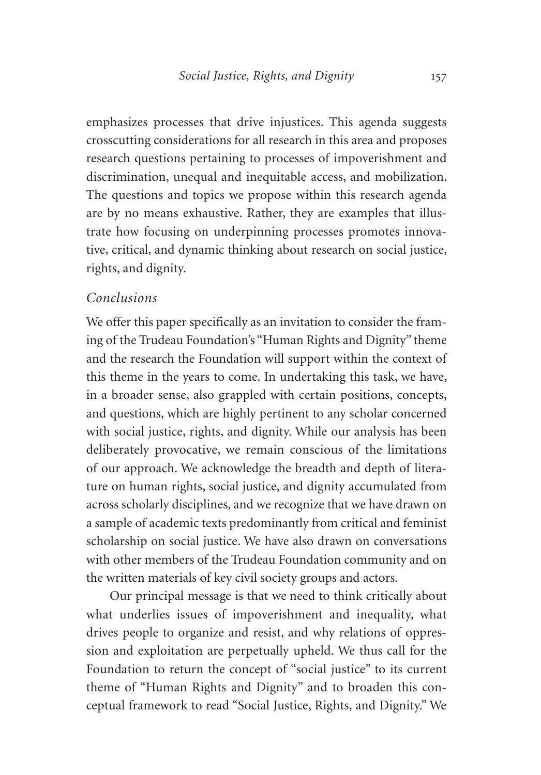emphasizes processes that drive injustices. This agenda suggests crosscutting considerations for all research in this area and proposes research questions pertaining to processes of impoverishment and discrimination, unequal and inequitable access, and mobilization. The questions and topics we propose within this research agenda are by no means exhaustive. Rather, they are examples that illustrate how focusing on underpinning processes promotes innovative, critical, and dynamic thinking about research on social justice, rights, and dignity.

### *Conclusions*

We offer this paper specifically as an invitation to consider the framing of the Trudeau Foundation's "Human Rights and Dignity" theme and the research the Foundation will support within the context of this theme in the years to come. In undertaking this task, we have, in a broader sense, also grappled with certain positions, concepts, and questions, which are highly pertinent to any scholar concerned with social justice, rights, and dignity. While our analysis has been deliberately provocative, we remain conscious of the limitations of our approach. We acknowledge the breadth and depth of literature on human rights, social justice, and dignity accumulated from across scholarly disciplines, and we recognize that we have drawn on a sample of academic texts predominantly from critical and feminist scholarship on social justice. We have also drawn on conversations with other members of the Trudeau Foundation community and on the written materials of key civil society groups and actors.

Our principal message is that we need to think critically about what underlies issues of impoverishment and inequality, what drives people to organize and resist, and why relations of oppression and exploitation are perpetually upheld. We thus call for the Foundation to return the concept of "social justice" to its current theme of "Human Rights and Dignity" and to broaden this conceptual framework to read "Social Justice, Rights, and Dignity." We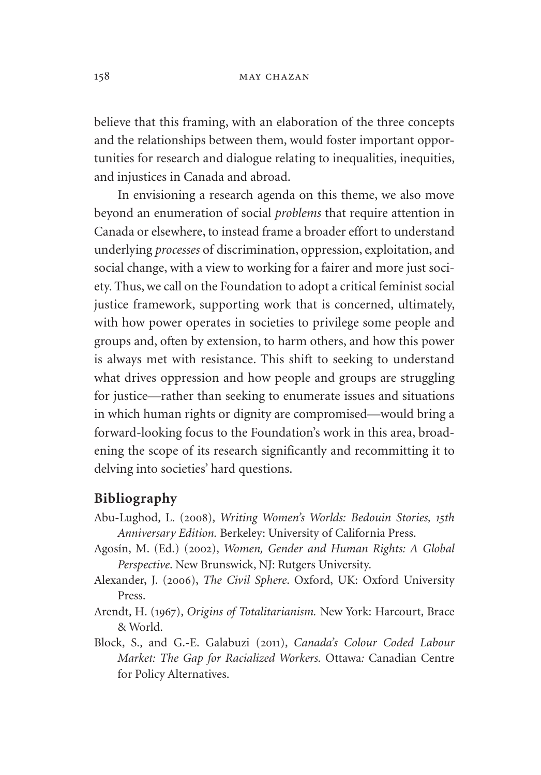#### 158 may chazan

believe that this framing, with an elaboration of the three concepts and the relationships between them, would foster important opportunities for research and dialogue relating to inequalities, inequities, and injustices in Canada and abroad.

In envisioning a research agenda on this theme, we also move beyond an enumeration of social *problems* that require attention in Canada or elsewhere, to instead frame a broader effort to understand underlying *processes* of discrimination, oppression, exploitation, and social change, with a view to working for a fairer and more just society. Thus, we call on the Foundation to adopt a critical feminist social justice framework, supporting work that is concerned, ultimately, with how power operates in societies to privilege some people and groups and, often by extension, to harm others, and how this power is always met with resistance. This shift to seeking to understand what drives oppression and how people and groups are struggling for justice—rather than seeking to enumerate issues and situations in which human rights or dignity are compromised—would bring a forward-looking focus to the Foundation's work in this area, broadening the scope of its research significantly and recommitting it to delving into societies' hard questions.

#### **Bibliography**

- Abu-Lughod, L. (2008), *Writing Women's Worlds: Bedouin Stories, 15th Anniversary Edition.* Berkeley: University of California Press.
- Agosín, M. (Ed.) (2002), *Women, Gender and Human Rights: A Global Perspective*. New Brunswick, NJ: Rutgers University.
- Alexander, J. (2006), *The Civil Sphere*. Oxford, UK: Oxford University Press.
- Arendt, H. (1967), *Origins of Totalitarianism.* New York: Harcourt, Brace & World.
- Block, S., and G.-E. Galabuzi (2011), *Canada's Colour Coded Labour Market: The Gap for Racialized Workers.* Ottawa*:* Canadian Centre for Policy Alternatives.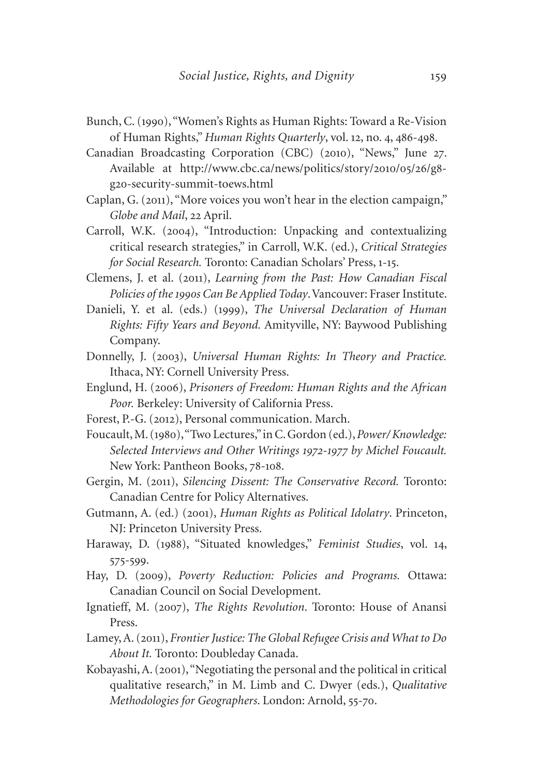- Bunch, C. (1990), "Women's Rights as Human Rights: Toward a Re-Vision of Human Rights," *Human Rights Quarterly*, vol. 12, no. 4, 486-498.
- Canadian Broadcasting Corporation (CBC) (2010), "News," June 27. Available at http://www.cbc.ca/news/politics/story/2010/05/26/g8 g20[-security-summit-toews.html](http://www.cbc.ca/news/politics/story/2010/05/26/g8-g20-security-summit-toews.html)
- Caplan, G. (2011), "More voices you won't hear in the election campaign," *Globe and Mail*, 22 April.
- Carroll, W.K. (2004), "Introduction: Unpacking and contextualizing critical research strategies," in Carroll, W.K. (ed.), *Critical Strategies for Social Research.* Toronto: Canadian Scholars' Press, 1-15.
- Clemens, J. et al. (2011), *Learning from the Past: How Canadian Fiscal Policies of the 1990s Can Be Applied Today*. Vancouver: Fraser Institute.
- Danieli, Y. et al. (eds.) (1999), *The Universal Declaration of Human Rights: Fifty Years and Beyond.* Amityville, NY: Baywood Publishing Company.
- Donnelly, J. (2003), *Universal Human Rights: In Theory and Practice.*  Ithaca, NY: Cornell University Press.
- Englund, H. (2006), *Prisoners of Freedom: Human Rights and the African Poor.* Berkeley: University of California Press.
- Forest, P.-G. (2012), Personal communication. March.
- Foucault, M. (1980), "Two Lectures," in C. Gordon (ed.), *Power/ Knowledge: Selected Interviews and Other Writings 1972-1977 by Michel Foucault.*  New York: Pantheon Books, 78-108.
- Gergin, M. (2011), *Silencing Dissent: The Conservative Record.* Toronto: Canadian Centre for Policy Alternatives.
- Gutmann, A. (ed.) (2001), *Human Rights as Political Idolatry*. Princeton, NJ: Princeton University Press.
- Haraway, D. (1988), "Situated knowledges," *Feminist Studies*, vol. 14, 575-599.
- Hay, D. (2009), *Poverty Reduction: Policies and Programs.* Ottawa: Canadian Council on Social Development.
- Ignatieff, M. (2007), *The Rights Revolution*. Toronto: House of Anansi Press.
- Lamey, A. (2011), *Frontier Justice: The Global Refugee Crisis and What to Do About It.* Toronto: Doubleday Canada.
- Kobayashi, A. (2001), "Negotiating the personal and the political in critical qualitative research," in M. Limb and C. Dwyer (eds.), *Qualitative Methodologies for Geographers*. London: Arnold, 55-70.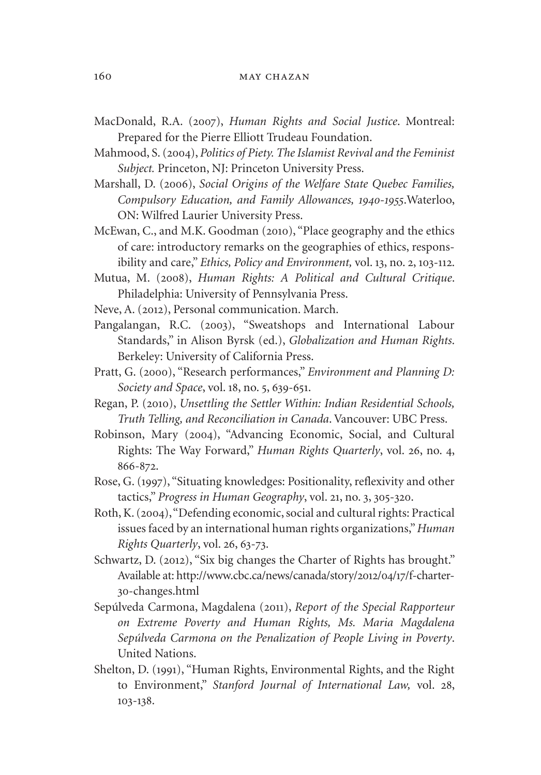- MacDonald, R.A. (2007), *Human Rights and Social Justice*. Montreal: Prepared for the Pierre Elliott Trudeau Foundation.
- Mahmood, S. (2004), *Politics of Piety. The Islamist Revival and the Feminist Subject.* Princeton, NJ: Princeton University Press.
- Marshall, D. (2006), *Social Origins of the Welfare State Quebec Families, Compulsory Education, and Family Allowances, 1940-1955*.Waterloo, ON: Wilfred Laurier University Press.
- McEwan, C., and M.K. Goodman (2010), "Place geography and the ethics of care: introductory remarks on the geographies of ethics, responsibility and care," *Ethics, Policy and Environment,* vol. 13, no. 2, 103-112.
- Mutua, M. (2008), *Human Rights: A Political and Cultural Critique*. Philadelphia: University of Pennsylvania Press.
- Neve, A. (2012), Personal communication. March.
- Pangalangan, R.C. (2003), "Sweatshops and International Labour Standards," in Alison Byrsk (ed.), *Globalization and Human Rights*. Berkeley: University of California Press.
- Pratt, G. (2000), "Research performances," *Environment and Planning D: Society and Space*, vol. 18, no. 5, 639-651.
- Regan, P. (2010), *Unsettling the Settler Within: Indian Residential Schools, Truth Telling, and Reconciliation in Canada*. Vancouver: UBC Press.
- Robinson, Mary (2004), "Advancing Economic, Social, and Cultural Rights: The Way Forward," *Human Rights Quarterly*, vol. 26, no. 4, 866-872.
- Rose, G. (1997), "Situating knowledges: Positionality, reflexivity and other tactics," *Progress in Human Geography*, vol. 21, no. 3, 305-320.
- Roth, K. (2004), "Defending economic, social and cultural rights: Practical issues faced by an international human rights organizations," *Human Rights Quarterly*, vol. 26, 63-73.
- Schwartz, D. (2012), "Six big changes the Charter of Rights has brought." Available at: [http://www.cbc.ca/news/canada/story/](http://www.cbc.ca/news/canada/story/2012/04/17/f-charter-30-changes.html)2012/04/17/f-charter-30[-changes.html](http://www.cbc.ca/news/canada/story/2012/04/17/f-charter-30-changes.html)
- Sepúlveda Carmona, Magdalena (2011), *Report of the Special Rapporteur on Extreme Poverty and Human Rights, Ms. Maria Magdalena Sepúlveda Carmona on the Penalization of People Living in Poverty*. United Nations.
- Shelton, D. (1991), "Human Rights, Environmental Rights, and the Right to Environment," *Stanford Journal of International Law,* vol. 28, 103-138.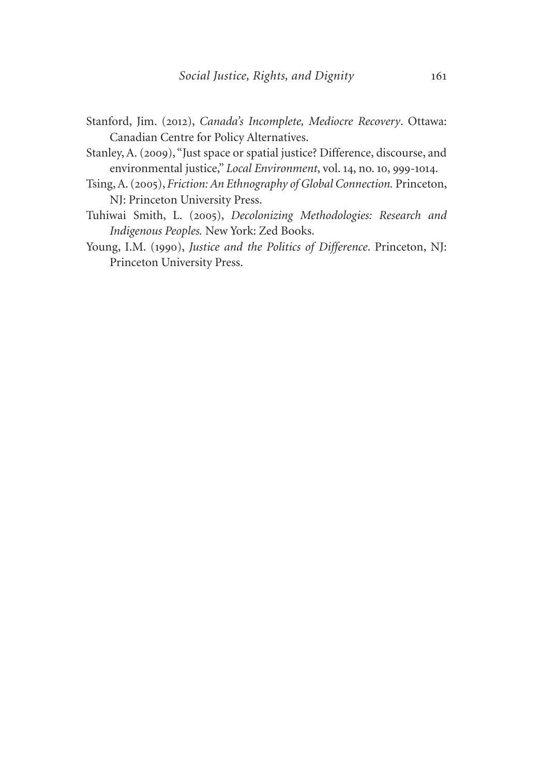- Stanford, Jim. (2012), *Canada's Incomplete, Mediocre Recovery*. Ottawa: Canadian Centre for Policy Alternatives.
- Stanley, A. (2009), "Just space or spatial justice? Difference, discourse, and environmental justice," *Local Environment*, vol. 14, no. 10, 999-1014.
- Tsing, A. (2005), *Friction: An Ethnography of Global Connection.* Princeton, NJ: Princeton University Press.
- Tuhiwai Smith, L. (2005), *Decolonizing Methodologies: Research and Indigenous Peoples.* New York: Zed Books.
- Young, I.M. (1990), *Justice and the Politics of Difference*. Princeton, NJ: Princeton University Press.